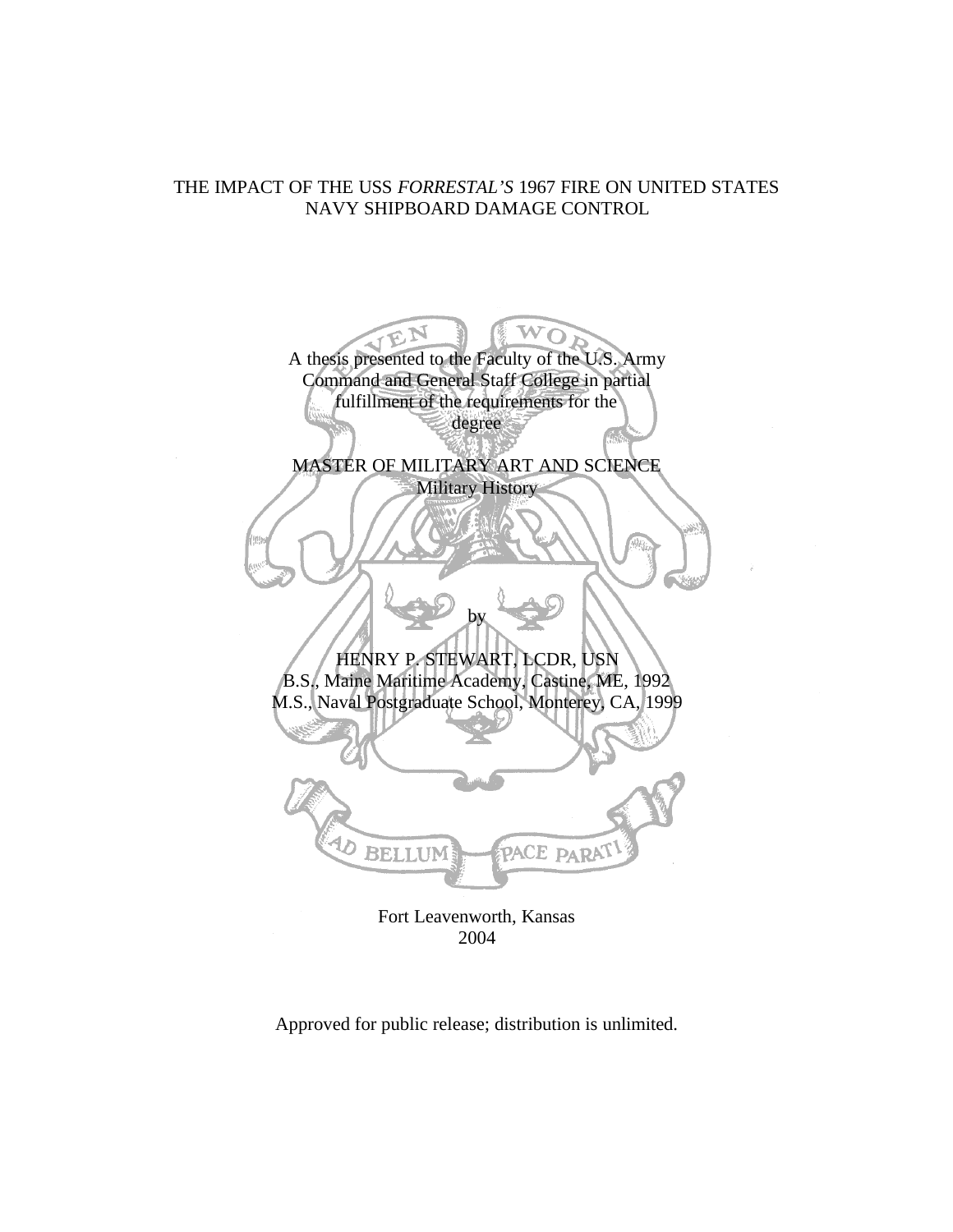# THE IMPACT OF THE USS *FORRESTAL'S* 1967 FIRE ON UNITED STATES NAVY SHIPBOARD DAMAGE CONTROL



2004

Approved for public release; distribution is unlimited.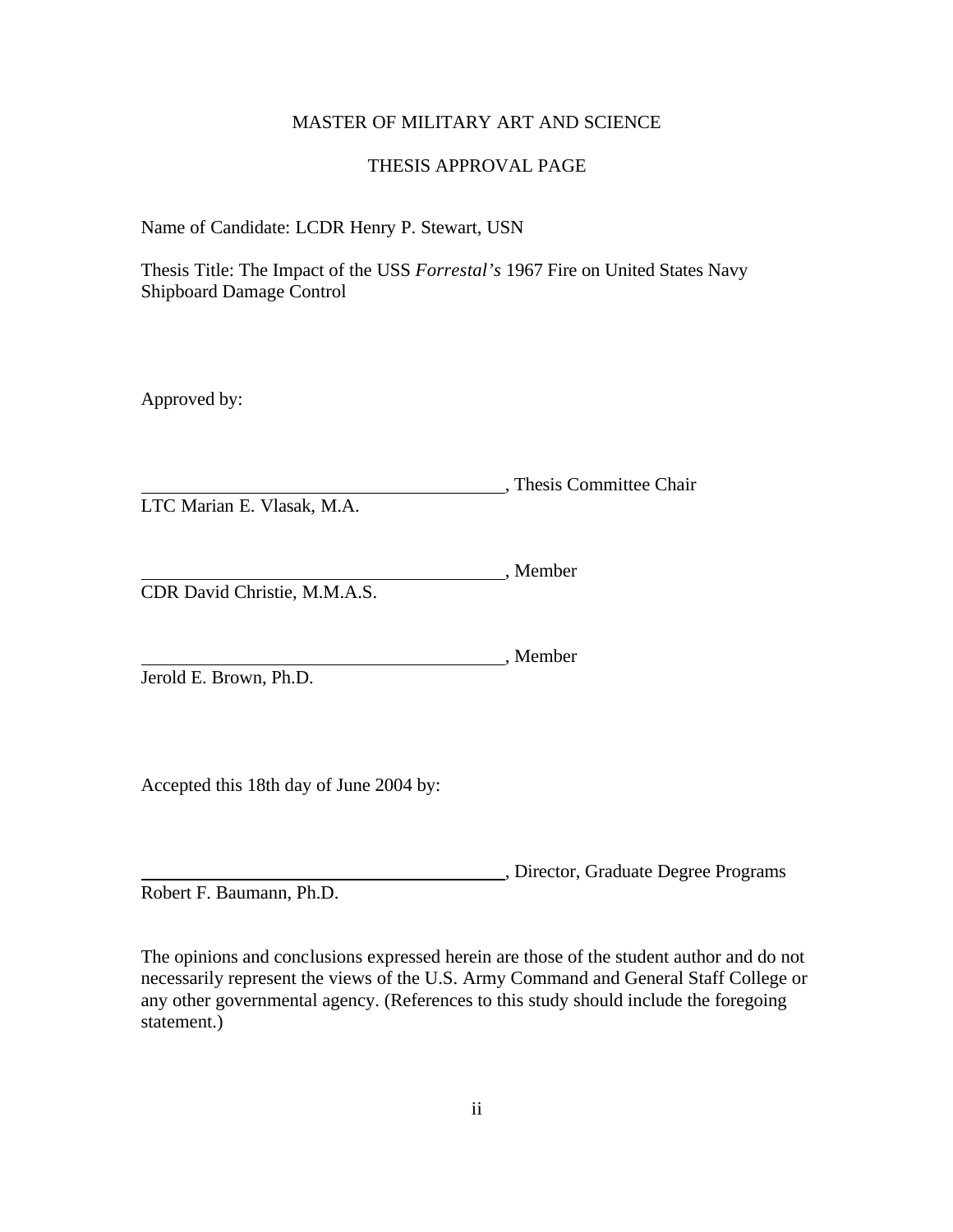## MASTER OF MILITARY ART AND SCIENCE

## THESIS APPROVAL PAGE

Name of Candidate: LCDR Henry P. Stewart, USN

Thesis Title: The Impact of the USS *Forrestal's* 1967 Fire on United States Navy Shipboard Damage Control

Approved by:

, Thesis Committee Chair LTC Marian E. Vlasak, M.A.

Member CDR David Christie, M.M.A.S.

, Member

Jerold E. Brown, Ph.D.

Accepted this 18th day of June 2004 by:

, Director, Graduate Degree Programs Robert F. Baumann, Ph.D.

The opinions and conclusions expressed herein are those of the student author and do not necessarily represent the views of the U.S. Army Command and General Staff College or any other governmental agency. (References to this study should include the foregoing statement.)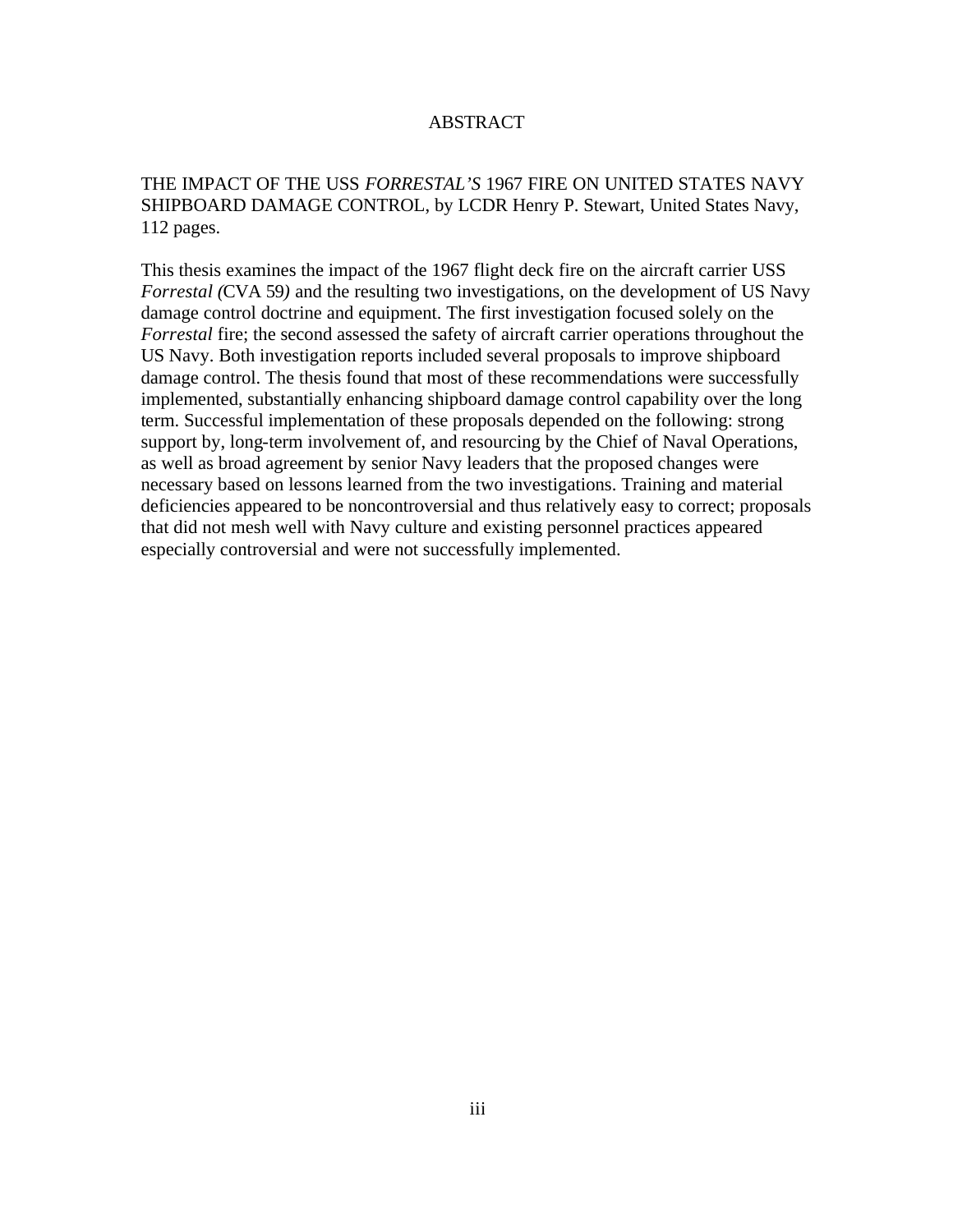## ABSTRACT

# THE IMPACT OF THE USS *FORRESTAL'S* 1967 FIRE ON UNITED STATES NAVY SHIPBOARD DAMAGE CONTROL, by LCDR Henry P. Stewart, United States Navy, 112 pages.

This thesis examines the impact of the 1967 flight deck fire on the aircraft carrier USS *Forrestal (*CVA 59*)* and the resulting two investigations, on the development of US Navy damage control doctrine and equipment. The first investigation focused solely on the *Forrestal* fire; the second assessed the safety of aircraft carrier operations throughout the US Navy. Both investigation reports included several proposals to improve shipboard damage control. The thesis found that most of these recommendations were successfully implemented, substantially enhancing shipboard damage control capability over the long term. Successful implementation of these proposals depended on the following: strong support by, long-term involvement of, and resourcing by the Chief of Naval Operations, as well as broad agreement by senior Navy leaders that the proposed changes were necessary based on lessons learned from the two investigations. Training and material deficiencies appeared to be noncontroversial and thus relatively easy to correct; proposals that did not mesh well with Navy culture and existing personnel practices appeared especially controversial and were not successfully implemented.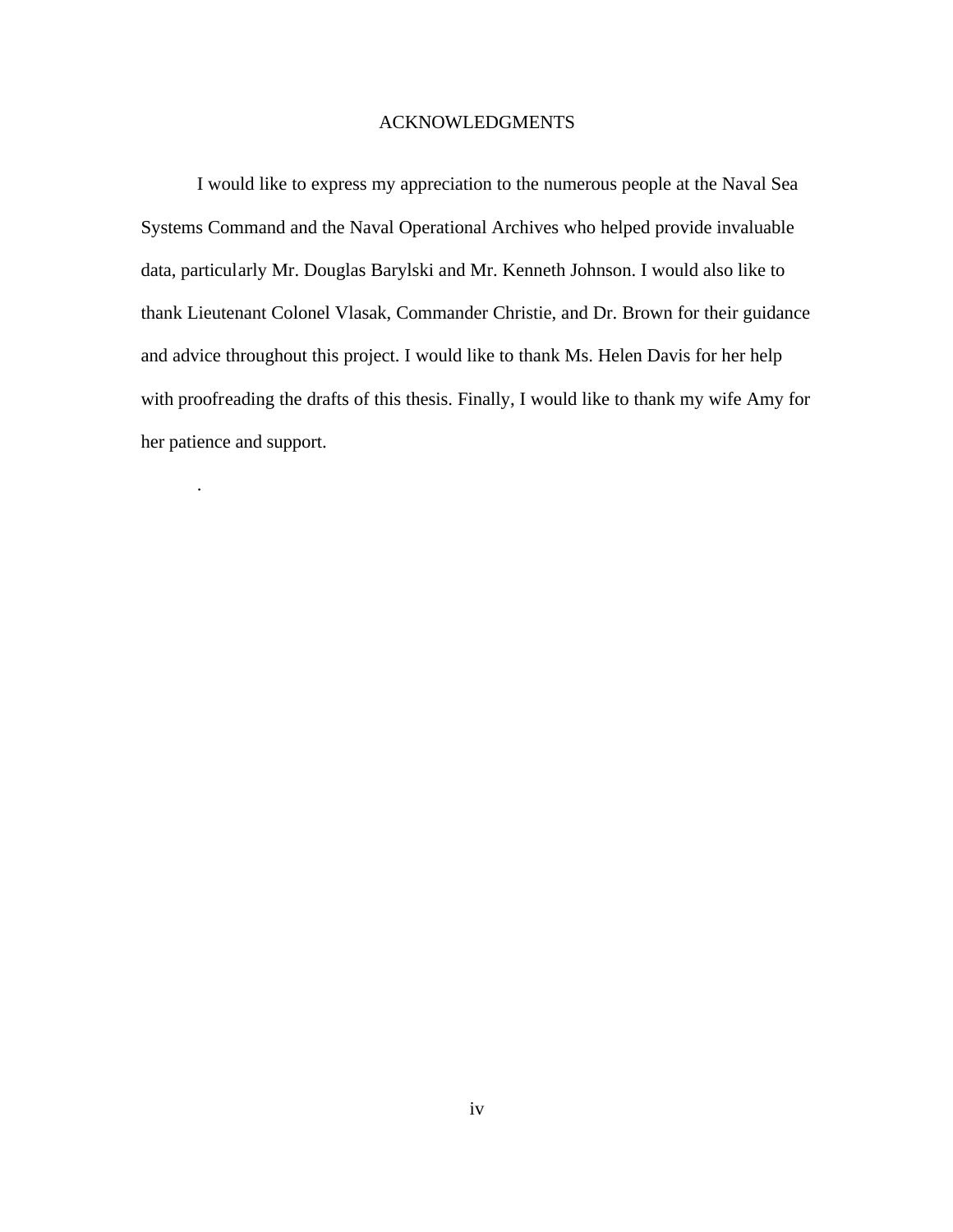## ACKNOWLEDGMENTS

I would like to express my appreciation to the numerous people at the Naval Sea Systems Command and the Naval Operational Archives who helped provide invaluable data, particularly Mr. Douglas Barylski and Mr. Kenneth Johnson. I would also like to thank Lieutenant Colonel Vlasak, Commander Christie, and Dr. Brown for their guidance and advice throughout this project. I would like to thank Ms. Helen Davis for her help with proofreading the drafts of this thesis. Finally, I would like to thank my wife Amy for her patience and support.

.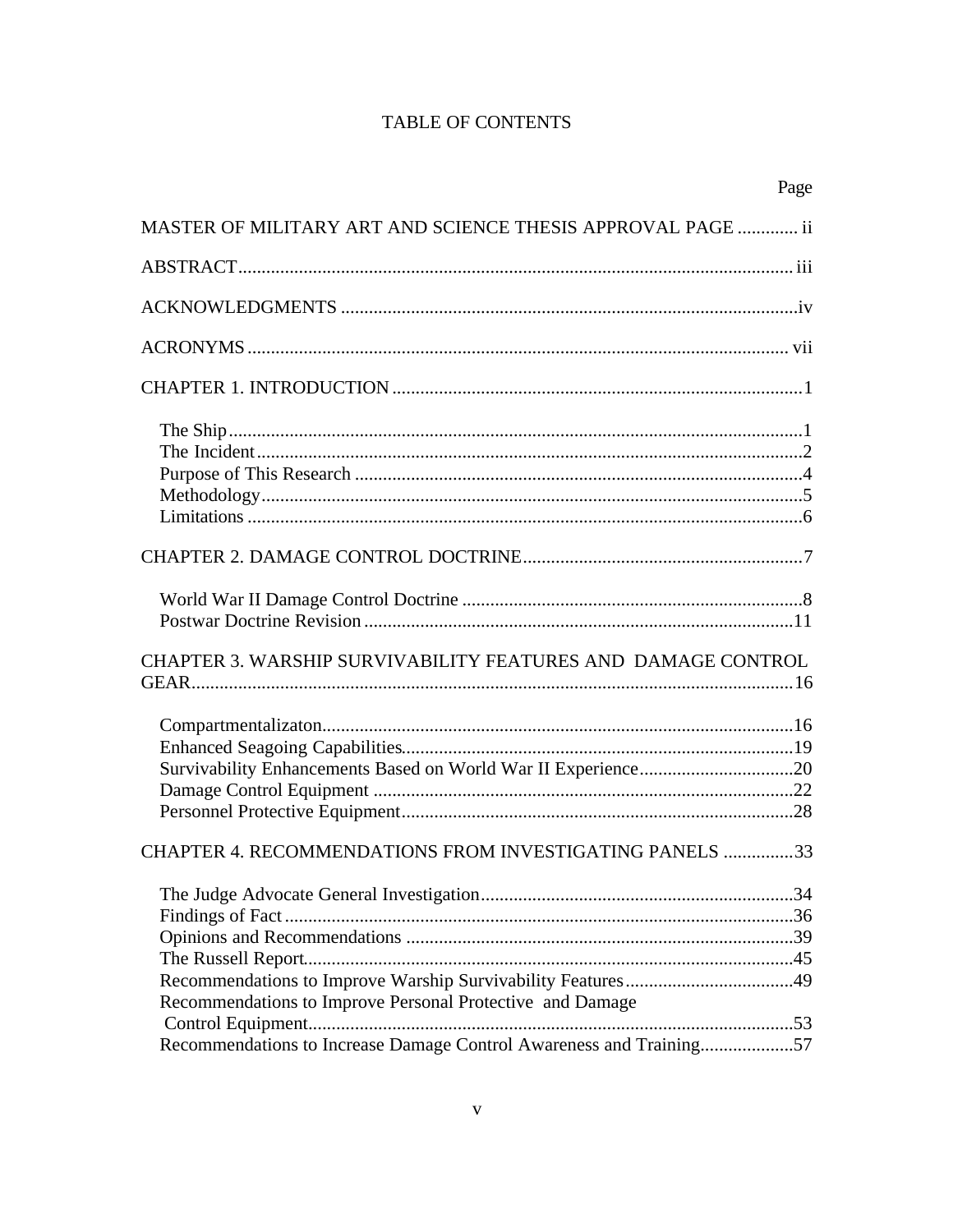# **TABLE OF CONTENTS**

|                                                                     | Page |
|---------------------------------------------------------------------|------|
| MASTER OF MILITARY ART AND SCIENCE THESIS APPROVAL PAGE  ii         |      |
|                                                                     |      |
|                                                                     |      |
|                                                                     |      |
|                                                                     |      |
|                                                                     |      |
|                                                                     |      |
| CHAPTER 3. WARSHIP SURVIVABILITY FEATURES AND DAMAGE CONTROL        |      |
| Survivability Enhancements Based on World War II Experience20       |      |
| CHAPTER 4. RECOMMENDATIONS FROM INVESTIGATING PANELS 33             |      |
| Recommendations to Improve Personal Protective and Damage           |      |
| Recommendations to Increase Damage Control Awareness and Training57 |      |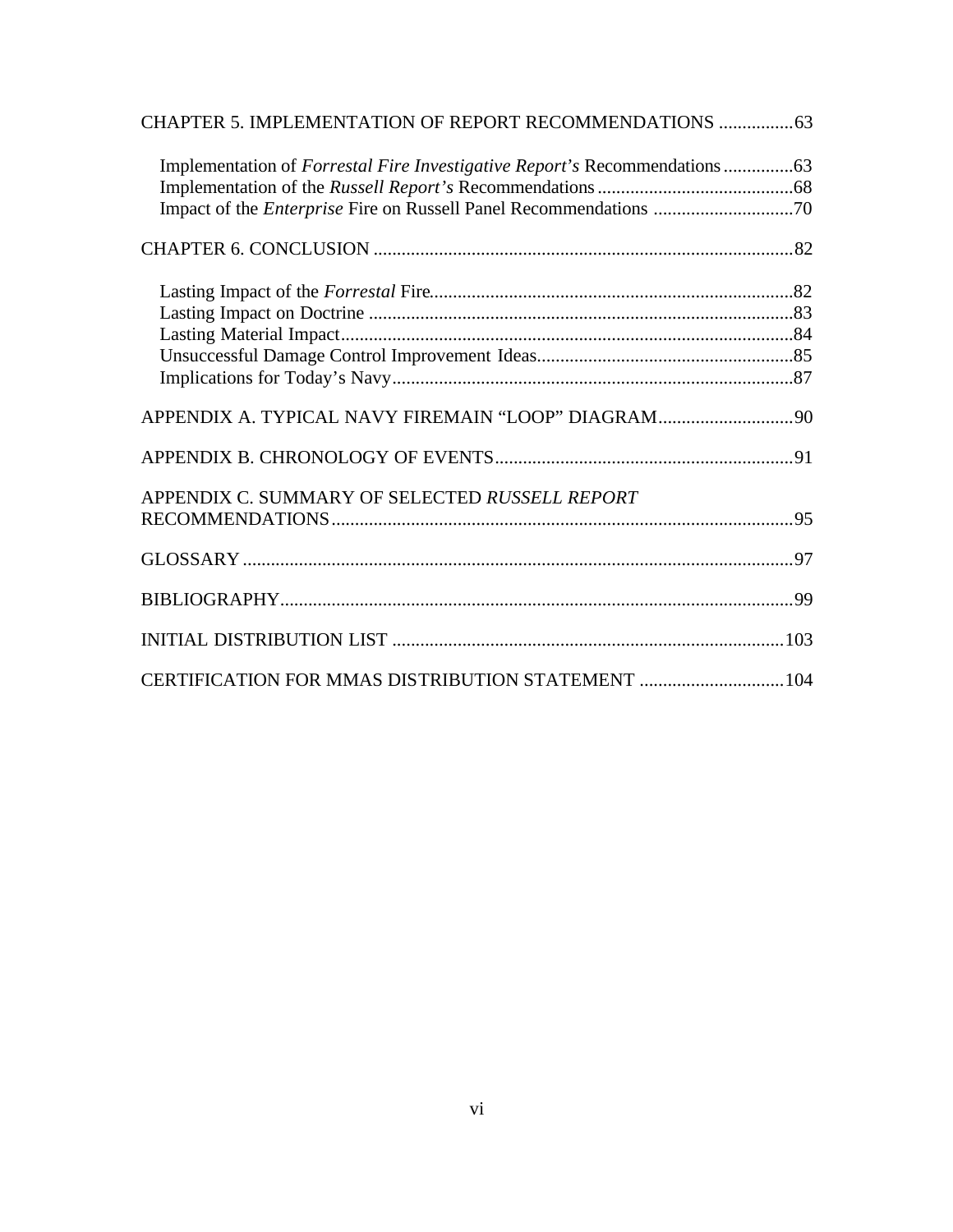| CHAPTER 5. IMPLEMENTATION OF REPORT RECOMMENDATIONS  63                   |  |
|---------------------------------------------------------------------------|--|
| Implementation of Forrestal Fire Investigative Report's Recommendations63 |  |
|                                                                           |  |
|                                                                           |  |
|                                                                           |  |
|                                                                           |  |
|                                                                           |  |
|                                                                           |  |
|                                                                           |  |
|                                                                           |  |
|                                                                           |  |
|                                                                           |  |
| APPENDIX C. SUMMARY OF SELECTED RUSSELL REPORT                            |  |
|                                                                           |  |
|                                                                           |  |
|                                                                           |  |
|                                                                           |  |
| CERTIFICATION FOR MMAS DISTRIBUTION STATEMENT 104                         |  |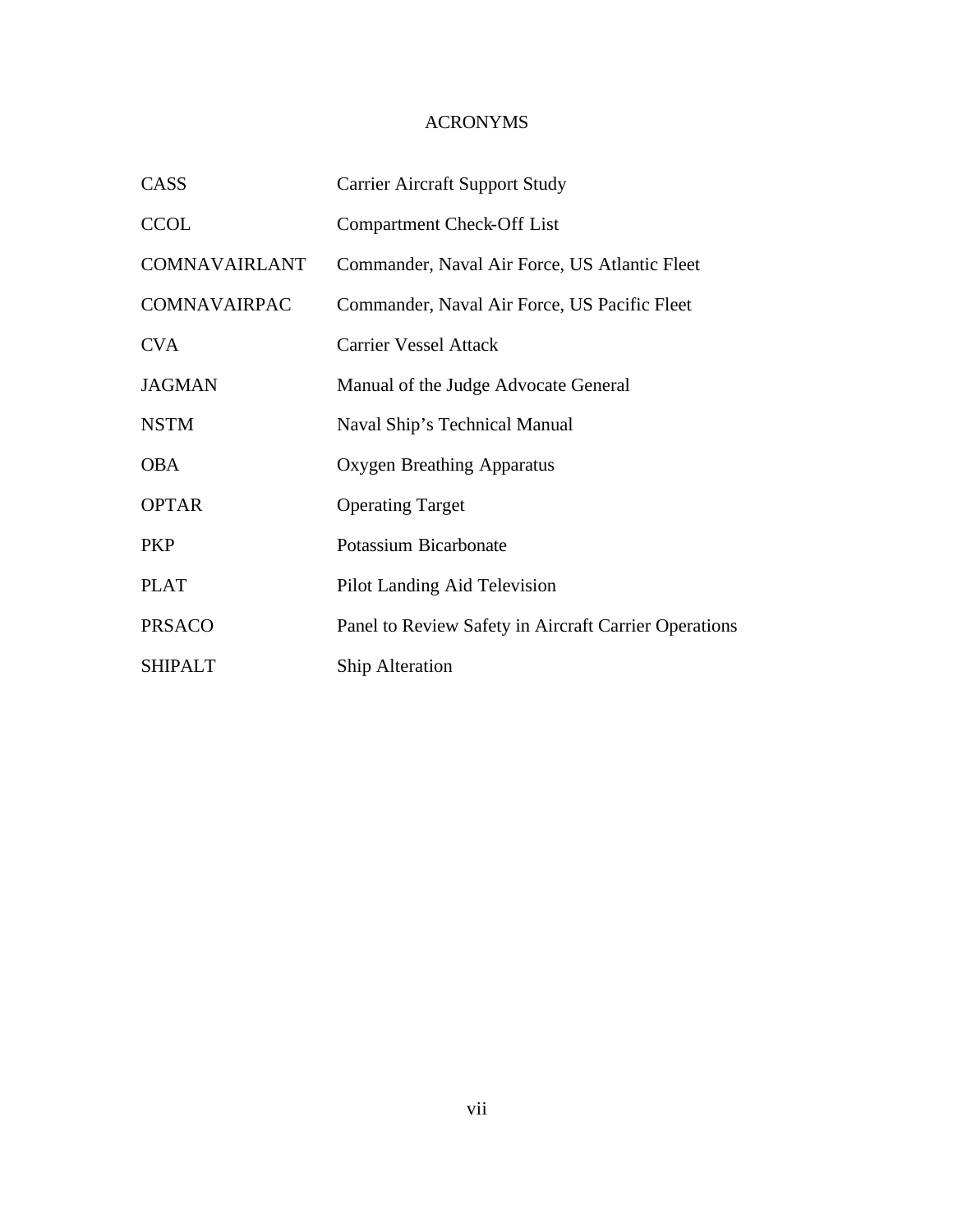# ACRONYMS

| CASS                 | <b>Carrier Aircraft Support Study</b>                 |
|----------------------|-------------------------------------------------------|
| <b>CCOL</b>          | <b>Compartment Check-Off List</b>                     |
| <b>COMNAVAIRLANT</b> | Commander, Naval Air Force, US Atlantic Fleet         |
| <b>COMNAVAIRPAC</b>  | Commander, Naval Air Force, US Pacific Fleet          |
| <b>CVA</b>           | <b>Carrier Vessel Attack</b>                          |
| <b>JAGMAN</b>        | Manual of the Judge Advocate General                  |
| <b>NSTM</b>          | Naval Ship's Technical Manual                         |
| <b>OBA</b>           | Oxygen Breathing Apparatus                            |
| <b>OPTAR</b>         | <b>Operating Target</b>                               |
| <b>PKP</b>           | Potassium Bicarbonate                                 |
| <b>PLAT</b>          | Pilot Landing Aid Television                          |
| <b>PRSACO</b>        | Panel to Review Safety in Aircraft Carrier Operations |
| <b>SHIPALT</b>       | <b>Ship Alteration</b>                                |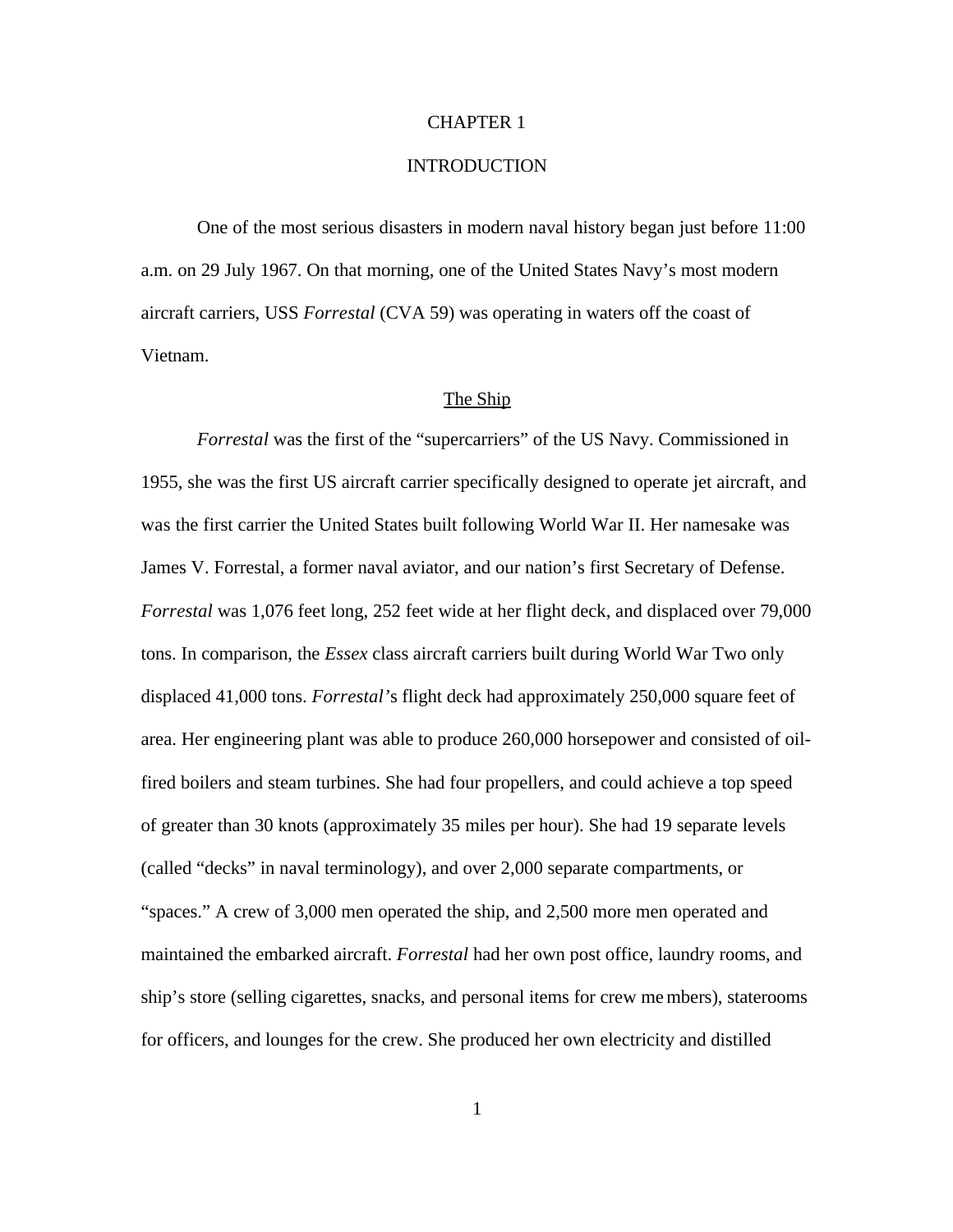#### CHAPTER 1

#### **INTRODUCTION**

One of the most serious disasters in modern naval history began just before 11:00 a.m. on 29 July 1967. On that morning, one of the United States Navy's most modern aircraft carriers, USS *Forrestal* (CVA 59) was operating in waters off the coast of Vietnam.

#### The Ship

*Forrestal* was the first of the "supercarriers" of the US Navy. Commissioned in 1955, she was the first US aircraft carrier specifically designed to operate jet aircraft, and was the first carrier the United States built following World War II. Her namesake was James V. Forrestal, a former naval aviator, and our nation's first Secretary of Defense. *Forrestal* was 1,076 feet long, 252 feet wide at her flight deck, and displaced over 79,000 tons. In comparison, the *Essex* class aircraft carriers built during World War Two only displaced 41,000 tons. *Forrestal'*s flight deck had approximately 250,000 square feet of area. Her engineering plant was able to produce 260,000 horsepower and consisted of oilfired boilers and steam turbines. She had four propellers, and could achieve a top speed of greater than 30 knots (approximately 35 miles per hour). She had 19 separate levels (called "decks" in naval terminology), and over 2,000 separate compartments, or "spaces." A crew of 3,000 men operated the ship, and 2,500 more men operated and maintained the embarked aircraft. *Forrestal* had her own post office, laundry rooms, and ship's store (selling cigarettes, snacks, and personal items for crew members), staterooms for officers, and lounges for the crew. She produced her own electricity and distilled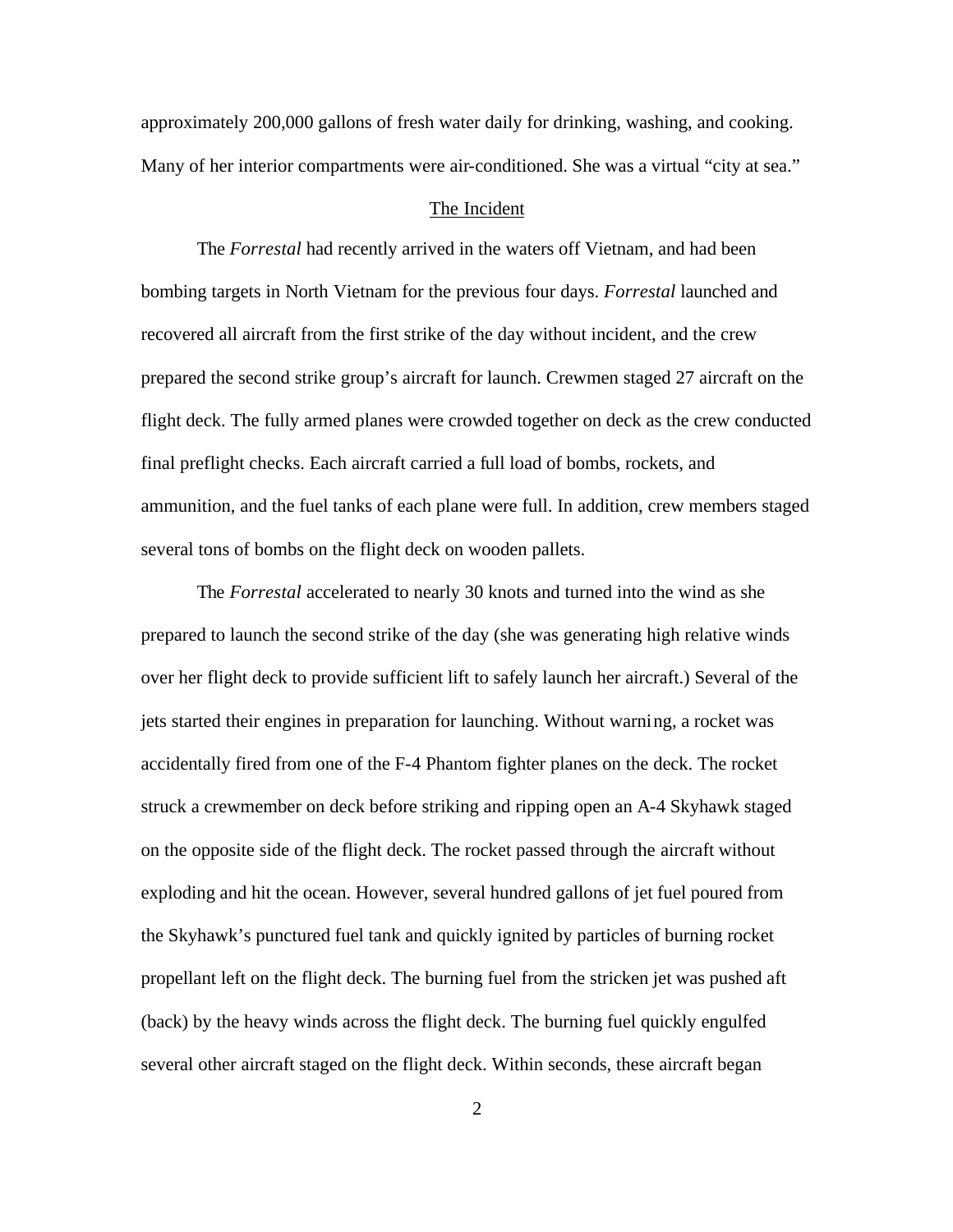approximately 200,000 gallons of fresh water daily for drinking, washing, and cooking. Many of her interior compartments were air-conditioned. She was a virtual "city at sea."

## The Incident

The *Forrestal* had recently arrived in the waters off Vietnam, and had been bombing targets in North Vietnam for the previous four days. *Forrestal* launched and recovered all aircraft from the first strike of the day without incident, and the crew prepared the second strike group's aircraft for launch. Crewmen staged 27 aircraft on the flight deck. The fully armed planes were crowded together on deck as the crew conducted final preflight checks. Each aircraft carried a full load of bombs, rockets, and ammunition, and the fuel tanks of each plane were full. In addition, crew members staged several tons of bombs on the flight deck on wooden pallets.

The *Forrestal* accelerated to nearly 30 knots and turned into the wind as she prepared to launch the second strike of the day (she was generating high relative winds over her flight deck to provide sufficient lift to safely launch her aircraft.) Several of the jets started their engines in preparation for launching. Without warning, a rocket was accidentally fired from one of the F-4 Phantom fighter planes on the deck. The rocket struck a crewmember on deck before striking and ripping open an A-4 Skyhawk staged on the opposite side of the flight deck. The rocket passed through the aircraft without exploding and hit the ocean. However, several hundred gallons of jet fuel poured from the Skyhawk's punctured fuel tank and quickly ignited by particles of burning rocket propellant left on the flight deck. The burning fuel from the stricken jet was pushed aft (back) by the heavy winds across the flight deck. The burning fuel quickly engulfed several other aircraft staged on the flight deck. Within seconds, these aircraft began

2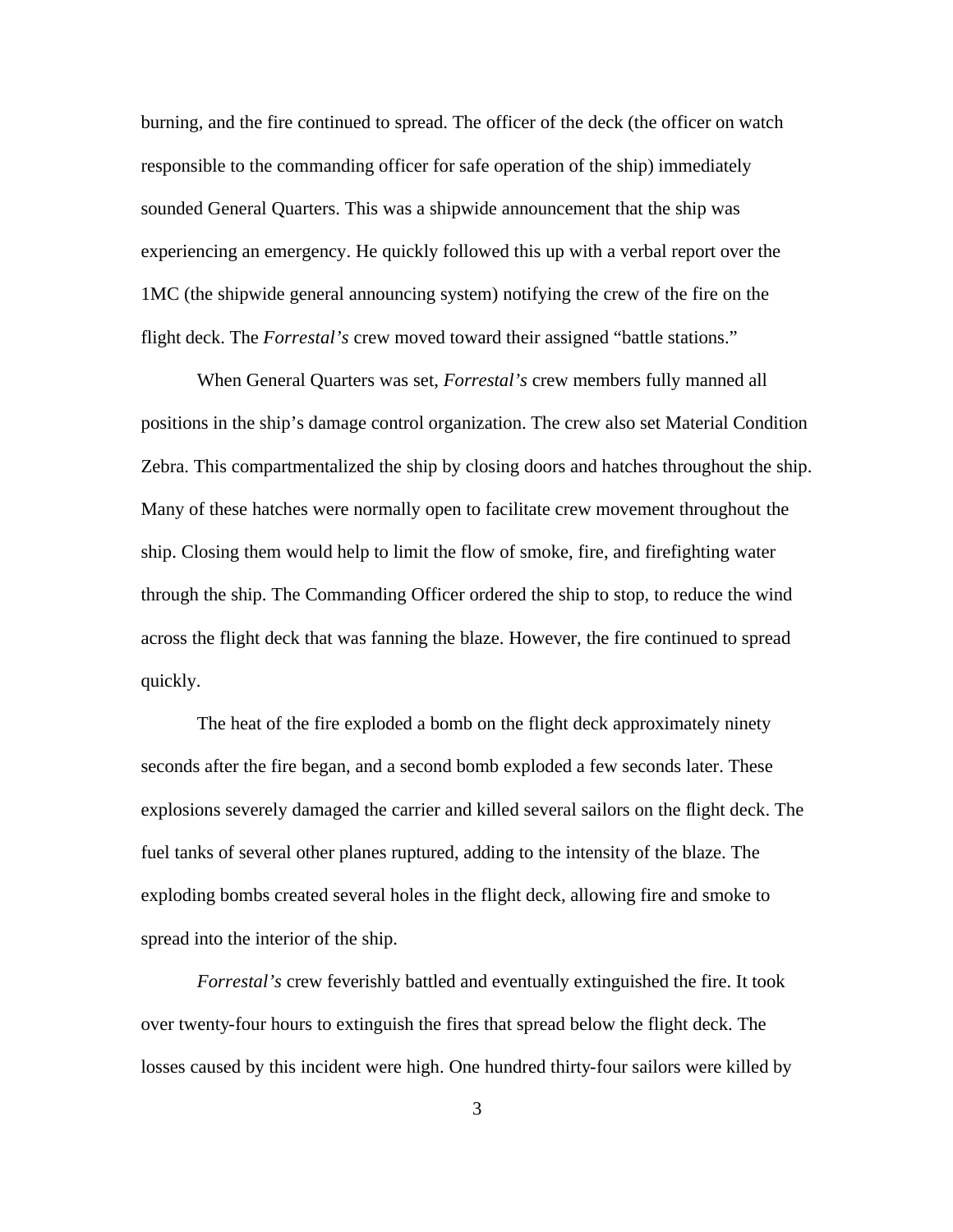burning, and the fire continued to spread. The officer of the deck (the officer on watch responsible to the commanding officer for safe operation of the ship) immediately sounded General Quarters. This was a shipwide announcement that the ship was experiencing an emergency. He quickly followed this up with a verbal report over the 1MC (the shipwide general announcing system) notifying the crew of the fire on the flight deck. The *Forrestal's* crew moved toward their assigned "battle stations."

When General Quarters was set, *Forrestal's* crew members fully manned all positions in the ship's damage control organization. The crew also set Material Condition Zebra. This compartmentalized the ship by closing doors and hatches throughout the ship. Many of these hatches were normally open to facilitate crew movement throughout the ship. Closing them would help to limit the flow of smoke, fire, and firefighting water through the ship. The Commanding Officer ordered the ship to stop, to reduce the wind across the flight deck that was fanning the blaze. However, the fire continued to spread quickly.

The heat of the fire exploded a bomb on the flight deck approximately ninety seconds after the fire began, and a second bomb exploded a few seconds later. These explosions severely damaged the carrier and killed several sailors on the flight deck. The fuel tanks of several other planes ruptured, adding to the intensity of the blaze. The exploding bombs created several holes in the flight deck, allowing fire and smoke to spread into the interior of the ship.

*Forrestal's* crew feverishly battled and eventually extinguished the fire. It took over twenty-four hours to extinguish the fires that spread below the flight deck. The losses caused by this incident were high. One hundred thirty-four sailors were killed by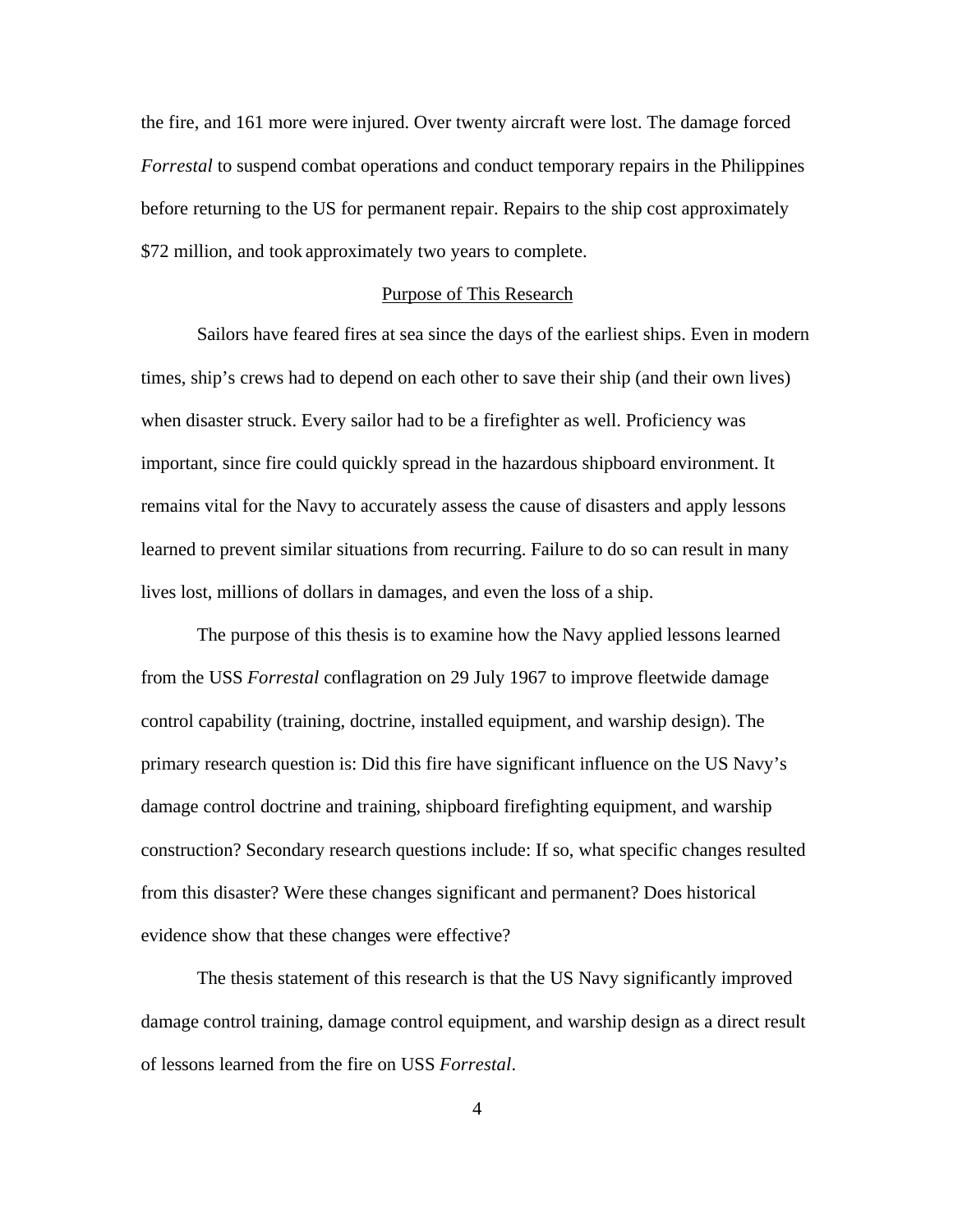the fire, and 161 more were injured. Over twenty aircraft were lost. The damage forced *Forrestal* to suspend combat operations and conduct temporary repairs in the Philippines before returning to the US for permanent repair. Repairs to the ship cost approximately \$72 million, and took approximately two years to complete.

#### Purpose of This Research

Sailors have feared fires at sea since the days of the earliest ships. Even in modern times, ship's crews had to depend on each other to save their ship (and their own lives) when disaster struck. Every sailor had to be a firefighter as well. Proficiency was important, since fire could quickly spread in the hazardous shipboard environment. It remains vital for the Navy to accurately assess the cause of disasters and apply lessons learned to prevent similar situations from recurring. Failure to do so can result in many lives lost, millions of dollars in damages, and even the loss of a ship.

The purpose of this thesis is to examine how the Navy applied lessons learned from the USS *Forrestal* conflagration on 29 July 1967 to improve fleetwide damage control capability (training, doctrine, installed equipment, and warship design). The primary research question is: Did this fire have significant influence on the US Navy's damage control doctrine and training, shipboard firefighting equipment, and warship construction? Secondary research questions include: If so, what specific changes resulted from this disaster? Were these changes significant and permanent? Does historical evidence show that these changes were effective?

The thesis statement of this research is that the US Navy significantly improved damage control training, damage control equipment, and warship design as a direct result of lessons learned from the fire on USS *Forrestal*.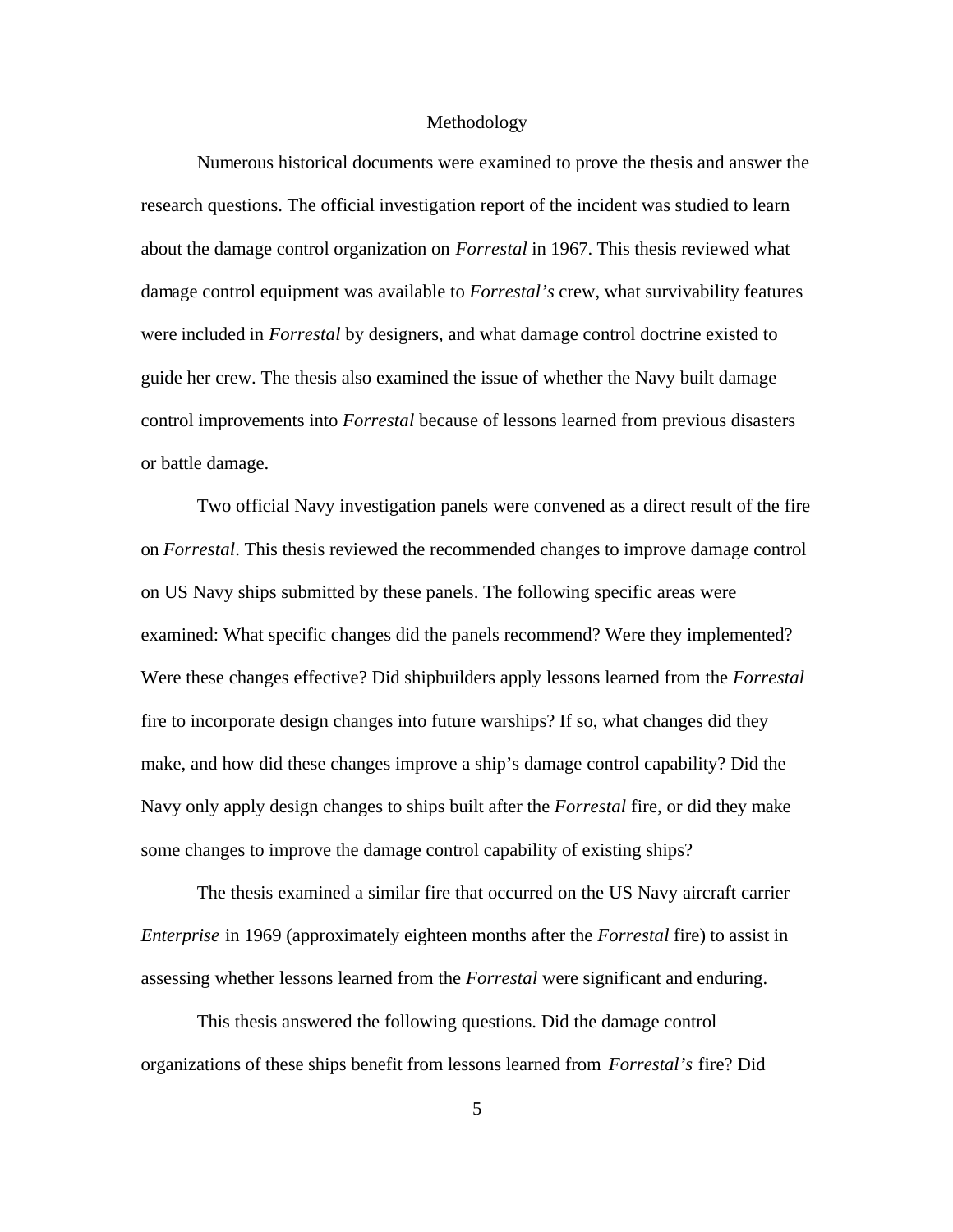#### Methodology

Numerous historical documents were examined to prove the thesis and answer the research questions. The official investigation report of the incident was studied to learn about the damage control organization on *Forrestal* in 1967. This thesis reviewed what damage control equipment was available to *Forrestal's* crew, what survivability features were included in *Forrestal* by designers, and what damage control doctrine existed to guide her crew. The thesis also examined the issue of whether the Navy built damage control improvements into *Forrestal* because of lessons learned from previous disasters or battle damage.

Two official Navy investigation panels were convened as a direct result of the fire on *Forrestal*. This thesis reviewed the recommended changes to improve damage control on US Navy ships submitted by these panels. The following specific areas were examined: What specific changes did the panels recommend? Were they implemented? Were these changes effective? Did shipbuilders apply lessons learned from the *Forrestal* fire to incorporate design changes into future warships? If so, what changes did they make, and how did these changes improve a ship's damage control capability? Did the Navy only apply design changes to ships built after the *Forrestal* fire, or did they make some changes to improve the damage control capability of existing ships?

The thesis examined a similar fire that occurred on the US Navy aircraft carrier *Enterprise* in 1969 (approximately eighteen months after the *Forrestal* fire) to assist in assessing whether lessons learned from the *Forrestal* were significant and enduring.

This thesis answered the following questions. Did the damage control organizations of these ships benefit from lessons learned from *Forrestal's* fire? Did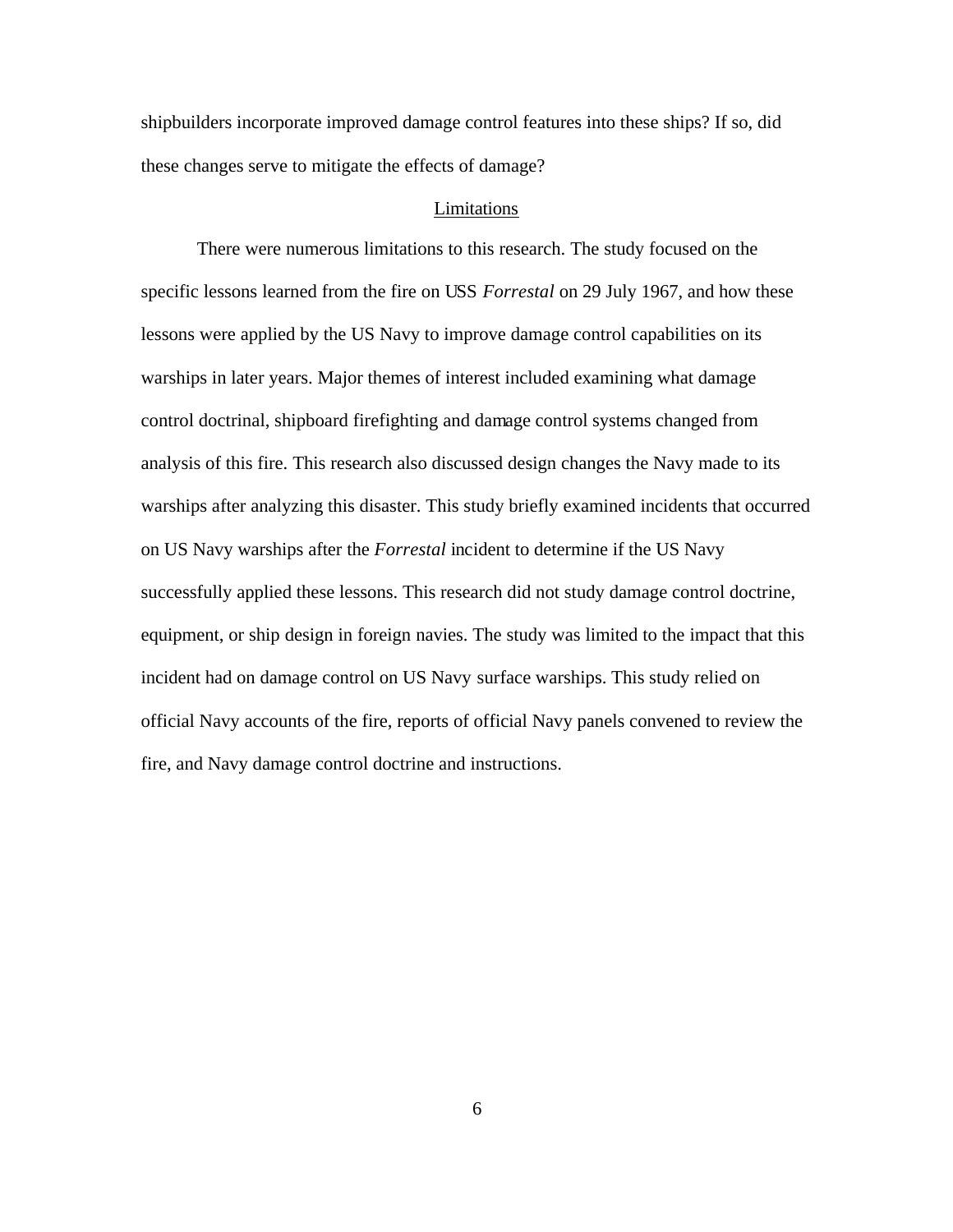shipbuilders incorporate improved damage control features into these ships? If so, did these changes serve to mitigate the effects of damage?

## Limitations

There were numerous limitations to this research. The study focused on the specific lessons learned from the fire on USS *Forrestal* on 29 July 1967, and how these lessons were applied by the US Navy to improve damage control capabilities on its warships in later years. Major themes of interest included examining what damage control doctrinal, shipboard firefighting and damage control systems changed from analysis of this fire. This research also discussed design changes the Navy made to its warships after analyzing this disaster. This study briefly examined incidents that occurred on US Navy warships after the *Forrestal* incident to determine if the US Navy successfully applied these lessons. This research did not study damage control doctrine, equipment, or ship design in foreign navies. The study was limited to the impact that this incident had on damage control on US Navy surface warships. This study relied on official Navy accounts of the fire, reports of official Navy panels convened to review the fire, and Navy damage control doctrine and instructions.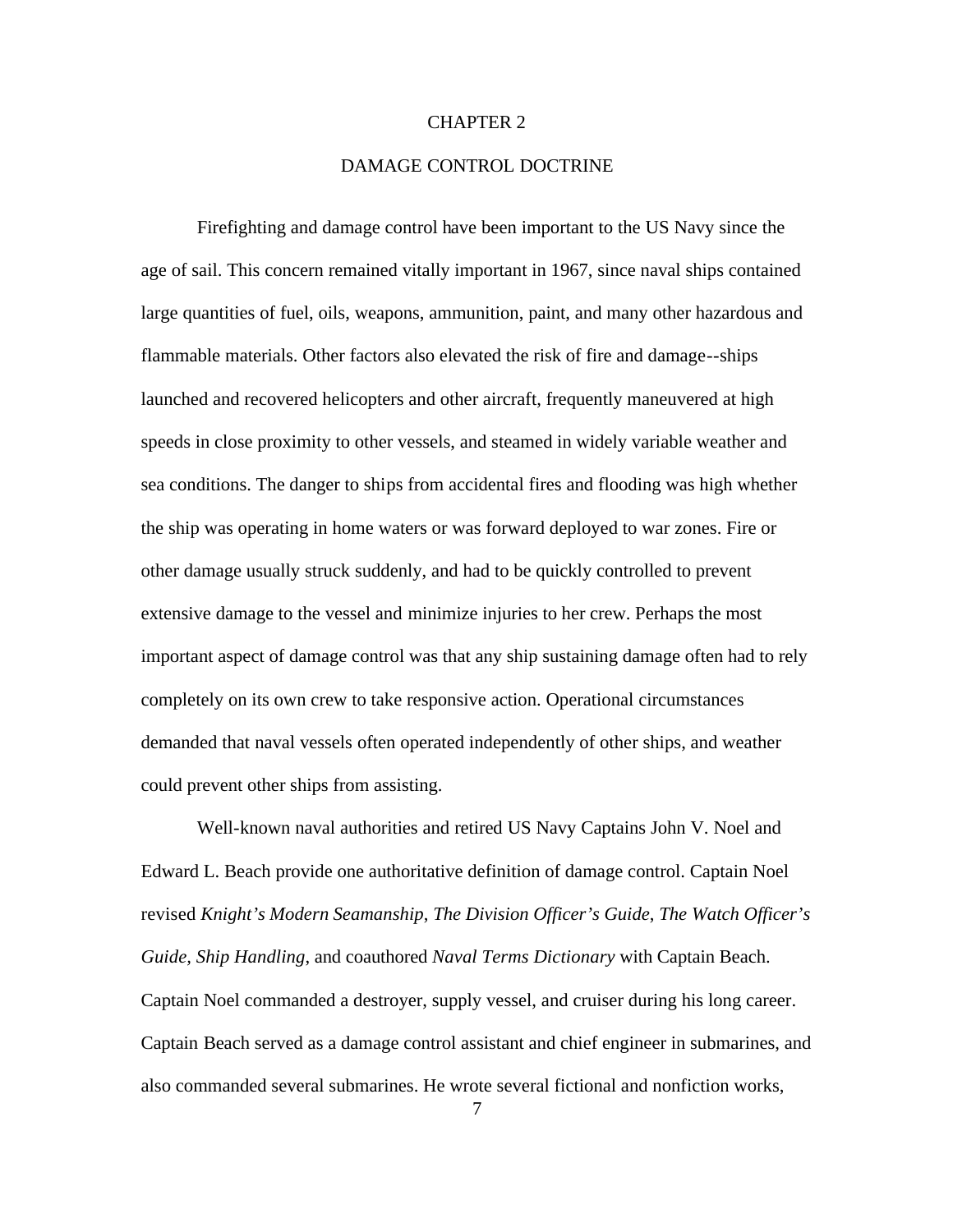#### CHAPTER 2

#### DAMAGE CONTROL DOCTRINE

Firefighting and damage control have been important to the US Navy since the age of sail. This concern remained vitally important in 1967, since naval ships contained large quantities of fuel, oils, weapons, ammunition, paint, and many other hazardous and flammable materials. Other factors also elevated the risk of fire and damage--ships launched and recovered helicopters and other aircraft, frequently maneuvered at high speeds in close proximity to other vessels, and steamed in widely variable weather and sea conditions. The danger to ships from accidental fires and flooding was high whether the ship was operating in home waters or was forward deployed to war zones. Fire or other damage usually struck suddenly, and had to be quickly controlled to prevent extensive damage to the vessel and minimize injuries to her crew. Perhaps the most important aspect of damage control was that any ship sustaining damage often had to rely completely on its own crew to take responsive action. Operational circumstances demanded that naval vessels often operated independently of other ships, and weather could prevent other ships from assisting.

Well-known naval authorities and retired US Navy Captains John V. Noel and Edward L. Beach provide one authoritative definition of damage control. Captain Noel revised *Knight's Modern Seamanship*, *The Division Officer's Guide*, *The Watch Officer's Guide, Ship Handling*, and coauthored *Naval Terms Dictionary* with Captain Beach. Captain Noel commanded a destroyer, supply vessel, and cruiser during his long career. Captain Beach served as a damage control assistant and chief engineer in submarines, and also commanded several submarines. He wrote several fictional and nonfiction works,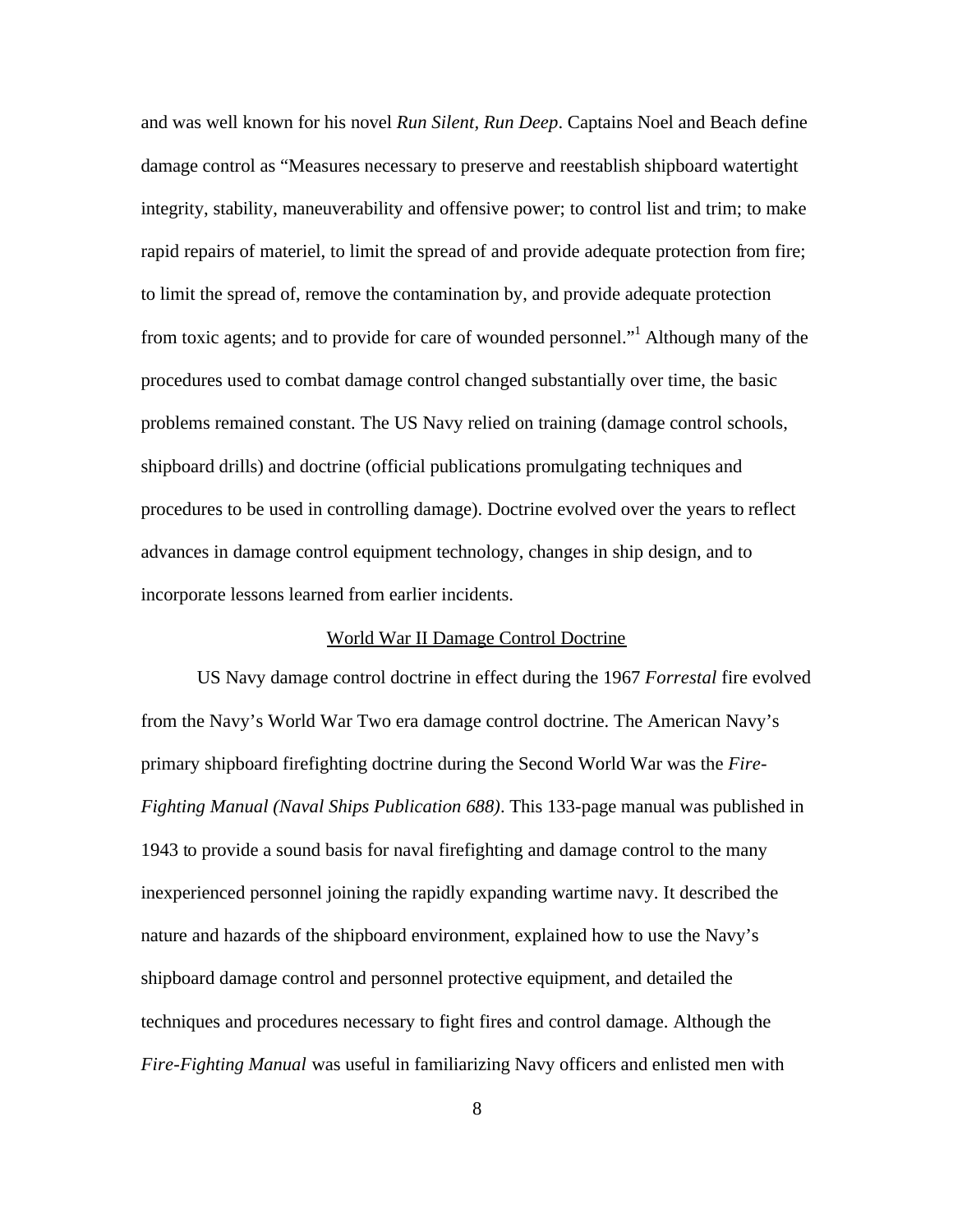and was well known for his novel *Run Silent, Run Deep*. Captains Noel and Beach define damage control as "Measures necessary to preserve and reestablish shipboard watertight integrity, stability, maneuverability and offensive power; to control list and trim; to make rapid repairs of materiel, to limit the spread of and provide adequate protection from fire; to limit the spread of, remove the contamination by, and provide adequate protection from toxic agents; and to provide for care of wounded personnel."<sup>1</sup> Although many of the procedures used to combat damage control changed substantially over time, the basic problems remained constant. The US Navy relied on training (damage control schools, shipboard drills) and doctrine (official publications promulgating techniques and procedures to be used in controlling damage). Doctrine evolved over the years to reflect advances in damage control equipment technology, changes in ship design, and to incorporate lessons learned from earlier incidents.

#### World War II Damage Control Doctrine

US Navy damage control doctrine in effect during the 1967 *Forrestal* fire evolved from the Navy's World War Two era damage control doctrine. The American Navy's primary shipboard firefighting doctrine during the Second World War was the *Fire-Fighting Manual (Naval Ships Publication 688)*. This 133-page manual was published in 1943 to provide a sound basis for naval firefighting and damage control to the many inexperienced personnel joining the rapidly expanding wartime navy. It described the nature and hazards of the shipboard environment, explained how to use the Navy's shipboard damage control and personnel protective equipment, and detailed the techniques and procedures necessary to fight fires and control damage. Although the *Fire-Fighting Manual* was useful in familiarizing Navy officers and enlisted men with

8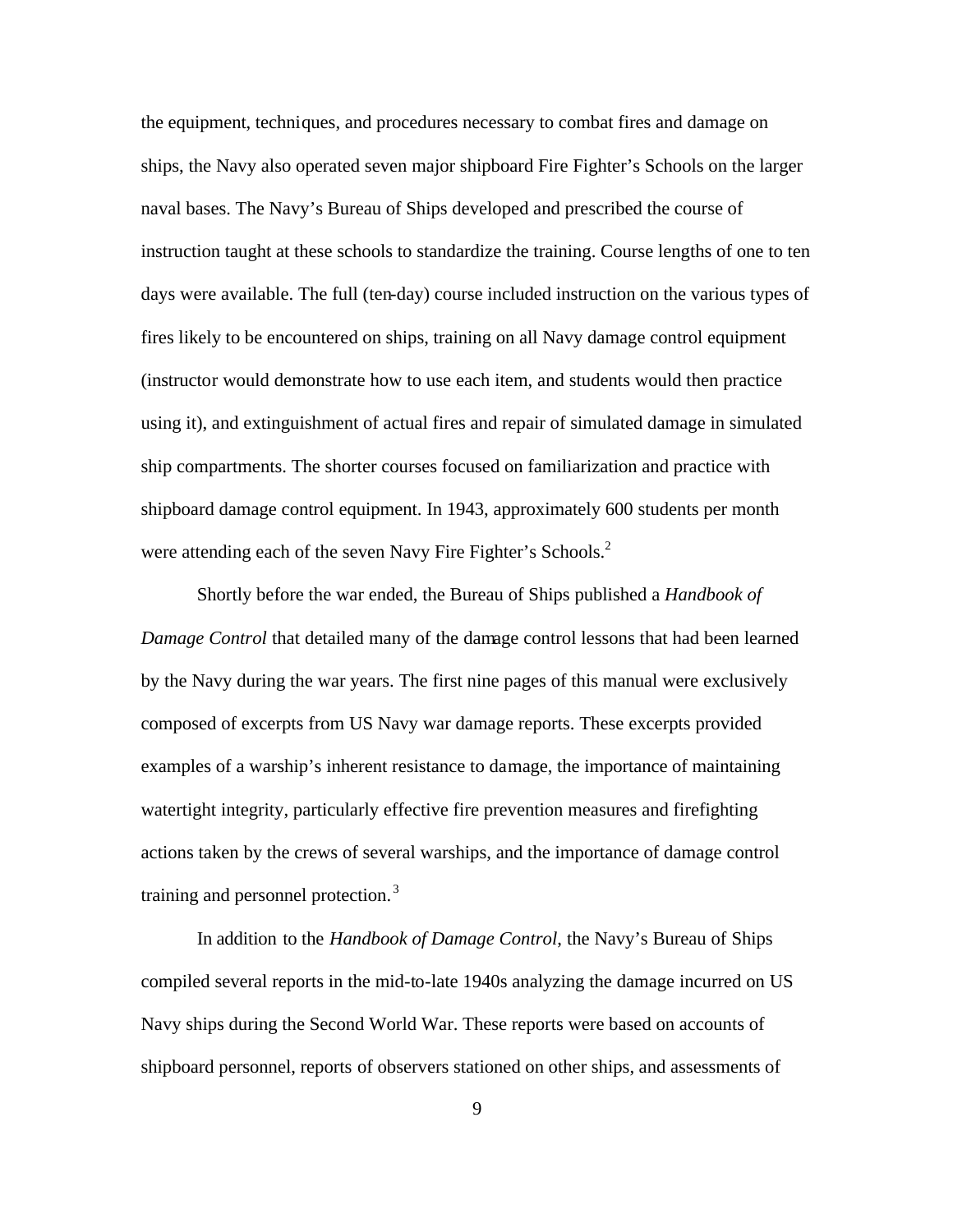the equipment, techniques, and procedures necessary to combat fires and damage on ships, the Navy also operated seven major shipboard Fire Fighter's Schools on the larger naval bases. The Navy's Bureau of Ships developed and prescribed the course of instruction taught at these schools to standardize the training. Course lengths of one to ten days were available. The full (ten-day) course included instruction on the various types of fires likely to be encountered on ships, training on all Navy damage control equipment (instructor would demonstrate how to use each item, and students would then practice using it), and extinguishment of actual fires and repair of simulated damage in simulated ship compartments. The shorter courses focused on familiarization and practice with shipboard damage control equipment. In 1943, approximately 600 students per month were attending each of the seven Navy Fire Fighter's Schools.<sup>2</sup>

Shortly before the war ended, the Bureau of Ships published a *Handbook of Damage Control* that detailed many of the damage control lessons that had been learned by the Navy during the war years. The first nine pages of this manual were exclusively composed of excerpts from US Navy war damage reports. These excerpts provided examples of a warship's inherent resistance to damage, the importance of maintaining watertight integrity, particularly effective fire prevention measures and firefighting actions taken by the crews of several warships, and the importance of damage control training and personnel protection. <sup>3</sup>

In addition to the *Handbook of Damage Control*, the Navy's Bureau of Ships compiled several reports in the mid-to-late 1940s analyzing the damage incurred on US Navy ships during the Second World War. These reports were based on accounts of shipboard personnel, reports of observers stationed on other ships, and assessments of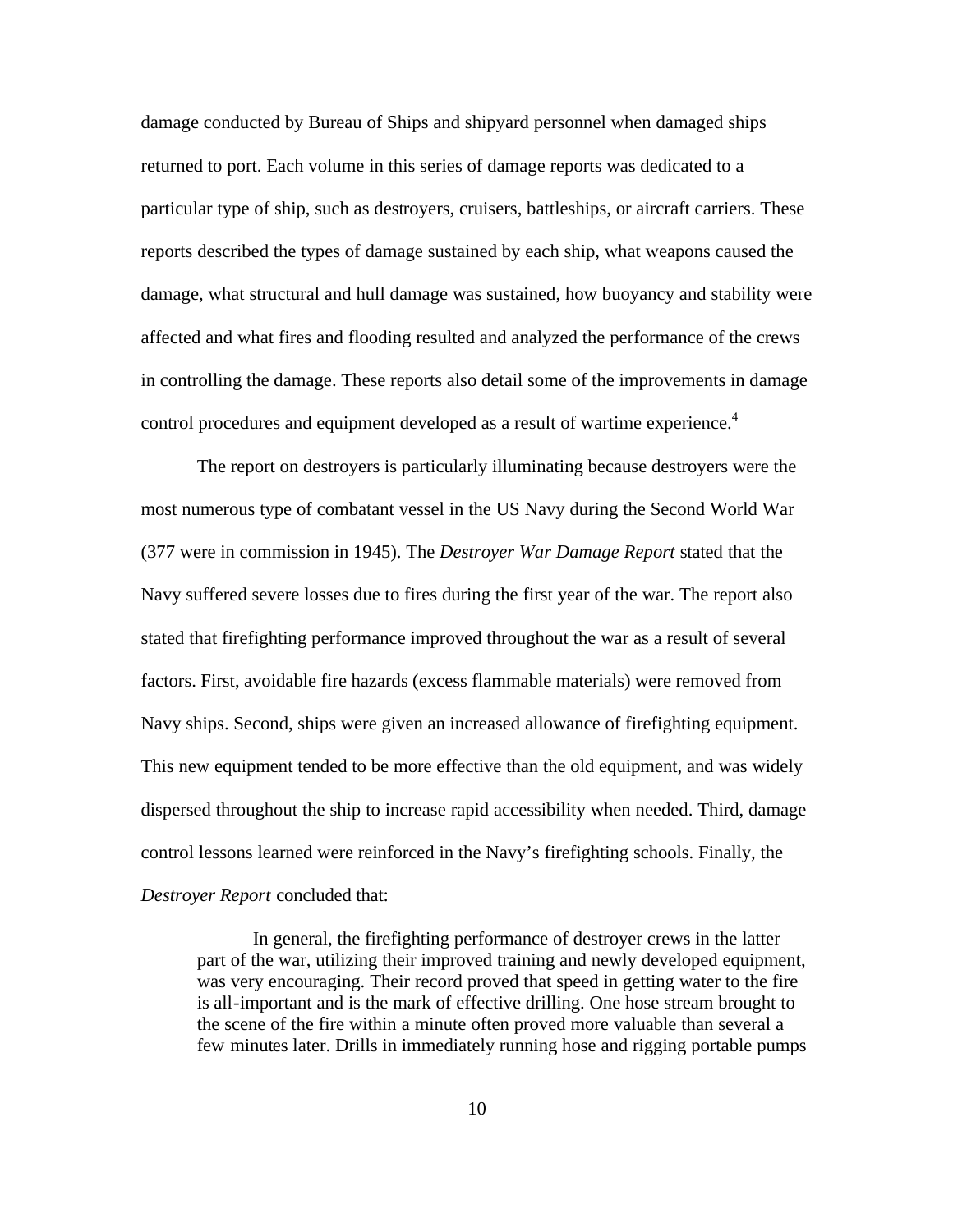damage conducted by Bureau of Ships and shipyard personnel when damaged ships returned to port. Each volume in this series of damage reports was dedicated to a particular type of ship, such as destroyers, cruisers, battleships, or aircraft carriers. These reports described the types of damage sustained by each ship, what weapons caused the damage, what structural and hull damage was sustained, how buoyancy and stability were affected and what fires and flooding resulted and analyzed the performance of the crews in controlling the damage. These reports also detail some of the improvements in damage control procedures and equipment developed as a result of wartime experience.<sup>4</sup>

The report on destroyers is particularly illuminating because destroyers were the most numerous type of combatant vessel in the US Navy during the Second World War (377 were in commission in 1945). The *Destroyer War Damage Report* stated that the Navy suffered severe losses due to fires during the first year of the war. The report also stated that firefighting performance improved throughout the war as a result of several factors. First, avoidable fire hazards (excess flammable materials) were removed from Navy ships. Second, ships were given an increased allowance of firefighting equipment. This new equipment tended to be more effective than the old equipment, and was widely dispersed throughout the ship to increase rapid accessibility when needed. Third, damage control lessons learned were reinforced in the Navy's firefighting schools. Finally, the *Destroyer Report* concluded that:

In general, the firefighting performance of destroyer crews in the latter part of the war, utilizing their improved training and newly developed equipment, was very encouraging. Their record proved that speed in getting water to the fire is all-important and is the mark of effective drilling. One hose stream brought to the scene of the fire within a minute often proved more valuable than several a few minutes later. Drills in immediately running hose and rigging portable pumps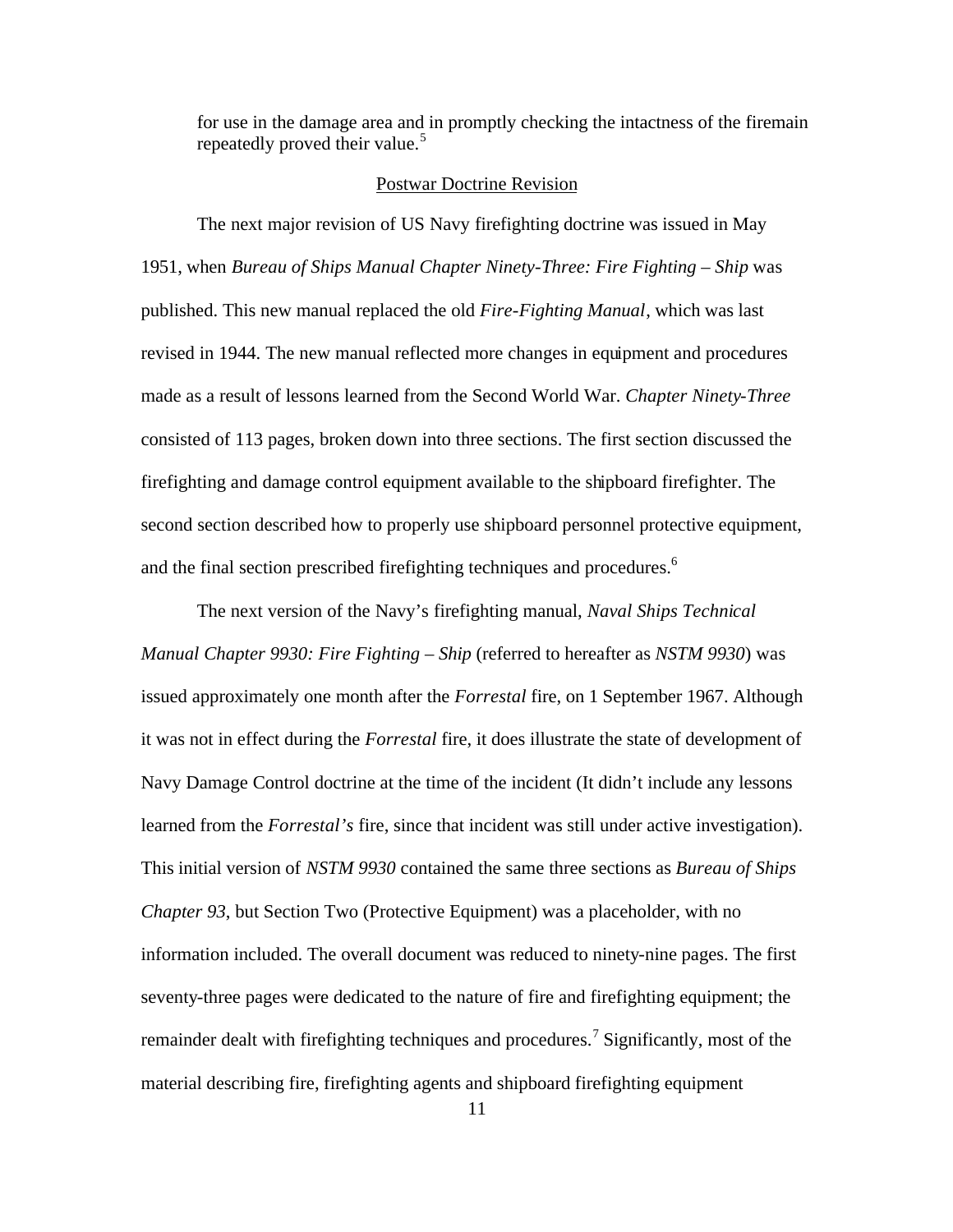for use in the damage area and in promptly checking the intactness of the firemain repeatedly proved their value.<sup>5</sup>

#### Postwar Doctrine Revision

The next major revision of US Navy firefighting doctrine was issued in May 1951, when *Bureau of Ships Manual Chapter Ninety-Three: Fire Fighting – Ship* was published. This new manual replaced the old *Fire-Fighting Manual*, which was last revised in 1944. The new manual reflected more changes in equipment and procedures made as a result of lessons learned from the Second World War. *Chapter Ninety-Three* consisted of 113 pages, broken down into three sections. The first section discussed the firefighting and damage control equipment available to the shipboard firefighter. The second section described how to properly use shipboard personnel protective equipment, and the final section prescribed firefighting techniques and procedures.<sup>6</sup>

The next version of the Navy's firefighting manual, *Naval Ships Technical Manual Chapter 9930: Fire Fighting – Ship* (referred to hereafter as *NSTM 9930*) was issued approximately one month after the *Forrestal* fire, on 1 September 1967. Although it was not in effect during the *Forrestal* fire, it does illustrate the state of development of Navy Damage Control doctrine at the time of the incident (It didn't include any lessons learned from the *Forrestal's* fire, since that incident was still under active investigation). This initial version of *NSTM 9930* contained the same three sections as *Bureau of Ships Chapter 93*, but Section Two (Protective Equipment) was a placeholder, with no information included. The overall document was reduced to ninety-nine pages. The first seventy-three pages were dedicated to the nature of fire and firefighting equipment; the remainder dealt with firefighting techniques and procedures.<sup>7</sup> Significantly, most of the material describing fire, firefighting agents and shipboard firefighting equipment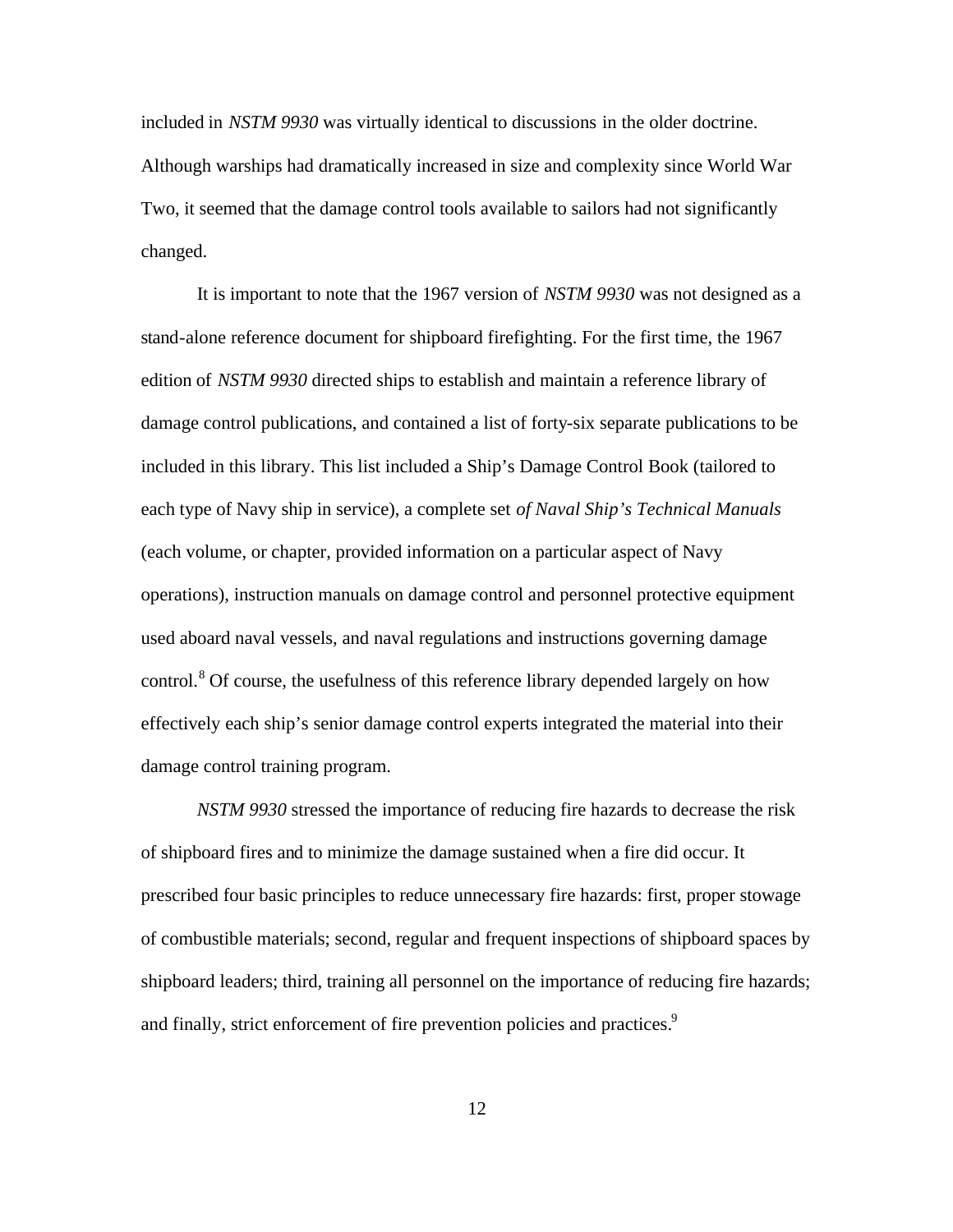included in *NSTM 9930* was virtually identical to discussions in the older doctrine. Although warships had dramatically increased in size and complexity since World War Two, it seemed that the damage control tools available to sailors had not significantly changed.

It is important to note that the 1967 version of *NSTM 9930* was not designed as a stand-alone reference document for shipboard firefighting. For the first time, the 1967 edition of *NSTM 9930* directed ships to establish and maintain a reference library of damage control publications, and contained a list of forty-six separate publications to be included in this library. This list included a Ship's Damage Control Book (tailored to each type of Navy ship in service), a complete set *of Naval Ship's Technical Manuals* (each volume, or chapter, provided information on a particular aspect of Navy operations), instruction manuals on damage control and personnel protective equipment used aboard naval vessels, and naval regulations and instructions governing damage control.<sup>8</sup> Of course, the usefulness of this reference library depended largely on how effectively each ship's senior damage control experts integrated the material into their damage control training program.

*NSTM 9930* stressed the importance of reducing fire hazards to decrease the risk of shipboard fires and to minimize the damage sustained when a fire did occur. It prescribed four basic principles to reduce unnecessary fire hazards: first, proper stowage of combustible materials; second, regular and frequent inspections of shipboard spaces by shipboard leaders; third, training all personnel on the importance of reducing fire hazards; and finally, strict enforcement of fire prevention policies and practices.<sup>9</sup>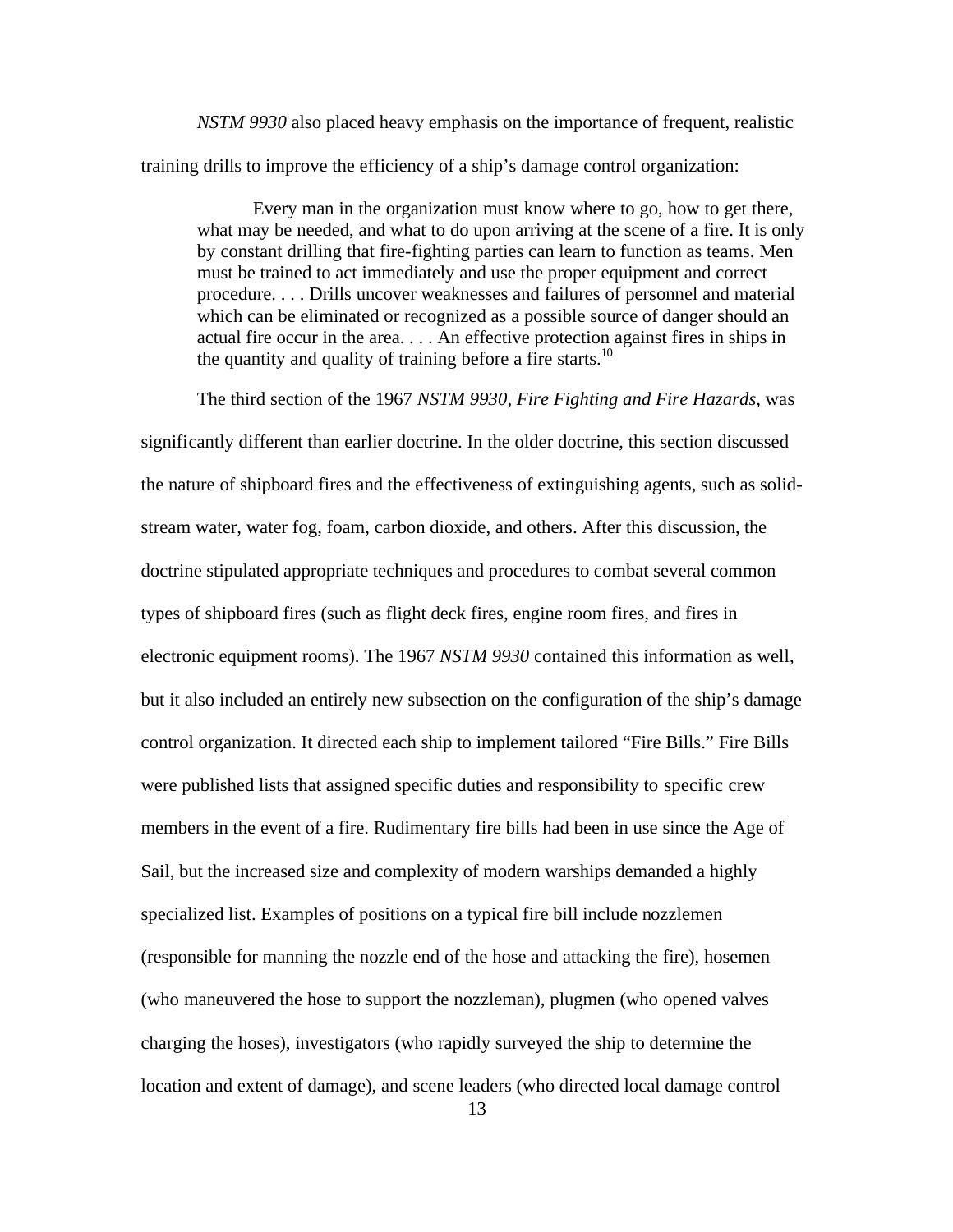*NSTM 9930* also placed heavy emphasis on the importance of frequent, realistic training drills to improve the efficiency of a ship's damage control organization:

Every man in the organization must know where to go, how to get there, what may be needed, and what to do upon arriving at the scene of a fire. It is only by constant drilling that fire-fighting parties can learn to function as teams. Men must be trained to act immediately and use the proper equipment and correct procedure. . . . Drills uncover weaknesses and failures of personnel and material which can be eliminated or recognized as a possible source of danger should an actual fire occur in the area. . . . An effective protection against fires in ships in the quantity and quality of training before a fire starts.<sup>10</sup>

The third section of the 1967 *NSTM 9930, Fire Fighting and Fire Hazards*, was significantly different than earlier doctrine. In the older doctrine, this section discussed the nature of shipboard fires and the effectiveness of extinguishing agents, such as solidstream water, water fog, foam, carbon dioxide, and others. After this discussion, the doctrine stipulated appropriate techniques and procedures to combat several common types of shipboard fires (such as flight deck fires, engine room fires, and fires in electronic equipment rooms). The 1967 *NSTM 9930* contained this information as well, but it also included an entirely new subsection on the configuration of the ship's damage control organization. It directed each ship to implement tailored "Fire Bills." Fire Bills were published lists that assigned specific duties and responsibility to specific crew members in the event of a fire. Rudimentary fire bills had been in use since the Age of Sail, but the increased size and complexity of modern warships demanded a highly specialized list. Examples of positions on a typical fire bill include nozzlemen (responsible for manning the nozzle end of the hose and attacking the fire), hosemen (who maneuvered the hose to support the nozzleman), plugmen (who opened valves charging the hoses), investigators (who rapidly surveyed the ship to determine the location and extent of damage), and scene leaders (who directed local damage control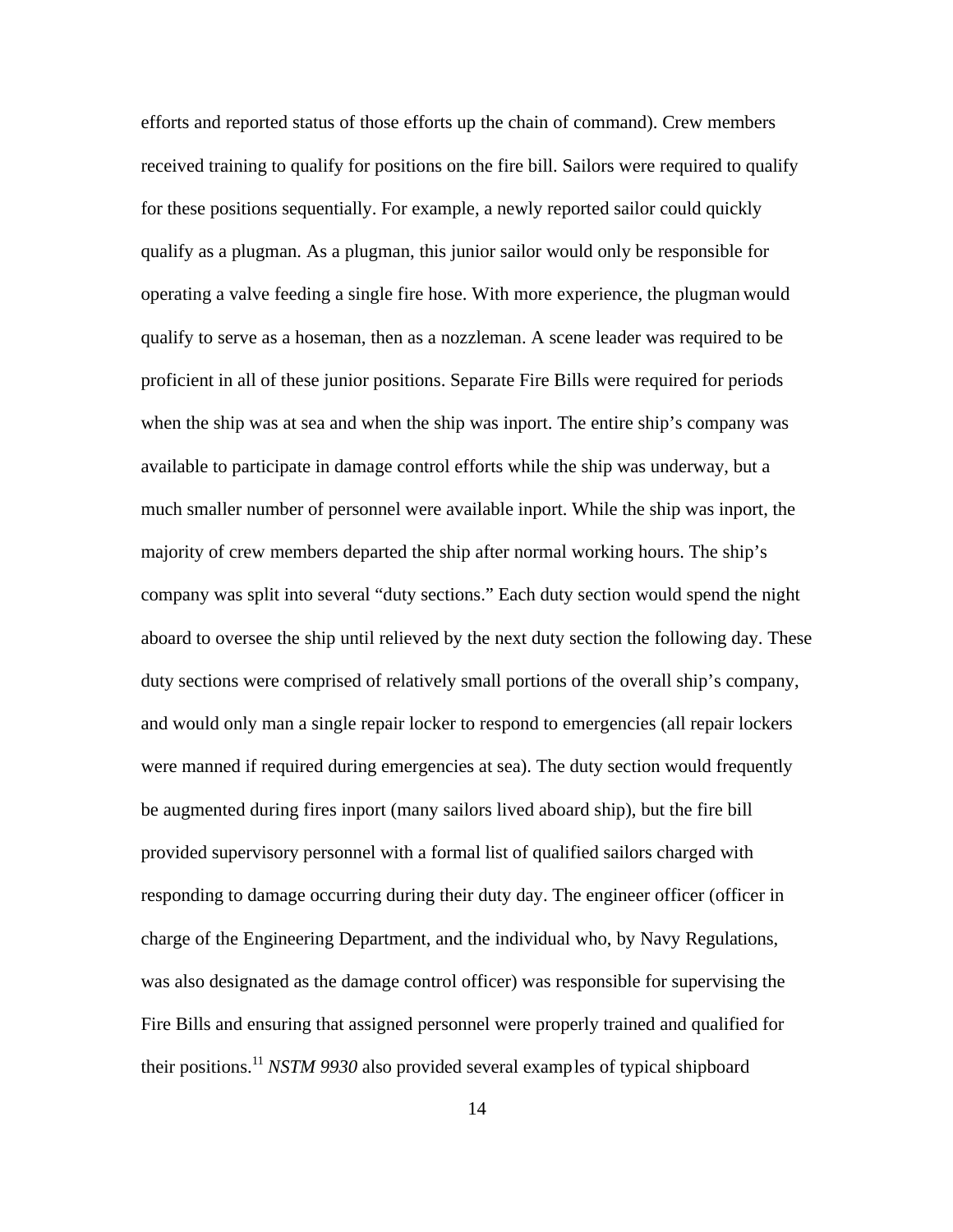efforts and reported status of those efforts up the chain of command). Crew members received training to qualify for positions on the fire bill. Sailors were required to qualify for these positions sequentially. For example, a newly reported sailor could quickly qualify as a plugman. As a plugman, this junior sailor would only be responsible for operating a valve feeding a single fire hose. With more experience, the plugman would qualify to serve as a hoseman, then as a nozzleman. A scene leader was required to be proficient in all of these junior positions. Separate Fire Bills were required for periods when the ship was at sea and when the ship was inport. The entire ship's company was available to participate in damage control efforts while the ship was underway, but a much smaller number of personnel were available inport. While the ship was inport, the majority of crew members departed the ship after normal working hours. The ship's company was split into several "duty sections." Each duty section would spend the night aboard to oversee the ship until relieved by the next duty section the following day. These duty sections were comprised of relatively small portions of the overall ship's company, and would only man a single repair locker to respond to emergencies (all repair lockers were manned if required during emergencies at sea). The duty section would frequently be augmented during fires inport (many sailors lived aboard ship), but the fire bill provided supervisory personnel with a formal list of qualified sailors charged with responding to damage occurring during their duty day. The engineer officer (officer in charge of the Engineering Department, and the individual who, by Navy Regulations, was also designated as the damage control officer) was responsible for supervising the Fire Bills and ensuring that assigned personnel were properly trained and qualified for their positions.<sup>11</sup> *NSTM 9930* also provided several examples of typical shipboard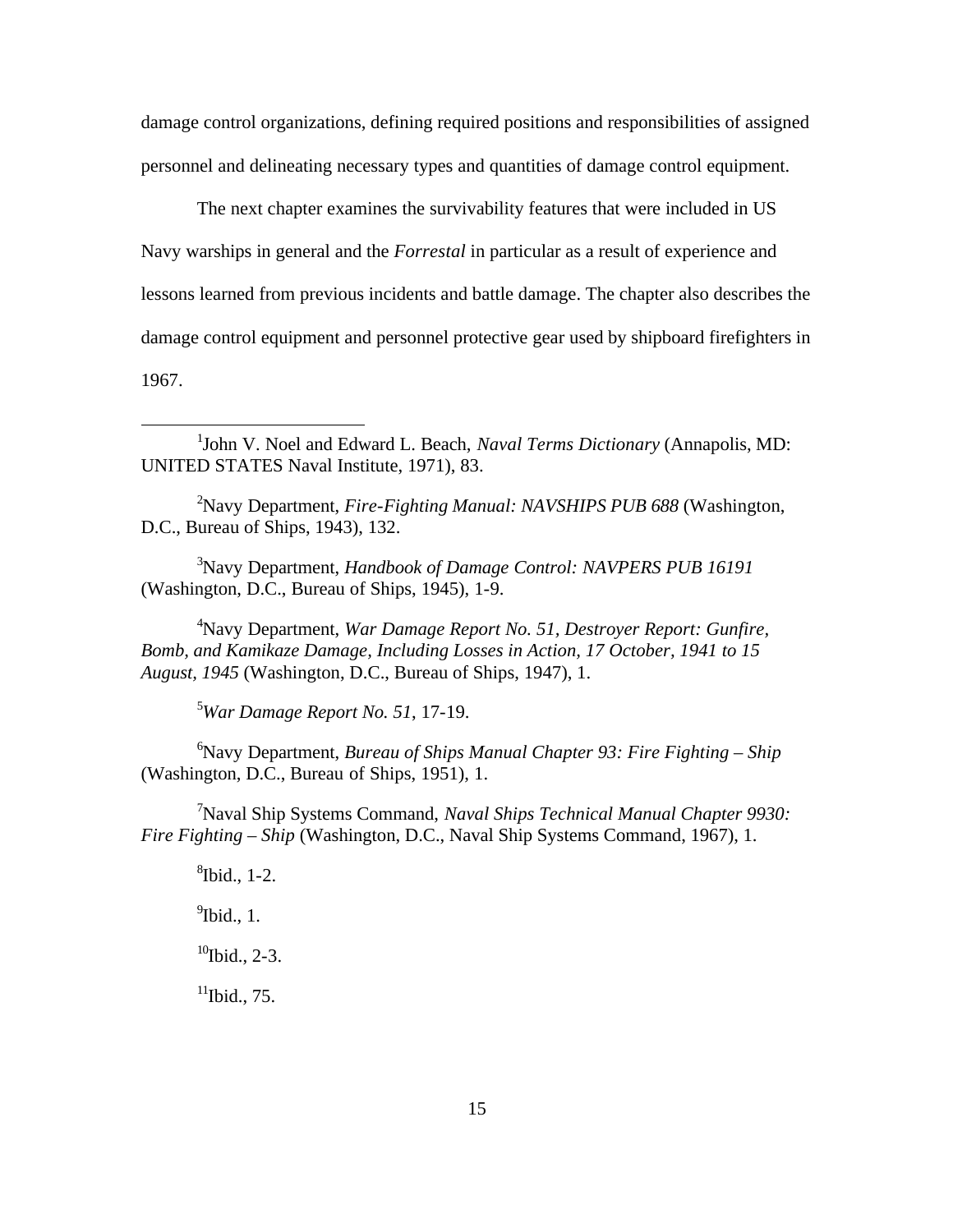damage control organizations, defining required positions and responsibilities of assigned personnel and delineating necessary types and quantities of damage control equipment.

The next chapter examines the survivability features that were included in US Navy warships in general and the *Forrestal* in particular as a result of experience and lessons learned from previous incidents and battle damage. The chapter also describes the damage control equipment and personnel protective gear used by shipboard firefighters in 1967.

<sup>2</sup>Navy Department, *Fire-Fighting Manual: NAVSHIPS PUB 688* (Washington, D.C., Bureau of Ships, 1943), 132.

<sup>3</sup>Navy Department, *Handbook of Damage Control: NAVPERS PUB 16191* (Washington, D.C., Bureau of Ships, 1945), 1-9.

<sup>4</sup>Navy Department, *War Damage Report No. 51, Destroyer Report: Gunfire, Bomb, and Kamikaze Damage, Including Losses in Action, 17 October, 1941 to 15 August, 1945* (Washington, D.C., Bureau of Ships, 1947), 1.

<sup>5</sup>*War Damage Report No. 51*, 17-19.

<sup>6</sup>Navy Department, *Bureau of Ships Manual Chapter 93: Fire Fighting – Ship* (Washington, D.C., Bureau of Ships, 1951), 1.

<sup>7</sup>Naval Ship Systems Command, *Naval Ships Technical Manual Chapter 9930: Fire Fighting – Ship* (Washington, D.C., Naval Ship Systems Command, 1967), 1.

 ${}^{8}$ Ibid., 1-2.

 $<sup>9</sup>$ Ibid., 1.</sup>

 $\overline{a}$ 

 $^{10}$ Ibid., 2-3.

 $11$ Ibid., 75.

<sup>&</sup>lt;sup>1</sup>John V. Noel and Edward L. Beach, *Naval Terms Dictionary* (Annapolis, MD: UNITED STATES Naval Institute, 1971), 83.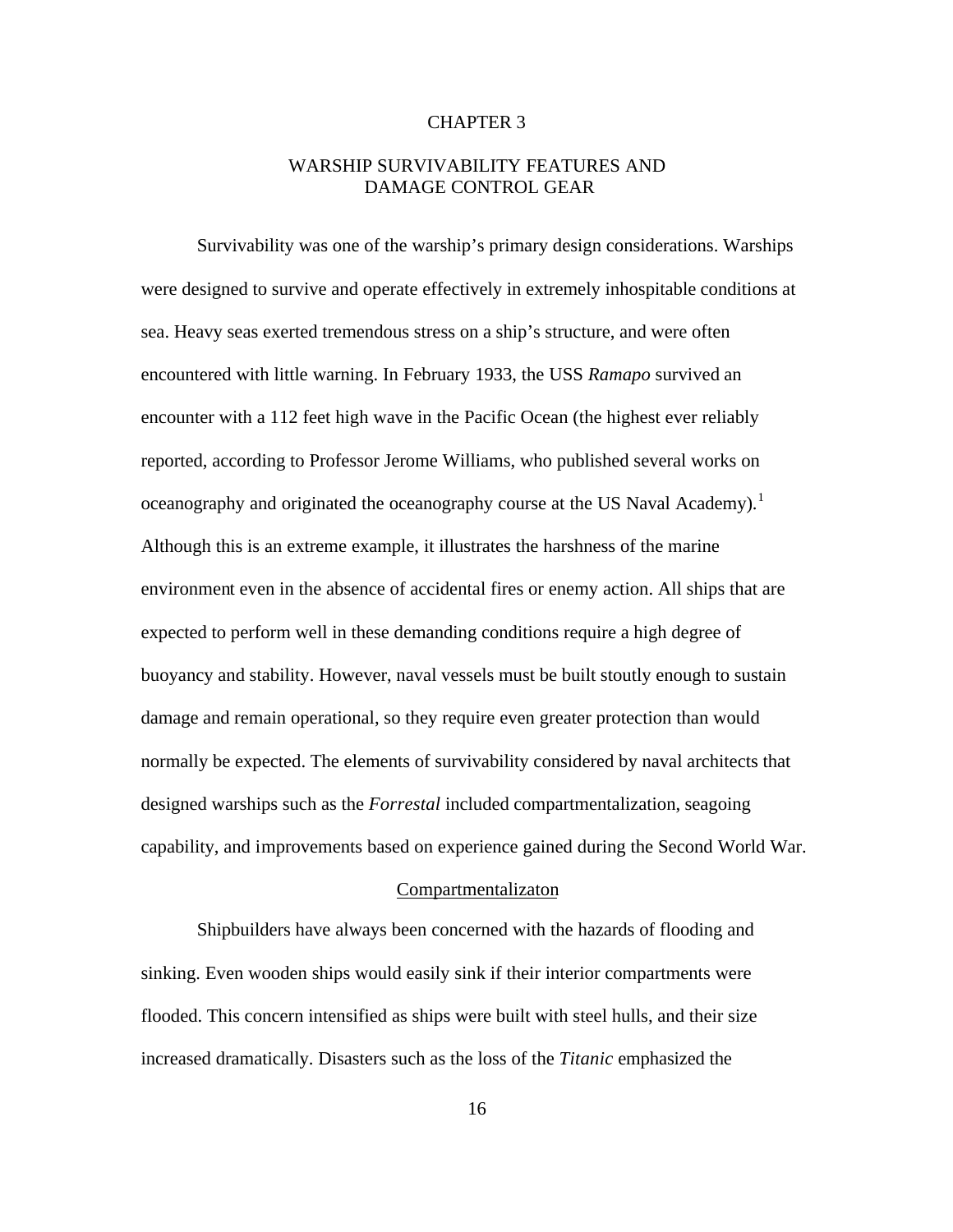#### CHAPTER 3

# WARSHIP SURVIVABILITY FEATURES AND DAMAGE CONTROL GEAR

Survivability was one of the warship's primary design considerations. Warships were designed to survive and operate effectively in extremely inhospitable conditions at sea. Heavy seas exerted tremendous stress on a ship's structure, and were often encountered with little warning. In February 1933, the USS *Ramapo* survived an encounter with a 112 feet high wave in the Pacific Ocean (the highest ever reliably reported, according to Professor Jerome Williams, who published several works on oceanography and originated the oceanography course at the US Naval Academy).<sup>1</sup> Although this is an extreme example, it illustrates the harshness of the marine environment even in the absence of accidental fires or enemy action. All ships that are expected to perform well in these demanding conditions require a high degree of buoyancy and stability. However, naval vessels must be built stoutly enough to sustain damage and remain operational, so they require even greater protection than would normally be expected. The elements of survivability considered by naval architects that designed warships such as the *Forrestal* included compartmentalization, seagoing capability, and improvements based on experience gained during the Second World War.

#### Compartmentalizaton

Shipbuilders have always been concerned with the hazards of flooding and sinking. Even wooden ships would easily sink if their interior compartments were flooded. This concern intensified as ships were built with steel hulls, and their size increased dramatically. Disasters such as the loss of the *Titanic* emphasized the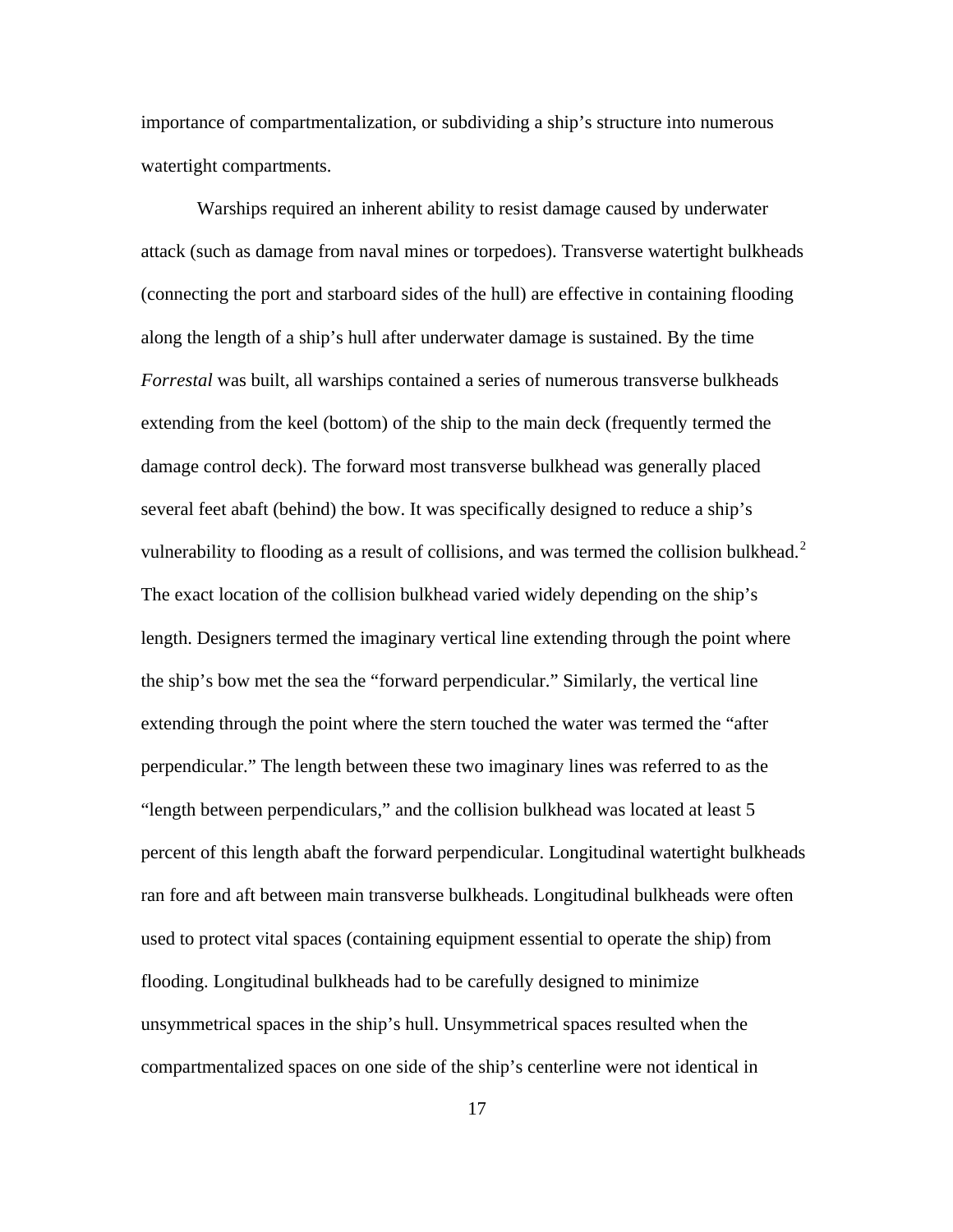importance of compartmentalization, or subdividing a ship's structure into numerous watertight compartments.

Warships required an inherent ability to resist damage caused by underwater attack (such as damage from naval mines or torpedoes). Transverse watertight bulkheads (connecting the port and starboard sides of the hull) are effective in containing flooding along the length of a ship's hull after underwater damage is sustained. By the time *Forrestal* was built, all warships contained a series of numerous transverse bulkheads extending from the keel (bottom) of the ship to the main deck (frequently termed the damage control deck). The forward most transverse bulkhead was generally placed several feet abaft (behind) the bow. It was specifically designed to reduce a ship's vulnerability to flooding as a result of collisions, and was termed the collision bulkhead.<sup>2</sup> The exact location of the collision bulkhead varied widely depending on the ship's length. Designers termed the imaginary vertical line extending through the point where the ship's bow met the sea the "forward perpendicular." Similarly, the vertical line extending through the point where the stern touched the water was termed the "after perpendicular." The length between these two imaginary lines was referred to as the "length between perpendiculars," and the collision bulkhead was located at least 5 percent of this length abaft the forward perpendicular. Longitudinal watertight bulkheads ran fore and aft between main transverse bulkheads. Longitudinal bulkheads were often used to protect vital spaces (containing equipment essential to operate the ship) from flooding. Longitudinal bulkheads had to be carefully designed to minimize unsymmetrical spaces in the ship's hull. Unsymmetrical spaces resulted when the compartmentalized spaces on one side of the ship's centerline were not identical in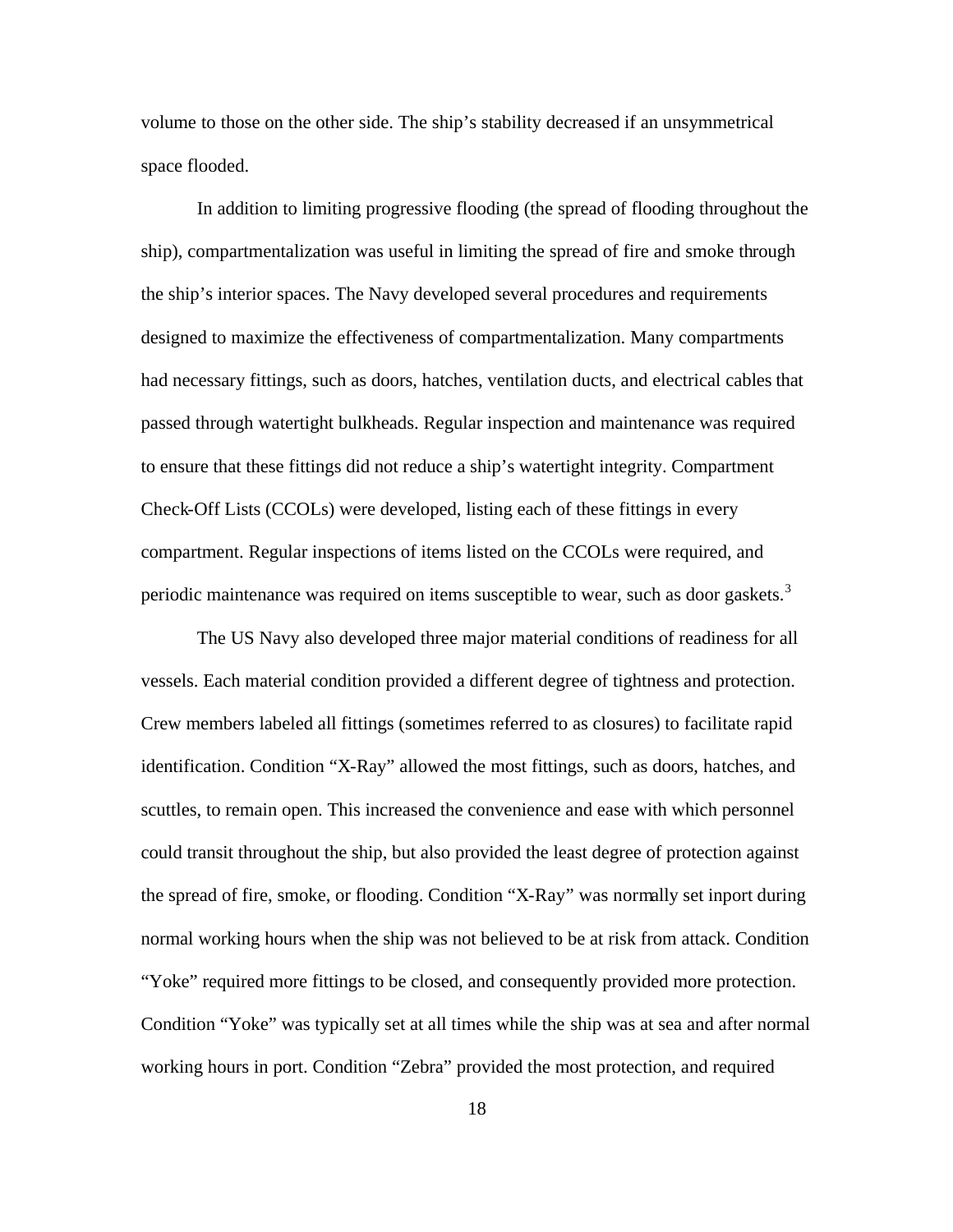volume to those on the other side. The ship's stability decreased if an unsymmetrical space flooded.

In addition to limiting progressive flooding (the spread of flooding throughout the ship), compartmentalization was useful in limiting the spread of fire and smoke through the ship's interior spaces. The Navy developed several procedures and requirements designed to maximize the effectiveness of compartmentalization. Many compartments had necessary fittings, such as doors, hatches, ventilation ducts, and electrical cables that passed through watertight bulkheads. Regular inspection and maintenance was required to ensure that these fittings did not reduce a ship's watertight integrity. Compartment Check-Off Lists (CCOLs) were developed, listing each of these fittings in every compartment. Regular inspections of items listed on the CCOLs were required, and periodic maintenance was required on items susceptible to wear, such as door gaskets.<sup>3</sup>

The US Navy also developed three major material conditions of readiness for all vessels. Each material condition provided a different degree of tightness and protection. Crew members labeled all fittings (sometimes referred to as closures) to facilitate rapid identification. Condition "X-Ray" allowed the most fittings, such as doors, hatches, and scuttles, to remain open. This increased the convenience and ease with which personnel could transit throughout the ship, but also provided the least degree of protection against the spread of fire, smoke, or flooding. Condition "X-Ray" was normally set inport during normal working hours when the ship was not believed to be at risk from attack. Condition "Yoke" required more fittings to be closed, and consequently provided more protection. Condition "Yoke" was typically set at all times while the ship was at sea and after normal working hours in port. Condition "Zebra" provided the most protection, and required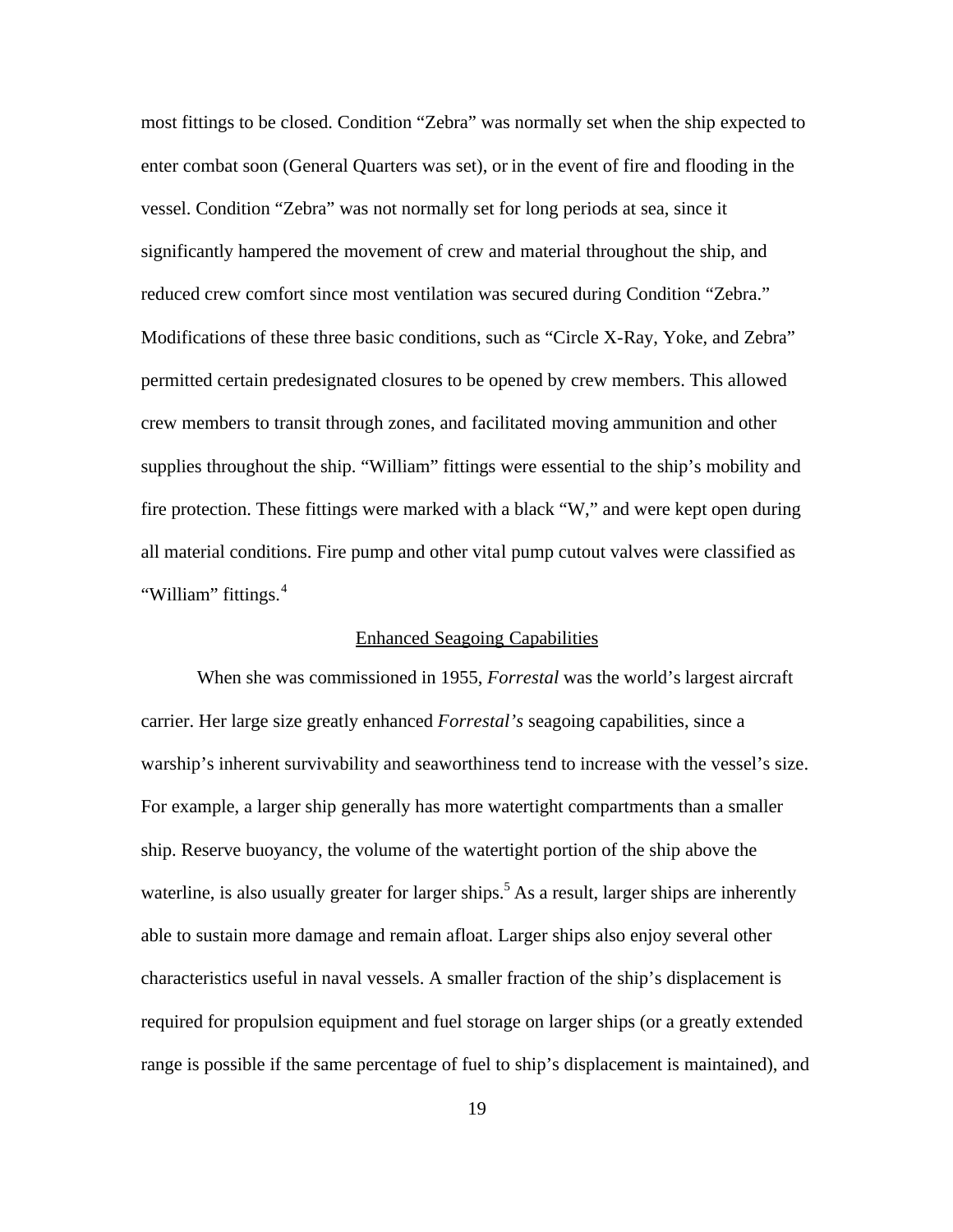most fittings to be closed. Condition "Zebra" was normally set when the ship expected to enter combat soon (General Quarters was set), or in the event of fire and flooding in the vessel. Condition "Zebra" was not normally set for long periods at sea, since it significantly hampered the movement of crew and material throughout the ship, and reduced crew comfort since most ventilation was secured during Condition "Zebra." Modifications of these three basic conditions, such as "Circle X-Ray, Yoke, and Zebra" permitted certain predesignated closures to be opened by crew members. This allowed crew members to transit through zones, and facilitated moving ammunition and other supplies throughout the ship. "William" fittings were essential to the ship's mobility and fire protection. These fittings were marked with a black "W," and were kept open during all material conditions. Fire pump and other vital pump cutout valves were classified as "William" fittings.<sup>4</sup>

#### Enhanced Seagoing Capabilities

When she was commissioned in 1955, *Forrestal* was the world's largest aircraft carrier. Her large size greatly enhanced *Forrestal's* seagoing capabilities, since a warship's inherent survivability and seaworthiness tend to increase with the vessel's size. For example, a larger ship generally has more watertight compartments than a smaller ship. Reserve buoyancy, the volume of the watertight portion of the ship above the waterline, is also usually greater for larger ships.<sup>5</sup> As a result, larger ships are inherently able to sustain more damage and remain afloat. Larger ships also enjoy several other characteristics useful in naval vessels. A smaller fraction of the ship's displacement is required for propulsion equipment and fuel storage on larger ships (or a greatly extended range is possible if the same percentage of fuel to ship's displacement is maintained), and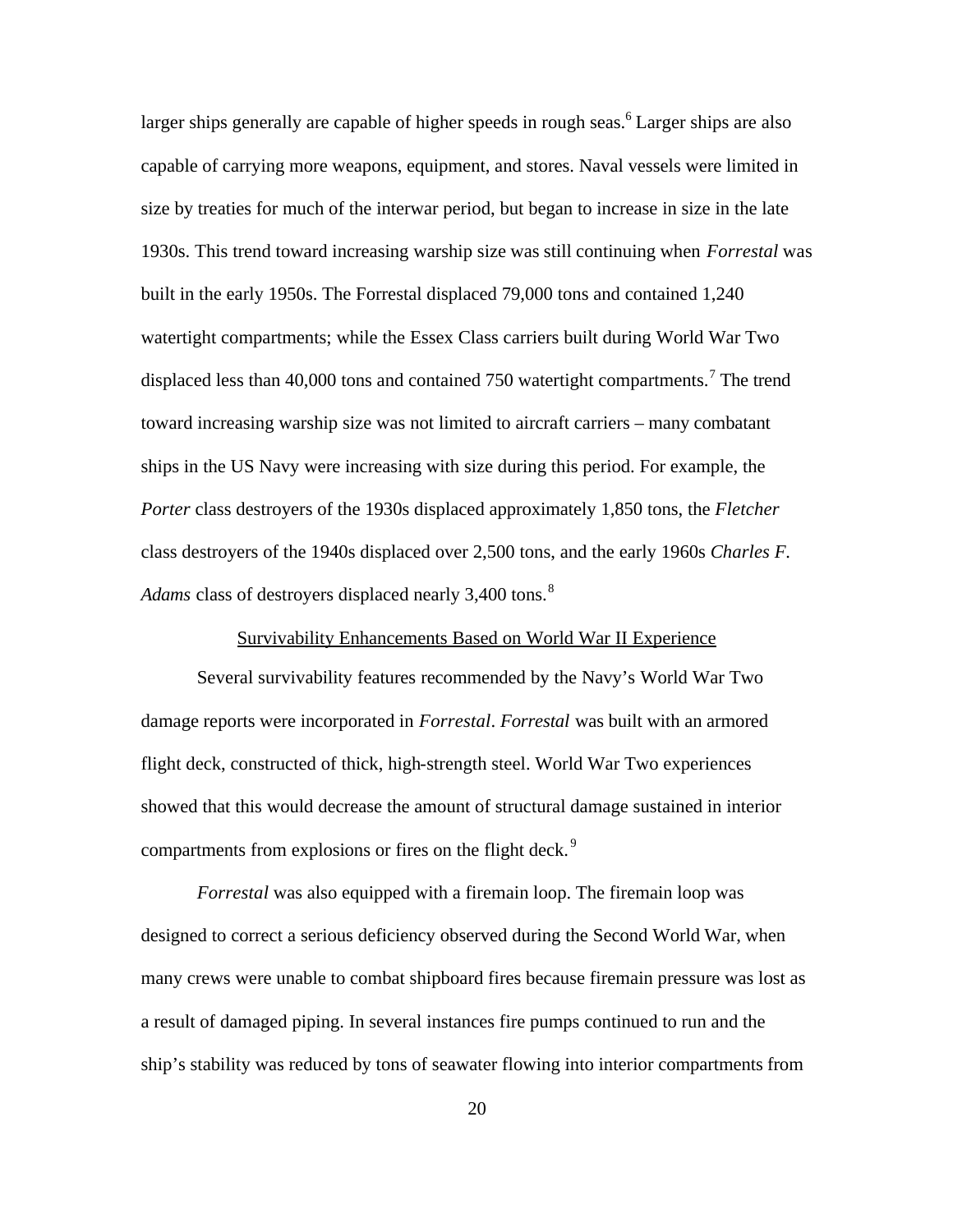larger ships generally are capable of higher speeds in rough seas.<sup>6</sup> Larger ships are also capable of carrying more weapons, equipment, and stores. Naval vessels were limited in size by treaties for much of the interwar period, but began to increase in size in the late 1930s. This trend toward increasing warship size was still continuing when *Forrestal* was built in the early 1950s. The Forrestal displaced 79,000 tons and contained 1,240 watertight compartments; while the Essex Class carriers built during World War Two displaced less than 40,000 tons and contained 750 watertight compartments.<sup>7</sup> The trend toward increasing warship size was not limited to aircraft carriers – many combatant ships in the US Navy were increasing with size during this period. For example, the *Porter* class destroyers of the 1930s displaced approximately 1,850 tons, the *Fletcher* class destroyers of the 1940s displaced over 2,500 tons, and the early 1960s *Charles F.*  Adams class of destroyers displaced nearly 3,400 tons.<sup>8</sup>

#### Survivability Enhancements Based on World War II Experience

Several survivability features recommended by the Navy's World War Two damage reports were incorporated in *Forrestal*. *Forrestal* was built with an armored flight deck, constructed of thick, high-strength steel. World War Two experiences showed that this would decrease the amount of structural damage sustained in interior compartments from explosions or fires on the flight deck.<sup>9</sup>

*Forrestal* was also equipped with a firemain loop. The firemain loop was designed to correct a serious deficiency observed during the Second World War, when many crews were unable to combat shipboard fires because firemain pressure was lost as a result of damaged piping. In several instances fire pumps continued to run and the ship's stability was reduced by tons of seawater flowing into interior compartments from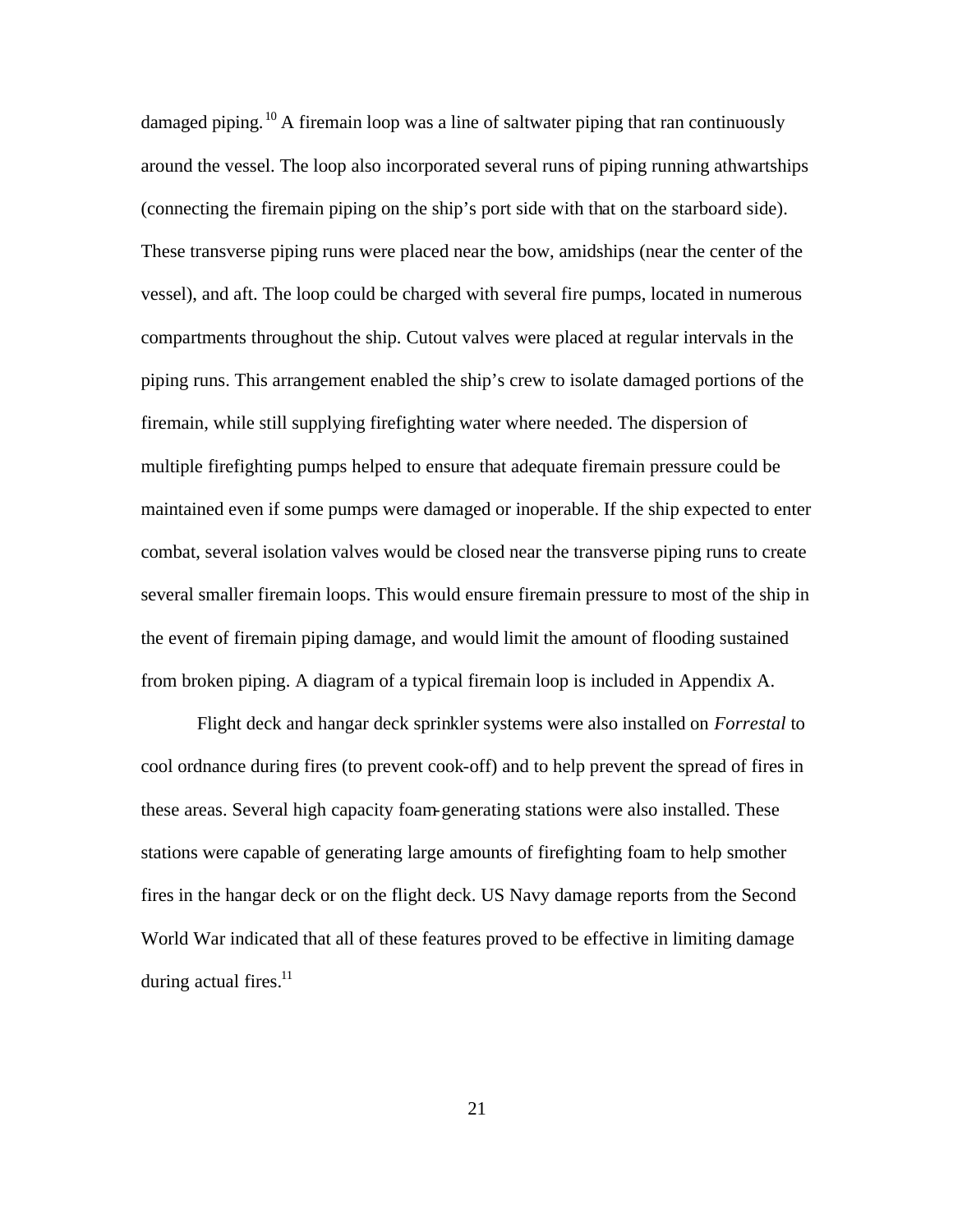damaged piping.  $^{10}$  A firemain loop was a line of saltwater piping that ran continuously around the vessel. The loop also incorporated several runs of piping running athwartships (connecting the firemain piping on the ship's port side with that on the starboard side). These transverse piping runs were placed near the bow, amidships (near the center of the vessel), and aft. The loop could be charged with several fire pumps, located in numerous compartments throughout the ship. Cutout valves were placed at regular intervals in the piping runs. This arrangement enabled the ship's crew to isolate damaged portions of the firemain, while still supplying firefighting water where needed. The dispersion of multiple firefighting pumps helped to ensure that adequate firemain pressure could be maintained even if some pumps were damaged or inoperable. If the ship expected to enter combat, several isolation valves would be closed near the transverse piping runs to create several smaller firemain loops. This would ensure firemain pressure to most of the ship in the event of firemain piping damage, and would limit the amount of flooding sustained from broken piping. A diagram of a typical firemain loop is included in Appendix A.

Flight deck and hangar deck sprinkler systems were also installed on *Forrestal* to cool ordnance during fires (to prevent cook-off) and to help prevent the spread of fires in these areas. Several high capacity foam-generating stations were also installed. These stations were capable of generating large amounts of firefighting foam to help smother fires in the hangar deck or on the flight deck. US Navy damage reports from the Second World War indicated that all of these features proved to be effective in limiting damage during actual fires. $^{11}$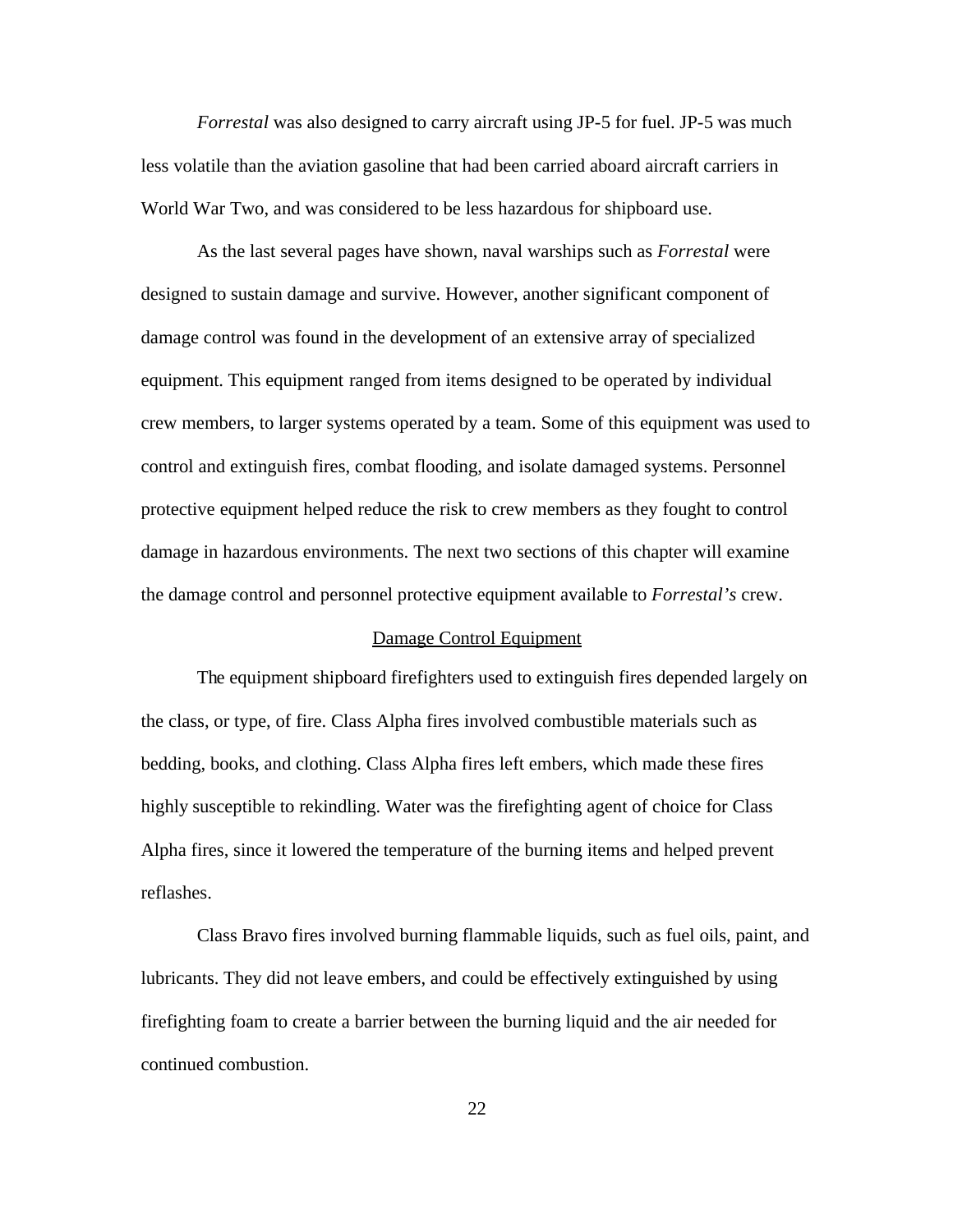*Forrestal* was also designed to carry aircraft using JP-5 for fuel. JP-5 was much less volatile than the aviation gasoline that had been carried aboard aircraft carriers in World War Two, and was considered to be less hazardous for shipboard use.

As the last several pages have shown, naval warships such as *Forrestal* were designed to sustain damage and survive. However, another significant component of damage control was found in the development of an extensive array of specialized equipment. This equipment ranged from items designed to be operated by individual crew members, to larger systems operated by a team. Some of this equipment was used to control and extinguish fires, combat flooding, and isolate damaged systems. Personnel protective equipment helped reduce the risk to crew members as they fought to control damage in hazardous environments. The next two sections of this chapter will examine the damage control and personnel protective equipment available to *Forrestal's* crew.

#### Damage Control Equipment

The equipment shipboard firefighters used to extinguish fires depended largely on the class, or type, of fire. Class Alpha fires involved combustible materials such as bedding, books, and clothing. Class Alpha fires left embers, which made these fires highly susceptible to rekindling. Water was the firefighting agent of choice for Class Alpha fires, since it lowered the temperature of the burning items and helped prevent reflashes.

Class Bravo fires involved burning flammable liquids, such as fuel oils, paint, and lubricants. They did not leave embers, and could be effectively extinguished by using firefighting foam to create a barrier between the burning liquid and the air needed for continued combustion.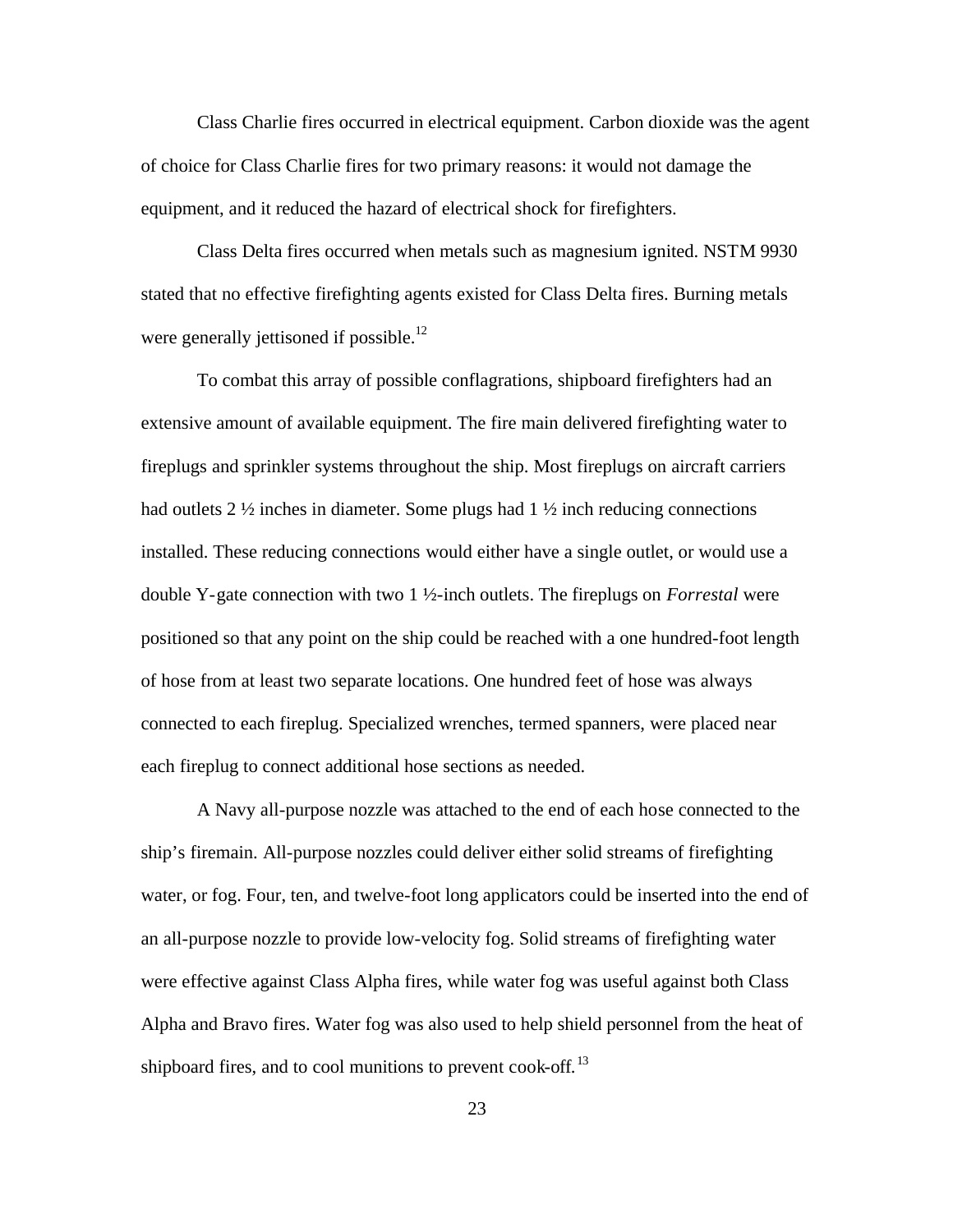Class Charlie fires occurred in electrical equipment. Carbon dioxide was the agent of choice for Class Charlie fires for two primary reasons: it would not damage the equipment, and it reduced the hazard of electrical shock for firefighters.

Class Delta fires occurred when metals such as magnesium ignited. NSTM 9930 stated that no effective firefighting agents existed for Class Delta fires. Burning metals were generally jettisoned if possible.<sup>12</sup>

To combat this array of possible conflagrations, shipboard firefighters had an extensive amount of available equipment. The fire main delivered firefighting water to fireplugs and sprinkler systems throughout the ship. Most fireplugs on aircraft carriers had outlets 2  $\frac{1}{2}$  inches in diameter. Some plugs had 1  $\frac{1}{2}$  inch reducing connections installed. These reducing connections would either have a single outlet, or would use a double Y-gate connection with two 1 ½-inch outlets. The fireplugs on *Forrestal* were positioned so that any point on the ship could be reached with a one hundred-foot length of hose from at least two separate locations. One hundred feet of hose was always connected to each fireplug. Specialized wrenches, termed spanners, were placed near each fireplug to connect additional hose sections as needed.

A Navy all-purpose nozzle was attached to the end of each hose connected to the ship's firemain. All-purpose nozzles could deliver either solid streams of firefighting water, or fog. Four, ten, and twelve-foot long applicators could be inserted into the end of an all-purpose nozzle to provide low-velocity fog. Solid streams of firefighting water were effective against Class Alpha fires, while water fog was useful against both Class Alpha and Bravo fires. Water fog was also used to help shield personnel from the heat of shipboard fires, and to cool munitions to prevent cook-off. $^{13}$ 

23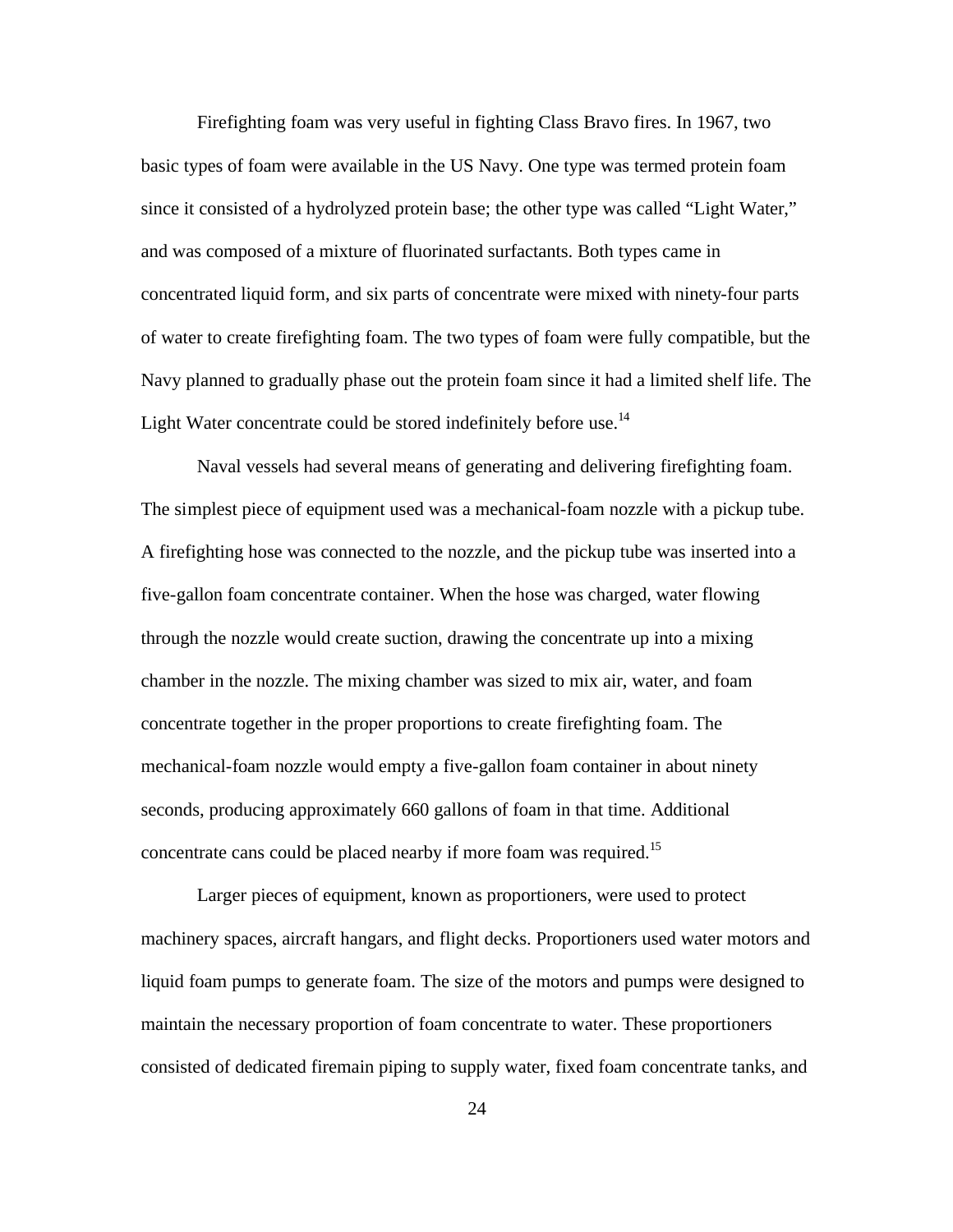Firefighting foam was very useful in fighting Class Bravo fires. In 1967, two basic types of foam were available in the US Navy. One type was termed protein foam since it consisted of a hydrolyzed protein base; the other type was called "Light Water," and was composed of a mixture of fluorinated surfactants. Both types came in concentrated liquid form, and six parts of concentrate were mixed with ninety-four parts of water to create firefighting foam. The two types of foam were fully compatible, but the Navy planned to gradually phase out the protein foam since it had a limited shelf life. The Light Water concentrate could be stored indefinitely before use.<sup>14</sup>

Naval vessels had several means of generating and delivering firefighting foam. The simplest piece of equipment used was a mechanical-foam nozzle with a pickup tube. A firefighting hose was connected to the nozzle, and the pickup tube was inserted into a five-gallon foam concentrate container. When the hose was charged, water flowing through the nozzle would create suction, drawing the concentrate up into a mixing chamber in the nozzle. The mixing chamber was sized to mix air, water, and foam concentrate together in the proper proportions to create firefighting foam. The mechanical-foam nozzle would empty a five-gallon foam container in about ninety seconds, producing approximately 660 gallons of foam in that time. Additional concentrate cans could be placed nearby if more foam was required.<sup>15</sup>

Larger pieces of equipment, known as proportioners, were used to protect machinery spaces, aircraft hangars, and flight decks. Proportioners used water motors and liquid foam pumps to generate foam. The size of the motors and pumps were designed to maintain the necessary proportion of foam concentrate to water. These proportioners consisted of dedicated firemain piping to supply water, fixed foam concentrate tanks, and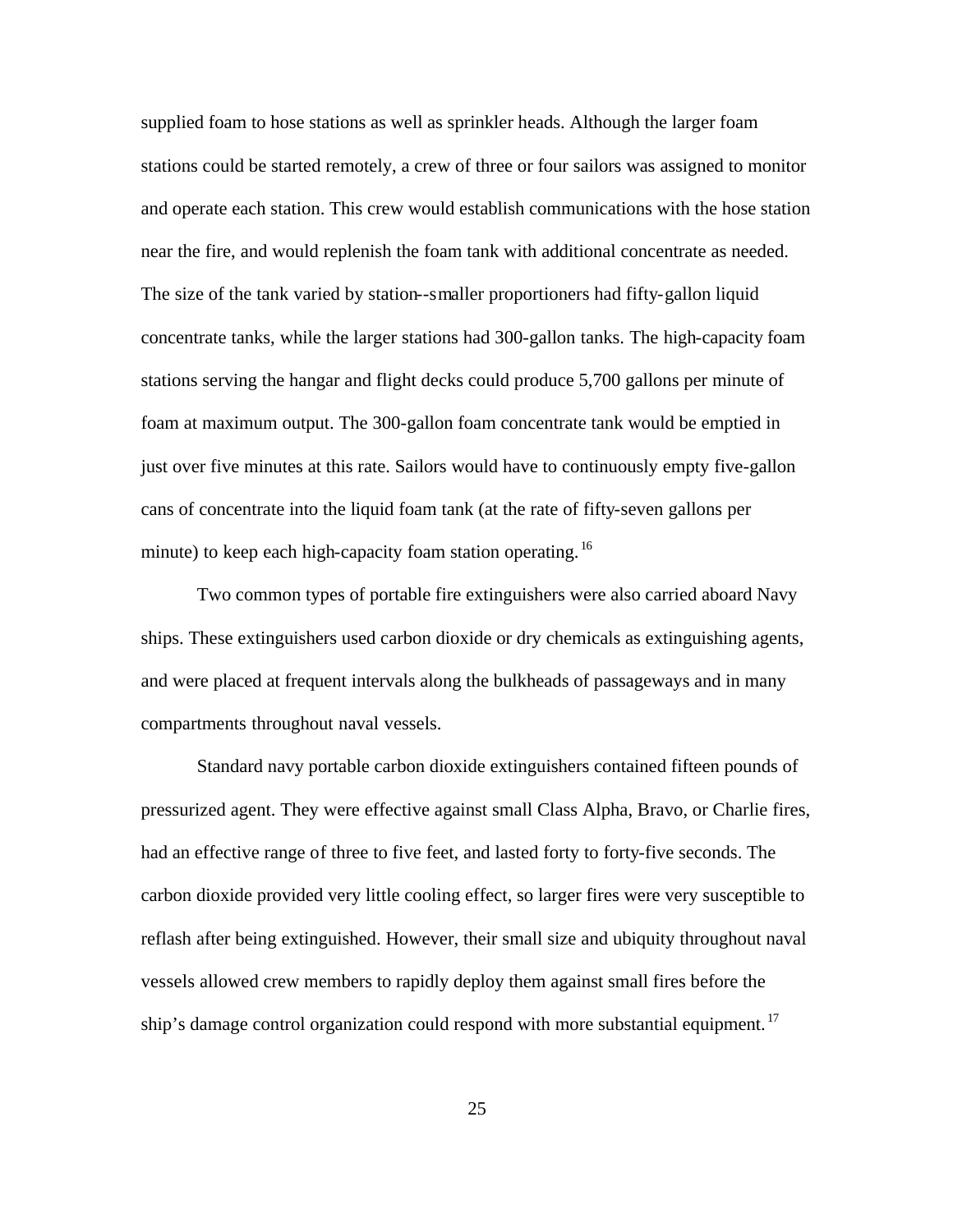supplied foam to hose stations as well as sprinkler heads. Although the larger foam stations could be started remotely, a crew of three or four sailors was assigned to monitor and operate each station. This crew would establish communications with the hose station near the fire, and would replenish the foam tank with additional concentrate as needed. The size of the tank varied by station--smaller proportioners had fifty-gallon liquid concentrate tanks, while the larger stations had 300-gallon tanks. The high-capacity foam stations serving the hangar and flight decks could produce 5,700 gallons per minute of foam at maximum output. The 300-gallon foam concentrate tank would be emptied in just over five minutes at this rate. Sailors would have to continuously empty five-gallon cans of concentrate into the liquid foam tank (at the rate of fifty-seven gallons per minute) to keep each high-capacity foam station operating.<sup>16</sup>

Two common types of portable fire extinguishers were also carried aboard Navy ships. These extinguishers used carbon dioxide or dry chemicals as extinguishing agents, and were placed at frequent intervals along the bulkheads of passageways and in many compartments throughout naval vessels.

Standard navy portable carbon dioxide extinguishers contained fifteen pounds of pressurized agent. They were effective against small Class Alpha, Bravo, or Charlie fires, had an effective range of three to five feet, and lasted forty to forty-five seconds. The carbon dioxide provided very little cooling effect, so larger fires were very susceptible to reflash after being extinguished. However, their small size and ubiquity throughout naval vessels allowed crew members to rapidly deploy them against small fires before the ship's damage control organization could respond with more substantial equipment.<sup>17</sup>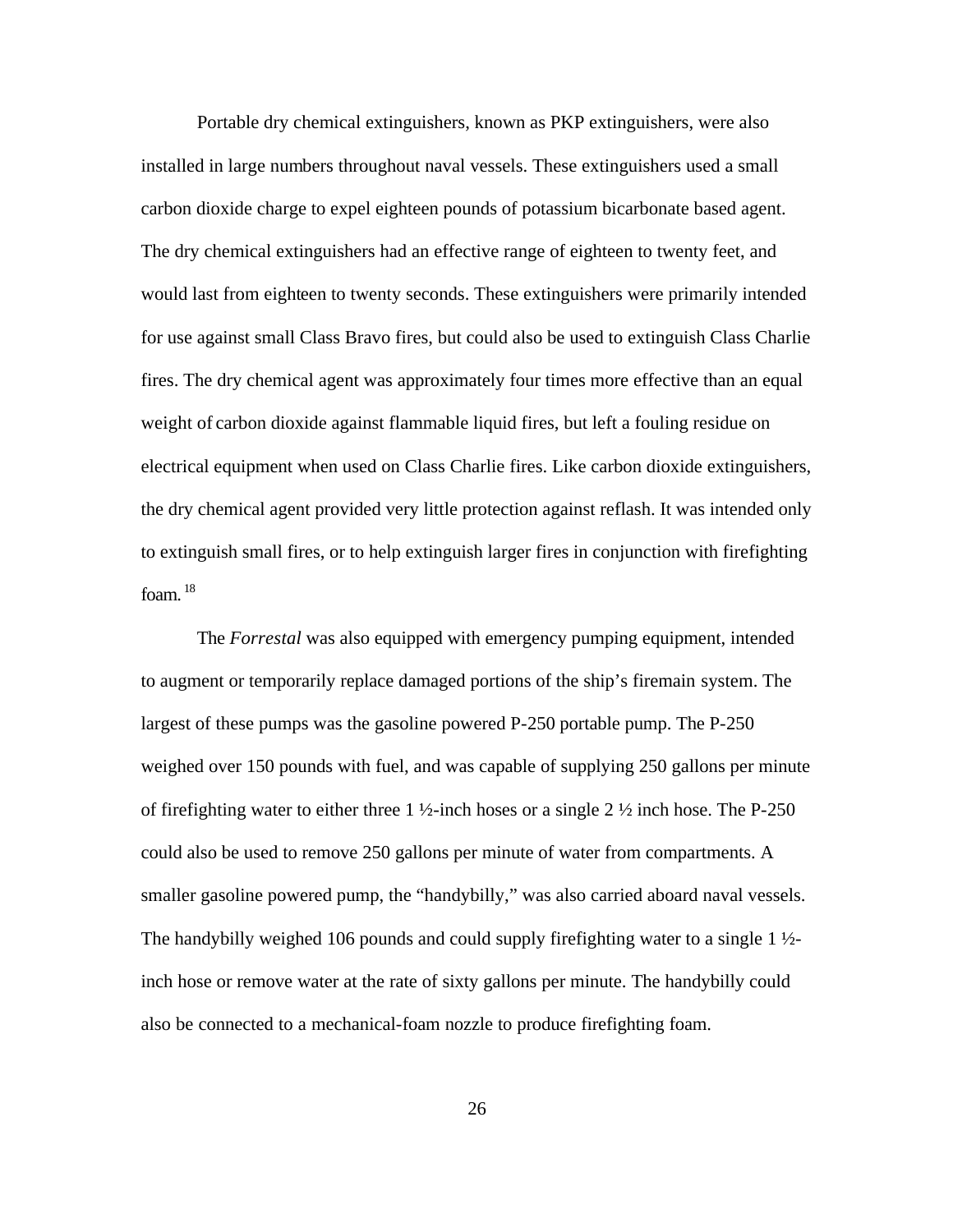Portable dry chemical extinguishers, known as PKP extinguishers, were also installed in large numbers throughout naval vessels. These extinguishers used a small carbon dioxide charge to expel eighteen pounds of potassium bicarbonate based agent. The dry chemical extinguishers had an effective range of eighteen to twenty feet, and would last from eighteen to twenty seconds. These extinguishers were primarily intended for use against small Class Bravo fires, but could also be used to extinguish Class Charlie fires. The dry chemical agent was approximately four times more effective than an equal weight of carbon dioxide against flammable liquid fires, but left a fouling residue on electrical equipment when used on Class Charlie fires. Like carbon dioxide extinguishers, the dry chemical agent provided very little protection against reflash. It was intended only to extinguish small fires, or to help extinguish larger fires in conjunction with firefighting foam. <sup>18</sup>

The *Forrestal* was also equipped with emergency pumping equipment, intended to augment or temporarily replace damaged portions of the ship's firemain system. The largest of these pumps was the gasoline powered P-250 portable pump. The P-250 weighed over 150 pounds with fuel, and was capable of supplying 250 gallons per minute of firefighting water to either three 1  $\frac{1}{2}$ -inch hoses or a single 2  $\frac{1}{2}$  inch hose. The P-250 could also be used to remove 250 gallons per minute of water from compartments. A smaller gasoline powered pump, the "handybilly," was also carried aboard naval vessels. The handybilly weighed 106 pounds and could supply firefighting water to a single 1  $\frac{1}{2}$ inch hose or remove water at the rate of sixty gallons per minute. The handybilly could also be connected to a mechanical-foam nozzle to produce firefighting foam.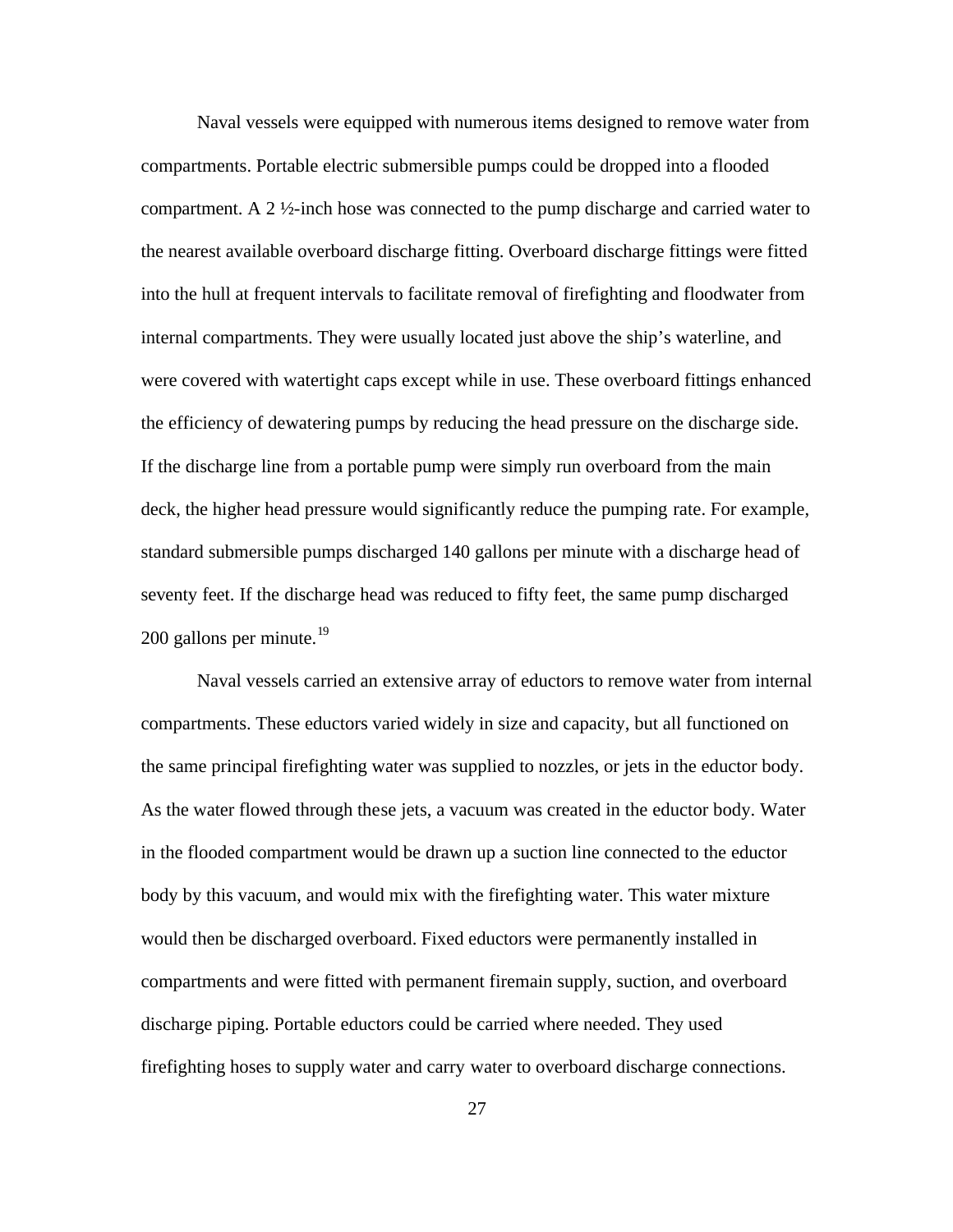Naval vessels were equipped with numerous items designed to remove water from compartments. Portable electric submersible pumps could be dropped into a flooded compartment. A 2 ½-inch hose was connected to the pump discharge and carried water to the nearest available overboard discharge fitting. Overboard discharge fittings were fitted into the hull at frequent intervals to facilitate removal of firefighting and floodwater from internal compartments. They were usually located just above the ship's waterline, and were covered with watertight caps except while in use. These overboard fittings enhanced the efficiency of dewatering pumps by reducing the head pressure on the discharge side. If the discharge line from a portable pump were simply run overboard from the main deck, the higher head pressure would significantly reduce the pumping rate. For example, standard submersible pumps discharged 140 gallons per minute with a discharge head of seventy feet. If the discharge head was reduced to fifty feet, the same pump discharged 200 gallons per minute. $^{19}$ 

Naval vessels carried an extensive array of eductors to remove water from internal compartments. These eductors varied widely in size and capacity, but all functioned on the same principal firefighting water was supplied to nozzles, or jets in the eductor body. As the water flowed through these jets, a vacuum was created in the eductor body. Water in the flooded compartment would be drawn up a suction line connected to the eductor body by this vacuum, and would mix with the firefighting water. This water mixture would then be discharged overboard. Fixed eductors were permanently installed in compartments and were fitted with permanent firemain supply, suction, and overboard discharge piping. Portable eductors could be carried where needed. They used firefighting hoses to supply water and carry water to overboard discharge connections.

27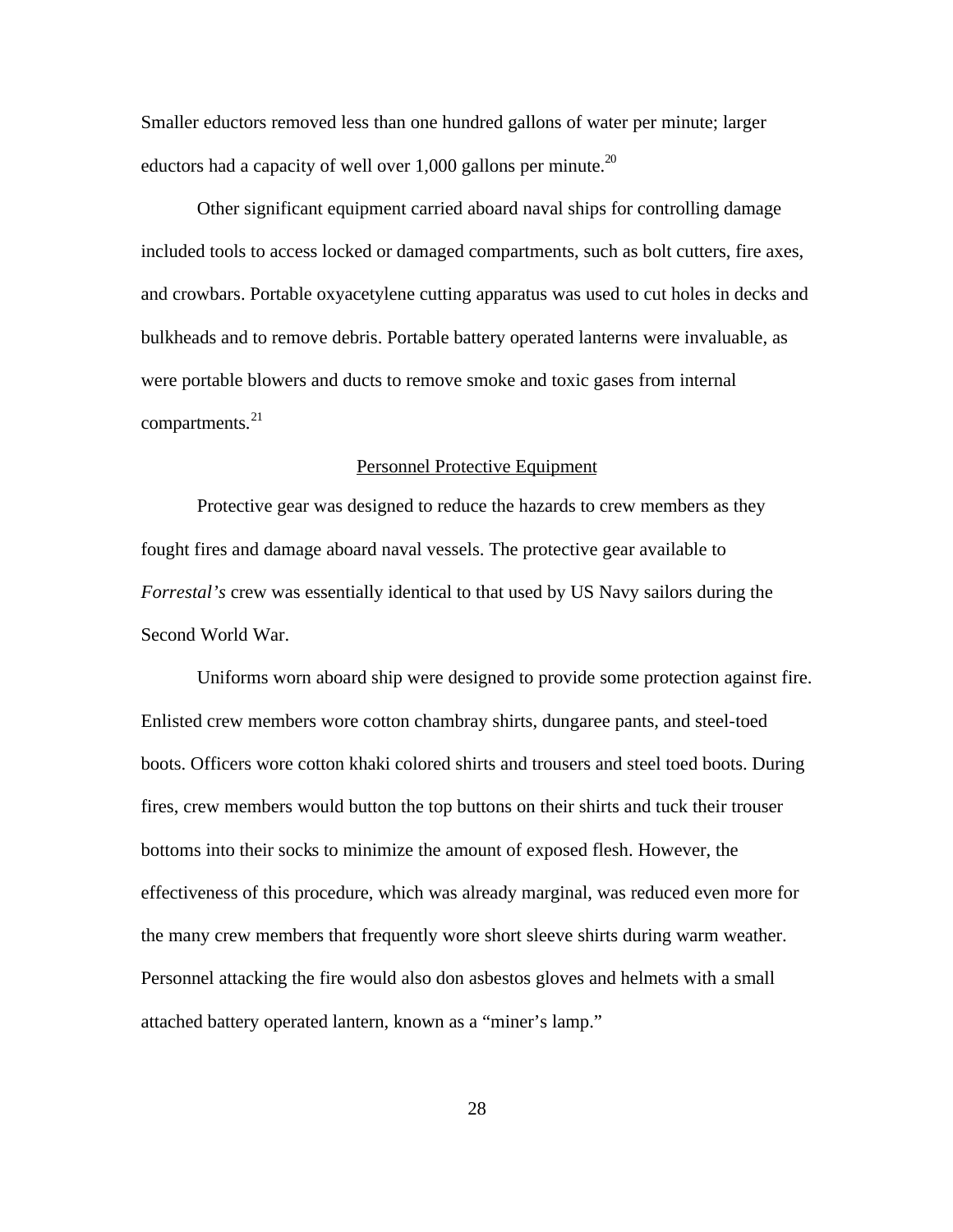Smaller eductors removed less than one hundred gallons of water per minute; larger eductors had a capacity of well over  $1,000$  gallons per minute.<sup>20</sup>

Other significant equipment carried aboard naval ships for controlling damage included tools to access locked or damaged compartments, such as bolt cutters, fire axes, and crowbars. Portable oxyacetylene cutting apparatus was used to cut holes in decks and bulkheads and to remove debris. Portable battery operated lanterns were invaluable, as were portable blowers and ducts to remove smoke and toxic gases from internal compartments. $^{21}$ 

#### Personnel Protective Equipment

Protective gear was designed to reduce the hazards to crew members as they fought fires and damage aboard naval vessels. The protective gear available to *Forrestal's* crew was essentially identical to that used by US Navy sailors during the Second World War.

Uniforms worn aboard ship were designed to provide some protection against fire. Enlisted crew members wore cotton chambray shirts, dungaree pants, and steel-toed boots. Officers wore cotton khaki colored shirts and trousers and steel toed boots. During fires, crew members would button the top buttons on their shirts and tuck their trouser bottoms into their socks to minimize the amount of exposed flesh. However, the effectiveness of this procedure, which was already marginal, was reduced even more for the many crew members that frequently wore short sleeve shirts during warm weather. Personnel attacking the fire would also don asbestos gloves and helmets with a small attached battery operated lantern, known as a "miner's lamp."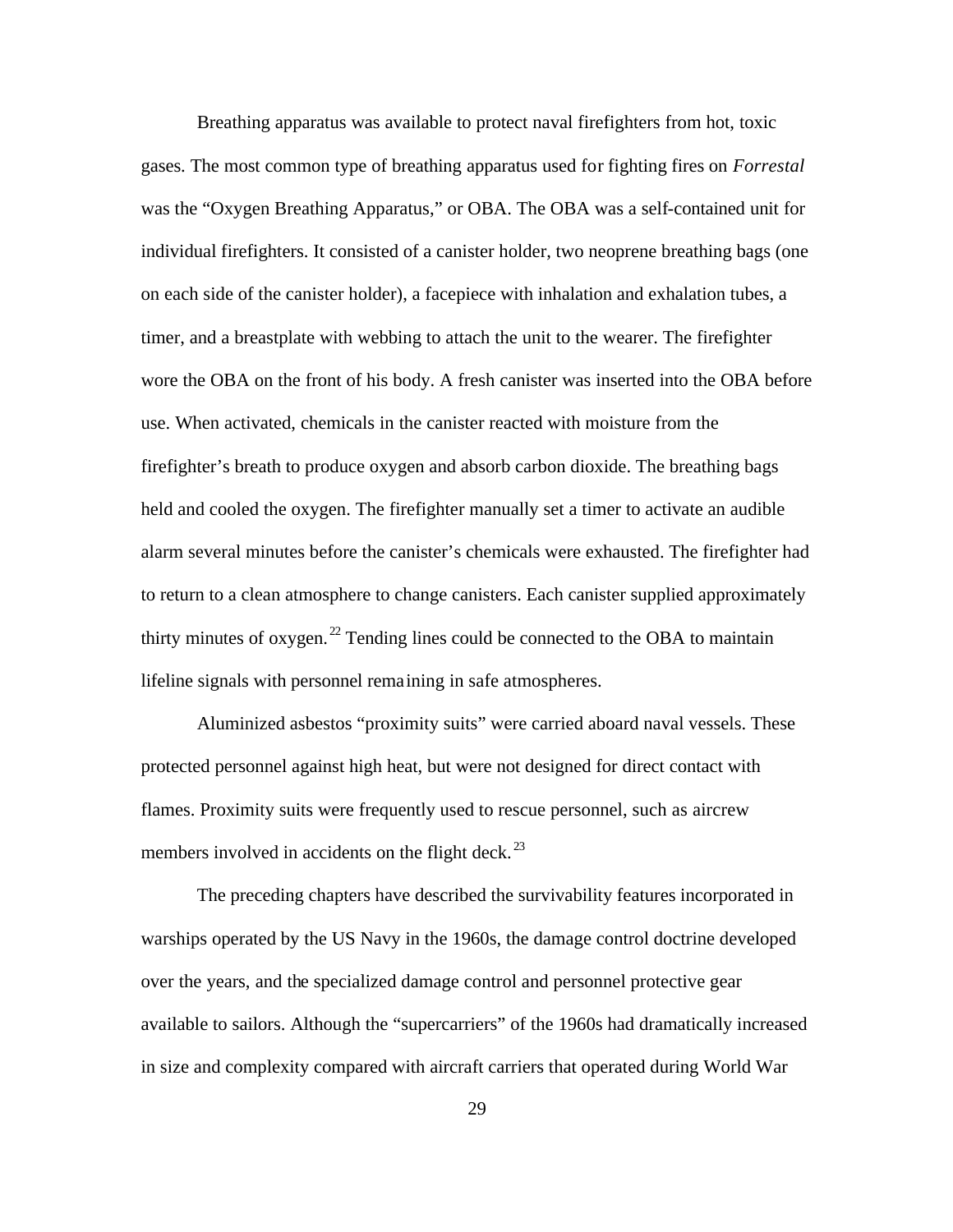Breathing apparatus was available to protect naval firefighters from hot, toxic gases. The most common type of breathing apparatus used for fighting fires on *Forrestal* was the "Oxygen Breathing Apparatus," or OBA. The OBA was a self-contained unit for individual firefighters. It consisted of a canister holder, two neoprene breathing bags (one on each side of the canister holder), a facepiece with inhalation and exhalation tubes, a timer, and a breastplate with webbing to attach the unit to the wearer. The firefighter wore the OBA on the front of his body. A fresh canister was inserted into the OBA before use. When activated, chemicals in the canister reacted with moisture from the firefighter's breath to produce oxygen and absorb carbon dioxide. The breathing bags held and cooled the oxygen. The firefighter manually set a timer to activate an audible alarm several minutes before the canister's chemicals were exhausted. The firefighter had to return to a clean atmosphere to change canisters. Each canister supplied approximately thirty minutes of oxygen.<sup>22</sup> Tending lines could be connected to the OBA to maintain lifeline signals with personnel remaining in safe atmospheres.

Aluminized asbestos "proximity suits" were carried aboard naval vessels. These protected personnel against high heat, but were not designed for direct contact with flames. Proximity suits were frequently used to rescue personnel, such as aircrew members involved in accidents on the flight deck.<sup>23</sup>

The preceding chapters have described the survivability features incorporated in warships operated by the US Navy in the 1960s, the damage control doctrine developed over the years, and the specialized damage control and personnel protective gear available to sailors. Although the "supercarriers" of the 1960s had dramatically increased in size and complexity compared with aircraft carriers that operated during World War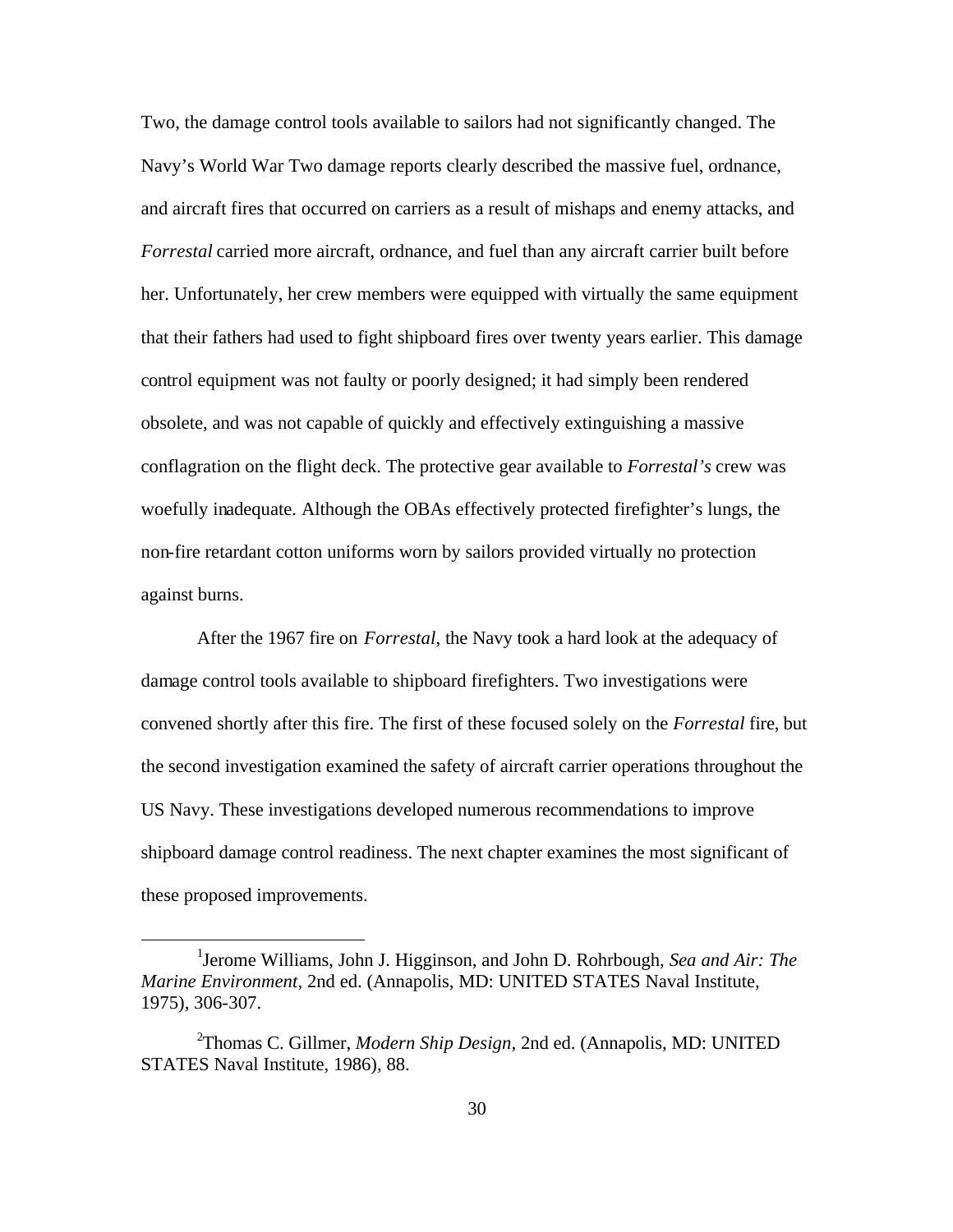Two, the damage control tools available to sailors had not significantly changed. The Navy's World War Two damage reports clearly described the massive fuel, ordnance, and aircraft fires that occurred on carriers as a result of mishaps and enemy attacks, and *Forrestal* carried more aircraft, ordnance, and fuel than any aircraft carrier built before her. Unfortunately, her crew members were equipped with virtually the same equipment that their fathers had used to fight shipboard fires over twenty years earlier. This damage control equipment was not faulty or poorly designed; it had simply been rendered obsolete, and was not capable of quickly and effectively extinguishing a massive conflagration on the flight deck. The protective gear available to *Forrestal's* crew was woefully inadequate. Although the OBAs effectively protected firefighter's lungs, the non-fire retardant cotton uniforms worn by sailors provided virtually no protection against burns.

After the 1967 fire on *Forrestal*, the Navy took a hard look at the adequacy of damage control tools available to shipboard firefighters. Two investigations were convened shortly after this fire. The first of these focused solely on the *Forrestal* fire, but the second investigation examined the safety of aircraft carrier operations throughout the US Navy. These investigations developed numerous recommendations to improve shipboard damage control readiness. The next chapter examines the most significant of these proposed improvements.

 $\overline{a}$ 

<sup>&</sup>lt;sup>1</sup> Jerome Williams, John J. Higginson, and John D. Rohrbough, *Sea and Air: The Marine Environment*, 2nd ed. (Annapolis, MD: UNITED STATES Naval Institute, 1975), 306-307.

<sup>2</sup>Thomas C. Gillmer, *Modern Ship Design,* 2nd ed. (Annapolis, MD: UNITED STATES Naval Institute, 1986), 88.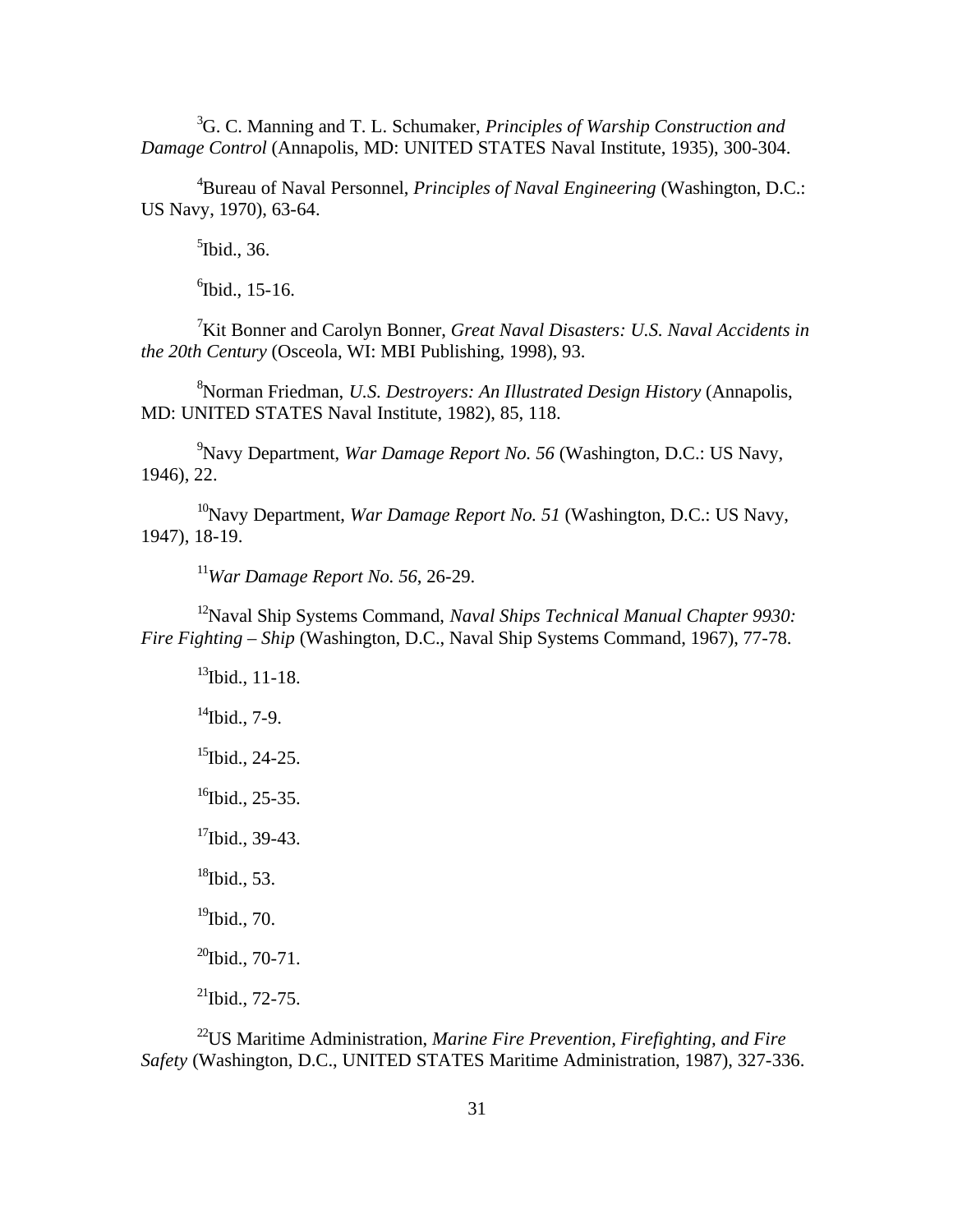G. C. Manning and T. L. Schumaker, *Principles of Warship Construction and Damage Control* (Annapolis, MD: UNITED STATES Naval Institute, 1935), 300-304.

Bureau of Naval Personnel, *Principles of Naval Engineering* (Washington, D.C.: US Navy, 1970), 63-64.

Ibid., 36.

Ibid., 15-16.

Kit Bonner and Carolyn Bonner, *Great Naval Disasters: U.S. Naval Accidents in the 20th Century* (Osceola, WI: MBI Publishing, 1998), 93.

Norman Friedman, *U.S. Destroyers: An Illustrated Design History* (Annapolis, MD: UNITED STATES Naval Institute, 1982), 85, 118.

Navy Department, *War Damage Report No. 56* (Washington, D.C.: US Navy, 1946), 22.

<sup>10</sup>Navy Department, *War Damage Report No. 51* (Washington, D.C.: US Navy, 1947), 18-19.

*War Damage Report No. 56*, 26-29.

Naval Ship Systems Command, *Naval Ships Technical Manual Chapter 9930: Fire Fighting – Ship* (Washington, D.C., Naval Ship Systems Command, 1967), 77-78.

Ibid., 11-18. Ibid., 7-9.

Ibid., 24-25.

Ibid., 25-35.

Ibid., 39-43.

Ibid., 53.

Ibid., 70.

 $^{20}$ Ibid., 70-71.

 $^{21}$ Ibid., 72-75.

US Maritime Administration, *Marine Fire Prevention, Firefighting, and Fire Safety* (Washington, D.C., UNITED STATES Maritime Administration, 1987), 327-336.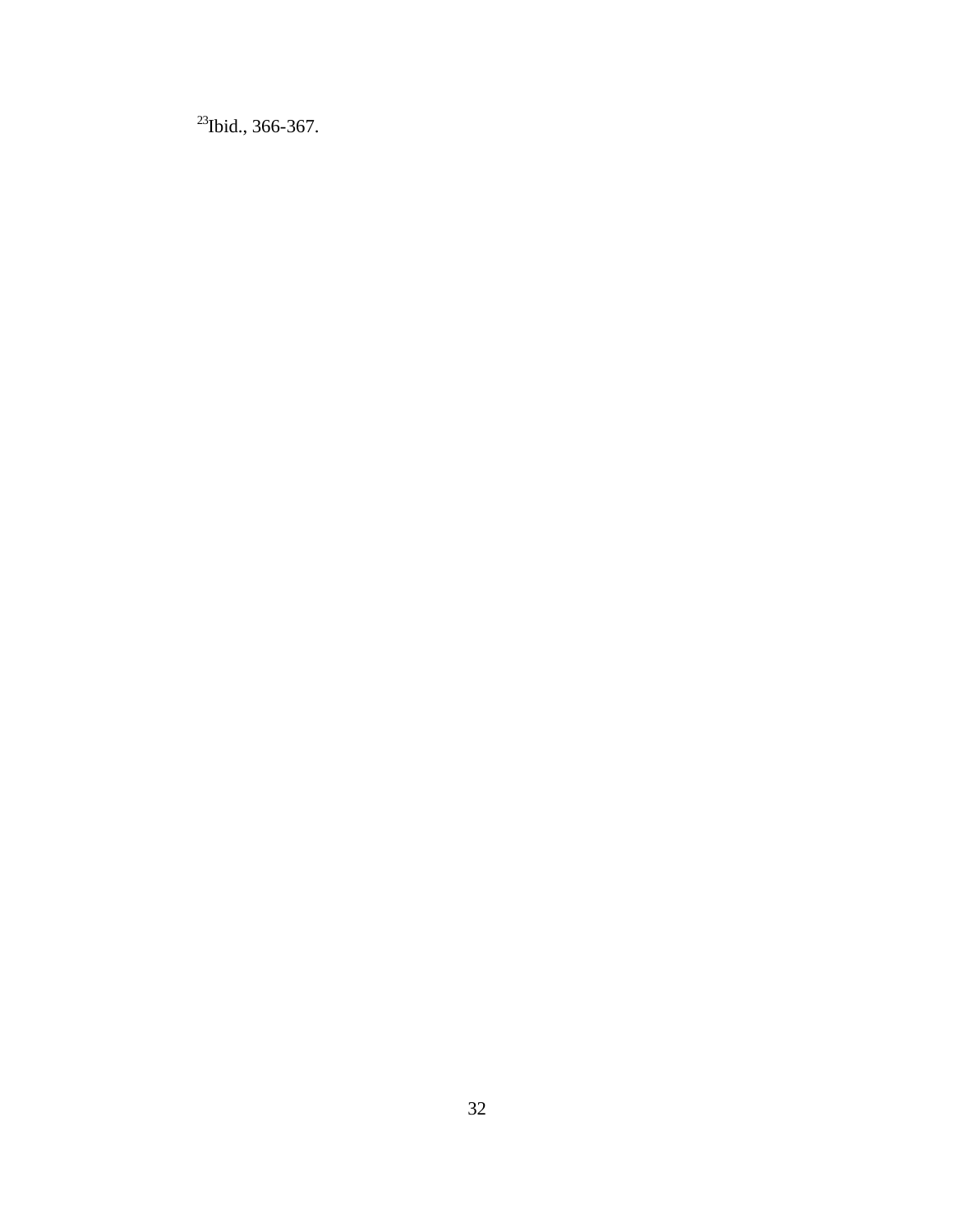<sup>23</sup>Ibid., 366-367.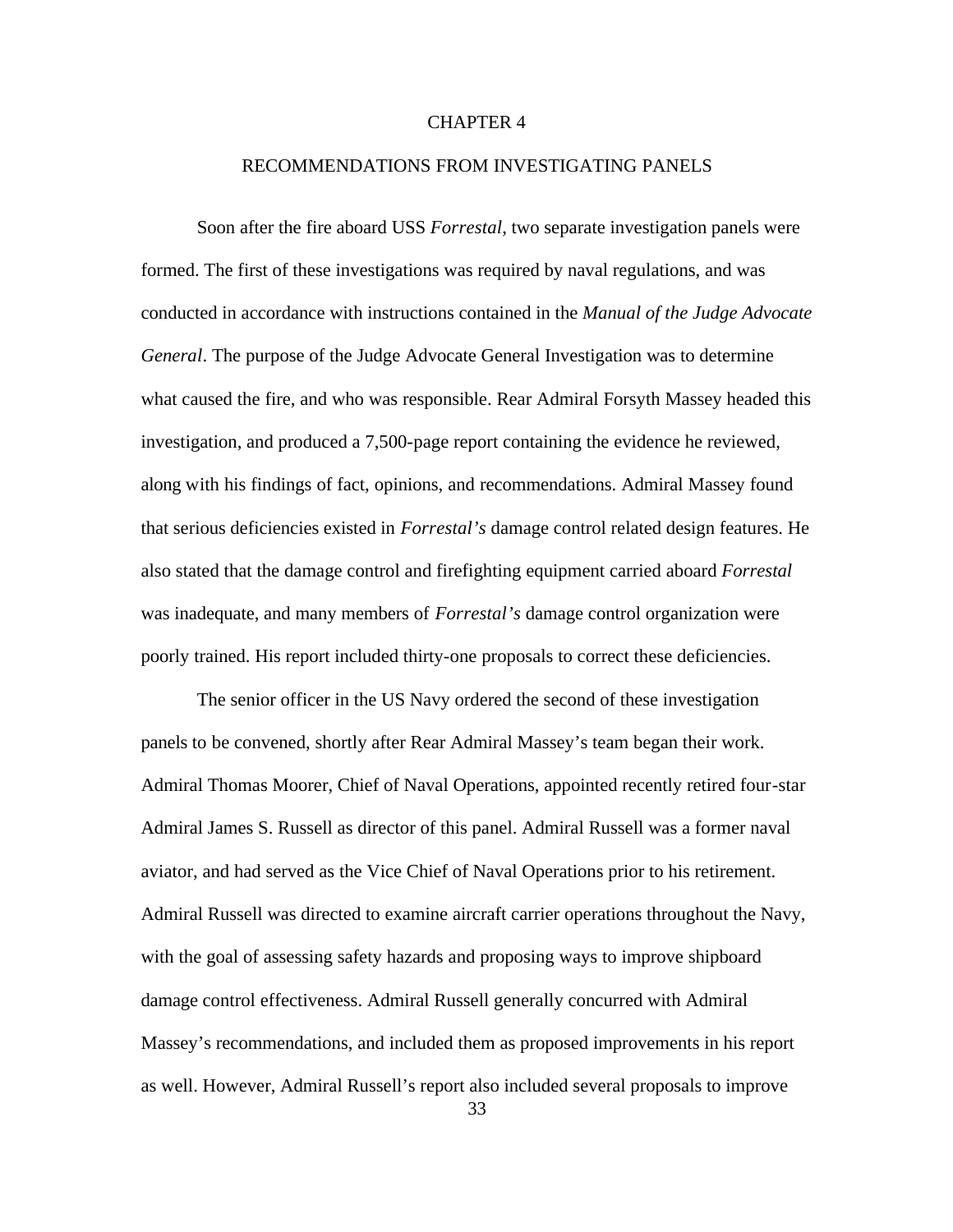## CHAPTER 4

## RECOMMENDATIONS FROM INVESTIGATING PANELS

Soon after the fire aboard USS *Forrestal*, two separate investigation panels were formed. The first of these investigations was required by naval regulations, and was conducted in accordance with instructions contained in the *Manual of the Judge Advocate General*. The purpose of the Judge Advocate General Investigation was to determine what caused the fire, and who was responsible. Rear Admiral Forsyth Massey headed this investigation, and produced a 7,500-page report containing the evidence he reviewed, along with his findings of fact, opinions, and recommendations. Admiral Massey found that serious deficiencies existed in *Forrestal's* damage control related design features. He also stated that the damage control and firefighting equipment carried aboard *Forrestal* was inadequate, and many members of *Forrestal's* damage control organization were poorly trained. His report included thirty-one proposals to correct these deficiencies.

The senior officer in the US Navy ordered the second of these investigation panels to be convened, shortly after Rear Admiral Massey's team began their work. Admiral Thomas Moorer, Chief of Naval Operations, appointed recently retired four-star Admiral James S. Russell as director of this panel. Admiral Russell was a former naval aviator, and had served as the Vice Chief of Naval Operations prior to his retirement. Admiral Russell was directed to examine aircraft carrier operations throughout the Navy, with the goal of assessing safety hazards and proposing ways to improve shipboard damage control effectiveness. Admiral Russell generally concurred with Admiral Massey's recommendations, and included them as proposed improvements in his report as well. However, Admiral Russell's report also included several proposals to improve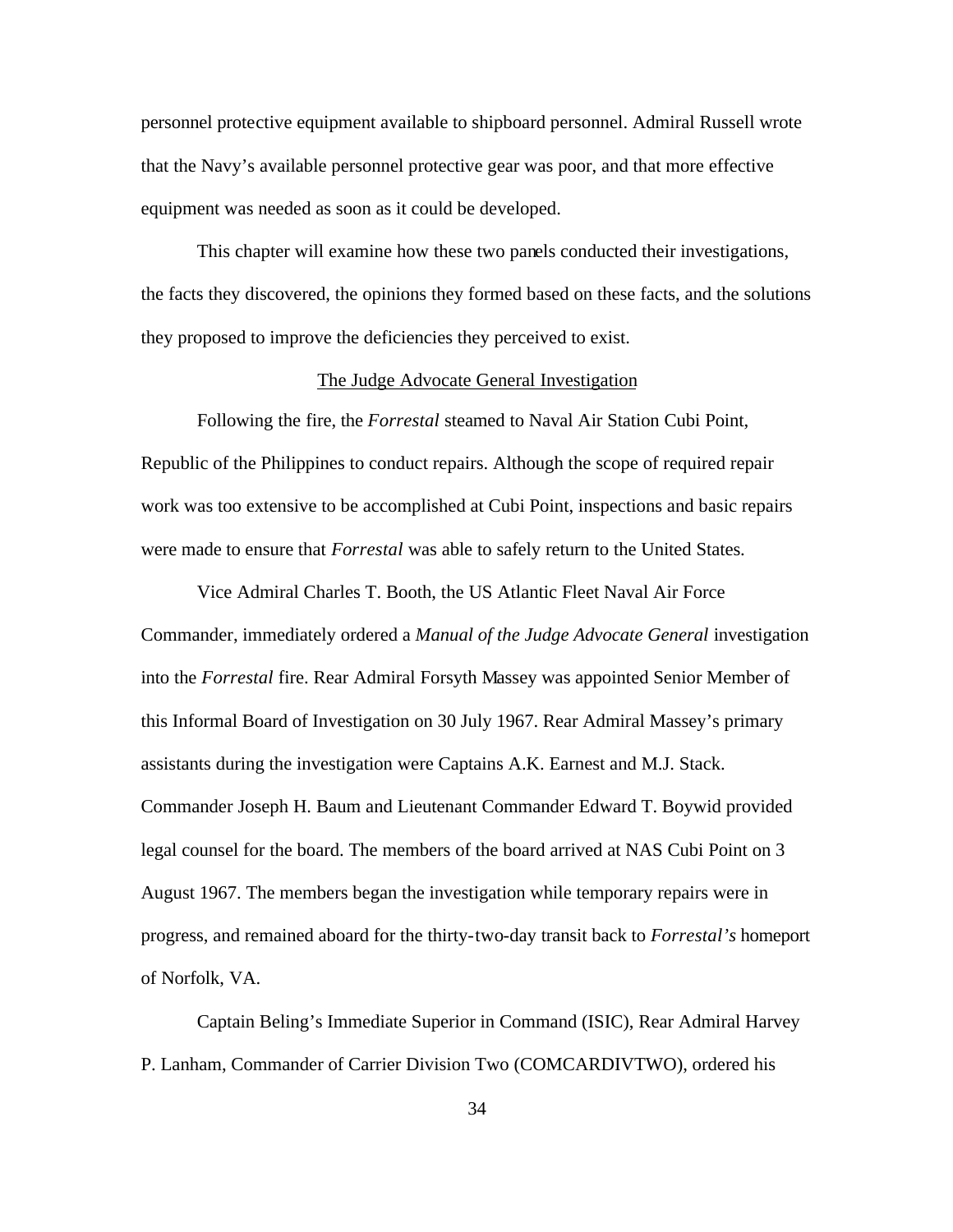personnel protective equipment available to shipboard personnel. Admiral Russell wrote that the Navy's available personnel protective gear was poor, and that more effective equipment was needed as soon as it could be developed.

This chapter will examine how these two panels conducted their investigations, the facts they discovered, the opinions they formed based on these facts, and the solutions they proposed to improve the deficiencies they perceived to exist.

# The Judge Advocate General Investigation

Following the fire, the *Forrestal* steamed to Naval Air Station Cubi Point, Republic of the Philippines to conduct repairs. Although the scope of required repair work was too extensive to be accomplished at Cubi Point, inspections and basic repairs were made to ensure that *Forrestal* was able to safely return to the United States.

Vice Admiral Charles T. Booth, the US Atlantic Fleet Naval Air Force Commander, immediately ordered a *Manual of the Judge Advocate General* investigation into the *Forrestal* fire. Rear Admiral Forsyth Massey was appointed Senior Member of this Informal Board of Investigation on 30 July 1967. Rear Admiral Massey's primary assistants during the investigation were Captains A.K. Earnest and M.J. Stack. Commander Joseph H. Baum and Lieutenant Commander Edward T. Boywid provided legal counsel for the board. The members of the board arrived at NAS Cubi Point on 3 August 1967. The members began the investigation while temporary repairs were in progress, and remained aboard for the thirty-two-day transit back to *Forrestal's* homeport of Norfolk, VA.

Captain Beling's Immediate Superior in Command (ISIC), Rear Admiral Harvey P. Lanham, Commander of Carrier Division Two (COMCARDIVTWO), ordered his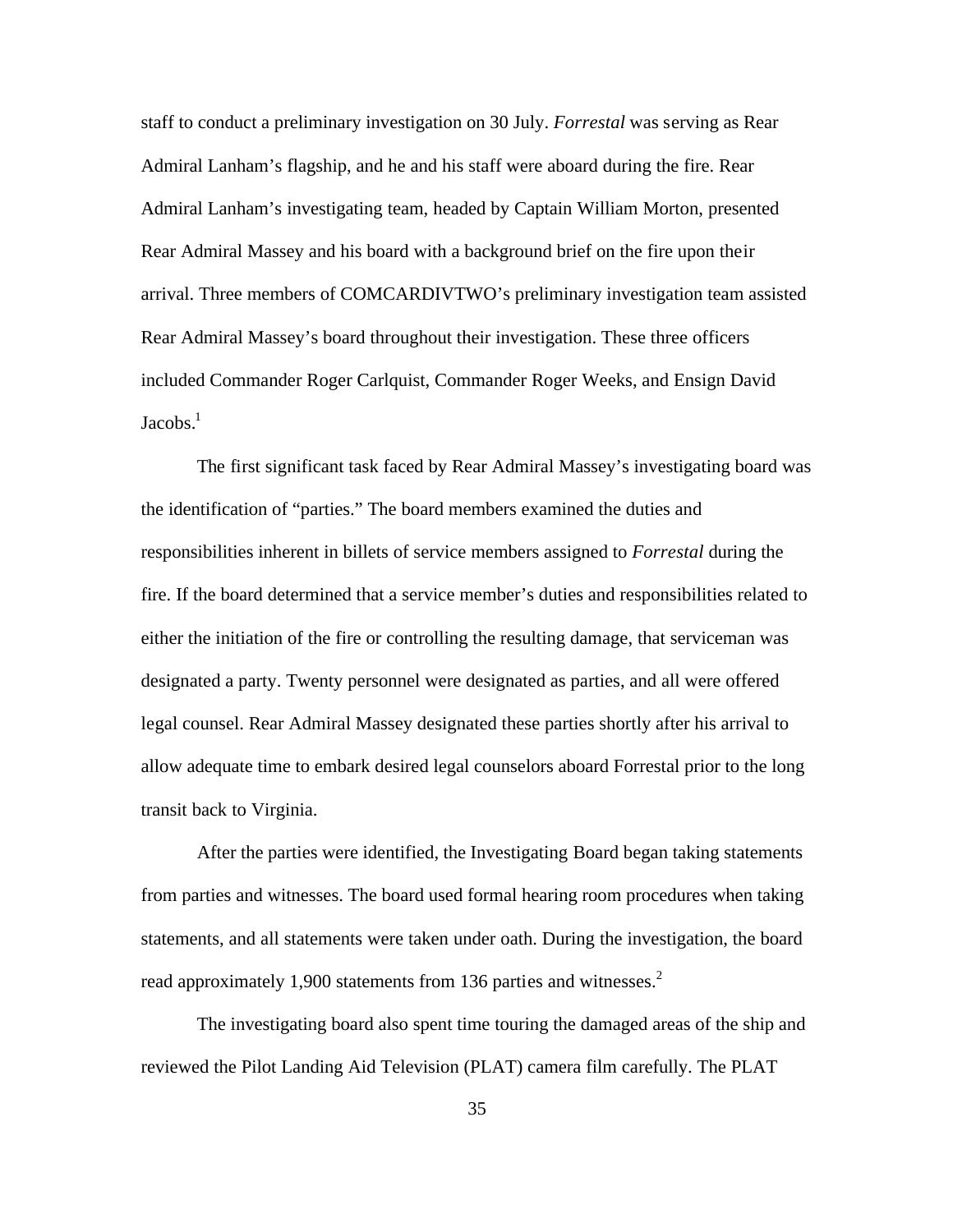staff to conduct a preliminary investigation on 30 July. *Forrestal* was serving as Rear Admiral Lanham's flagship, and he and his staff were aboard during the fire. Rear Admiral Lanham's investigating team, headed by Captain William Morton, presented Rear Admiral Massey and his board with a background brief on the fire upon their arrival. Three members of COMCARDIVTWO's preliminary investigation team assisted Rear Admiral Massey's board throughout their investigation. These three officers included Commander Roger Carlquist, Commander Roger Weeks, and Ensign David  $Jacobs.$ <sup>1</sup>

The first significant task faced by Rear Admiral Massey's investigating board was the identification of "parties." The board members examined the duties and responsibilities inherent in billets of service members assigned to *Forrestal* during the fire. If the board determined that a service member's duties and responsibilities related to either the initiation of the fire or controlling the resulting damage, that serviceman was designated a party. Twenty personnel were designated as parties, and all were offered legal counsel. Rear Admiral Massey designated these parties shortly after his arrival to allow adequate time to embark desired legal counselors aboard Forrestal prior to the long transit back to Virginia.

After the parties were identified, the Investigating Board began taking statements from parties and witnesses. The board used formal hearing room procedures when taking statements, and all statements were taken under oath. During the investigation, the board read approximately 1,900 statements from 136 parties and witnesses.<sup>2</sup>

The investigating board also spent time touring the damaged areas of the ship and reviewed the Pilot Landing Aid Television (PLAT) camera film carefully. The PLAT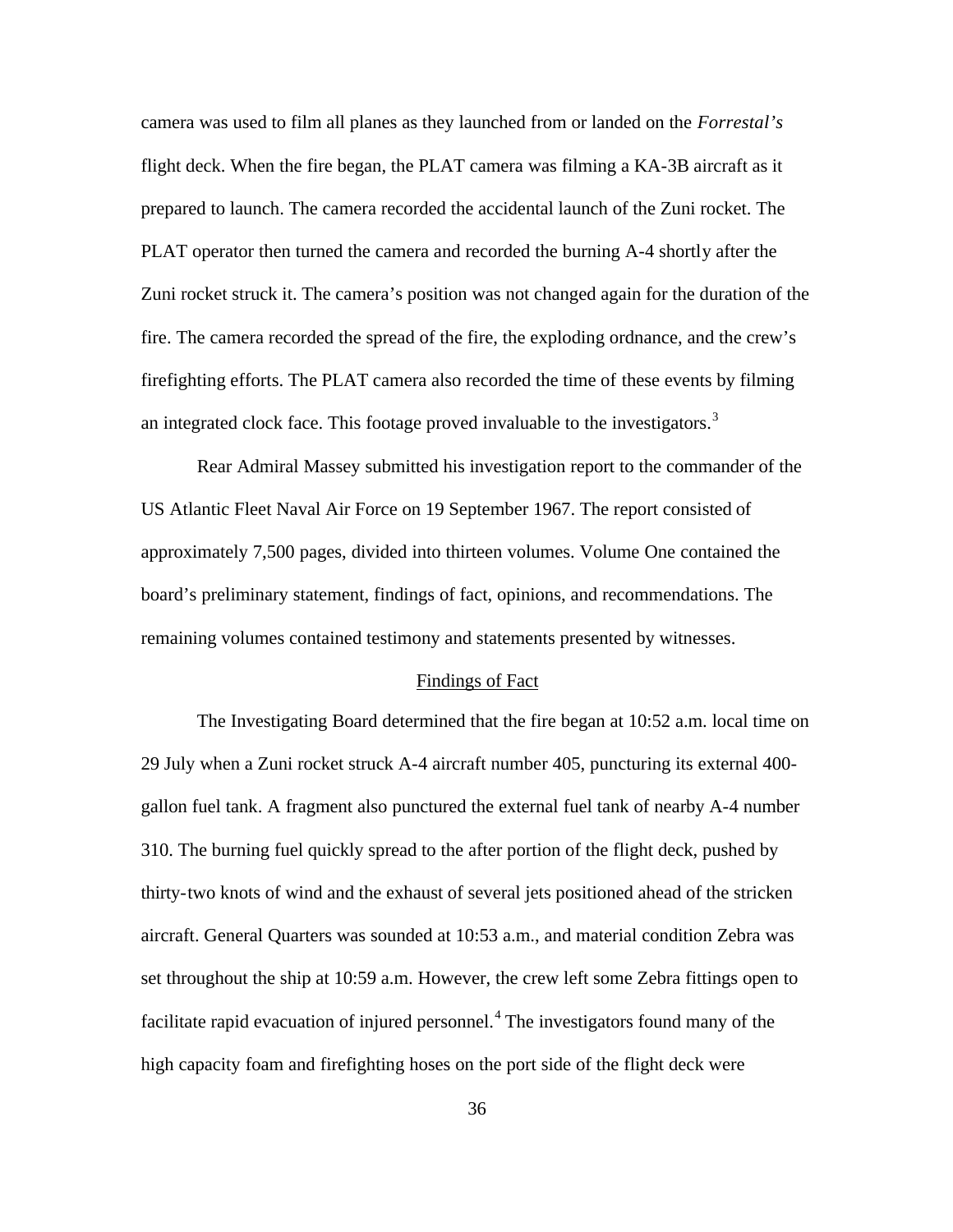camera was used to film all planes as they launched from or landed on the *Forrestal's* flight deck. When the fire began, the PLAT camera was filming a KA-3B aircraft as it prepared to launch. The camera recorded the accidental launch of the Zuni rocket. The PLAT operator then turned the camera and recorded the burning A-4 shortly after the Zuni rocket struck it. The camera's position was not changed again for the duration of the fire. The camera recorded the spread of the fire, the exploding ordnance, and the crew's firefighting efforts. The PLAT camera also recorded the time of these events by filming an integrated clock face. This footage proved invaluable to the investigators.<sup>3</sup>

Rear Admiral Massey submitted his investigation report to the commander of the US Atlantic Fleet Naval Air Force on 19 September 1967. The report consisted of approximately 7,500 pages, divided into thirteen volumes. Volume One contained the board's preliminary statement, findings of fact, opinions, and recommendations. The remaining volumes contained testimony and statements presented by witnesses.

#### Findings of Fact

The Investigating Board determined that the fire began at 10:52 a.m. local time on 29 July when a Zuni rocket struck A-4 aircraft number 405, puncturing its external 400 gallon fuel tank. A fragment also punctured the external fuel tank of nearby A-4 number 310. The burning fuel quickly spread to the after portion of the flight deck, pushed by thirty-two knots of wind and the exhaust of several jets positioned ahead of the stricken aircraft. General Quarters was sounded at 10:53 a.m., and material condition Zebra was set throughout the ship at 10:59 a.m. However, the crew left some Zebra fittings open to facilitate rapid evacuation of injured personnel.<sup>4</sup> The investigators found many of the high capacity foam and firefighting hoses on the port side of the flight deck were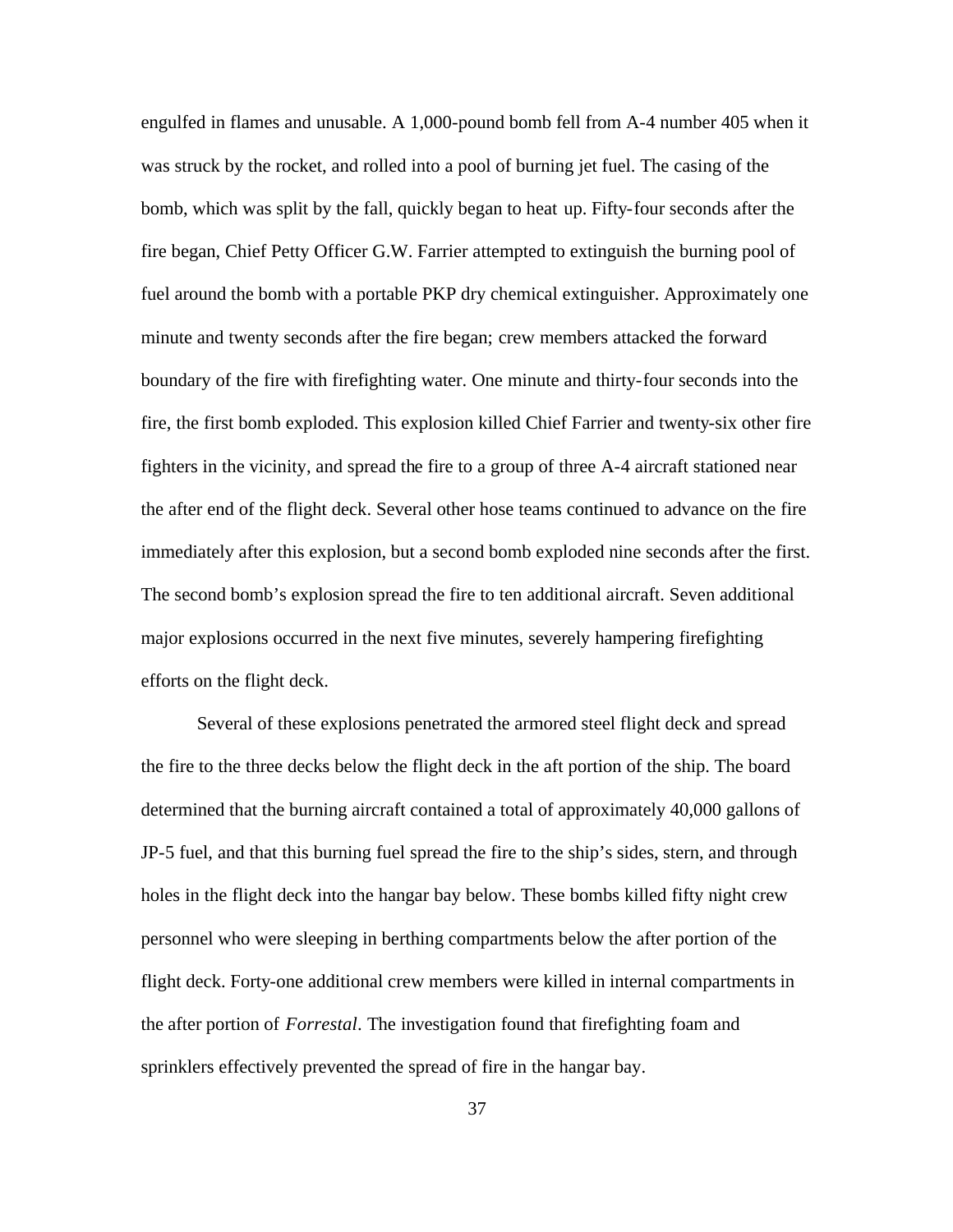engulfed in flames and unusable. A 1,000-pound bomb fell from A-4 number 405 when it was struck by the rocket, and rolled into a pool of burning jet fuel. The casing of the bomb, which was split by the fall, quickly began to heat up. Fifty-four seconds after the fire began, Chief Petty Officer G.W. Farrier attempted to extinguish the burning pool of fuel around the bomb with a portable PKP dry chemical extinguisher. Approximately one minute and twenty seconds after the fire began; crew members attacked the forward boundary of the fire with firefighting water. One minute and thirty-four seconds into the fire, the first bomb exploded. This explosion killed Chief Farrier and twenty-six other fire fighters in the vicinity, and spread the fire to a group of three A-4 aircraft stationed near the after end of the flight deck. Several other hose teams continued to advance on the fire immediately after this explosion, but a second bomb exploded nine seconds after the first. The second bomb's explosion spread the fire to ten additional aircraft. Seven additional major explosions occurred in the next five minutes, severely hampering firefighting efforts on the flight deck.

Several of these explosions penetrated the armored steel flight deck and spread the fire to the three decks below the flight deck in the aft portion of the ship. The board determined that the burning aircraft contained a total of approximately 40,000 gallons of JP-5 fuel, and that this burning fuel spread the fire to the ship's sides, stern, and through holes in the flight deck into the hangar bay below. These bombs killed fifty night crew personnel who were sleeping in berthing compartments below the after portion of the flight deck. Forty-one additional crew members were killed in internal compartments in the after portion of *Forrestal*. The investigation found that firefighting foam and sprinklers effectively prevented the spread of fire in the hangar bay.

37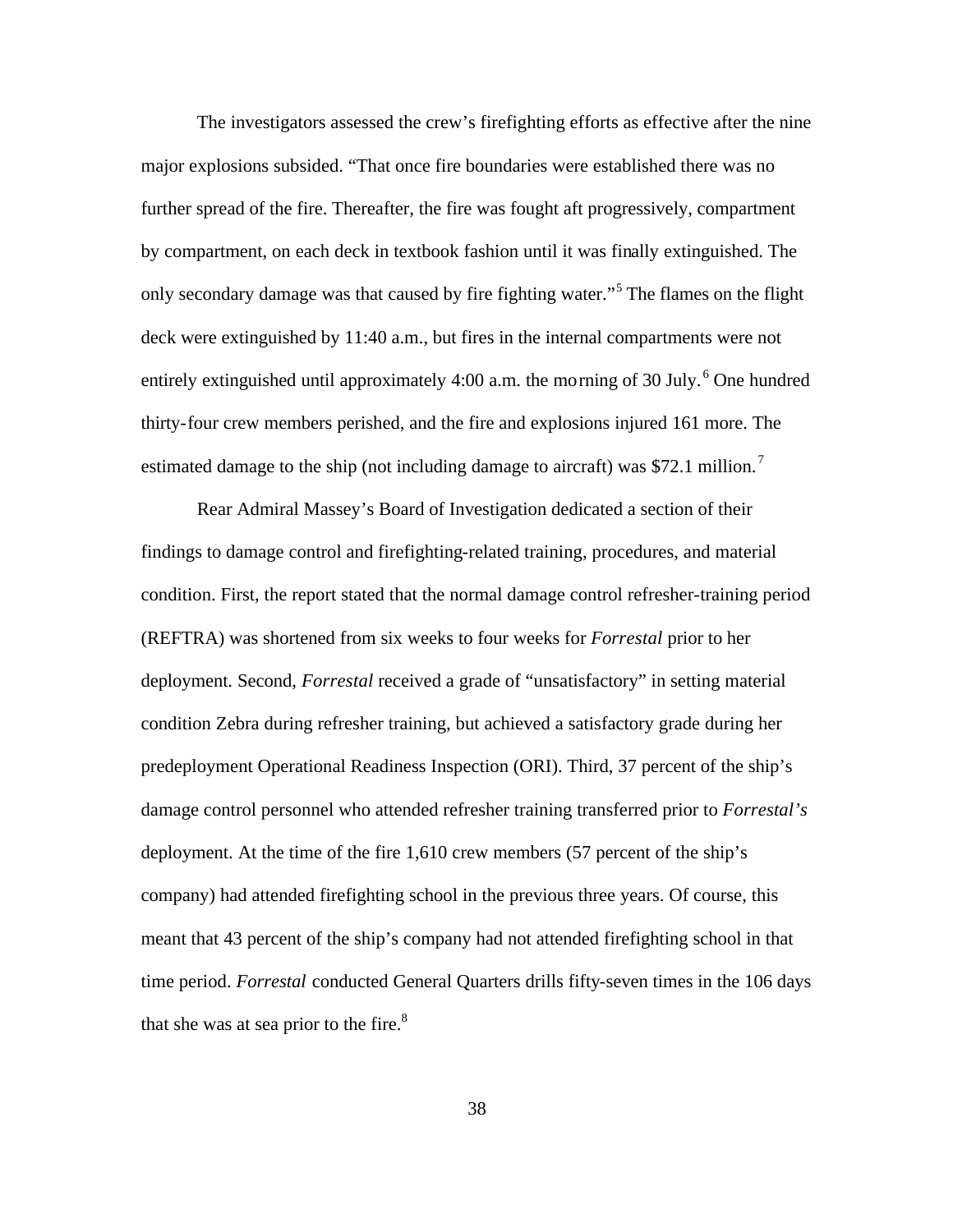The investigators assessed the crew's firefighting efforts as effective after the nine major explosions subsided. "That once fire boundaries were established there was no further spread of the fire. Thereafter, the fire was fought aft progressively, compartment by compartment, on each deck in textbook fashion until it was finally extinguished. The only secondary damage was that caused by fire fighting water."<sup>5</sup> The flames on the flight deck were extinguished by 11:40 a.m., but fires in the internal compartments were not entirely extinguished until approximately 4:00 a.m. the morning of 30 July.<sup>6</sup> One hundred thirty-four crew members perished, and the fire and explosions injured 161 more. The estimated damage to the ship (not including damage to aircraft) was \$72.1 million.<sup>7</sup>

Rear Admiral Massey's Board of Investigation dedicated a section of their findings to damage control and firefighting-related training, procedures, and material condition. First, the report stated that the normal damage control refresher-training period (REFTRA) was shortened from six weeks to four weeks for *Forrestal* prior to her deployment. Second, *Forrestal* received a grade of "unsatisfactory" in setting material condition Zebra during refresher training, but achieved a satisfactory grade during her predeployment Operational Readiness Inspection (ORI). Third, 37 percent of the ship's damage control personnel who attended refresher training transferred prior to *Forrestal's* deployment. At the time of the fire 1,610 crew members (57 percent of the ship's company) had attended firefighting school in the previous three years. Of course, this meant that 43 percent of the ship's company had not attended firefighting school in that time period. *Forrestal* conducted General Quarters drills fifty-seven times in the 106 days that she was at sea prior to the fire. $8<sup>8</sup>$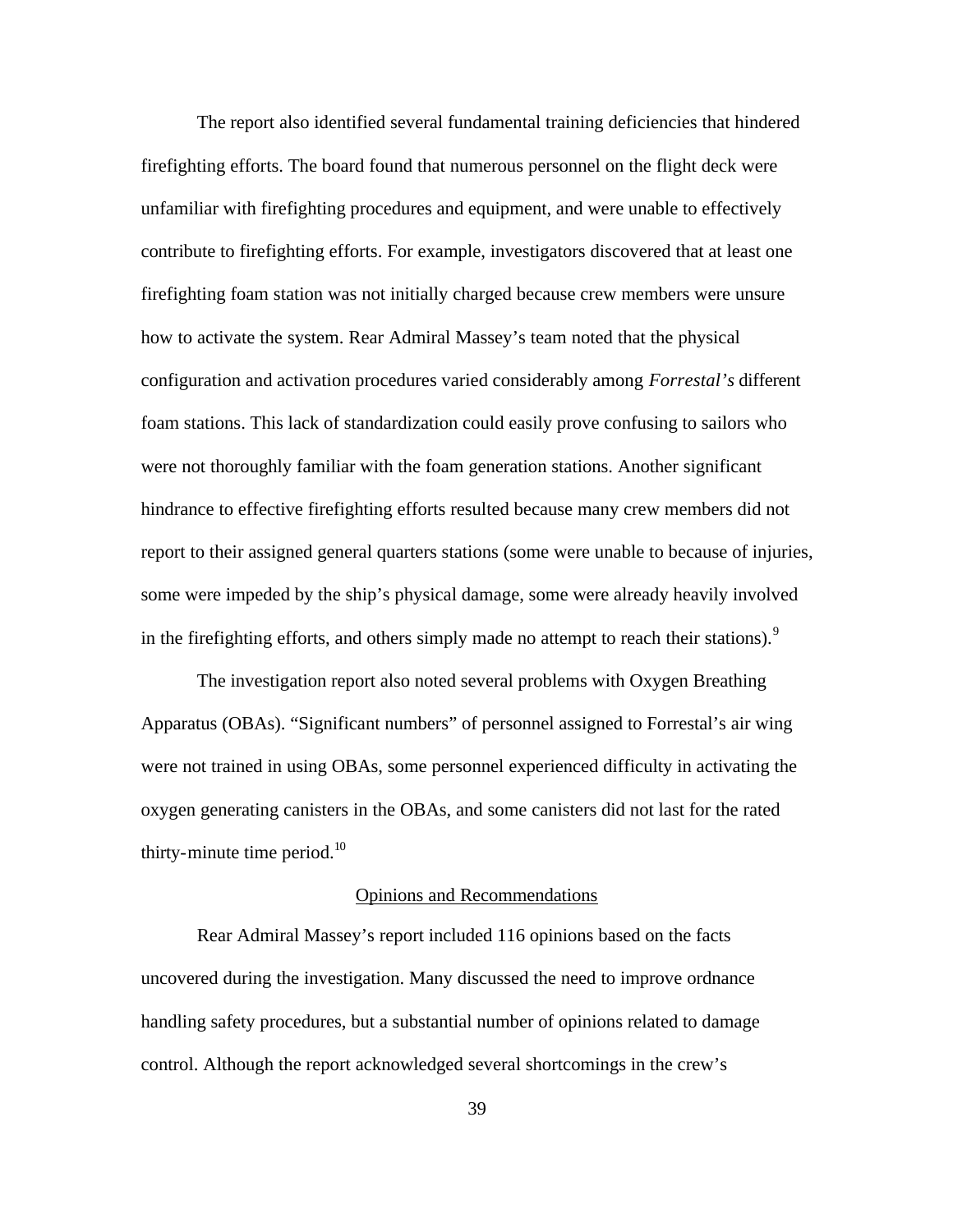The report also identified several fundamental training deficiencies that hindered firefighting efforts. The board found that numerous personnel on the flight deck were unfamiliar with firefighting procedures and equipment, and were unable to effectively contribute to firefighting efforts. For example, investigators discovered that at least one firefighting foam station was not initially charged because crew members were unsure how to activate the system. Rear Admiral Massey's team noted that the physical configuration and activation procedures varied considerably among *Forrestal's* different foam stations. This lack of standardization could easily prove confusing to sailors who were not thoroughly familiar with the foam generation stations. Another significant hindrance to effective firefighting efforts resulted because many crew members did not report to their assigned general quarters stations (some were unable to because of injuries, some were impeded by the ship's physical damage, some were already heavily involved in the firefighting efforts, and others simply made no attempt to reach their stations).<sup>9</sup>

The investigation report also noted several problems with Oxygen Breathing Apparatus (OBAs). "Significant numbers" of personnel assigned to Forrestal's air wing were not trained in using OBAs, some personnel experienced difficulty in activating the oxygen generating canisters in the OBAs, and some canisters did not last for the rated thirty-minute time period. $^{10}$ 

# Opinions and Recommendations

Rear Admiral Massey's report included 116 opinions based on the facts uncovered during the investigation. Many discussed the need to improve ordnance handling safety procedures, but a substantial number of opinions related to damage control. Although the report acknowledged several shortcomings in the crew's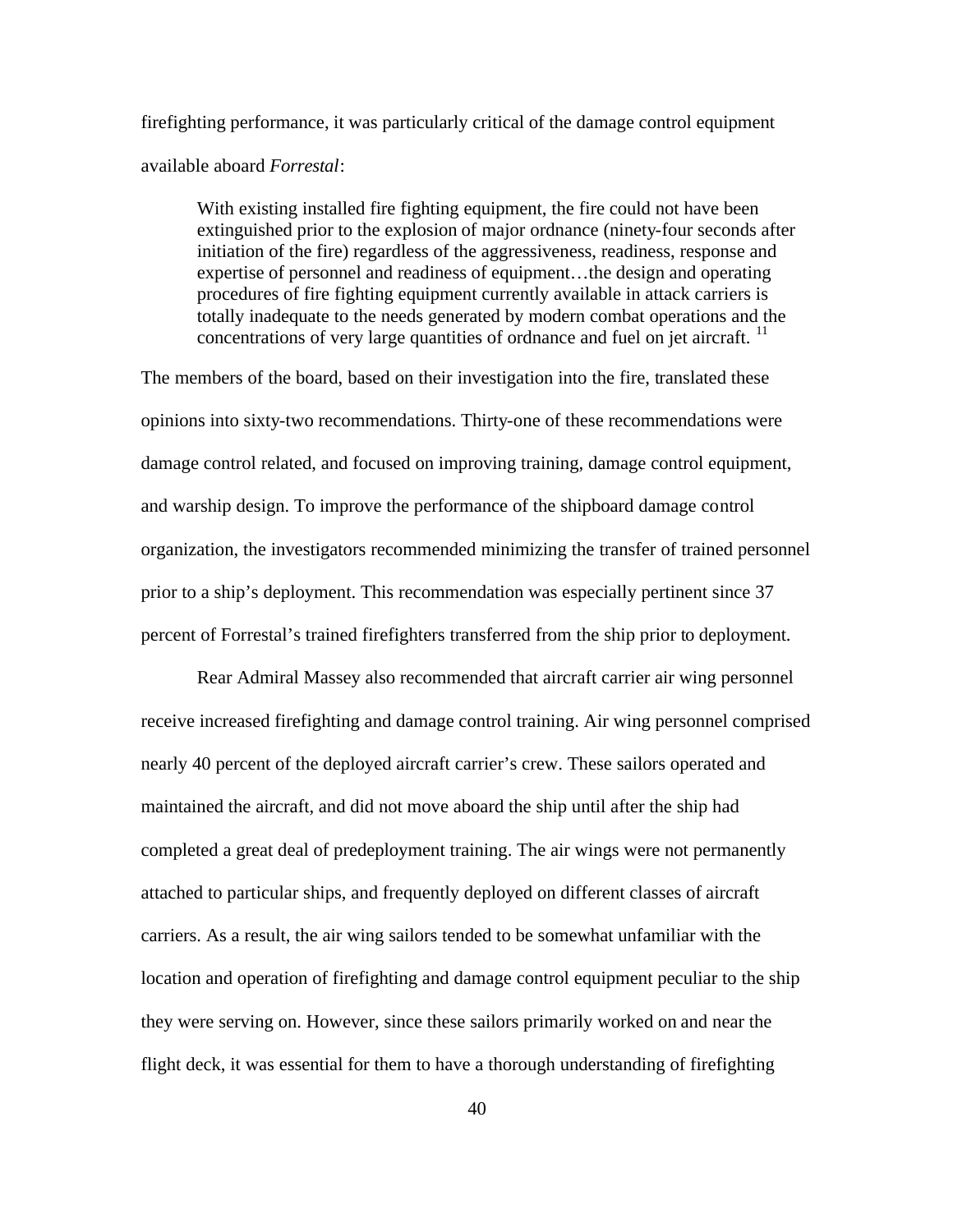firefighting performance, it was particularly critical of the damage control equipment available aboard *Forrestal*:

With existing installed fire fighting equipment, the fire could not have been extinguished prior to the explosion of major ordnance (ninety-four seconds after initiation of the fire) regardless of the aggressiveness, readiness, response and expertise of personnel and readiness of equipment…the design and operating procedures of fire fighting equipment currently available in attack carriers is totally inadequate to the needs generated by modern combat operations and the concentrations of very large quantities of ordnance and fuel on jet aircraft.<sup>11</sup>

The members of the board, based on their investigation into the fire, translated these opinions into sixty-two recommendations. Thirty-one of these recommendations were damage control related, and focused on improving training, damage control equipment, and warship design. To improve the performance of the shipboard damage control organization, the investigators recommended minimizing the transfer of trained personnel prior to a ship's deployment. This recommendation was especially pertinent since 37 percent of Forrestal's trained firefighters transferred from the ship prior to deployment.

Rear Admiral Massey also recommended that aircraft carrier air wing personnel receive increased firefighting and damage control training. Air wing personnel comprised nearly 40 percent of the deployed aircraft carrier's crew. These sailors operated and maintained the aircraft, and did not move aboard the ship until after the ship had completed a great deal of predeployment training. The air wings were not permanently attached to particular ships, and frequently deployed on different classes of aircraft carriers. As a result, the air wing sailors tended to be somewhat unfamiliar with the location and operation of firefighting and damage control equipment peculiar to the ship they were serving on. However, since these sailors primarily worked on and near the flight deck, it was essential for them to have a thorough understanding of firefighting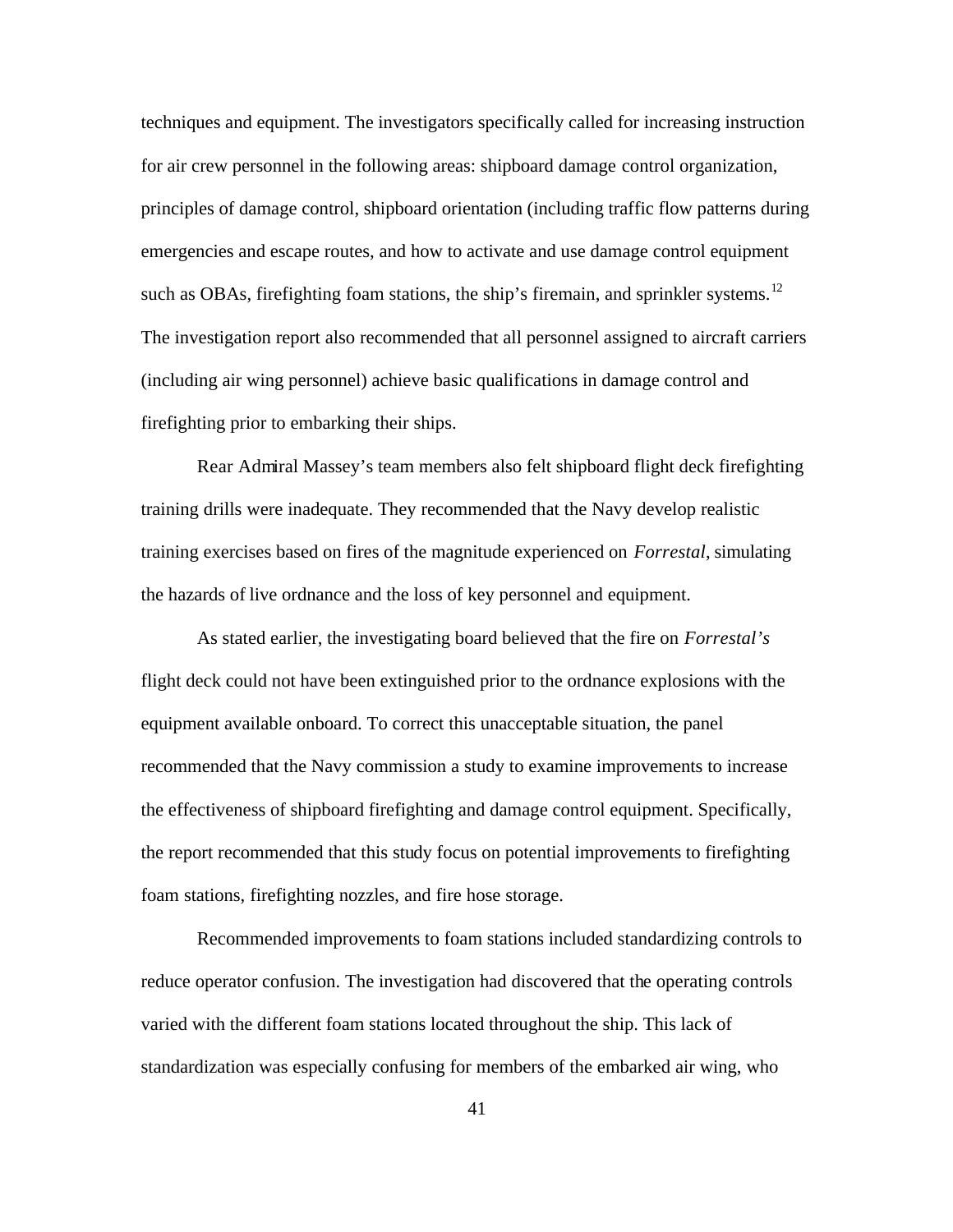techniques and equipment. The investigators specifically called for increasing instruction for air crew personnel in the following areas: shipboard damage control organization, principles of damage control, shipboard orientation (including traffic flow patterns during emergencies and escape routes, and how to activate and use damage control equipment such as OBAs, firefighting foam stations, the ship's firemain, and sprinkler systems.<sup>12</sup> The investigation report also recommended that all personnel assigned to aircraft carriers (including air wing personnel) achieve basic qualifications in damage control and firefighting prior to embarking their ships.

Rear Admiral Massey's team members also felt shipboard flight deck firefighting training drills were inadequate. They recommended that the Navy develop realistic training exercises based on fires of the magnitude experienced on *Forrestal*, simulating the hazards of live ordnance and the loss of key personnel and equipment.

As stated earlier, the investigating board believed that the fire on *Forrestal's* flight deck could not have been extinguished prior to the ordnance explosions with the equipment available onboard. To correct this unacceptable situation, the panel recommended that the Navy commission a study to examine improvements to increase the effectiveness of shipboard firefighting and damage control equipment. Specifically, the report recommended that this study focus on potential improvements to firefighting foam stations, firefighting nozzles, and fire hose storage.

Recommended improvements to foam stations included standardizing controls to reduce operator confusion. The investigation had discovered that the operating controls varied with the different foam stations located throughout the ship. This lack of standardization was especially confusing for members of the embarked air wing, who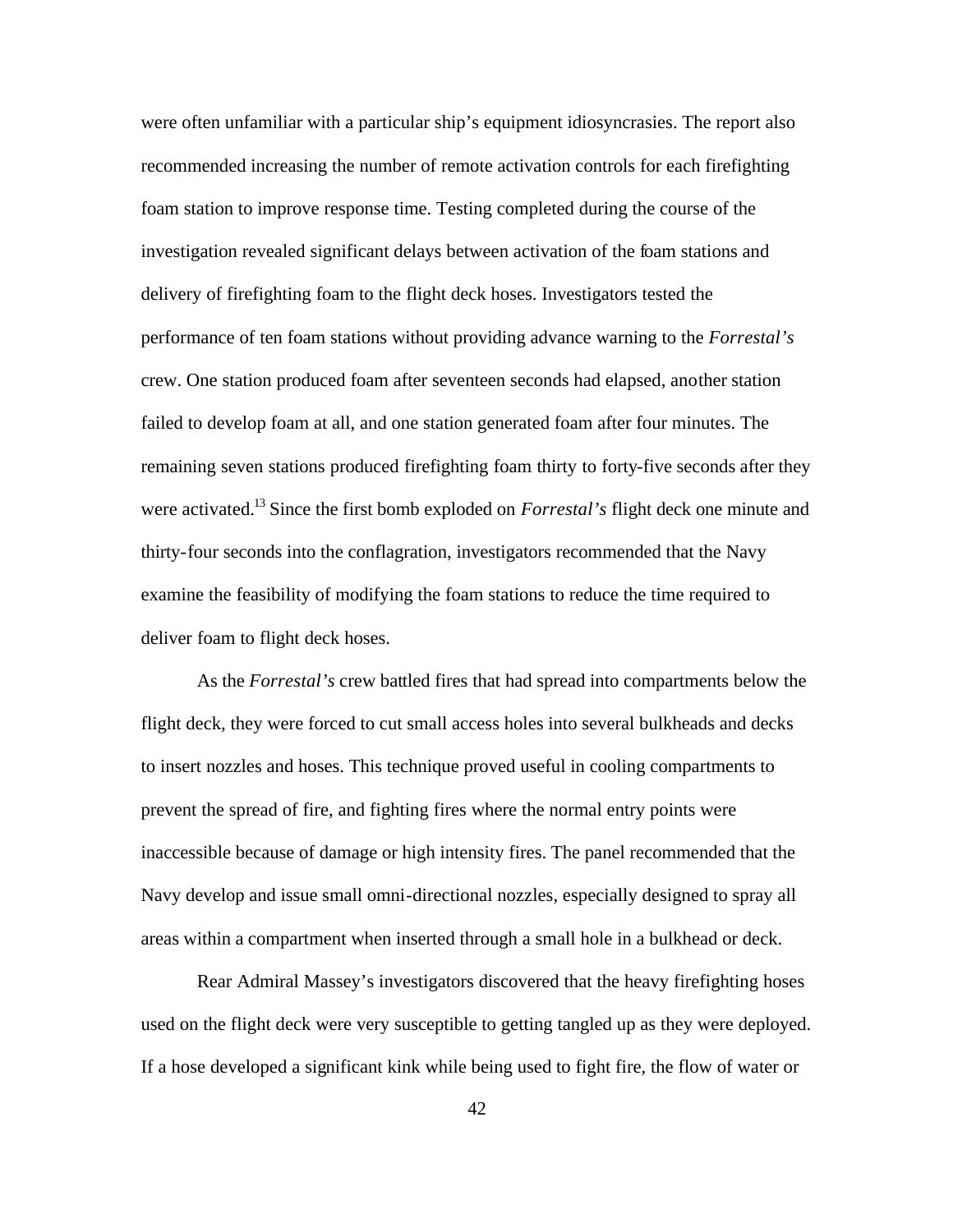were often unfamiliar with a particular ship's equipment idiosyncrasies. The report also recommended increasing the number of remote activation controls for each firefighting foam station to improve response time. Testing completed during the course of the investigation revealed significant delays between activation of the foam stations and delivery of firefighting foam to the flight deck hoses. Investigators tested the performance of ten foam stations without providing advance warning to the *Forrestal's* crew. One station produced foam after seventeen seconds had elapsed, another station failed to develop foam at all, and one station generated foam after four minutes. The remaining seven stations produced firefighting foam thirty to forty-five seconds after they were activated.<sup>13</sup> Since the first bomb exploded on *Forrestal's* flight deck one minute and thirty-four seconds into the conflagration, investigators recommended that the Navy examine the feasibility of modifying the foam stations to reduce the time required to deliver foam to flight deck hoses.

As the *Forrestal's* crew battled fires that had spread into compartments below the flight deck, they were forced to cut small access holes into several bulkheads and decks to insert nozzles and hoses. This technique proved useful in cooling compartments to prevent the spread of fire, and fighting fires where the normal entry points were inaccessible because of damage or high intensity fires. The panel recommended that the Navy develop and issue small omni-directional nozzles, especially designed to spray all areas within a compartment when inserted through a small hole in a bulkhead or deck.

Rear Admiral Massey's investigators discovered that the heavy firefighting hoses used on the flight deck were very susceptible to getting tangled up as they were deployed. If a hose developed a significant kink while being used to fight fire, the flow of water or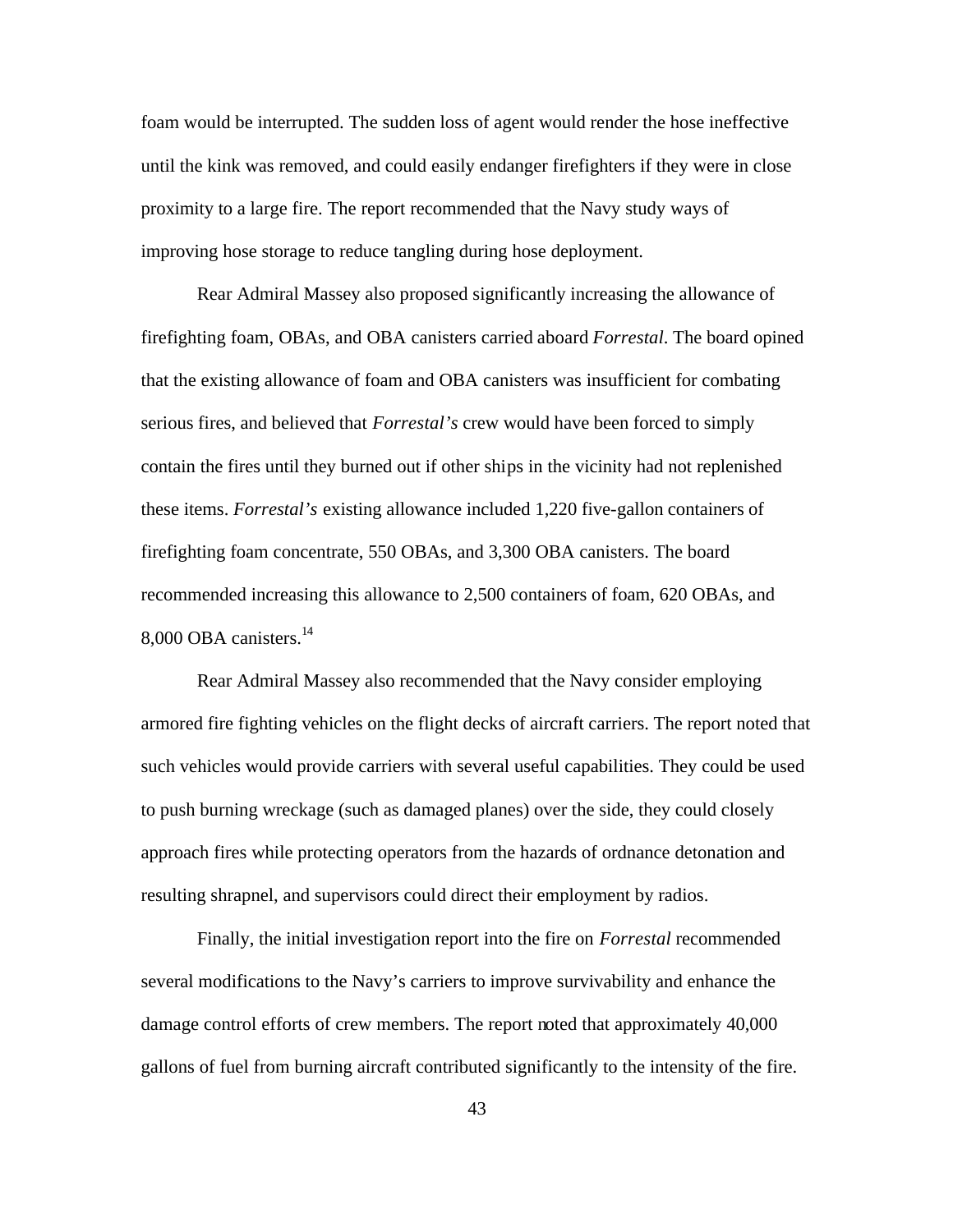foam would be interrupted. The sudden loss of agent would render the hose ineffective until the kink was removed, and could easily endanger firefighters if they were in close proximity to a large fire. The report recommended that the Navy study ways of improving hose storage to reduce tangling during hose deployment.

Rear Admiral Massey also proposed significantly increasing the allowance of firefighting foam, OBAs, and OBA canisters carried aboard *Forrestal*. The board opined that the existing allowance of foam and OBA canisters was insufficient for combating serious fires, and believed that *Forrestal's* crew would have been forced to simply contain the fires until they burned out if other ships in the vicinity had not replenished these items. *Forrestal's* existing allowance included 1,220 five-gallon containers of firefighting foam concentrate, 550 OBAs, and 3,300 OBA canisters. The board recommended increasing this allowance to 2,500 containers of foam, 620 OBAs, and 8,000 OBA canisters. $^{14}$ 

Rear Admiral Massey also recommended that the Navy consider employing armored fire fighting vehicles on the flight decks of aircraft carriers. The report noted that such vehicles would provide carriers with several useful capabilities. They could be used to push burning wreckage (such as damaged planes) over the side, they could closely approach fires while protecting operators from the hazards of ordnance detonation and resulting shrapnel, and supervisors could direct their employment by radios.

Finally, the initial investigation report into the fire on *Forrestal* recommended several modifications to the Navy's carriers to improve survivability and enhance the damage control efforts of crew members. The report noted that approximately 40,000 gallons of fuel from burning aircraft contributed significantly to the intensity of the fire.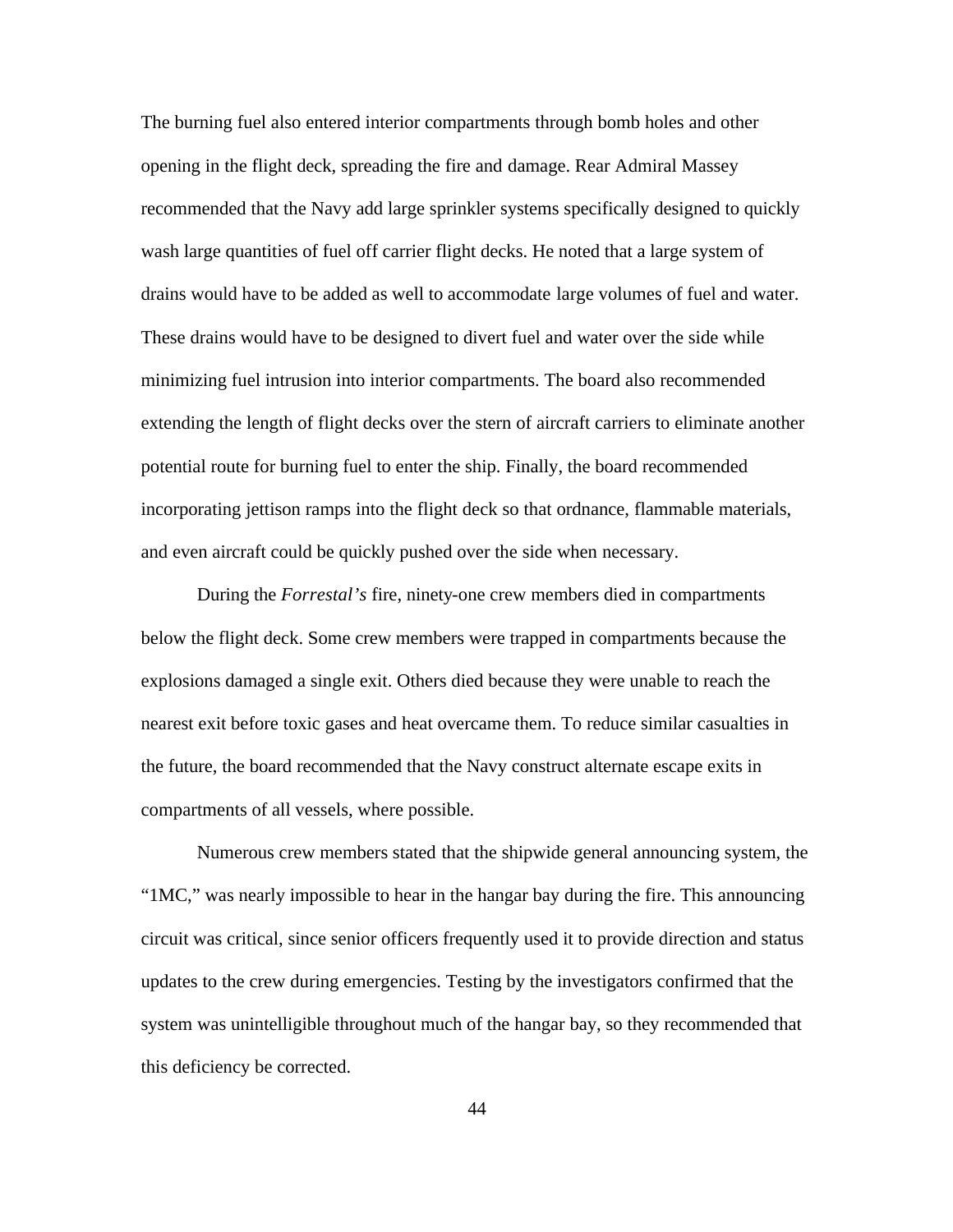The burning fuel also entered interior compartments through bomb holes and other opening in the flight deck, spreading the fire and damage. Rear Admiral Massey recommended that the Navy add large sprinkler systems specifically designed to quickly wash large quantities of fuel off carrier flight decks. He noted that a large system of drains would have to be added as well to accommodate large volumes of fuel and water. These drains would have to be designed to divert fuel and water over the side while minimizing fuel intrusion into interior compartments. The board also recommended extending the length of flight decks over the stern of aircraft carriers to eliminate another potential route for burning fuel to enter the ship. Finally, the board recommended incorporating jettison ramps into the flight deck so that ordnance, flammable materials, and even aircraft could be quickly pushed over the side when necessary.

During the *Forrestal's* fire, ninety-one crew members died in compartments below the flight deck. Some crew members were trapped in compartments because the explosions damaged a single exit. Others died because they were unable to reach the nearest exit before toxic gases and heat overcame them. To reduce similar casualties in the future, the board recommended that the Navy construct alternate escape exits in compartments of all vessels, where possible.

Numerous crew members stated that the shipwide general announcing system, the "1MC," was nearly impossible to hear in the hangar bay during the fire. This announcing circuit was critical, since senior officers frequently used it to provide direction and status updates to the crew during emergencies. Testing by the investigators confirmed that the system was unintelligible throughout much of the hangar bay, so they recommended that this deficiency be corrected.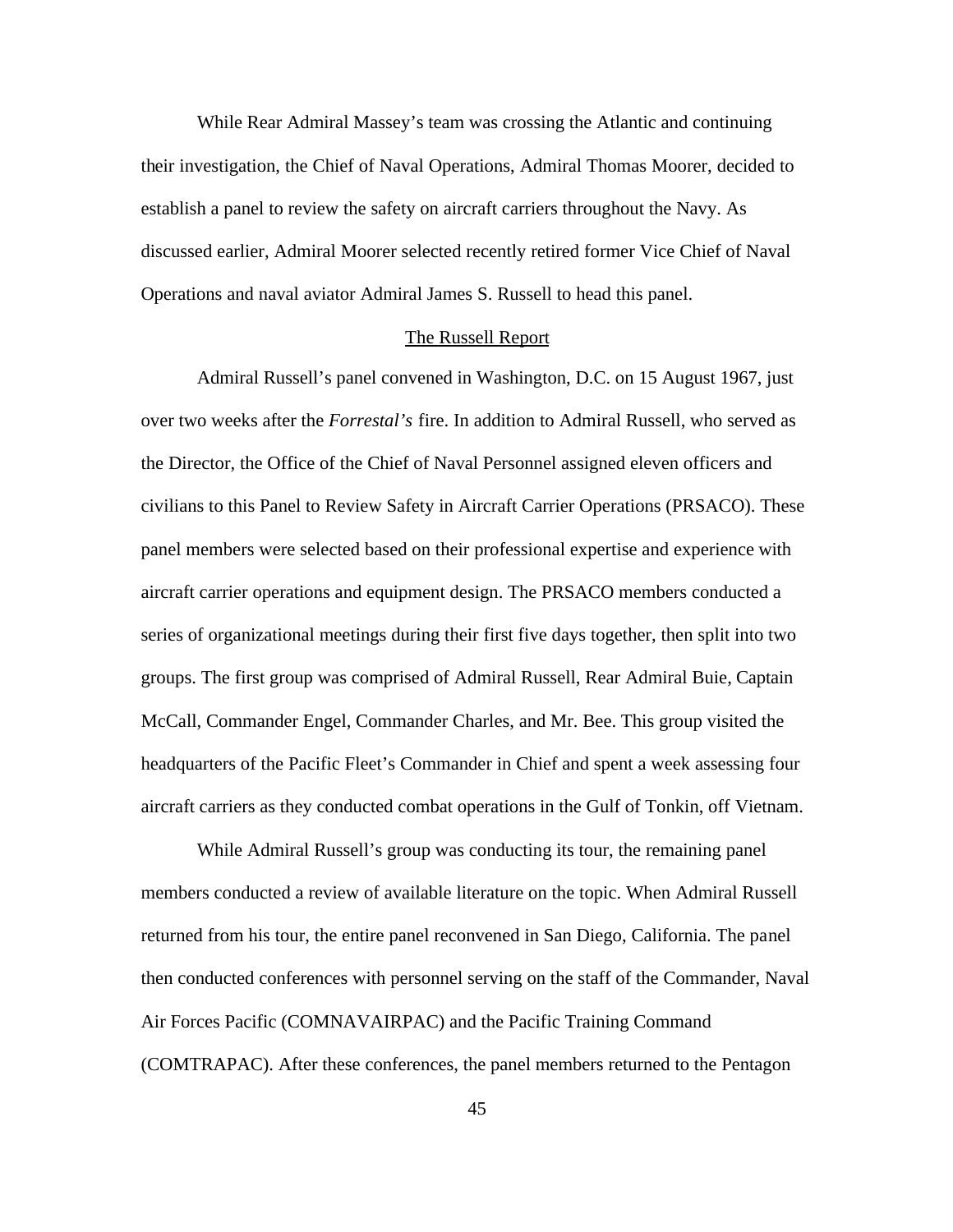While Rear Admiral Massey's team was crossing the Atlantic and continuing their investigation, the Chief of Naval Operations, Admiral Thomas Moorer, decided to establish a panel to review the safety on aircraft carriers throughout the Navy. As discussed earlier, Admiral Moorer selected recently retired former Vice Chief of Naval Operations and naval aviator Admiral James S. Russell to head this panel.

### The Russell Report

Admiral Russell's panel convened in Washington, D.C. on 15 August 1967, just over two weeks after the *Forrestal's* fire. In addition to Admiral Russell, who served as the Director, the Office of the Chief of Naval Personnel assigned eleven officers and civilians to this Panel to Review Safety in Aircraft Carrier Operations (PRSACO). These panel members were selected based on their professional expertise and experience with aircraft carrier operations and equipment design. The PRSACO members conducted a series of organizational meetings during their first five days together, then split into two groups. The first group was comprised of Admiral Russell, Rear Admiral Buie, Captain McCall, Commander Engel, Commander Charles, and Mr. Bee. This group visited the headquarters of the Pacific Fleet's Commander in Chief and spent a week assessing four aircraft carriers as they conducted combat operations in the Gulf of Tonkin, off Vietnam.

While Admiral Russell's group was conducting its tour, the remaining panel members conducted a review of available literature on the topic. When Admiral Russell returned from his tour, the entire panel reconvened in San Diego, California. The panel then conducted conferences with personnel serving on the staff of the Commander, Naval Air Forces Pacific (COMNAVAIRPAC) and the Pacific Training Command (COMTRAPAC). After these conferences, the panel members returned to the Pentagon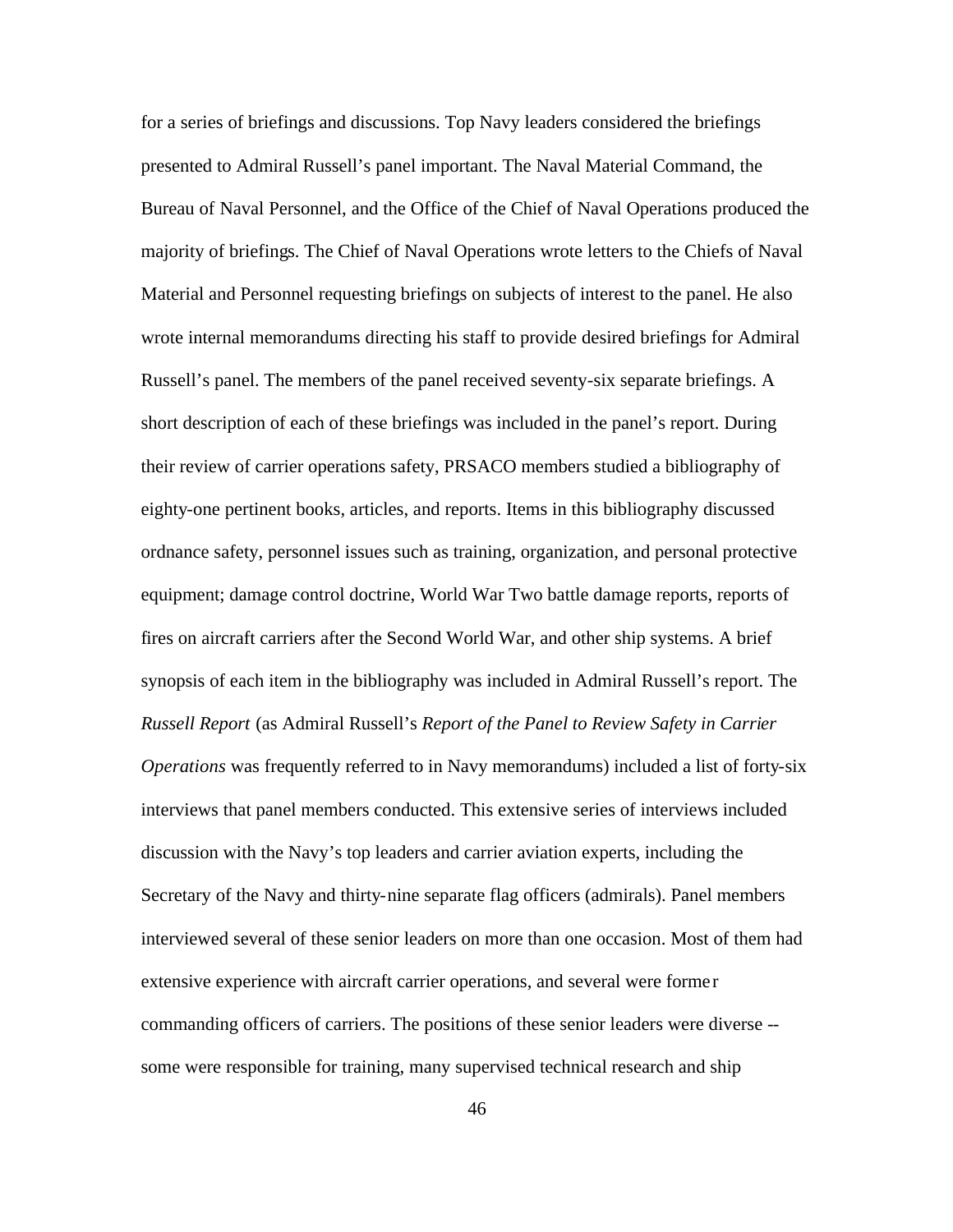for a series of briefings and discussions. Top Navy leaders considered the briefings presented to Admiral Russell's panel important. The Naval Material Command, the Bureau of Naval Personnel, and the Office of the Chief of Naval Operations produced the majority of briefings. The Chief of Naval Operations wrote letters to the Chiefs of Naval Material and Personnel requesting briefings on subjects of interest to the panel. He also wrote internal memorandums directing his staff to provide desired briefings for Admiral Russell's panel. The members of the panel received seventy-six separate briefings. A short description of each of these briefings was included in the panel's report. During their review of carrier operations safety, PRSACO members studied a bibliography of eighty-one pertinent books, articles, and reports. Items in this bibliography discussed ordnance safety, personnel issues such as training, organization, and personal protective equipment; damage control doctrine, World War Two battle damage reports, reports of fires on aircraft carriers after the Second World War, and other ship systems. A brief synopsis of each item in the bibliography was included in Admiral Russell's report. The *Russell Report* (as Admiral Russell's *Report of the Panel to Review Safety in Carrier Operations* was frequently referred to in Navy memorandums) included a list of forty-six interviews that panel members conducted. This extensive series of interviews included discussion with the Navy's top leaders and carrier aviation experts, including the Secretary of the Navy and thirty-nine separate flag officers (admirals). Panel members interviewed several of these senior leaders on more than one occasion. Most of them had extensive experience with aircraft carrier operations, and several were former commanding officers of carriers. The positions of these senior leaders were diverse - some were responsible for training, many supervised technical research and ship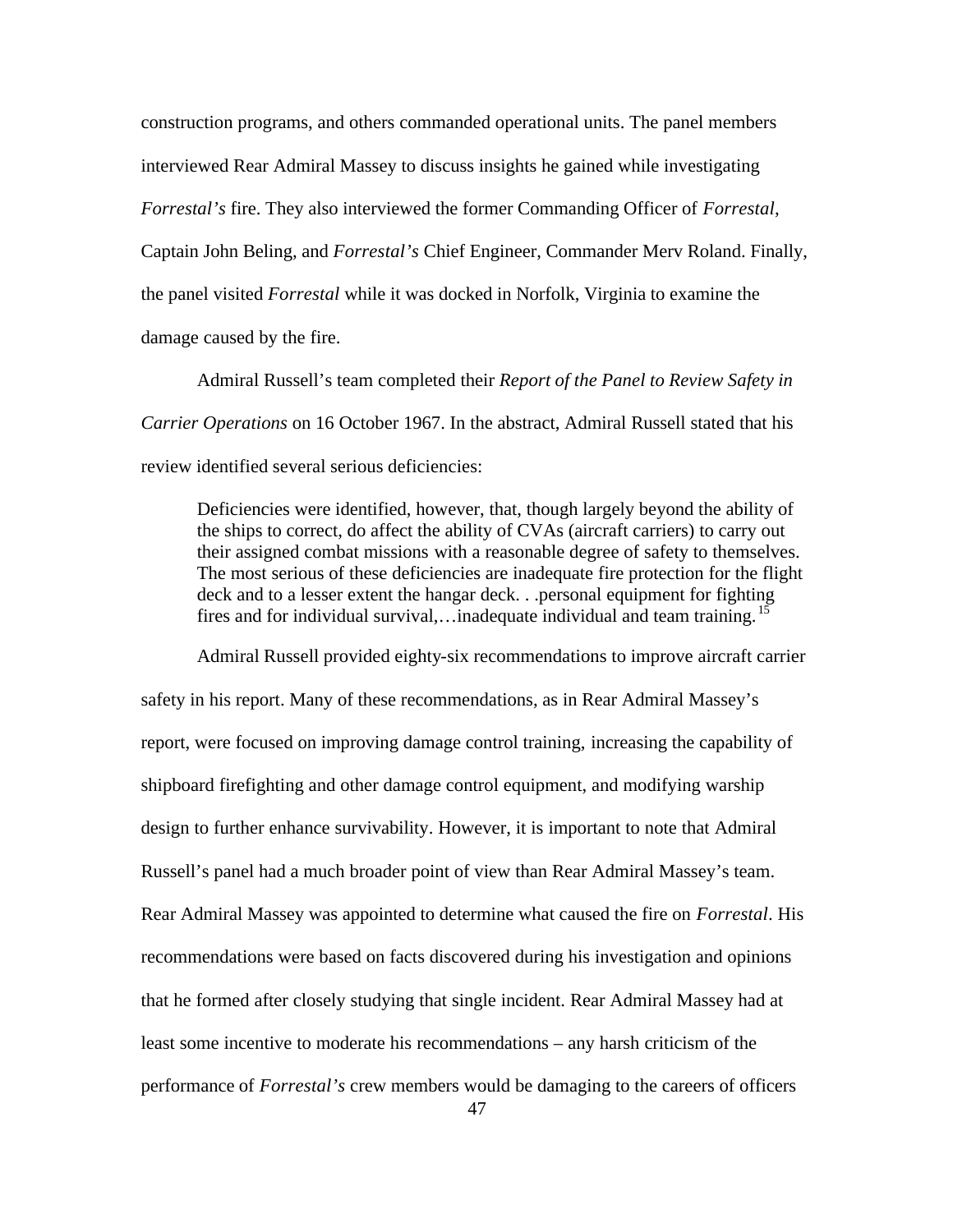construction programs, and others commanded operational units. The panel members interviewed Rear Admiral Massey to discuss insights he gained while investigating *Forrestal's* fire. They also interviewed the former Commanding Officer of *Forrestal*, Captain John Beling, and *Forrestal's* Chief Engineer, Commander Merv Roland. Finally, the panel visited *Forrestal* while it was docked in Norfolk, Virginia to examine the damage caused by the fire.

Admiral Russell's team completed their *Report of the Panel to Review Safety in Carrier Operations* on 16 October 1967. In the abstract, Admiral Russell stated that his review identified several serious deficiencies:

Deficiencies were identified, however, that, though largely beyond the ability of the ships to correct, do affect the ability of CVAs (aircraft carriers) to carry out their assigned combat missions with a reasonable degree of safety to themselves. The most serious of these deficiencies are inadequate fire protection for the flight deck and to a lesser extent the hangar deck. . .personal equipment for fighting fires and for individual survival,...inadequate individual and team training.<sup>15</sup>

Admiral Russell provided eighty-six recommendations to improve aircraft carrier safety in his report. Many of these recommendations, as in Rear Admiral Massey's report, were focused on improving damage control training, increasing the capability of shipboard firefighting and other damage control equipment, and modifying warship design to further enhance survivability. However, it is important to note that Admiral Russell's panel had a much broader point of view than Rear Admiral Massey's team. Rear Admiral Massey was appointed to determine what caused the fire on *Forrestal*. His recommendations were based on facts discovered during his investigation and opinions that he formed after closely studying that single incident. Rear Admiral Massey had at least some incentive to moderate his recommendations – any harsh criticism of the performance of *Forrestal's* crew members would be damaging to the careers of officers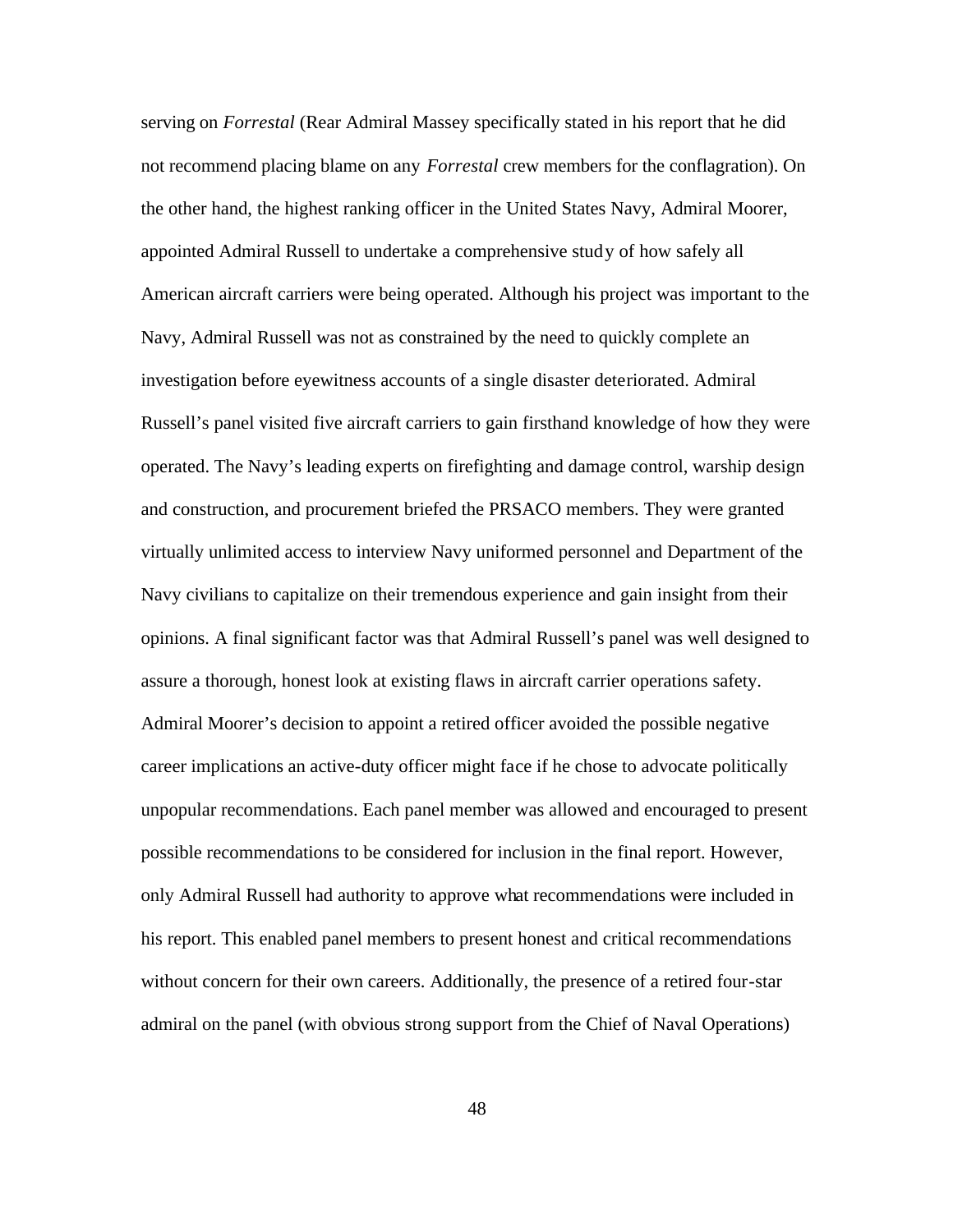serving on *Forrestal* (Rear Admiral Massey specifically stated in his report that he did not recommend placing blame on any *Forrestal* crew members for the conflagration). On the other hand, the highest ranking officer in the United States Navy, Admiral Moorer, appointed Admiral Russell to undertake a comprehensive study of how safely all American aircraft carriers were being operated. Although his project was important to the Navy, Admiral Russell was not as constrained by the need to quickly complete an investigation before eyewitness accounts of a single disaster deteriorated. Admiral Russell's panel visited five aircraft carriers to gain firsthand knowledge of how they were operated. The Navy's leading experts on firefighting and damage control, warship design and construction, and procurement briefed the PRSACO members. They were granted virtually unlimited access to interview Navy uniformed personnel and Department of the Navy civilians to capitalize on their tremendous experience and gain insight from their opinions. A final significant factor was that Admiral Russell's panel was well designed to assure a thorough, honest look at existing flaws in aircraft carrier operations safety. Admiral Moorer's decision to appoint a retired officer avoided the possible negative career implications an active-duty officer might face if he chose to advocate politically unpopular recommendations. Each panel member was allowed and encouraged to present possible recommendations to be considered for inclusion in the final report. However, only Admiral Russell had authority to approve what recommendations were included in his report. This enabled panel members to present honest and critical recommendations without concern for their own careers. Additionally, the presence of a retired four-star admiral on the panel (with obvious strong support from the Chief of Naval Operations)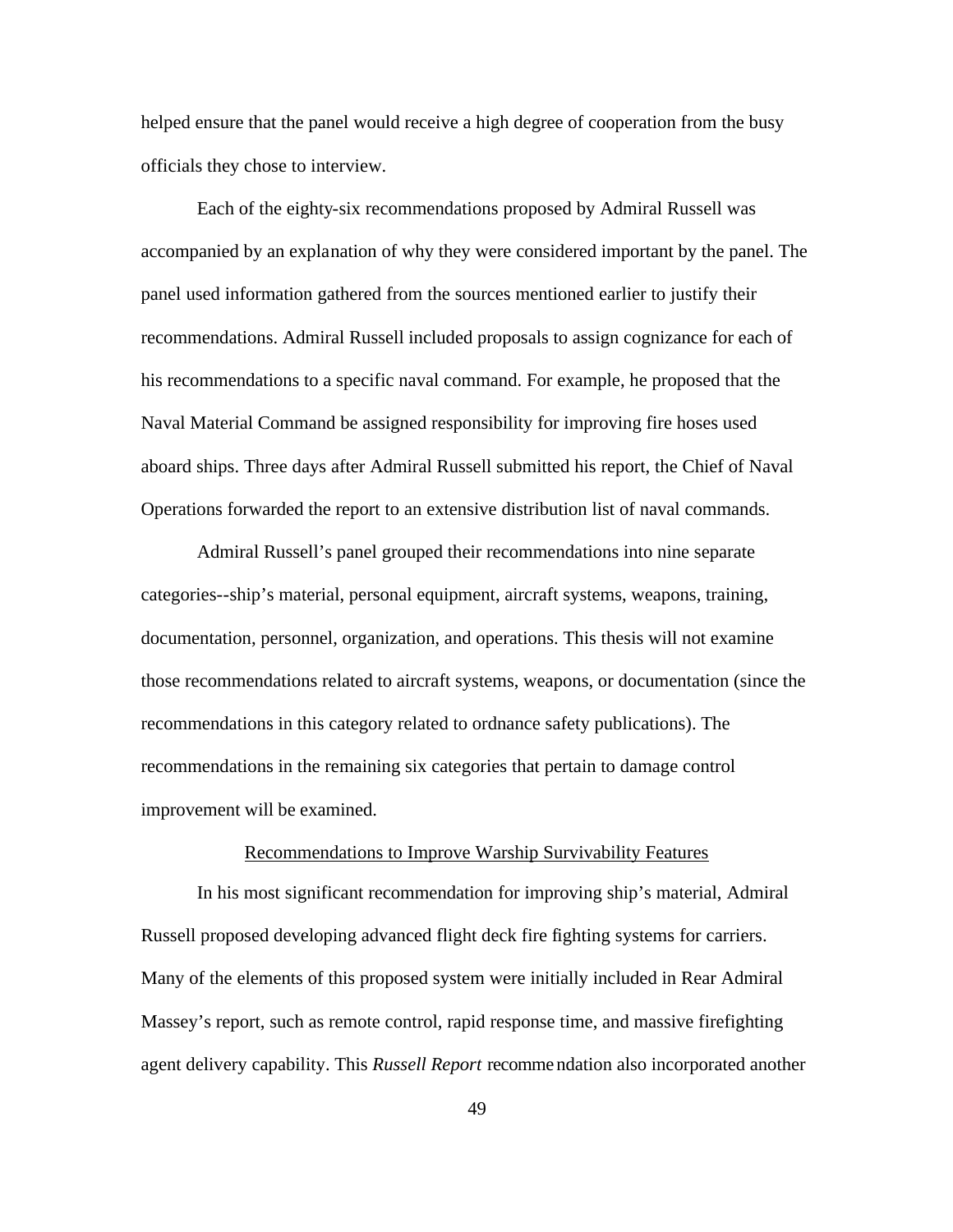helped ensure that the panel would receive a high degree of cooperation from the busy officials they chose to interview.

Each of the eighty-six recommendations proposed by Admiral Russell was accompanied by an explanation of why they were considered important by the panel. The panel used information gathered from the sources mentioned earlier to justify their recommendations. Admiral Russell included proposals to assign cognizance for each of his recommendations to a specific naval command. For example, he proposed that the Naval Material Command be assigned responsibility for improving fire hoses used aboard ships. Three days after Admiral Russell submitted his report, the Chief of Naval Operations forwarded the report to an extensive distribution list of naval commands.

Admiral Russell's panel grouped their recommendations into nine separate categories--ship's material, personal equipment, aircraft systems, weapons, training, documentation, personnel, organization, and operations. This thesis will not examine those recommendations related to aircraft systems, weapons, or documentation (since the recommendations in this category related to ordnance safety publications). The recommendations in the remaining six categories that pertain to damage control improvement will be examined.

# Recommendations to Improve Warship Survivability Features

In his most significant recommendation for improving ship's material, Admiral Russell proposed developing advanced flight deck fire fighting systems for carriers. Many of the elements of this proposed system were initially included in Rear Admiral Massey's report, such as remote control, rapid response time, and massive firefighting agent delivery capability. This *Russell Report* recomme ndation also incorporated another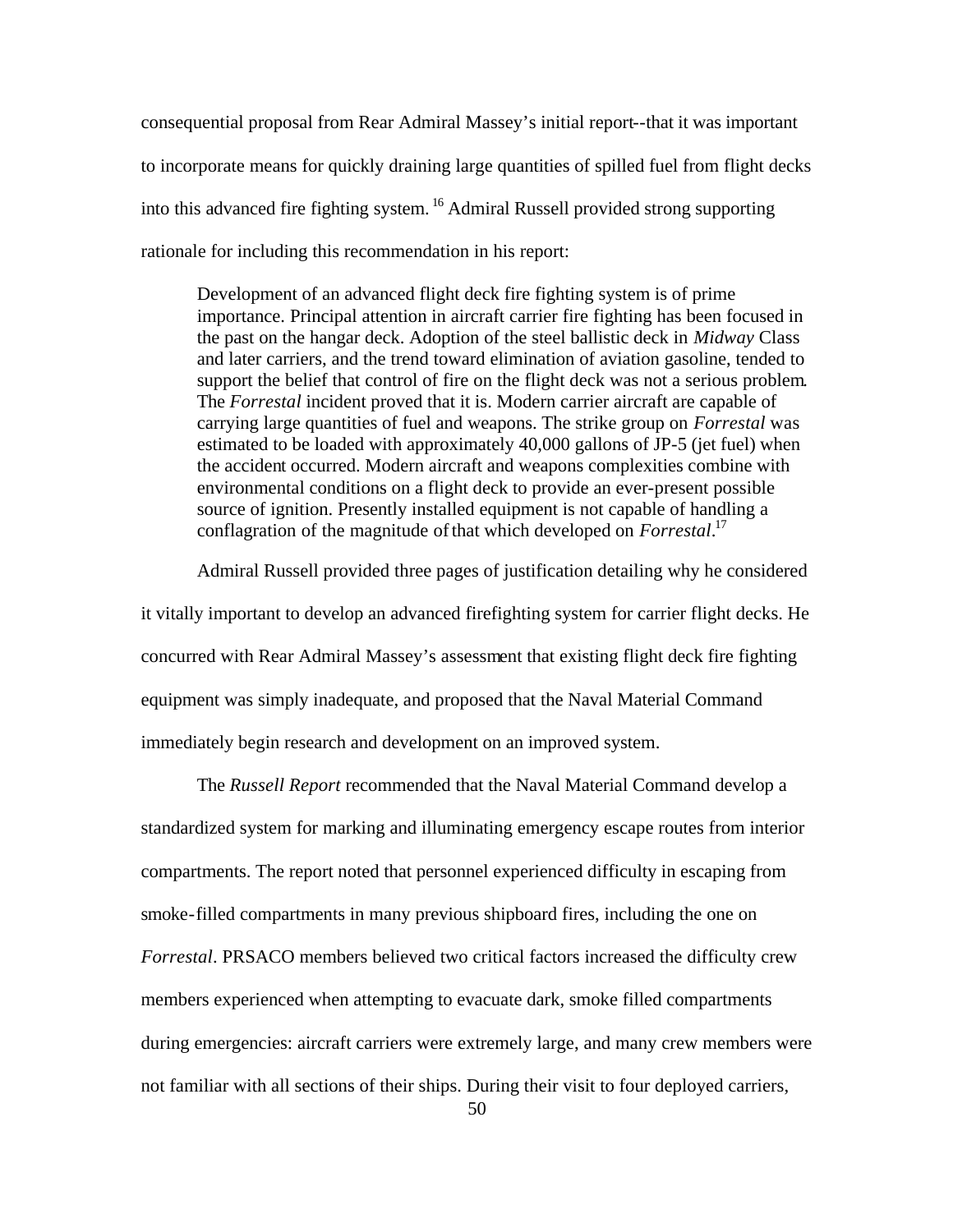consequential proposal from Rear Admiral Massey's initial report--that it was important to incorporate means for quickly draining large quantities of spilled fuel from flight decks into this advanced fire fighting system. <sup>16</sup> Admiral Russell provided strong supporting rationale for including this recommendation in his report:

Development of an advanced flight deck fire fighting system is of prime importance. Principal attention in aircraft carrier fire fighting has been focused in the past on the hangar deck. Adoption of the steel ballistic deck in *Midway* Class and later carriers, and the trend toward elimination of aviation gasoline, tended to support the belief that control of fire on the flight deck was not a serious problem. The *Forrestal* incident proved that it is. Modern carrier aircraft are capable of carrying large quantities of fuel and weapons. The strike group on *Forrestal* was estimated to be loaded with approximately 40,000 gallons of JP-5 (jet fuel) when the accident occurred. Modern aircraft and weapons complexities combine with environmental conditions on a flight deck to provide an ever-present possible source of ignition. Presently installed equipment is not capable of handling a conflagration of the magnitude of that which developed on *Forrestal*. 17

Admiral Russell provided three pages of justification detailing why he considered it vitally important to develop an advanced firefighting system for carrier flight decks. He concurred with Rear Admiral Massey's assessment that existing flight deck fire fighting equipment was simply inadequate, and proposed that the Naval Material Command immediately begin research and development on an improved system.

The *Russell Report* recommended that the Naval Material Command develop a standardized system for marking and illuminating emergency escape routes from interior compartments. The report noted that personnel experienced difficulty in escaping from smoke-filled compartments in many previous shipboard fires, including the one on *Forrestal*. PRSACO members believed two critical factors increased the difficulty crew members experienced when attempting to evacuate dark, smoke filled compartments during emergencies: aircraft carriers were extremely large, and many crew members were not familiar with all sections of their ships. During their visit to four deployed carriers,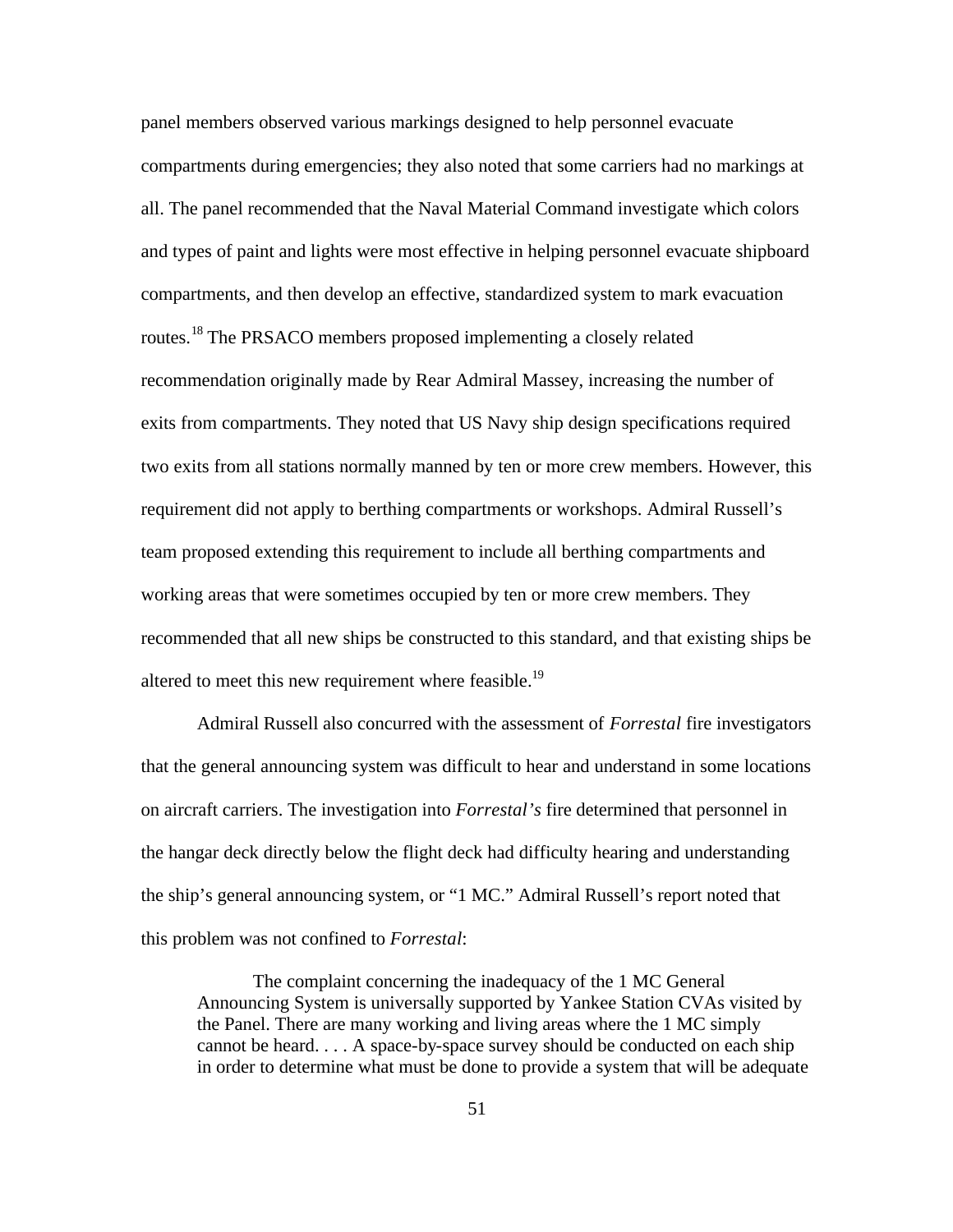panel members observed various markings designed to help personnel evacuate compartments during emergencies; they also noted that some carriers had no markings at all. The panel recommended that the Naval Material Command investigate which colors and types of paint and lights were most effective in helping personnel evacuate shipboard compartments, and then develop an effective, standardized system to mark evacuation routes.<sup>18</sup> The PRSACO members proposed implementing a closely related recommendation originally made by Rear Admiral Massey, increasing the number of exits from compartments. They noted that US Navy ship design specifications required two exits from all stations normally manned by ten or more crew members. However, this requirement did not apply to berthing compartments or workshops. Admiral Russell's team proposed extending this requirement to include all berthing compartments and working areas that were sometimes occupied by ten or more crew members. They recommended that all new ships be constructed to this standard, and that existing ships be altered to meet this new requirement where feasible.<sup>19</sup>

Admiral Russell also concurred with the assessment of *Forrestal* fire investigators that the general announcing system was difficult to hear and understand in some locations on aircraft carriers. The investigation into *Forrestal's* fire determined that personnel in the hangar deck directly below the flight deck had difficulty hearing and understanding the ship's general announcing system, or "1 MC." Admiral Russell's report noted that this problem was not confined to *Forrestal*:

The complaint concerning the inadequacy of the 1 MC General Announcing System is universally supported by Yankee Station CVAs visited by the Panel. There are many working and living areas where the 1 MC simply cannot be heard. . . . A space-by-space survey should be conducted on each ship in order to determine what must be done to provide a system that will be adequate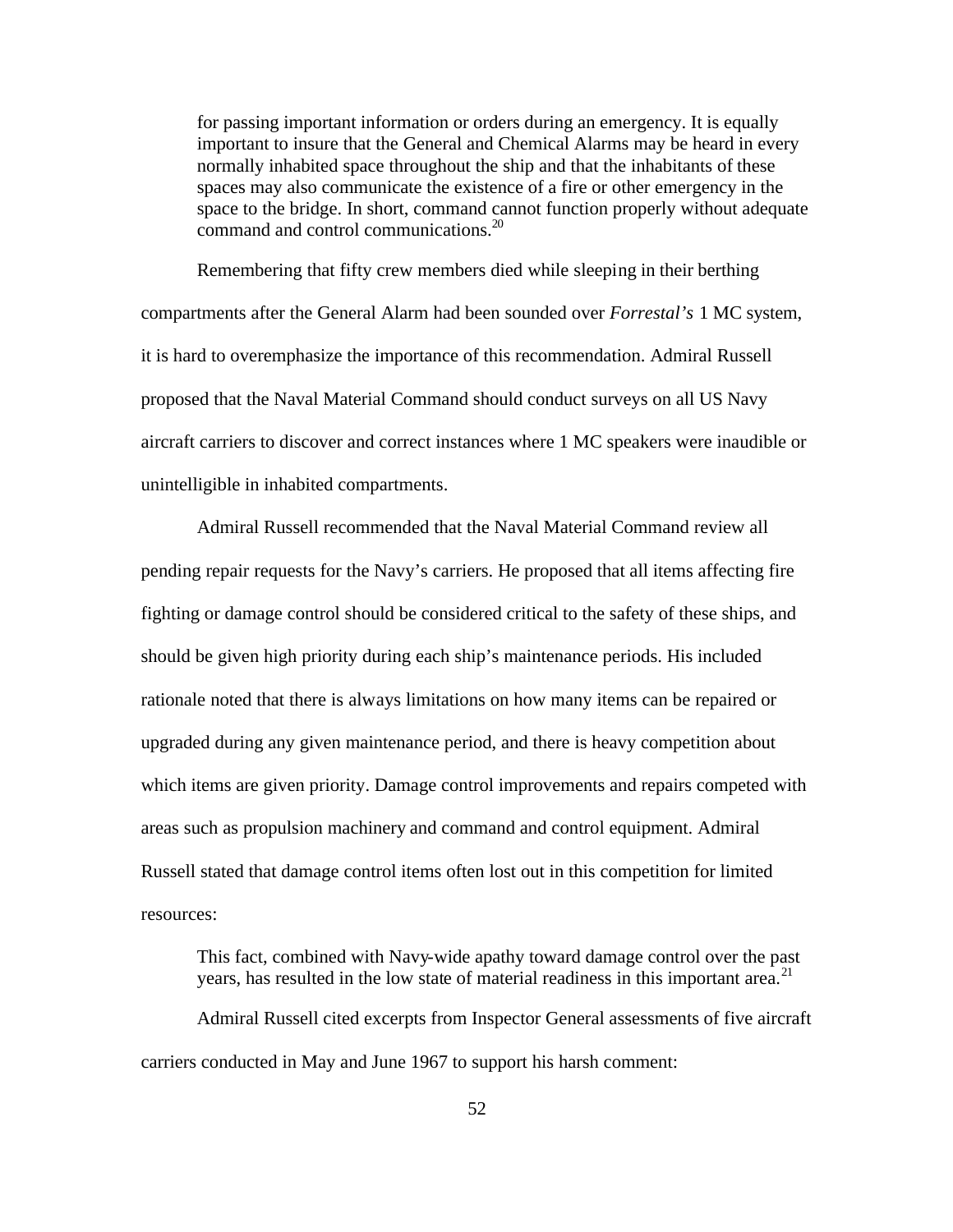for passing important information or orders during an emergency. It is equally important to insure that the General and Chemical Alarms may be heard in every normally inhabited space throughout the ship and that the inhabitants of these spaces may also communicate the existence of a fire or other emergency in the space to the bridge. In short, command cannot function properly without adequate command and control communications.<sup>20</sup>

Remembering that fifty crew members died while sleeping in their berthing compartments after the General Alarm had been sounded over *Forrestal's* 1 MC system, it is hard to overemphasize the importance of this recommendation. Admiral Russell proposed that the Naval Material Command should conduct surveys on all US Navy aircraft carriers to discover and correct instances where 1 MC speakers were inaudible or unintelligible in inhabited compartments.

Admiral Russell recommended that the Naval Material Command review all pending repair requests for the Navy's carriers. He proposed that all items affecting fire fighting or damage control should be considered critical to the safety of these ships, and should be given high priority during each ship's maintenance periods. His included rationale noted that there is always limitations on how many items can be repaired or upgraded during any given maintenance period, and there is heavy competition about which items are given priority. Damage control improvements and repairs competed with areas such as propulsion machinery and command and control equipment. Admiral Russell stated that damage control items often lost out in this competition for limited resources:

This fact, combined with Navy-wide apathy toward damage control over the past years, has resulted in the low state of material readiness in this important area.<sup>21</sup>

Admiral Russell cited excerpts from Inspector General assessments of five aircraft carriers conducted in May and June 1967 to support his harsh comment: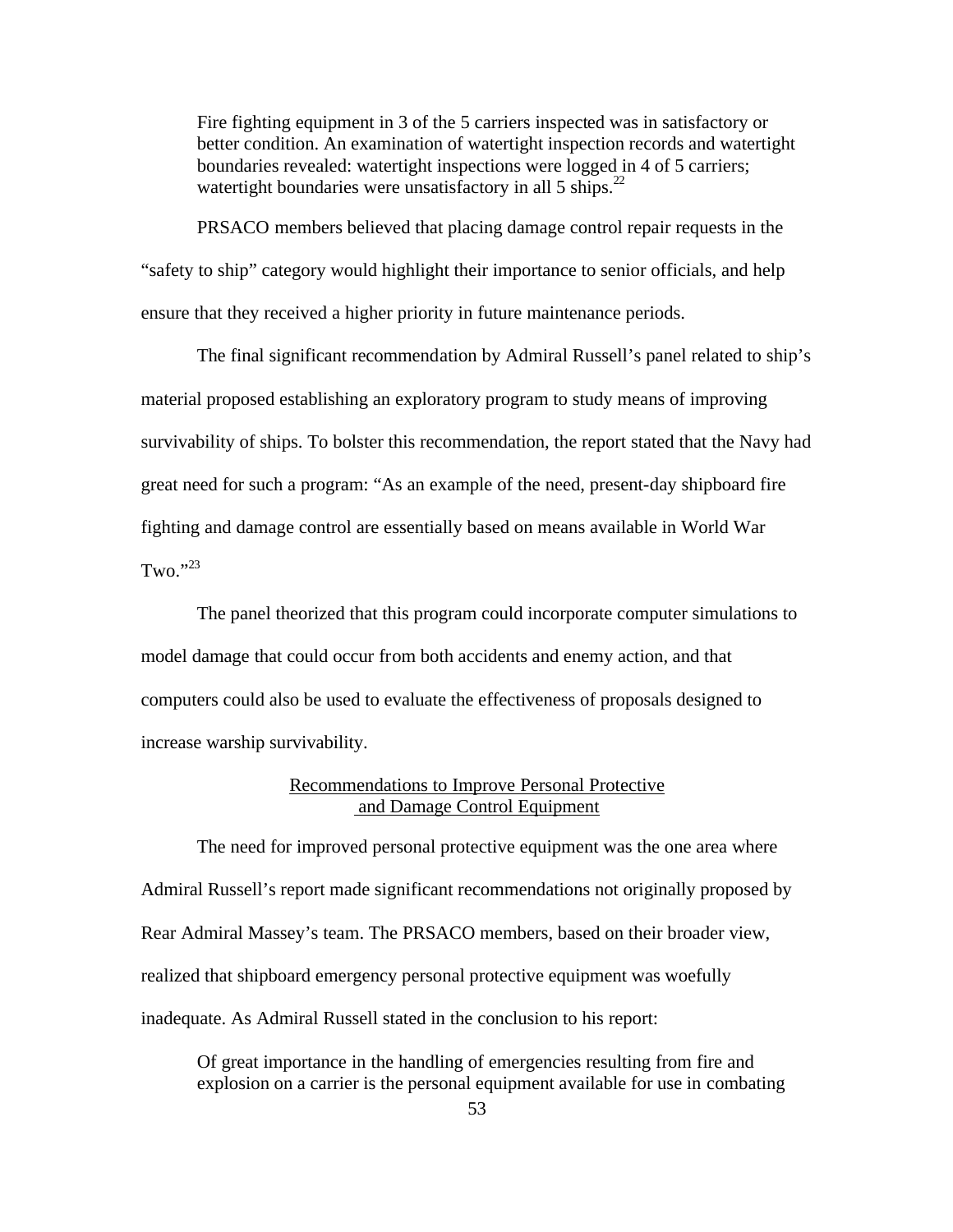Fire fighting equipment in 3 of the 5 carriers inspected was in satisfactory or better condition. An examination of watertight inspection records and watertight boundaries revealed: watertight inspections were logged in 4 of 5 carriers; watertight boundaries were unsatisfactory in all  $5 \text{ ships.}^{22}$ 

PRSACO members believed that placing damage control repair requests in the "safety to ship" category would highlight their importance to senior officials, and help ensure that they received a higher priority in future maintenance periods.

The final significant recommendation by Admiral Russell's panel related to ship's material proposed establishing an exploratory program to study means of improving survivability of ships. To bolster this recommendation, the report stated that the Navy had great need for such a program: "As an example of the need, present-day shipboard fire fighting and damage control are essentially based on means available in World War  $Tw_0$ ."23

The panel theorized that this program could incorporate computer simulations to model damage that could occur from both accidents and enemy action, and that computers could also be used to evaluate the effectiveness of proposals designed to increase warship survivability.

# Recommendations to Improve Personal Protective and Damage Control Equipment

The need for improved personal protective equipment was the one area where Admiral Russell's report made significant recommendations not originally proposed by Rear Admiral Massey's team. The PRSACO members, based on their broader view, realized that shipboard emergency personal protective equipment was woefully inadequate. As Admiral Russell stated in the conclusion to his report:

Of great importance in the handling of emergencies resulting from fire and explosion on a carrier is the personal equipment available for use in combating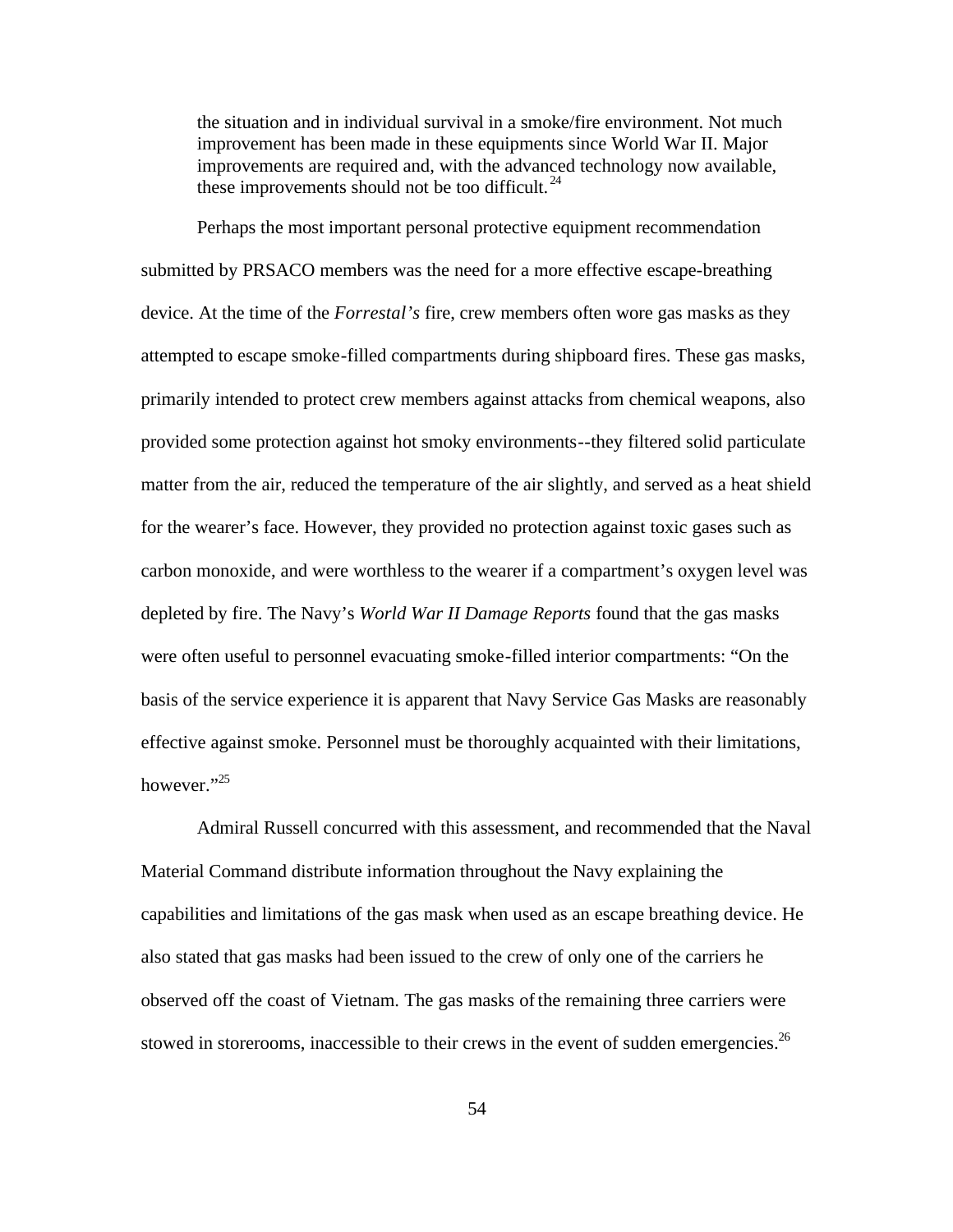the situation and in individual survival in a smoke/fire environment. Not much improvement has been made in these equipments since World War II. Major improvements are required and, with the advanced technology now available, these improvements should not be too difficult. $^{24}$ 

Perhaps the most important personal protective equipment recommendation submitted by PRSACO members was the need for a more effective escape-breathing device. At the time of the *Forrestal's* fire, crew members often wore gas masks as they attempted to escape smoke-filled compartments during shipboard fires. These gas masks, primarily intended to protect crew members against attacks from chemical weapons, also provided some protection against hot smoky environments--they filtered solid particulate matter from the air, reduced the temperature of the air slightly, and served as a heat shield for the wearer's face. However, they provided no protection against toxic gases such as carbon monoxide, and were worthless to the wearer if a compartment's oxygen level was depleted by fire. The Navy's *World War II Damage Reports* found that the gas masks were often useful to personnel evacuating smoke-filled interior compartments: "On the basis of the service experience it is apparent that Navy Service Gas Masks are reasonably effective against smoke. Personnel must be thoroughly acquainted with their limitations, however." $^{3.25}$ 

Admiral Russell concurred with this assessment, and recommended that the Naval Material Command distribute information throughout the Navy explaining the capabilities and limitations of the gas mask when used as an escape breathing device. He also stated that gas masks had been issued to the crew of only one of the carriers he observed off the coast of Vietnam. The gas masks of the remaining three carriers were stowed in storerooms, inaccessible to their crews in the event of sudden emergencies.<sup>26</sup>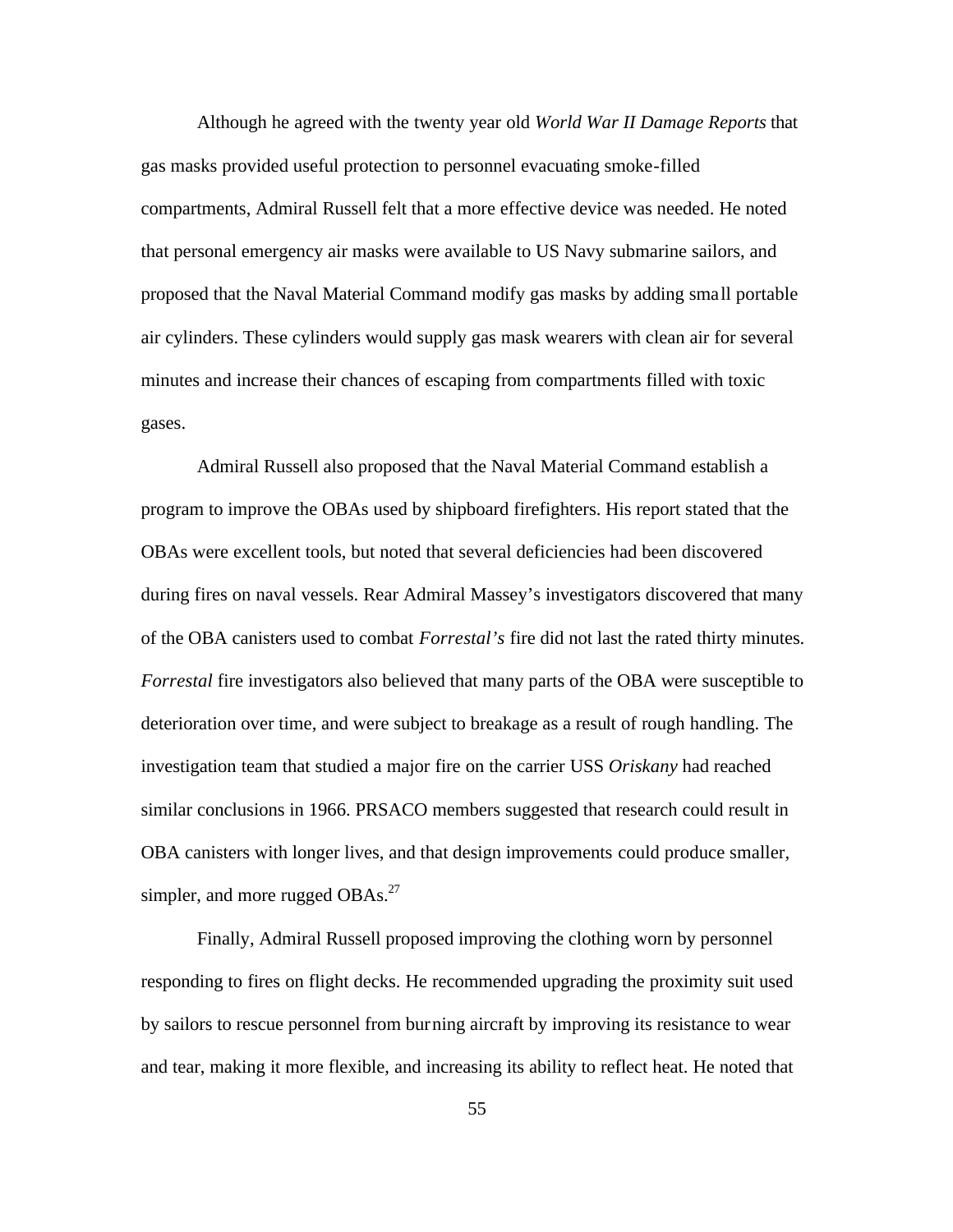Although he agreed with the twenty year old *World War II Damage Reports* that gas masks provided useful protection to personnel evacuating smoke-filled compartments, Admiral Russell felt that a more effective device was needed. He noted that personal emergency air masks were available to US Navy submarine sailors, and proposed that the Naval Material Command modify gas masks by adding small portable air cylinders. These cylinders would supply gas mask wearers with clean air for several minutes and increase their chances of escaping from compartments filled with toxic gases.

Admiral Russell also proposed that the Naval Material Command establish a program to improve the OBAs used by shipboard firefighters. His report stated that the OBAs were excellent tools, but noted that several deficiencies had been discovered during fires on naval vessels. Rear Admiral Massey's investigators discovered that many of the OBA canisters used to combat *Forrestal's* fire did not last the rated thirty minutes. *Forrestal* fire investigators also believed that many parts of the OBA were susceptible to deterioration over time, and were subject to breakage as a result of rough handling. The investigation team that studied a major fire on the carrier USS *Oriskany* had reached similar conclusions in 1966. PRSACO members suggested that research could result in OBA canisters with longer lives, and that design improvements could produce smaller, simpler, and more rugged  $OBAs$ <sup>27</sup>

Finally, Admiral Russell proposed improving the clothing worn by personnel responding to fires on flight decks. He recommended upgrading the proximity suit used by sailors to rescue personnel from burning aircraft by improving its resistance to wear and tear, making it more flexible, and increasing its ability to reflect heat. He noted that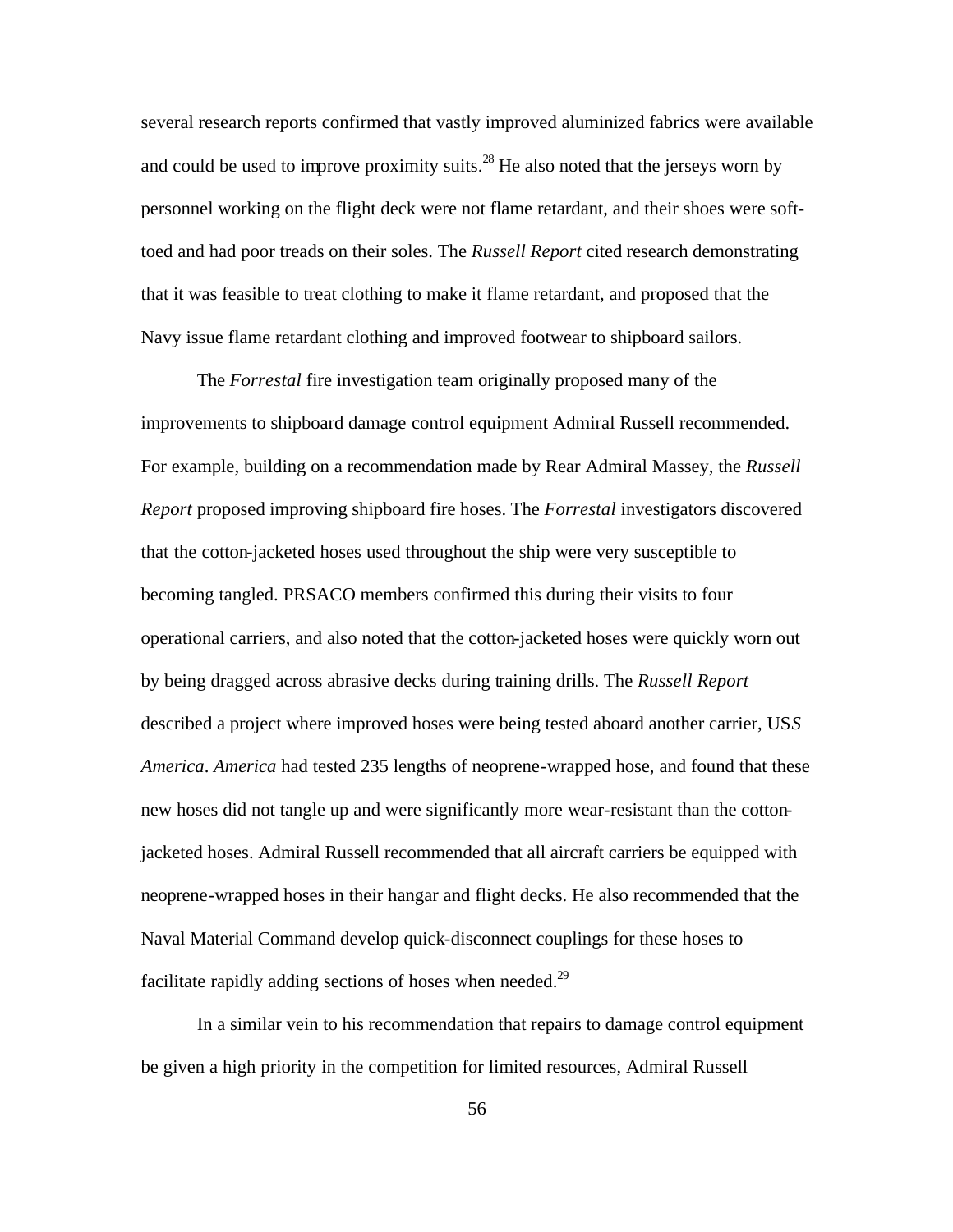several research reports confirmed that vastly improved aluminized fabrics were available and could be used to improve proximity suits.<sup>28</sup> He also noted that the jerseys worn by personnel working on the flight deck were not flame retardant, and their shoes were softtoed and had poor treads on their soles. The *Russell Report* cited research demonstrating that it was feasible to treat clothing to make it flame retardant, and proposed that the Navy issue flame retardant clothing and improved footwear to shipboard sailors.

The *Forrestal* fire investigation team originally proposed many of the improvements to shipboard damage control equipment Admiral Russell recommended. For example, building on a recommendation made by Rear Admiral Massey, the *Russell Report* proposed improving shipboard fire hoses. The *Forrestal* investigators discovered that the cotton-jacketed hoses used throughout the ship were very susceptible to becoming tangled. PRSACO members confirmed this during their visits to four operational carriers, and also noted that the cotton-jacketed hoses were quickly worn out by being dragged across abrasive decks during training drills. The *Russell Report* described a project where improved hoses were being tested aboard another carrier, US*S America*. *America* had tested 235 lengths of neoprene-wrapped hose, and found that these new hoses did not tangle up and were significantly more wear-resistant than the cottonjacketed hoses. Admiral Russell recommended that all aircraft carriers be equipped with neoprene-wrapped hoses in their hangar and flight decks. He also recommended that the Naval Material Command develop quick-disconnect couplings for these hoses to facilitate rapidly adding sections of hoses when needed.<sup>29</sup>

In a similar vein to his recommendation that repairs to damage control equipment be given a high priority in the competition for limited resources, Admiral Russell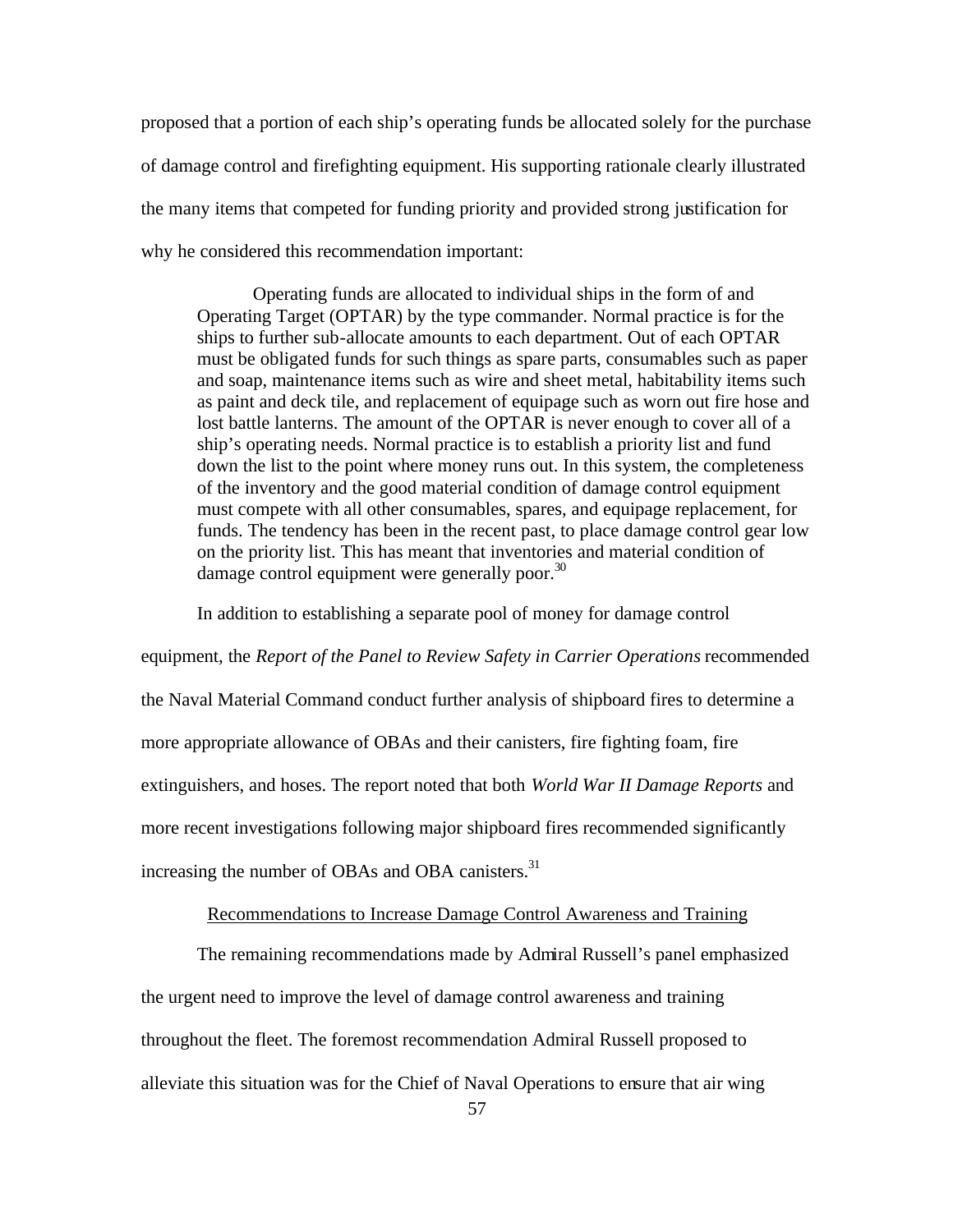proposed that a portion of each ship's operating funds be allocated solely for the purchase of damage control and firefighting equipment. His supporting rationale clearly illustrated the many items that competed for funding priority and provided strong justification for why he considered this recommendation important:

Operating funds are allocated to individual ships in the form of and Operating Target (OPTAR) by the type commander. Normal practice is for the ships to further sub-allocate amounts to each department. Out of each OPTAR must be obligated funds for such things as spare parts, consumables such as paper and soap, maintenance items such as wire and sheet metal, habitability items such as paint and deck tile, and replacement of equipage such as worn out fire hose and lost battle lanterns. The amount of the OPTAR is never enough to cover all of a ship's operating needs. Normal practice is to establish a priority list and fund down the list to the point where money runs out. In this system, the completeness of the inventory and the good material condition of damage control equipment must compete with all other consumables, spares, and equipage replacement, for funds. The tendency has been in the recent past, to place damage control gear low on the priority list. This has meant that inventories and material condition of damage control equipment were generally poor. $30$ 

In addition to establishing a separate pool of money for damage control

equipment, the *Report of the Panel to Review Safety in Carrier Operations* recommended the Naval Material Command conduct further analysis of shipboard fires to determine a more appropriate allowance of OBAs and their canisters, fire fighting foam, fire extinguishers, and hoses. The report noted that both *World War II Damage Reports* and more recent investigations following major shipboard fires recommended significantly increasing the number of OBAs and OBA canisters.<sup>31</sup>

## Recommendations to Increase Damage Control Awareness and Training

The remaining recommendations made by Admiral Russell's panel emphasized

the urgent need to improve the level of damage control awareness and training

throughout the fleet. The foremost recommendation Admiral Russell proposed to

alleviate this situation was for the Chief of Naval Operations to ensure that air wing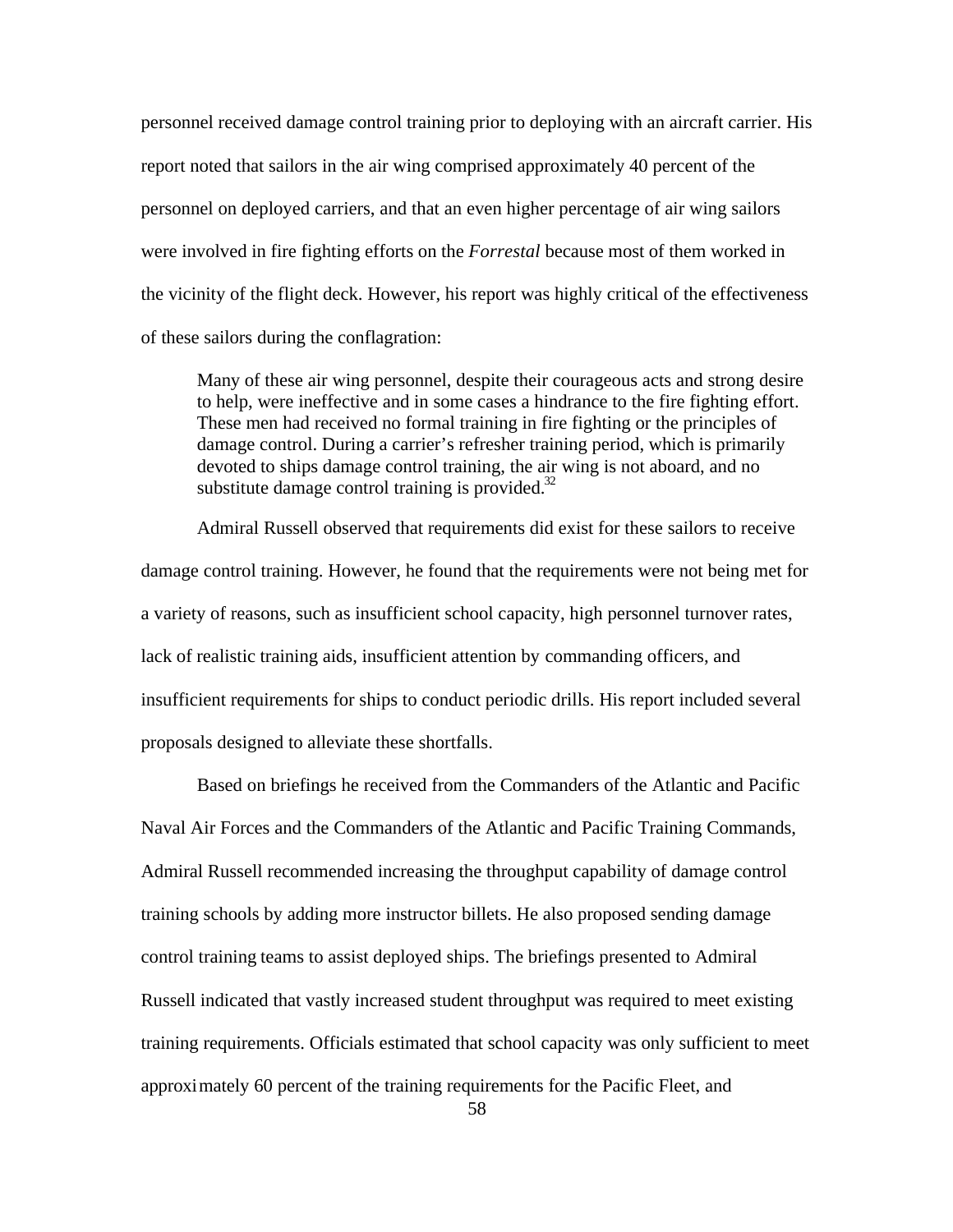personnel received damage control training prior to deploying with an aircraft carrier. His report noted that sailors in the air wing comprised approximately 40 percent of the personnel on deployed carriers, and that an even higher percentage of air wing sailors were involved in fire fighting efforts on the *Forrestal* because most of them worked in the vicinity of the flight deck. However, his report was highly critical of the effectiveness of these sailors during the conflagration:

Many of these air wing personnel, despite their courageous acts and strong desire to help, were ineffective and in some cases a hindrance to the fire fighting effort. These men had received no formal training in fire fighting or the principles of damage control. During a carrier's refresher training period, which is primarily devoted to ships damage control training, the air wing is not aboard, and no substitute damage control training is provided. $32$ 

Admiral Russell observed that requirements did exist for these sailors to receive damage control training. However, he found that the requirements were not being met for a variety of reasons, such as insufficient school capacity, high personnel turnover rates, lack of realistic training aids, insufficient attention by commanding officers, and insufficient requirements for ships to conduct periodic drills. His report included several proposals designed to alleviate these shortfalls.

Based on briefings he received from the Commanders of the Atlantic and Pacific Naval Air Forces and the Commanders of the Atlantic and Pacific Training Commands, Admiral Russell recommended increasing the throughput capability of damage control training schools by adding more instructor billets. He also proposed sending damage control training teams to assist deployed ships. The briefings presented to Admiral Russell indicated that vastly increased student throughput was required to meet existing training requirements. Officials estimated that school capacity was only sufficient to meet approximately 60 percent of the training requirements for the Pacific Fleet, and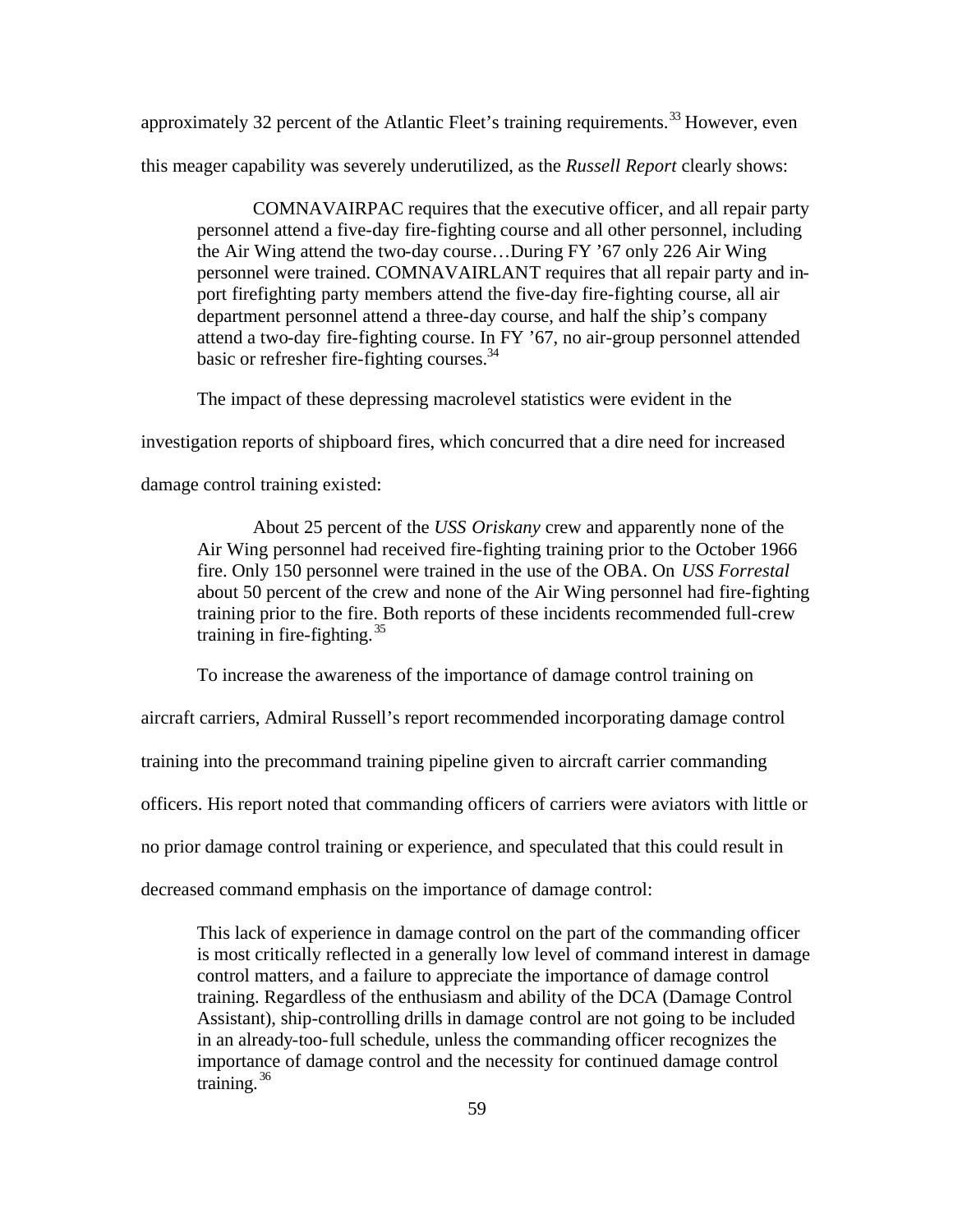approximately 32 percent of the Atlantic Fleet's training requirements.<sup>33</sup> However, even

this meager capability was severely underutilized, as the *Russell Report* clearly shows:

COMNAVAIRPAC requires that the executive officer, and all repair party personnel attend a five-day fire-fighting course and all other personnel, including the Air Wing attend the two-day course…During FY '67 only 226 Air Wing personnel were trained. COMNAVAIRLANT requires that all repair party and inport firefighting party members attend the five-day fire-fighting course, all air department personnel attend a three-day course, and half the ship's company attend a two-day fire-fighting course. In FY '67, no air-group personnel attended basic or refresher fire-fighting courses.<sup>34</sup>

The impact of these depressing macrolevel statistics were evident in the

investigation reports of shipboard fires, which concurred that a dire need for increased

damage control training existed:

About 25 percent of the *USS Oriskany* crew and apparently none of the Air Wing personnel had received fire-fighting training prior to the October 1966 fire. Only 150 personnel were trained in the use of the OBA. On *USS Forrestal* about 50 percent of the crew and none of the Air Wing personnel had fire-fighting training prior to the fire. Both reports of these incidents recommended full-crew training in fire-fighting. <sup>35</sup>

To increase the awareness of the importance of damage control training on

aircraft carriers, Admiral Russell's report recommended incorporating damage control

training into the precommand training pipeline given to aircraft carrier commanding

officers. His report noted that commanding officers of carriers were aviators with little or

no prior damage control training or experience, and speculated that this could result in

decreased command emphasis on the importance of damage control:

This lack of experience in damage control on the part of the commanding officer is most critically reflected in a generally low level of command interest in damage control matters, and a failure to appreciate the importance of damage control training. Regardless of the enthusiasm and ability of the DCA (Damage Control Assistant), ship-controlling drills in damage control are not going to be included in an already-too-full schedule, unless the commanding officer recognizes the importance of damage control and the necessity for continued damage control training. <sup>36</sup>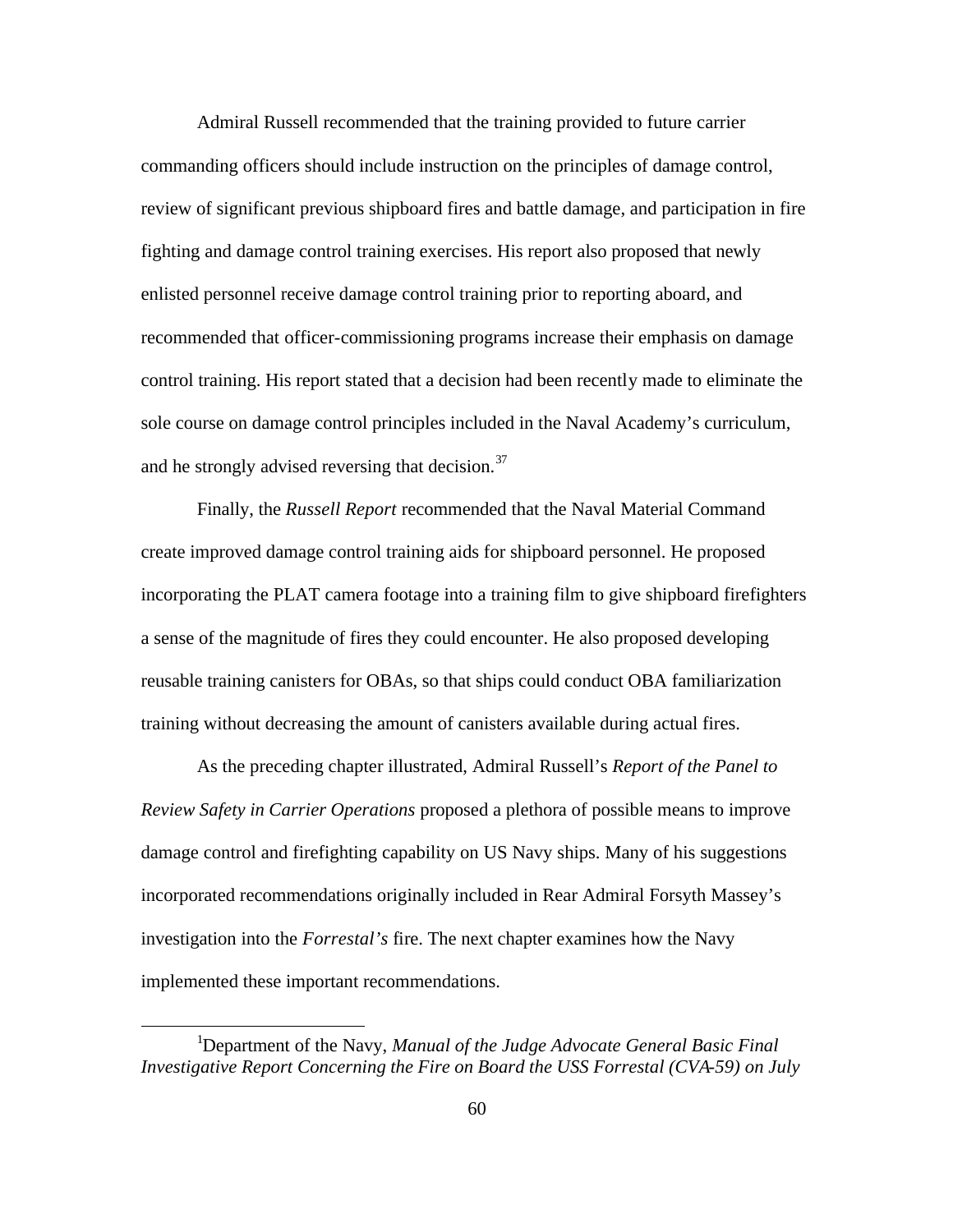Admiral Russell recommended that the training provided to future carrier commanding officers should include instruction on the principles of damage control, review of significant previous shipboard fires and battle damage, and participation in fire fighting and damage control training exercises. His report also proposed that newly enlisted personnel receive damage control training prior to reporting aboard, and recommended that officer-commissioning programs increase their emphasis on damage control training. His report stated that a decision had been recently made to eliminate the sole course on damage control principles included in the Naval Academy's curriculum, and he strongly advised reversing that decision. $37$ 

Finally, the *Russell Report* recommended that the Naval Material Command create improved damage control training aids for shipboard personnel. He proposed incorporating the PLAT camera footage into a training film to give shipboard firefighters a sense of the magnitude of fires they could encounter. He also proposed developing reusable training canisters for OBAs, so that ships could conduct OBA familiarization training without decreasing the amount of canisters available during actual fires.

As the preceding chapter illustrated, Admiral Russell's *Report of the Panel to Review Safety in Carrier Operations* proposed a plethora of possible means to improve damage control and firefighting capability on US Navy ships. Many of his suggestions incorporated recommendations originally included in Rear Admiral Forsyth Massey's investigation into the *Forrestal's* fire. The next chapter examines how the Navy implemented these important recommendations.

 $\overline{a}$ 

<sup>1</sup>Department of the Navy, *Manual of the Judge Advocate General Basic Final Investigative Report Concerning the Fire on Board the USS Forrestal (CVA-59) on July*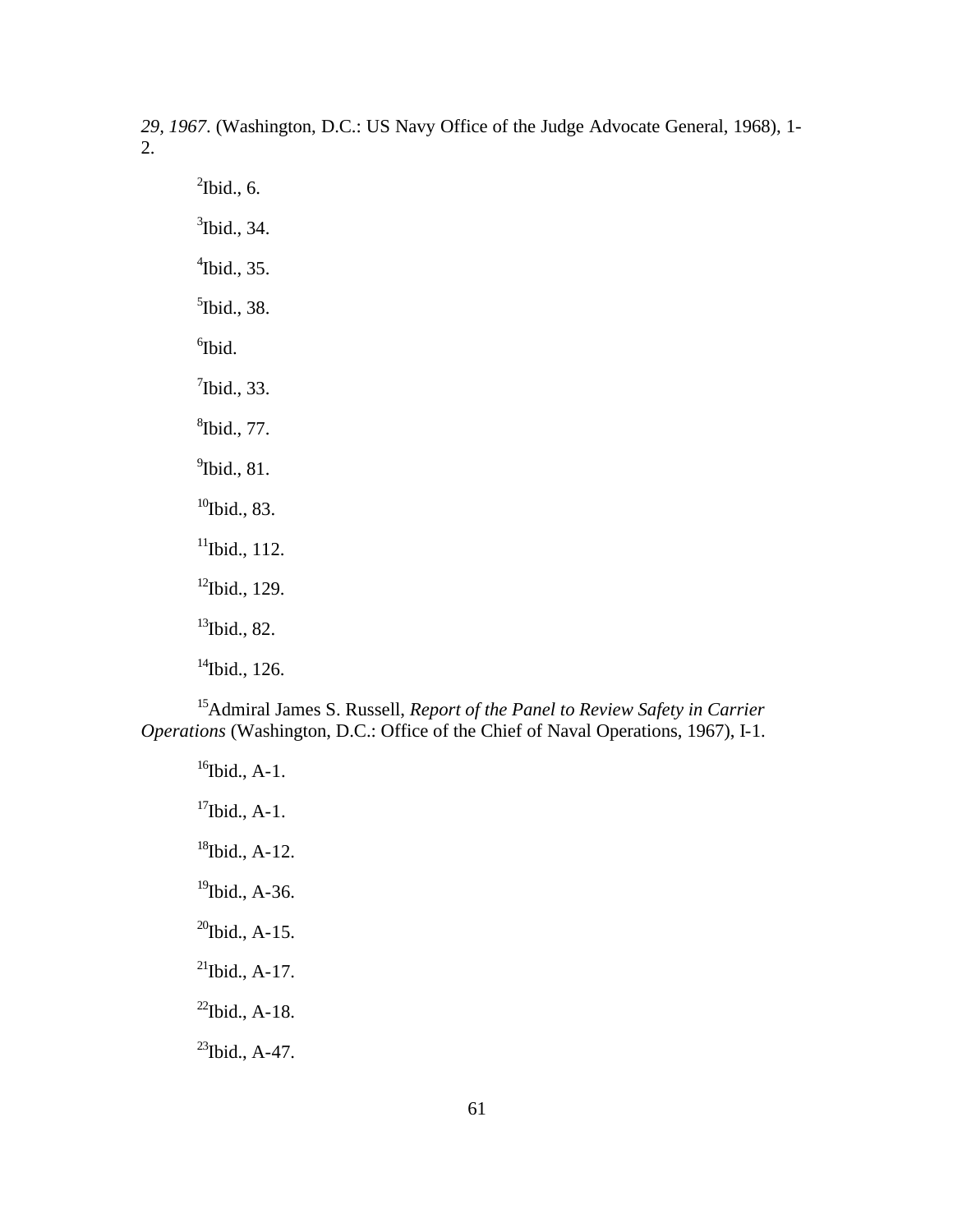*29, 1967*. (Washington, D.C.: US Navy Office of the Judge Advocate General, 1968), 1- 2.

 $\mathrm{^{2}Ibid.}, 6.$  $3$ Ibid., 34.  $\mathrm{4}$ Ibid., 35. 5 Ibid., 38. 6 Ibid.  $\int$ <sup>7</sup>Ibid., 33.  ${}^{8}$ Ibid., 77.  $<sup>9</sup>$ Ibid., 81.</sup>  $10$ Ibid., 83.  $11$ Ibid., 112. <sup>12</sup>Ibid., 129.  $13$ Ibid., 82. <sup>14</sup>Ibid., 126.

<sup>15</sup>Admiral James S. Russell, *Report of the Panel to Review Safety in Carrier Operations* (Washington, D.C.: Office of the Chief of Naval Operations, 1967), I-1.

 $^{16}$ Ibid., A-1.  $17$ Ibid., A-1.  $18$ Ibid., A-12. <sup>19</sup>Ibid., A-36.  $^{20}$ Ibid., A-15.  $^{21}$ Ibid., A-17.  $^{22}$ Ibid., A-18. <sup>23</sup>Ibid., A-47.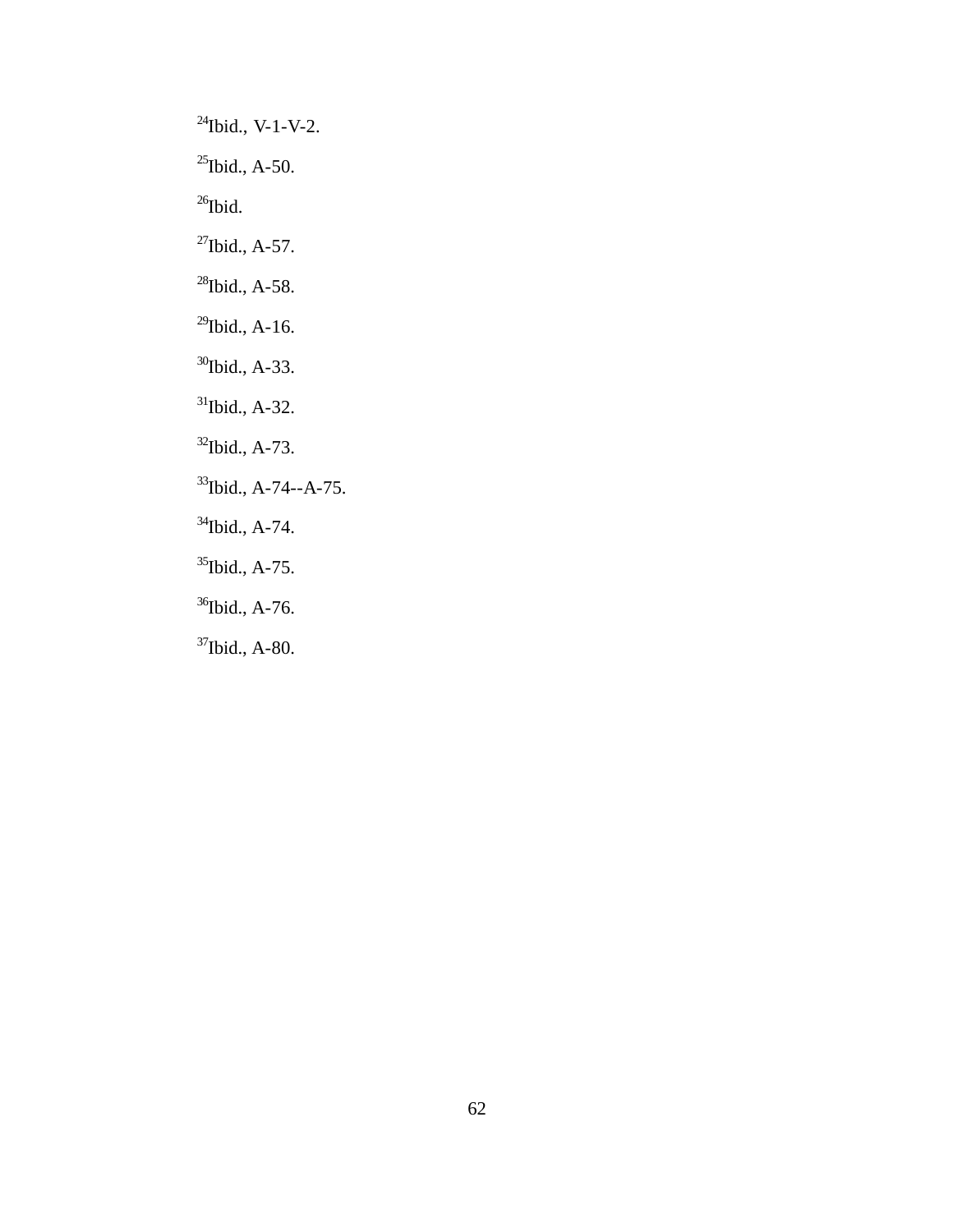$^{24}$ Ibid., V-1-V-2.

 $^{25}$ Ibid., A-50.

 $26$ Ibid.

 $^{27}$ Ibid., A-57.

<sup>28</sup>Ibid., A-58.

 $29$ Ibid., A-16.

<sup>30</sup>Ibid., A-33.

 $31$ Ibid., A-32.

<sup>32</sup>Ibid., A-73.

<sup>33</sup>Ibid., A-74--A-75.

<sup>34</sup>Ibid., A-74.

<sup>35</sup>Ibid., A-75.

<sup>36</sup>Ibid., A-76.

<sup>37</sup>Ibid., A-80.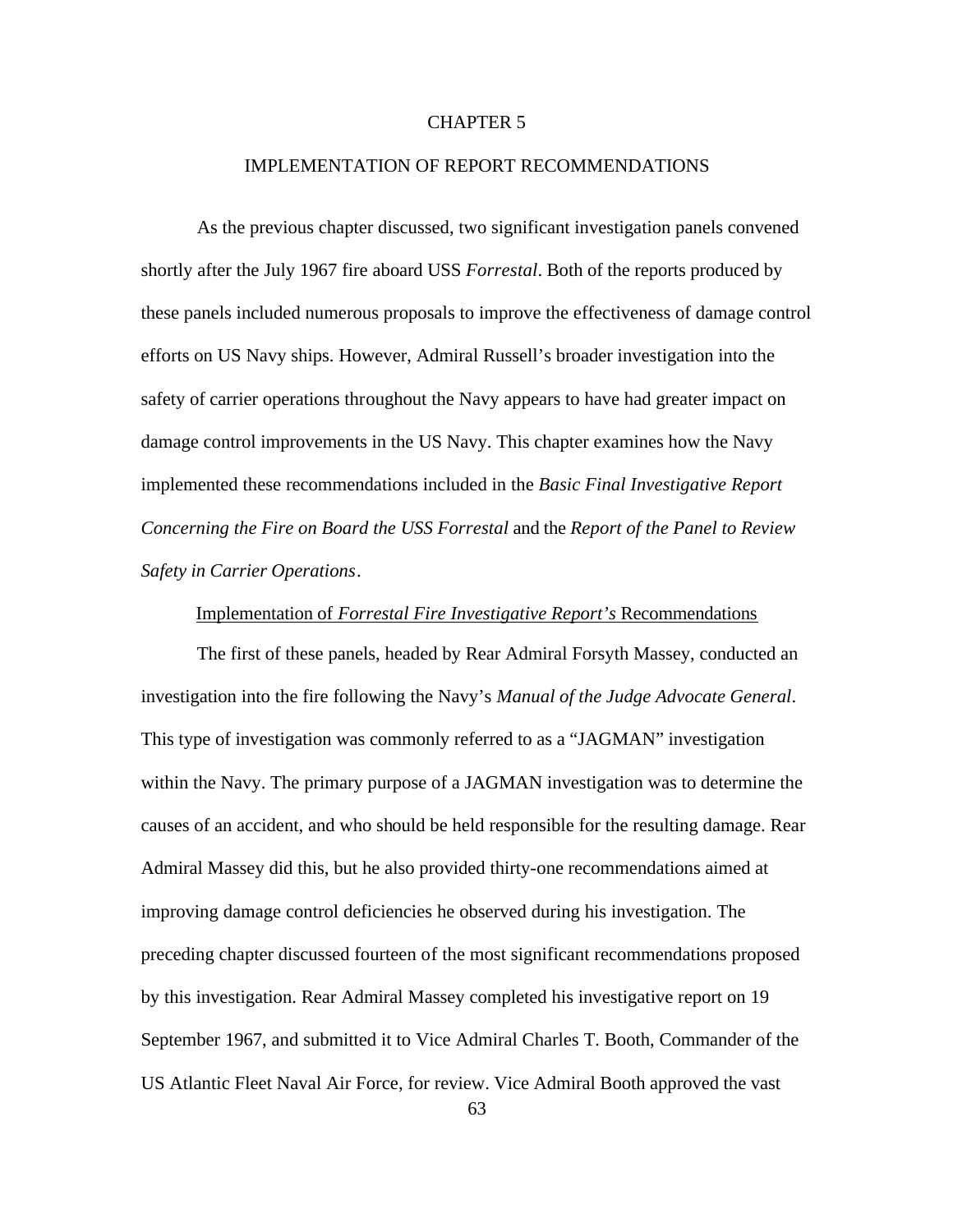### CHAPTER 5

## IMPLEMENTATION OF REPORT RECOMMENDATIONS

As the previous chapter discussed, two significant investigation panels convened shortly after the July 1967 fire aboard USS *Forrestal*. Both of the reports produced by these panels included numerous proposals to improve the effectiveness of damage control efforts on US Navy ships. However, Admiral Russell's broader investigation into the safety of carrier operations throughout the Navy appears to have had greater impact on damage control improvements in the US Navy. This chapter examines how the Navy implemented these recommendations included in the *Basic Final Investigative Report Concerning the Fire on Board the USS Forrestal* and the *Report of the Panel to Review Safety in Carrier Operations*.

### Implementation of *Forrestal Fire Investigative Report's* Recommendations

The first of these panels, headed by Rear Admiral Forsyth Massey, conducted an investigation into the fire following the Navy's *Manual of the Judge Advocate General*. This type of investigation was commonly referred to as a "JAGMAN" investigation within the Navy. The primary purpose of a JAGMAN investigation was to determine the causes of an accident, and who should be held responsible for the resulting damage. Rear Admiral Massey did this, but he also provided thirty-one recommendations aimed at improving damage control deficiencies he observed during his investigation. The preceding chapter discussed fourteen of the most significant recommendations proposed by this investigation. Rear Admiral Massey completed his investigative report on 19 September 1967, and submitted it to Vice Admiral Charles T. Booth, Commander of the US Atlantic Fleet Naval Air Force, for review. Vice Admiral Booth approved the vast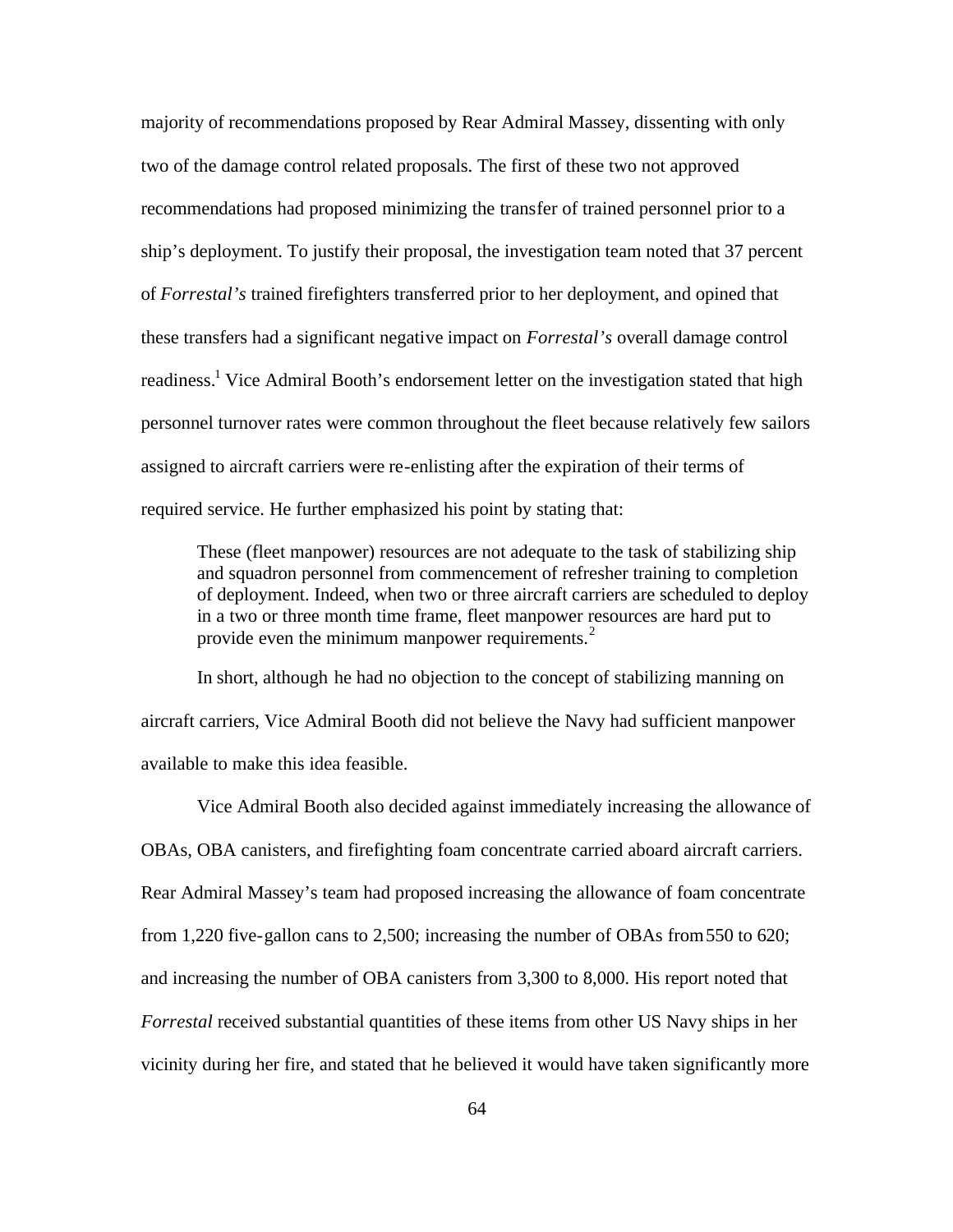majority of recommendations proposed by Rear Admiral Massey, dissenting with only two of the damage control related proposals. The first of these two not approved recommendations had proposed minimizing the transfer of trained personnel prior to a ship's deployment. To justify their proposal, the investigation team noted that 37 percent of *Forrestal's* trained firefighters transferred prior to her deployment, and opined that these transfers had a significant negative impact on *Forrestal's* overall damage control readiness.<sup>1</sup> Vice Admiral Booth's endorsement letter on the investigation stated that high personnel turnover rates were common throughout the fleet because relatively few sailors assigned to aircraft carriers were re-enlisting after the expiration of their terms of required service. He further emphasized his point by stating that:

These (fleet manpower) resources are not adequate to the task of stabilizing ship and squadron personnel from commencement of refresher training to completion of deployment. Indeed, when two or three aircraft carriers are scheduled to deploy in a two or three month time frame, fleet manpower resources are hard put to provide even the minimum manpower requirements.<sup>2</sup>

In short, although he had no objection to the concept of stabilizing manning on aircraft carriers, Vice Admiral Booth did not believe the Navy had sufficient manpower available to make this idea feasible.

Vice Admiral Booth also decided against immediately increasing the allowance of OBAs, OBA canisters, and firefighting foam concentrate carried aboard aircraft carriers. Rear Admiral Massey's team had proposed increasing the allowance of foam concentrate from 1,220 five-gallon cans to 2,500; increasing the number of OBAs from 550 to 620; and increasing the number of OBA canisters from 3,300 to 8,000. His report noted that *Forrestal* received substantial quantities of these items from other US Navy ships in her vicinity during her fire, and stated that he believed it would have taken significantly more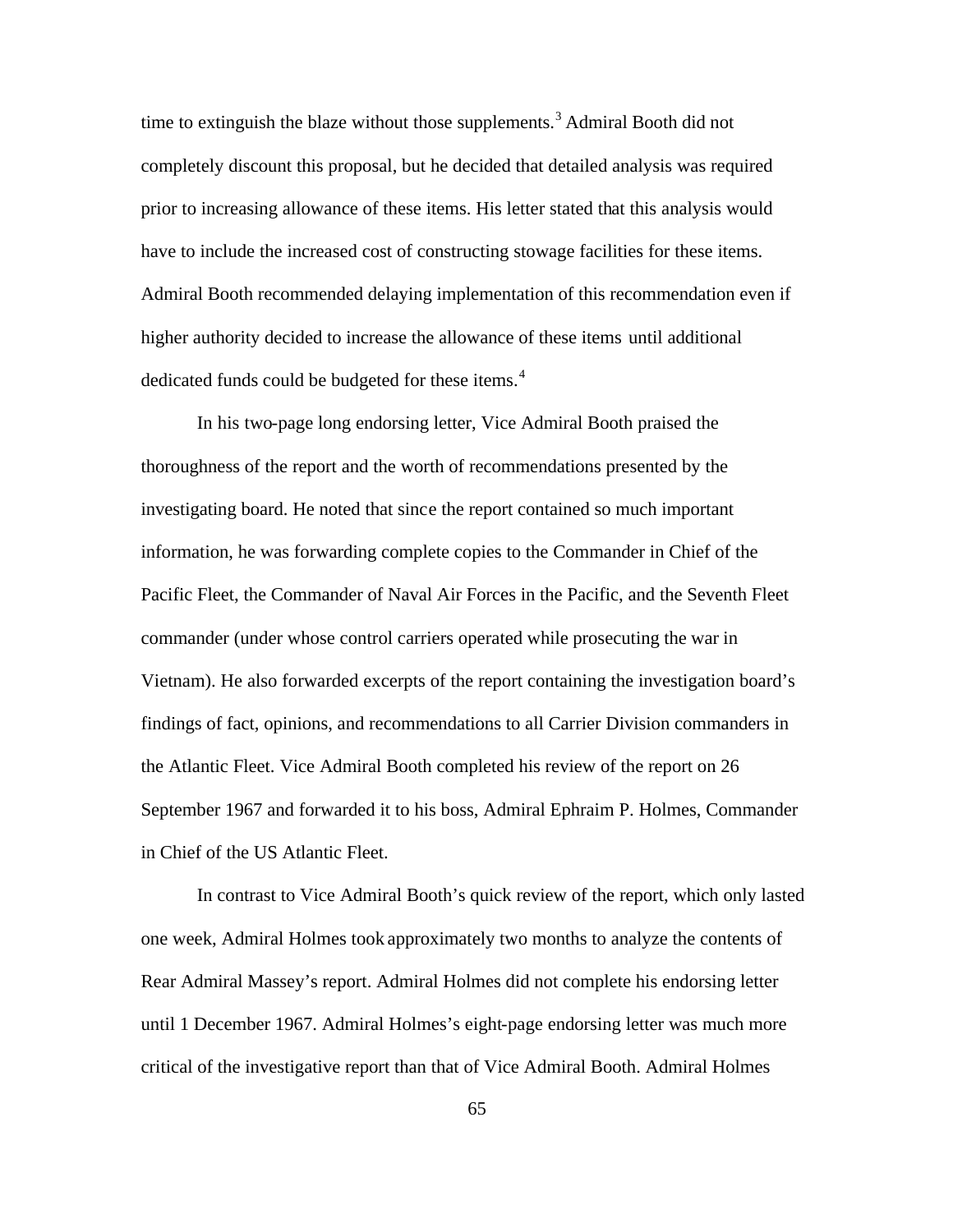time to extinguish the blaze without those supplements.<sup>3</sup> Admiral Booth did not completely discount this proposal, but he decided that detailed analysis was required prior to increasing allowance of these items. His letter stated that this analysis would have to include the increased cost of constructing stowage facilities for these items. Admiral Booth recommended delaying implementation of this recommendation even if higher authority decided to increase the allowance of these items until additional dedicated funds could be budgeted for these items.<sup>4</sup>

In his two-page long endorsing letter, Vice Admiral Booth praised the thoroughness of the report and the worth of recommendations presented by the investigating board. He noted that since the report contained so much important information, he was forwarding complete copies to the Commander in Chief of the Pacific Fleet, the Commander of Naval Air Forces in the Pacific, and the Seventh Fleet commander (under whose control carriers operated while prosecuting the war in Vietnam). He also forwarded excerpts of the report containing the investigation board's findings of fact, opinions, and recommendations to all Carrier Division commanders in the Atlantic Fleet. Vice Admiral Booth completed his review of the report on 26 September 1967 and forwarded it to his boss, Admiral Ephraim P. Holmes, Commander in Chief of the US Atlantic Fleet.

In contrast to Vice Admiral Booth's quick review of the report, which only lasted one week, Admiral Holmes took approximately two months to analyze the contents of Rear Admiral Massey's report. Admiral Holmes did not complete his endorsing letter until 1 December 1967. Admiral Holmes's eight-page endorsing letter was much more critical of the investigative report than that of Vice Admiral Booth. Admiral Holmes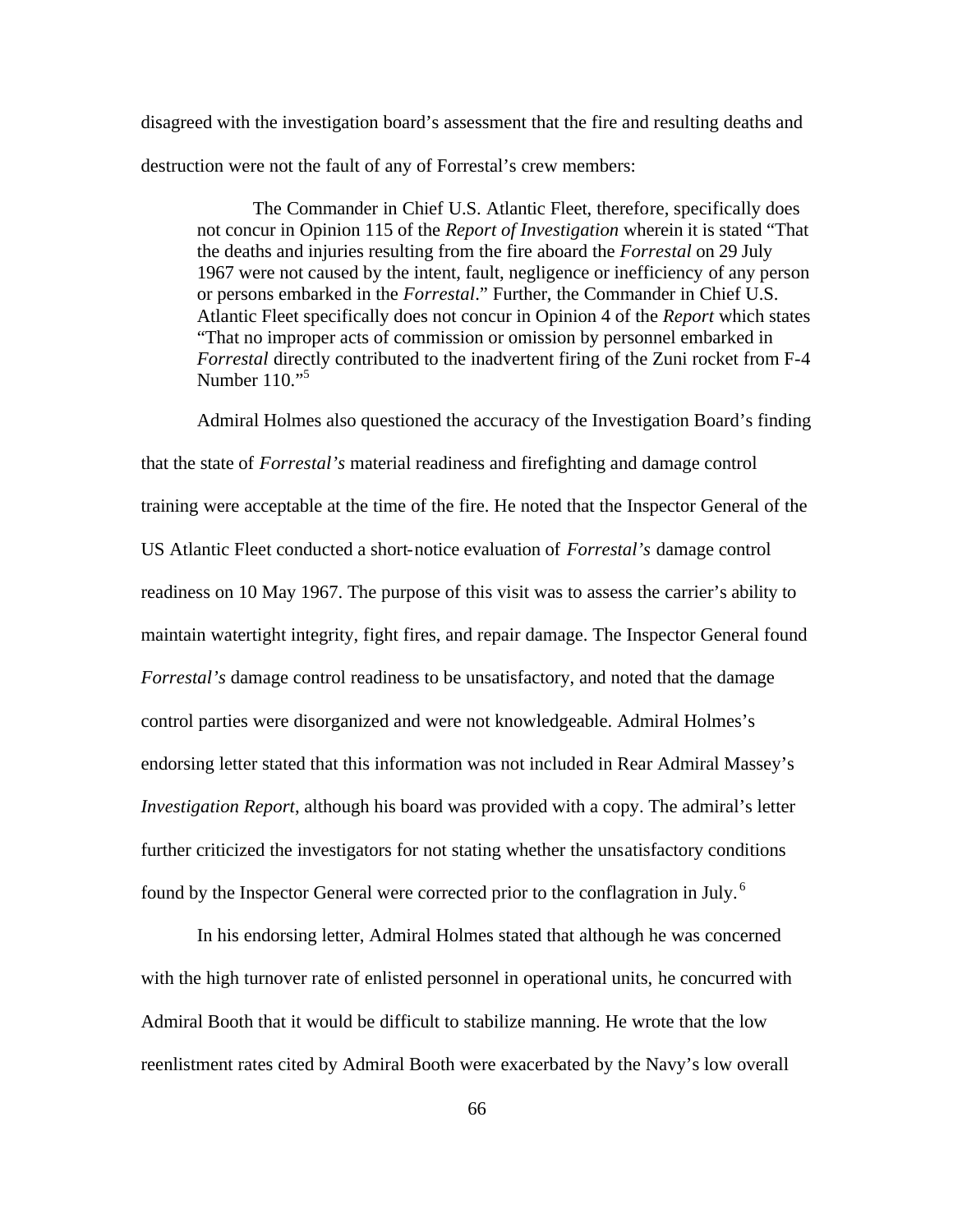disagreed with the investigation board's assessment that the fire and resulting deaths and destruction were not the fault of any of Forrestal's crew members:

The Commander in Chief U.S. Atlantic Fleet, therefore, specifically does not concur in Opinion 115 of the *Report of Investigation* wherein it is stated "That the deaths and injuries resulting from the fire aboard the *Forrestal* on 29 July 1967 were not caused by the intent, fault, negligence or inefficiency of any person or persons embarked in the *Forrestal*." Further, the Commander in Chief U.S. Atlantic Fleet specifically does not concur in Opinion 4 of the *Report* which states "That no improper acts of commission or omission by personnel embarked in *Forrestal* directly contributed to the inadvertent firing of the Zuni rocket from F-4 Number  $110.^{5}$ 

Admiral Holmes also questioned the accuracy of the Investigation Board's finding that the state of *Forrestal's* material readiness and firefighting and damage control training were acceptable at the time of the fire. He noted that the Inspector General of the US Atlantic Fleet conducted a short-notice evaluation of *Forrestal's* damage control readiness on 10 May 1967. The purpose of this visit was to assess the carrier's ability to maintain watertight integrity, fight fires, and repair damage. The Inspector General found *Forrestal's* damage control readiness to be unsatisfactory, and noted that the damage control parties were disorganized and were not knowledgeable. Admiral Holmes's endorsing letter stated that this information was not included in Rear Admiral Massey's *Investigation Report*, although his board was provided with a copy. The admiral's letter further criticized the investigators for not stating whether the unsatisfactory conditions found by the Inspector General were corrected prior to the conflagration in July.<sup>6</sup>

In his endorsing letter, Admiral Holmes stated that although he was concerned with the high turnover rate of enlisted personnel in operational units, he concurred with Admiral Booth that it would be difficult to stabilize manning. He wrote that the low reenlistment rates cited by Admiral Booth were exacerbated by the Navy's low overall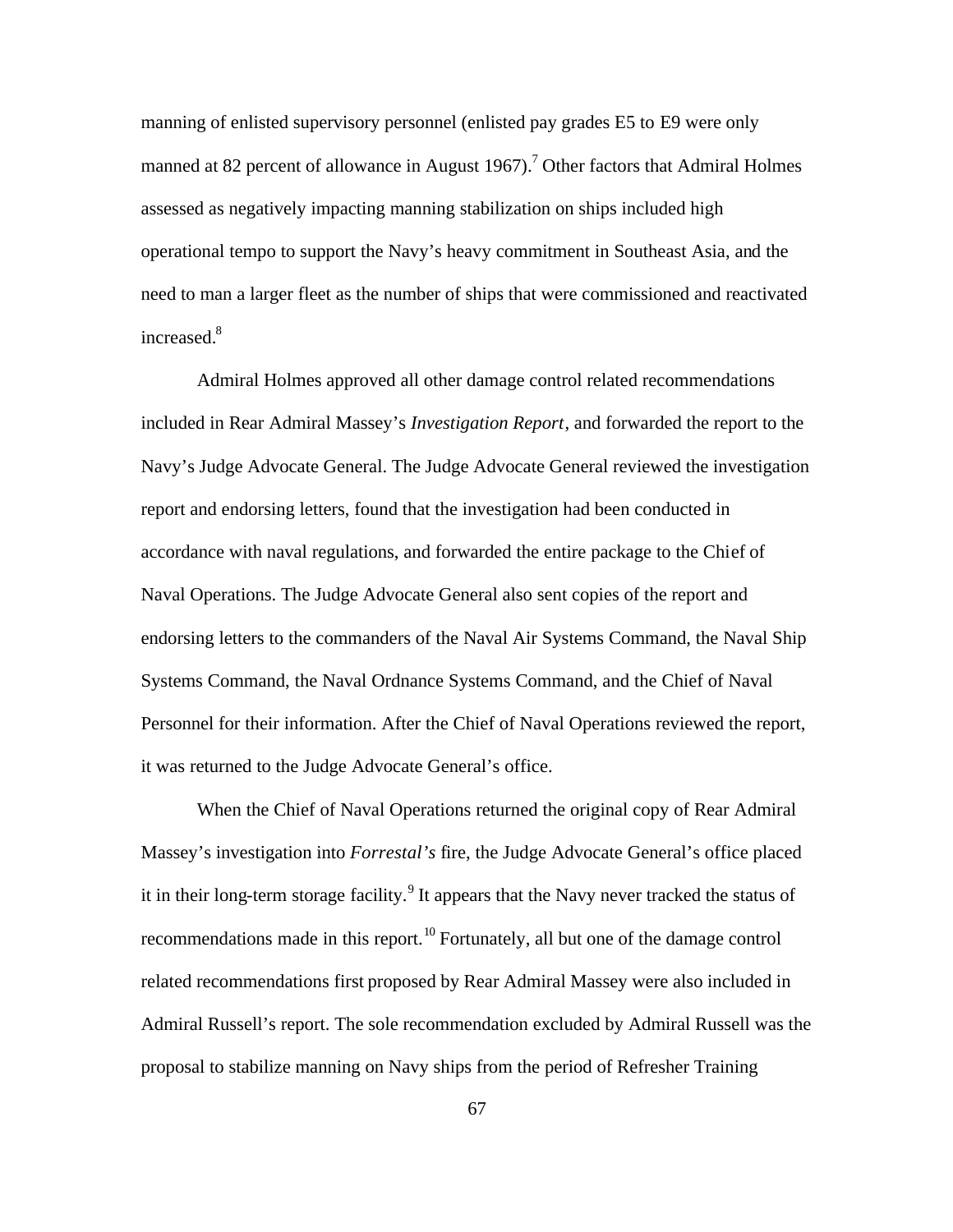manning of enlisted supervisory personnel (enlisted pay grades E5 to E9 were only manned at 82 percent of allowance in August 1967).<sup>7</sup> Other factors that Admiral Holmes assessed as negatively impacting manning stabilization on ships included high operational tempo to support the Navy's heavy commitment in Southeast Asia, and the need to man a larger fleet as the number of ships that were commissioned and reactivated increased.<sup>8</sup>

Admiral Holmes approved all other damage control related recommendations included in Rear Admiral Massey's *Investigation Report*, and forwarded the report to the Navy's Judge Advocate General. The Judge Advocate General reviewed the investigation report and endorsing letters, found that the investigation had been conducted in accordance with naval regulations, and forwarded the entire package to the Chief of Naval Operations. The Judge Advocate General also sent copies of the report and endorsing letters to the commanders of the Naval Air Systems Command, the Naval Ship Systems Command, the Naval Ordnance Systems Command, and the Chief of Naval Personnel for their information. After the Chief of Naval Operations reviewed the report, it was returned to the Judge Advocate General's office.

When the Chief of Naval Operations returned the original copy of Rear Admiral Massey's investigation into *Forrestal's* fire, the Judge Advocate General's office placed it in their long-term storage facility.<sup>9</sup> It appears that the Navy never tracked the status of recommendations made in this report.<sup>10</sup> Fortunately, all but one of the damage control related recommendations first proposed by Rear Admiral Massey were also included in Admiral Russell's report. The sole recommendation excluded by Admiral Russell was the proposal to stabilize manning on Navy ships from the period of Refresher Training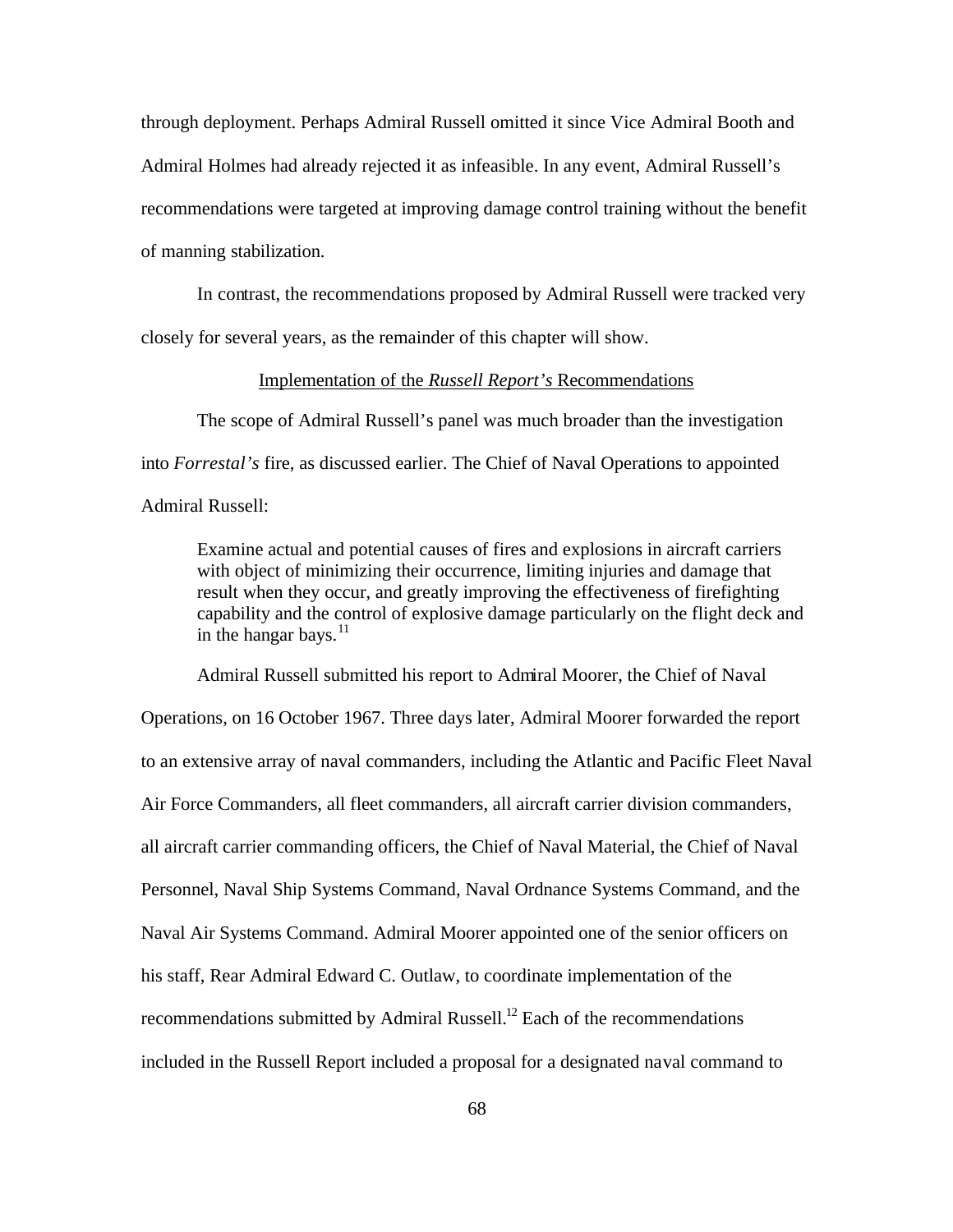through deployment. Perhaps Admiral Russell omitted it since Vice Admiral Booth and Admiral Holmes had already rejected it as infeasible. In any event, Admiral Russell's recommendations were targeted at improving damage control training without the benefit of manning stabilization.

In contrast, the recommendations proposed by Admiral Russell were tracked very closely for several years, as the remainder of this chapter will show.

## Implementation of the *Russell Report's* Recommendations

The scope of Admiral Russell's panel was much broader than the investigation into *Forrestal's* fire, as discussed earlier. The Chief of Naval Operations to appointed Admiral Russell:

Examine actual and potential causes of fires and explosions in aircraft carriers with object of minimizing their occurrence, limiting injuries and damage that result when they occur, and greatly improving the effectiveness of firefighting capability and the control of explosive damage particularly on the flight deck and in the hangar bays.  $\frac{11}{1}$ 

Admiral Russell submitted his report to Admiral Moorer, the Chief of Naval Operations, on 16 October 1967. Three days later, Admiral Moorer forwarded the report to an extensive array of naval commanders, including the Atlantic and Pacific Fleet Naval Air Force Commanders, all fleet commanders, all aircraft carrier division commanders, all aircraft carrier commanding officers, the Chief of Naval Material, the Chief of Naval Personnel, Naval Ship Systems Command, Naval Ordnance Systems Command, and the Naval Air Systems Command. Admiral Moorer appointed one of the senior officers on his staff, Rear Admiral Edward C. Outlaw, to coordinate implementation of the recommendations submitted by Admiral Russell.<sup>12</sup> Each of the recommendations included in the Russell Report included a proposal for a designated naval command to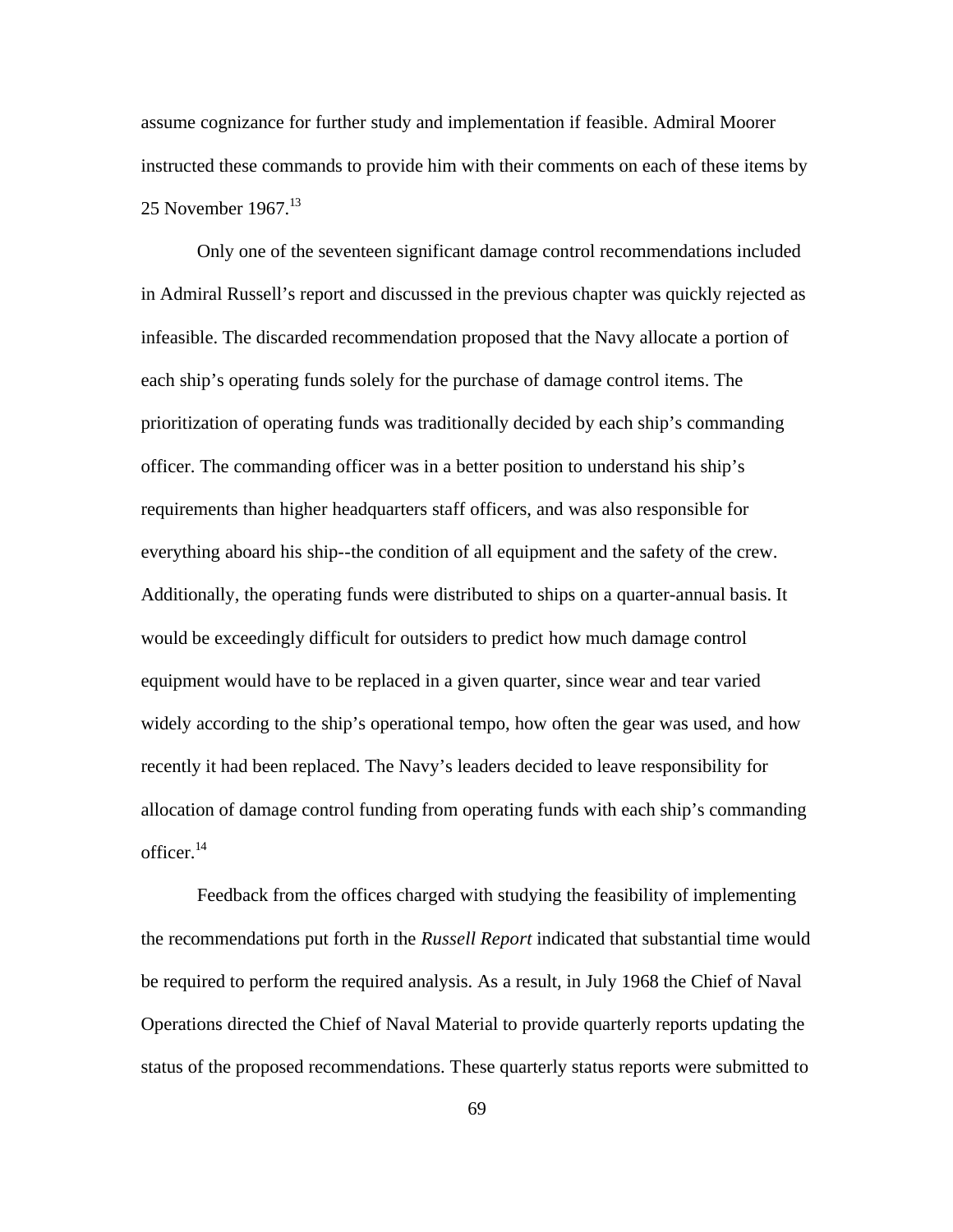assume cognizance for further study and implementation if feasible. Admiral Moorer instructed these commands to provide him with their comments on each of these items by 25 November  $1967$ <sup>13</sup>

Only one of the seventeen significant damage control recommendations included in Admiral Russell's report and discussed in the previous chapter was quickly rejected as infeasible. The discarded recommendation proposed that the Navy allocate a portion of each ship's operating funds solely for the purchase of damage control items. The prioritization of operating funds was traditionally decided by each ship's commanding officer. The commanding officer was in a better position to understand his ship's requirements than higher headquarters staff officers, and was also responsible for everything aboard his ship--the condition of all equipment and the safety of the crew. Additionally, the operating funds were distributed to ships on a quarter-annual basis. It would be exceedingly difficult for outsiders to predict how much damage control equipment would have to be replaced in a given quarter, since wear and tear varied widely according to the ship's operational tempo, how often the gear was used, and how recently it had been replaced. The Navy's leaders decided to leave responsibility for allocation of damage control funding from operating funds with each ship's commanding officer.<sup>14</sup>

Feedback from the offices charged with studying the feasibility of implementing the recommendations put forth in the *Russell Report* indicated that substantial time would be required to perform the required analysis. As a result, in July 1968 the Chief of Naval Operations directed the Chief of Naval Material to provide quarterly reports updating the status of the proposed recommendations. These quarterly status reports were submitted to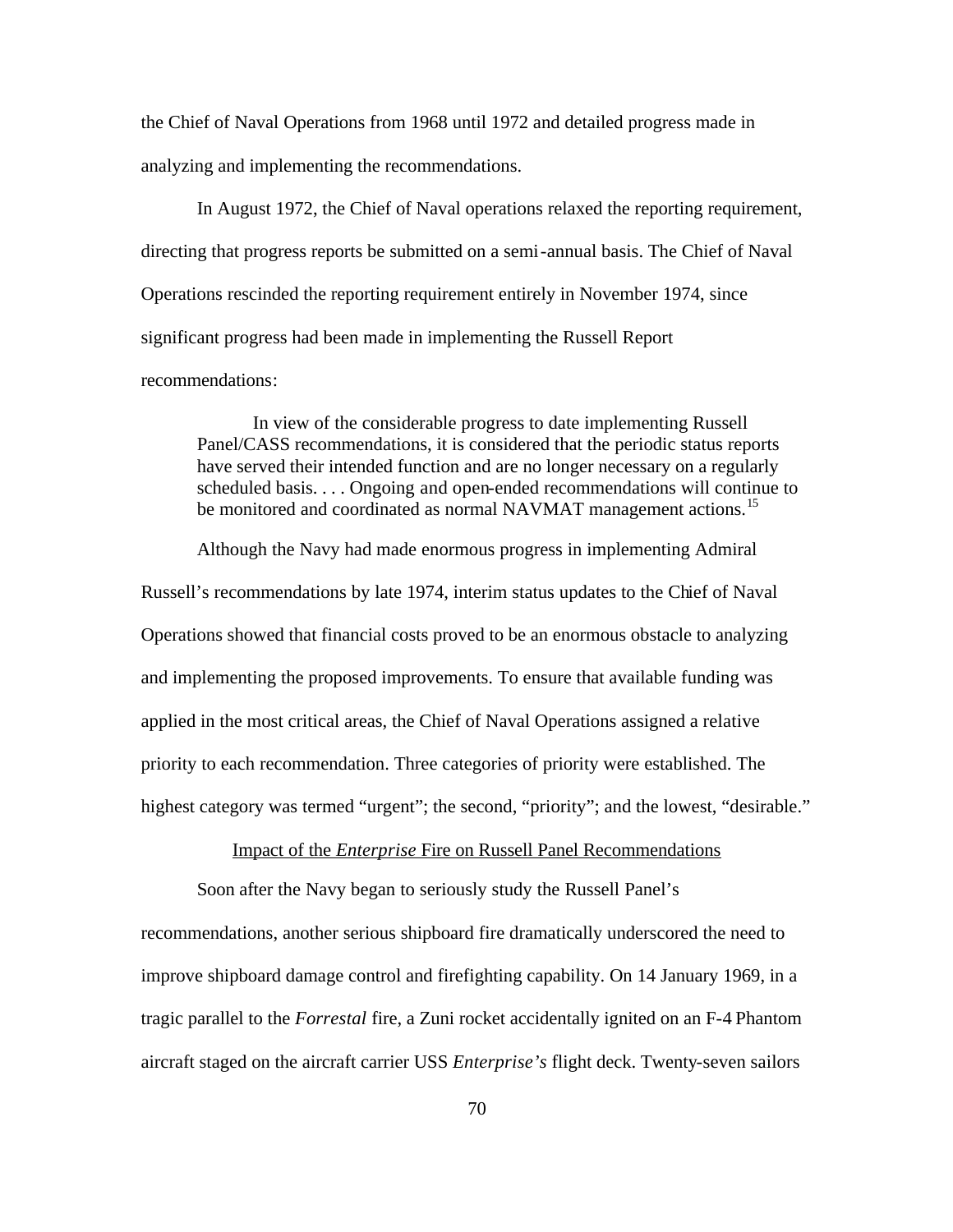the Chief of Naval Operations from 1968 until 1972 and detailed progress made in analyzing and implementing the recommendations.

In August 1972, the Chief of Naval operations relaxed the reporting requirement, directing that progress reports be submitted on a semi-annual basis. The Chief of Naval Operations rescinded the reporting requirement entirely in November 1974, since significant progress had been made in implementing the Russell Report recommendations:

In view of the considerable progress to date implementing Russell Panel/CASS recommendations, it is considered that the periodic status reports have served their intended function and are no longer necessary on a regularly scheduled basis. . . . Ongoing and open-ended recommendations will continue to be monitored and coordinated as normal NAVMAT management actions.<sup>15</sup>

Although the Navy had made enormous progress in implementing Admiral Russell's recommendations by late 1974, interim status updates to the Chief of Naval Operations showed that financial costs proved to be an enormous obstacle to analyzing and implementing the proposed improvements. To ensure that available funding was applied in the most critical areas, the Chief of Naval Operations assigned a relative priority to each recommendation. Three categories of priority were established. The highest category was termed "urgent"; the second, "priority"; and the lowest, "desirable."

Impact of the *Enterprise* Fire on Russell Panel Recommendations

Soon after the Navy began to seriously study the Russell Panel's recommendations, another serious shipboard fire dramatically underscored the need to improve shipboard damage control and firefighting capability. On 14 January 1969, in a tragic parallel to the *Forrestal* fire, a Zuni rocket accidentally ignited on an F-4 Phantom aircraft staged on the aircraft carrier USS *Enterprise's* flight deck. Twenty-seven sailors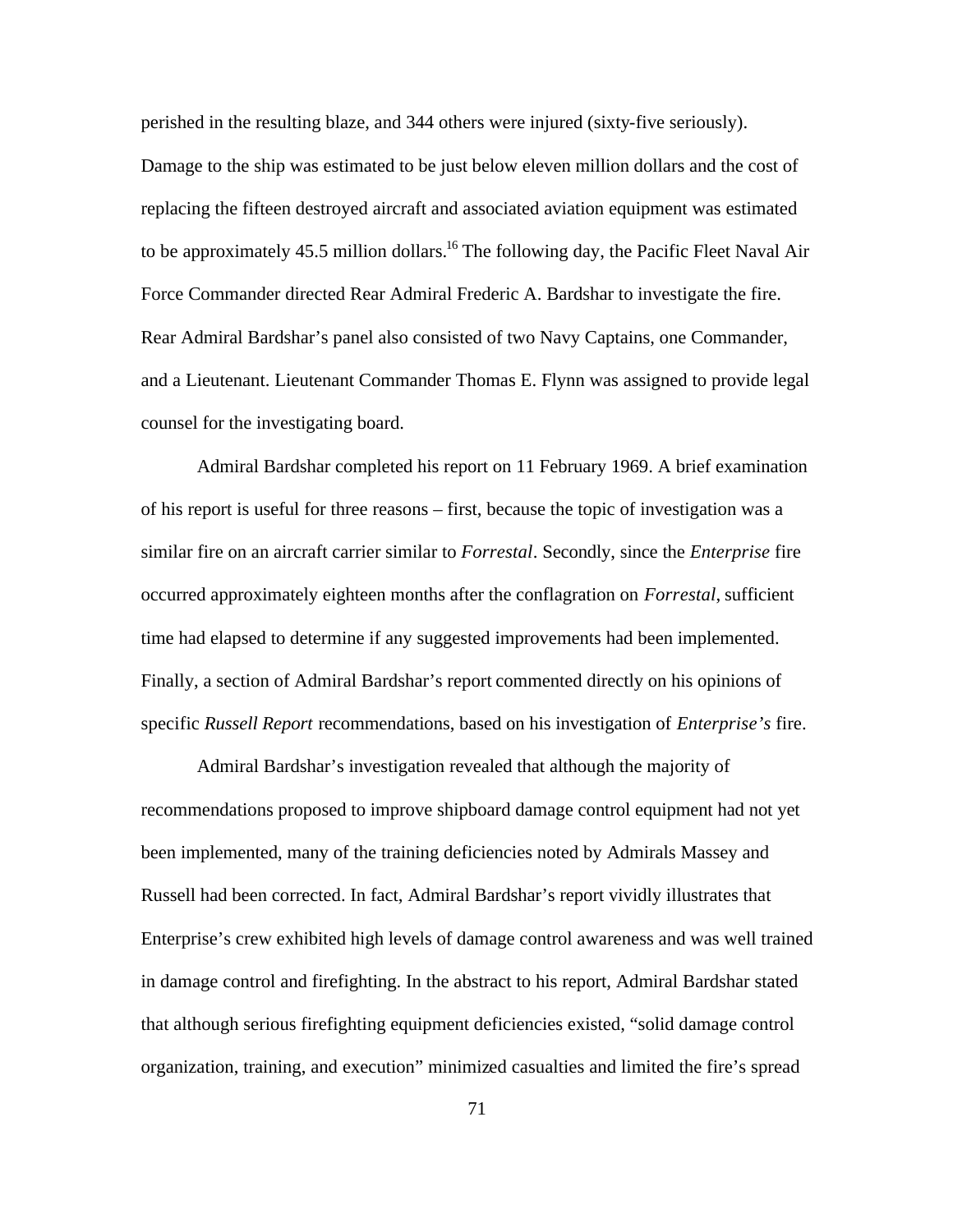perished in the resulting blaze, and 344 others were injured (sixty-five seriously). Damage to the ship was estimated to be just below eleven million dollars and the cost of replacing the fifteen destroyed aircraft and associated aviation equipment was estimated to be approximately 45.5 million dollars.<sup>16</sup> The following day, the Pacific Fleet Naval Air Force Commander directed Rear Admiral Frederic A. Bardshar to investigate the fire. Rear Admiral Bardshar's panel also consisted of two Navy Captains, one Commander, and a Lieutenant. Lieutenant Commander Thomas E. Flynn was assigned to provide legal counsel for the investigating board.

Admiral Bardshar completed his report on 11 February 1969. A brief examination of his report is useful for three reasons – first, because the topic of investigation was a similar fire on an aircraft carrier similar to *Forrestal*. Secondly, since the *Enterprise* fire occurred approximately eighteen months after the conflagration on *Forrestal*, sufficient time had elapsed to determine if any suggested improvements had been implemented. Finally, a section of Admiral Bardshar's report commented directly on his opinions of specific *Russell Report* recommendations, based on his investigation of *Enterprise's* fire.

Admiral Bardshar's investigation revealed that although the majority of recommendations proposed to improve shipboard damage control equipment had not yet been implemented, many of the training deficiencies noted by Admirals Massey and Russell had been corrected. In fact, Admiral Bardshar's report vividly illustrates that Enterprise's crew exhibited high levels of damage control awareness and was well trained in damage control and firefighting. In the abstract to his report, Admiral Bardshar stated that although serious firefighting equipment deficiencies existed, "solid damage control organization, training, and execution" minimized casualties and limited the fire's spread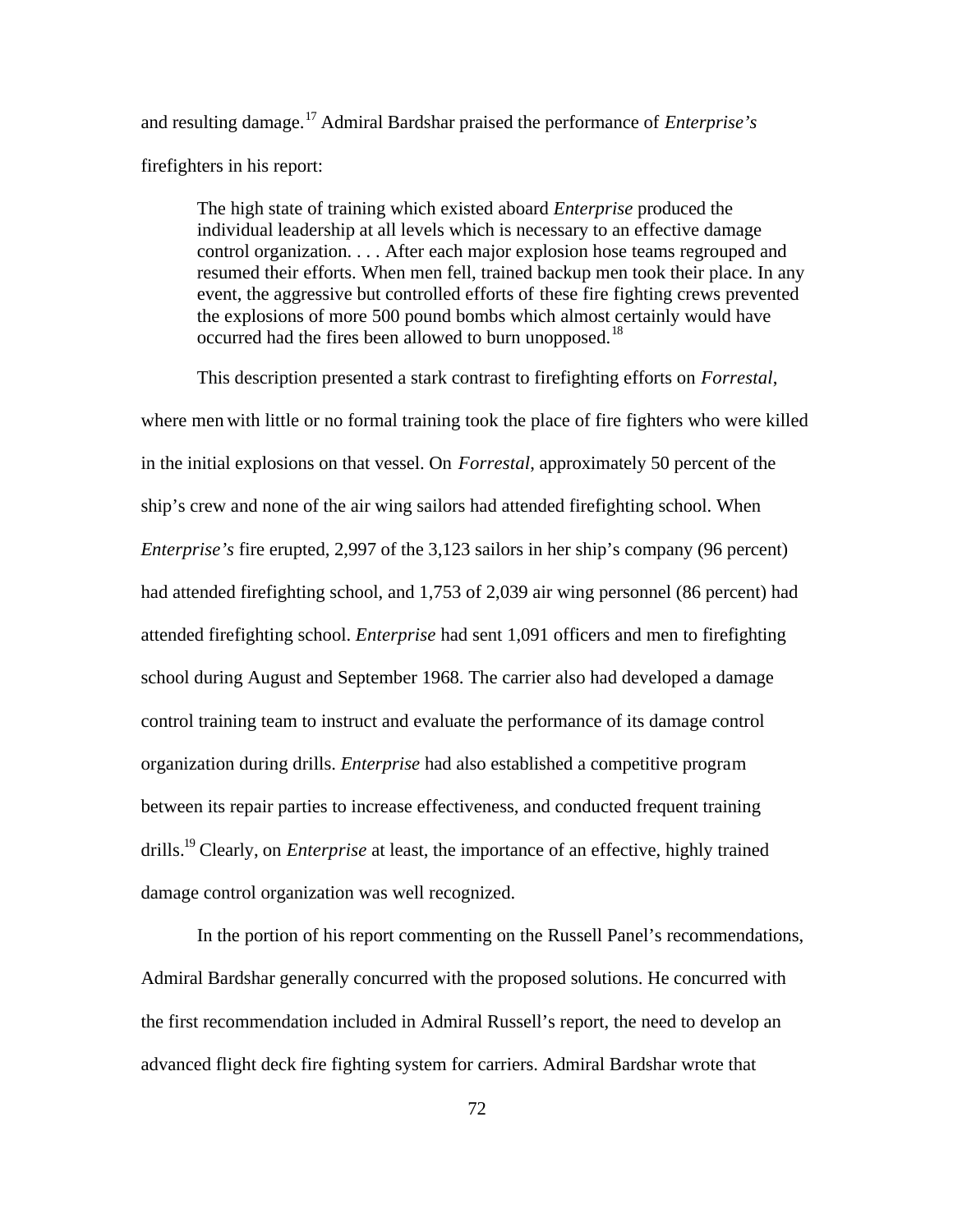and resulting damage.<sup>17</sup> Admiral Bardshar praised the performance of *Enterprise's* firefighters in his report:

The high state of training which existed aboard *Enterprise* produced the individual leadership at all levels which is necessary to an effective damage control organization. . . . After each major explosion hose teams regrouped and resumed their efforts. When men fell, trained backup men took their place. In any event, the aggressive but controlled efforts of these fire fighting crews prevented the explosions of more 500 pound bombs which almost certainly would have occurred had the fires been allowed to burn unopposed.<sup>18</sup>

This description presented a stark contrast to firefighting efforts on *Forrestal*, where men with little or no formal training took the place of fire fighters who were killed in the initial explosions on that vessel. On *Forrestal*, approximately 50 percent of the ship's crew and none of the air wing sailors had attended firefighting school. When *Enterprise's* fire erupted, 2,997 of the 3,123 sailors in her ship's company (96 percent) had attended firefighting school, and 1,753 of 2,039 air wing personnel (86 percent) had attended firefighting school. *Enterprise* had sent 1,091 officers and men to firefighting school during August and September 1968. The carrier also had developed a damage control training team to instruct and evaluate the performance of its damage control organization during drills. *Enterprise* had also established a competitive program between its repair parties to increase effectiveness, and conducted frequent training drills.<sup>19</sup> Clearly, on *Enterprise* at least, the importance of an effective, highly trained damage control organization was well recognized.

In the portion of his report commenting on the Russell Panel's recommendations, Admiral Bardshar generally concurred with the proposed solutions. He concurred with the first recommendation included in Admiral Russell's report, the need to develop an advanced flight deck fire fighting system for carriers. Admiral Bardshar wrote that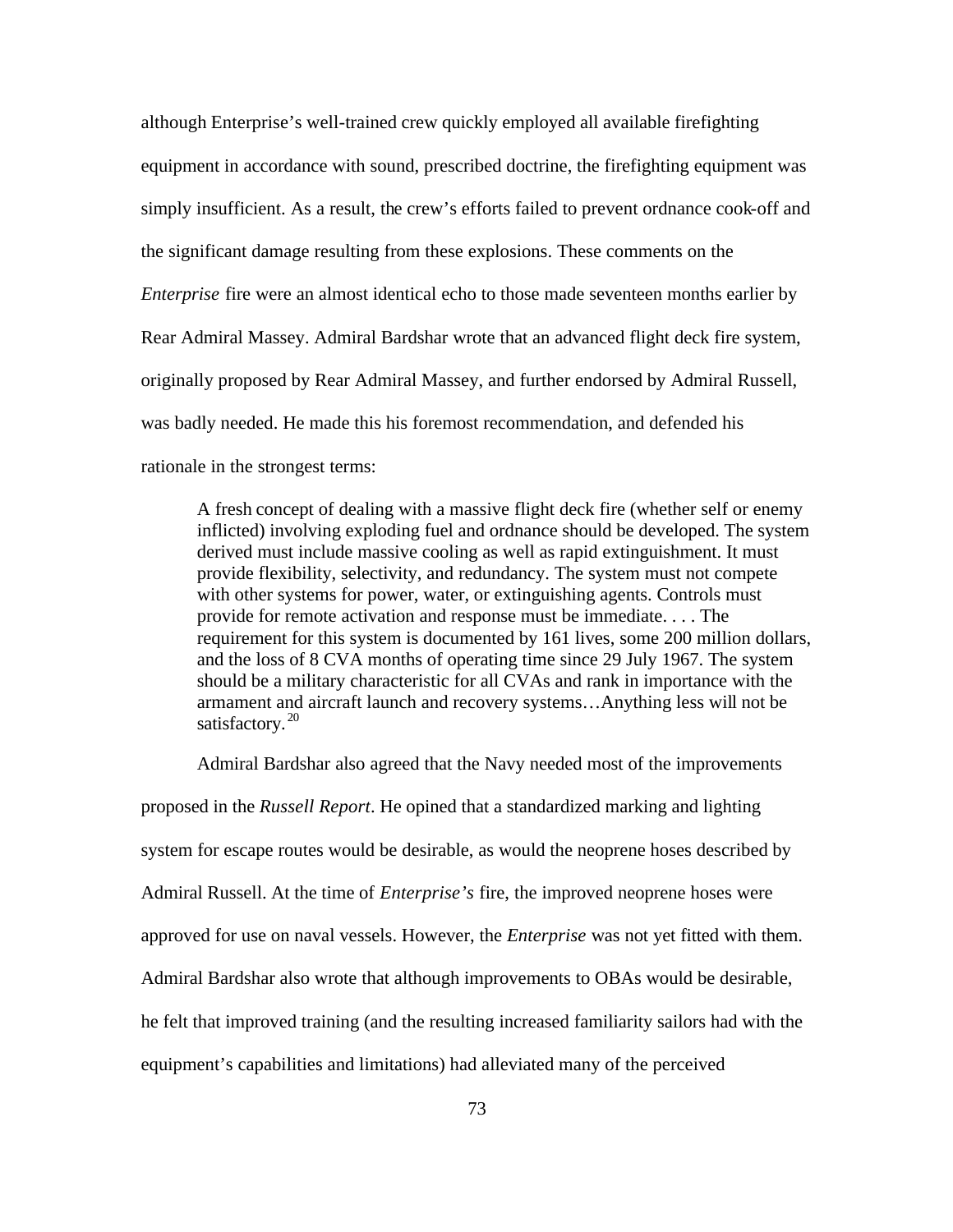although Enterprise's well-trained crew quickly employed all available firefighting equipment in accordance with sound, prescribed doctrine, the firefighting equipment was simply insufficient. As a result, the crew's efforts failed to prevent ordnance cook-off and the significant damage resulting from these explosions. These comments on the *Enterprise* fire were an almost identical echo to those made seventeen months earlier by Rear Admiral Massey. Admiral Bardshar wrote that an advanced flight deck fire system, originally proposed by Rear Admiral Massey, and further endorsed by Admiral Russell, was badly needed. He made this his foremost recommendation, and defended his rationale in the strongest terms:

A fresh concept of dealing with a massive flight deck fire (whether self or enemy inflicted) involving exploding fuel and ordnance should be developed. The system derived must include massive cooling as well as rapid extinguishment. It must provide flexibility, selectivity, and redundancy. The system must not compete with other systems for power, water, or extinguishing agents. Controls must provide for remote activation and response must be immediate. . . . The requirement for this system is documented by 161 lives, some 200 million dollars, and the loss of 8 CVA months of operating time since 29 July 1967. The system should be a military characteristic for all CVAs and rank in importance with the armament and aircraft launch and recovery systems…Anything less will not be satisfactory.<sup>20</sup>

Admiral Bardshar also agreed that the Navy needed most of the improvements proposed in the *Russell Report*. He opined that a standardized marking and lighting system for escape routes would be desirable, as would the neoprene hoses described by Admiral Russell. At the time of *Enterprise's* fire, the improved neoprene hoses were approved for use on naval vessels. However, the *Enterprise* was not yet fitted with them. Admiral Bardshar also wrote that although improvements to OBAs would be desirable, he felt that improved training (and the resulting increased familiarity sailors had with the equipment's capabilities and limitations) had alleviated many of the perceived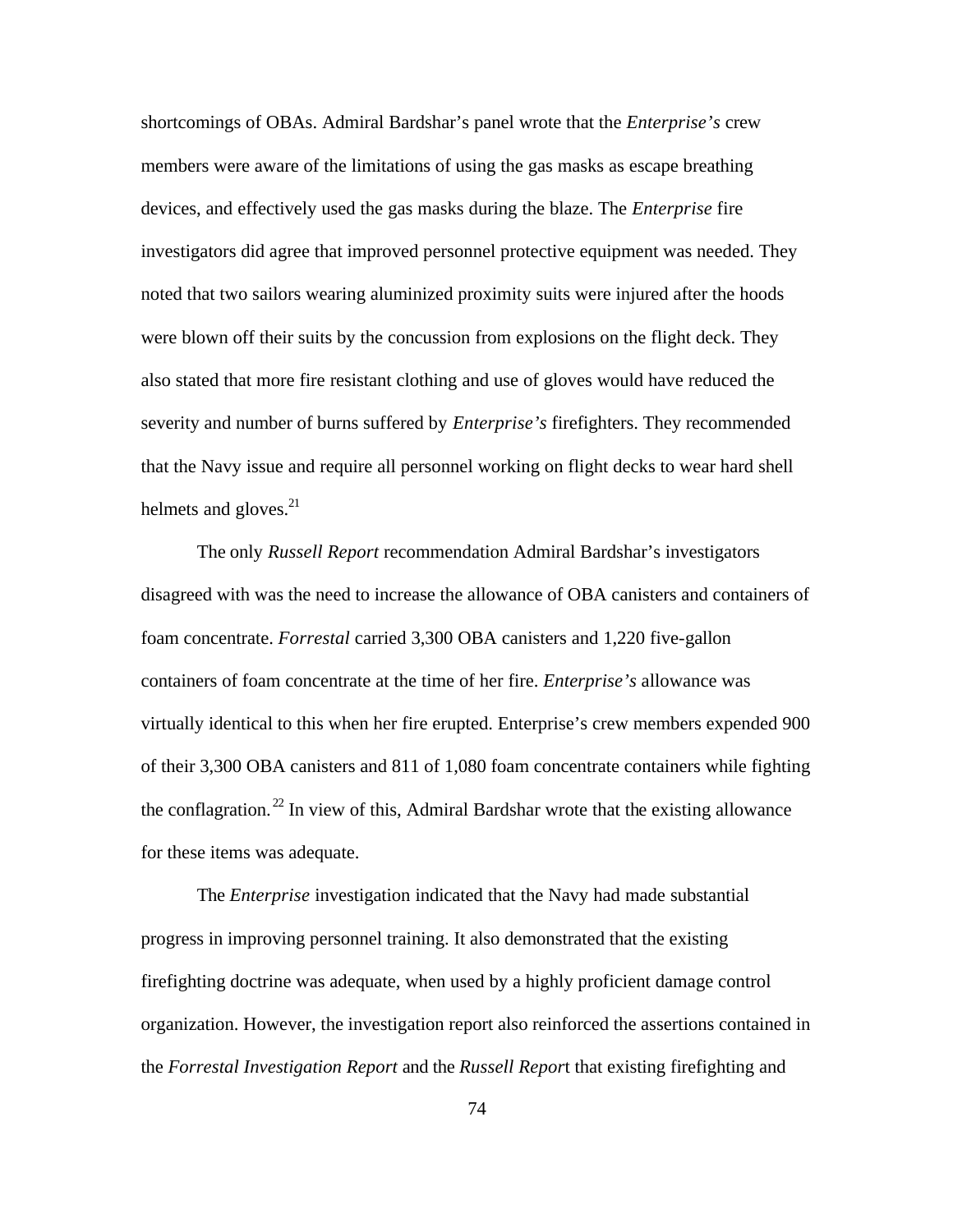shortcomings of OBAs. Admiral Bardshar's panel wrote that the *Enterprise's* crew members were aware of the limitations of using the gas masks as escape breathing devices, and effectively used the gas masks during the blaze. The *Enterprise* fire investigators did agree that improved personnel protective equipment was needed. They noted that two sailors wearing aluminized proximity suits were injured after the hoods were blown off their suits by the concussion from explosions on the flight deck. They also stated that more fire resistant clothing and use of gloves would have reduced the severity and number of burns suffered by *Enterprise's* firefighters. They recommended that the Navy issue and require all personnel working on flight decks to wear hard shell helmets and gloves. $21$ 

The only *Russell Report* recommendation Admiral Bardshar's investigators disagreed with was the need to increase the allowance of OBA canisters and containers of foam concentrate. *Forrestal* carried 3,300 OBA canisters and 1,220 five-gallon containers of foam concentrate at the time of her fire. *Enterprise's* allowance was virtually identical to this when her fire erupted. Enterprise's crew members expended 900 of their 3,300 OBA canisters and 811 of 1,080 foam concentrate containers while fighting the conflagration.<sup>22</sup> In view of this, Admiral Bardshar wrote that the existing allowance for these items was adequate.

The *Enterprise* investigation indicated that the Navy had made substantial progress in improving personnel training. It also demonstrated that the existing firefighting doctrine was adequate, when used by a highly proficient damage control organization. However, the investigation report also reinforced the assertions contained in the *Forrestal Investigation Report* and the *Russell Repor*t that existing firefighting and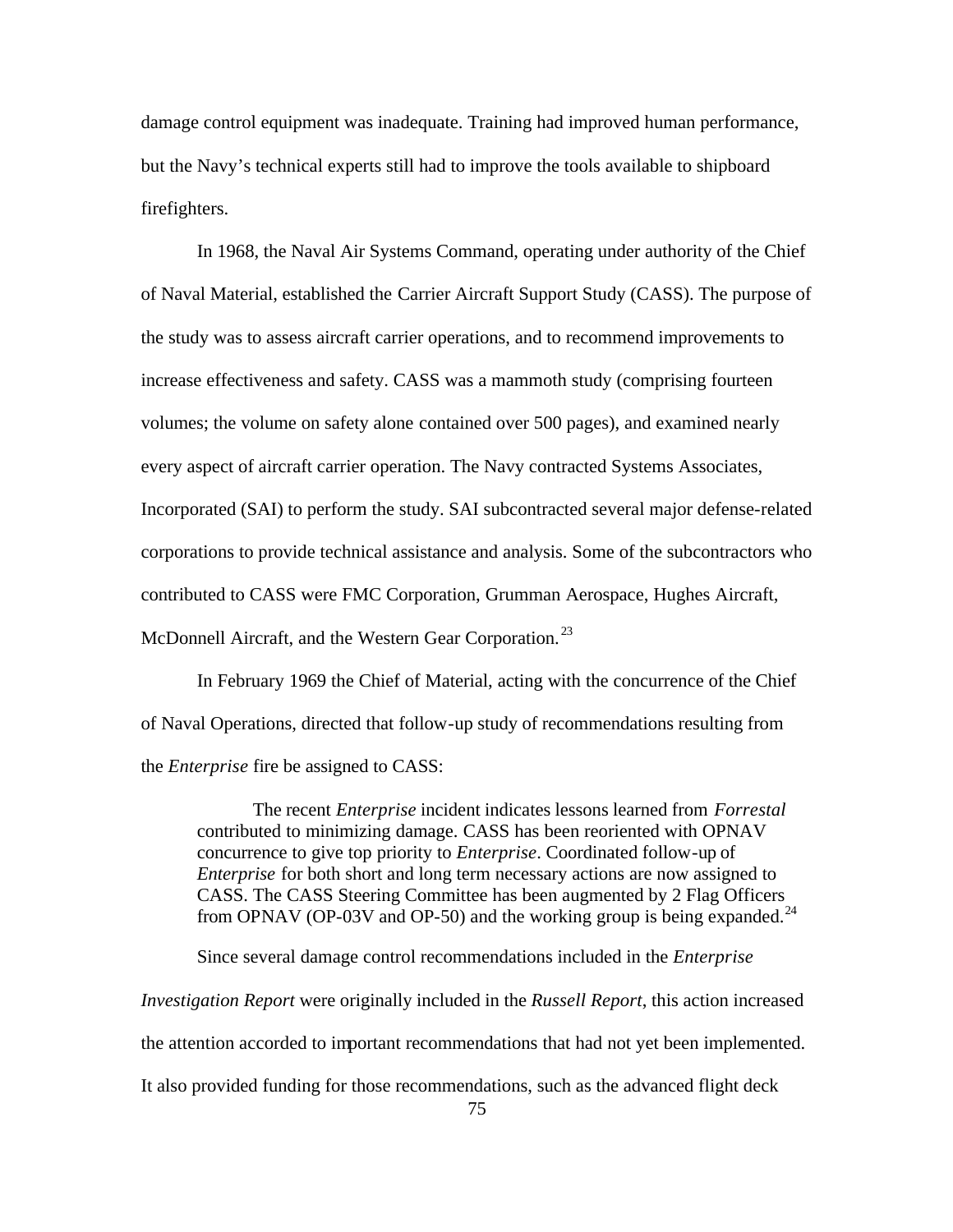damage control equipment was inadequate. Training had improved human performance, but the Navy's technical experts still had to improve the tools available to shipboard firefighters.

In 1968, the Naval Air Systems Command, operating under authority of the Chief of Naval Material, established the Carrier Aircraft Support Study (CASS). The purpose of the study was to assess aircraft carrier operations, and to recommend improvements to increase effectiveness and safety. CASS was a mammoth study (comprising fourteen volumes; the volume on safety alone contained over 500 pages), and examined nearly every aspect of aircraft carrier operation. The Navy contracted Systems Associates, Incorporated (SAI) to perform the study. SAI subcontracted several major defense-related corporations to provide technical assistance and analysis. Some of the subcontractors who contributed to CASS were FMC Corporation, Grumman Aerospace, Hughes Aircraft, McDonnell Aircraft, and the Western Gear Corporation.<sup>23</sup>

In February 1969 the Chief of Material, acting with the concurrence of the Chief of Naval Operations, directed that follow-up study of recommendations resulting from the *Enterprise* fire be assigned to CASS:

The recent *Enterprise* incident indicates lessons learned from *Forrestal*  contributed to minimizing damage. CASS has been reoriented with OPNAV concurrence to give top priority to *Enterprise*. Coordinated follow-up of *Enterprise* for both short and long term necessary actions are now assigned to CASS. The CASS Steering Committee has been augmented by 2 Flag Officers from OPNAV (OP-03V and OP-50) and the working group is being expanded.<sup>24</sup>

Since several damage control recommendations included in the *Enterprise Investigation Report* were originally included in the *Russell Report*, this action increased the attention accorded to important recommendations that had not yet been implemented. It also provided funding for those recommendations, such as the advanced flight deck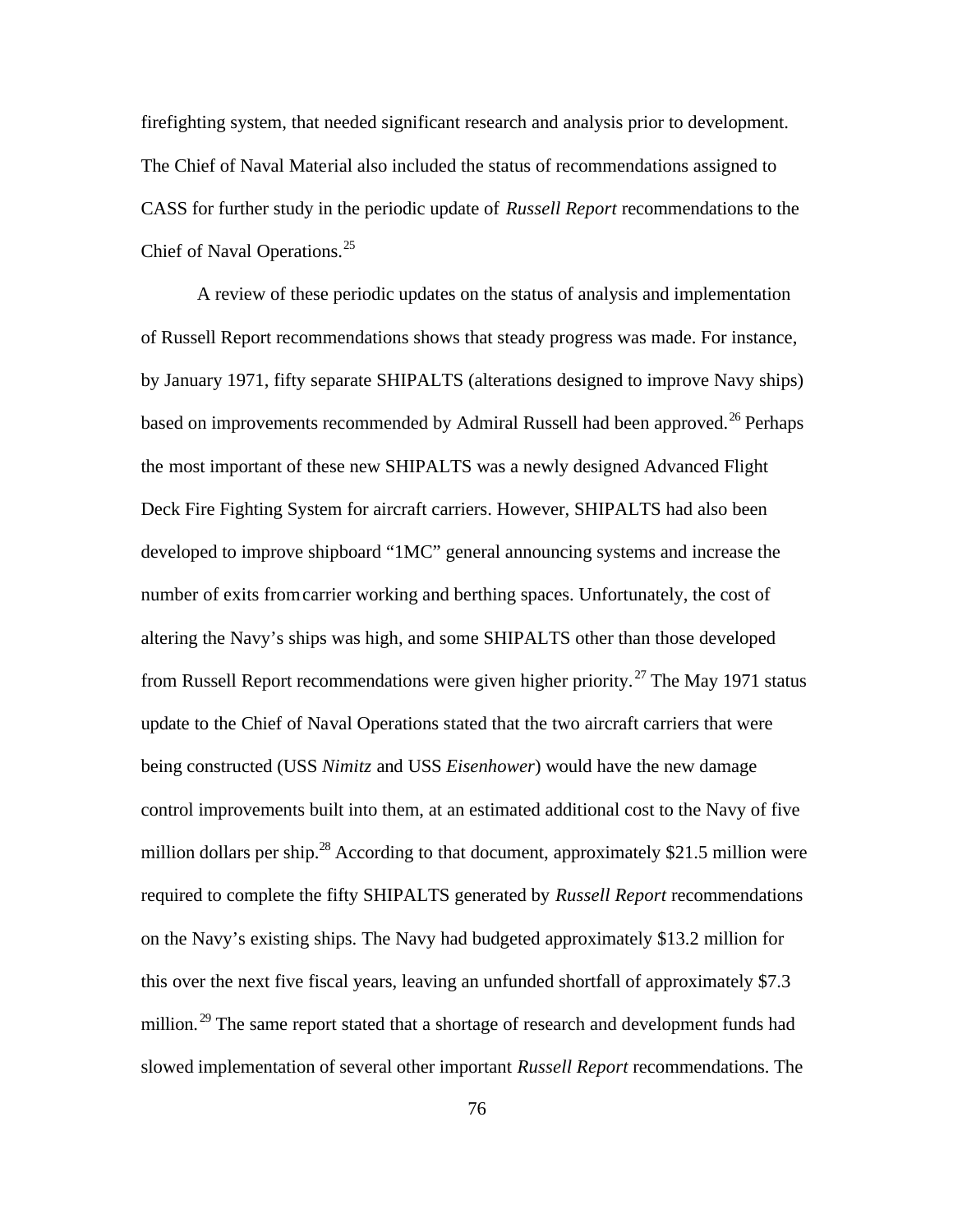firefighting system, that needed significant research and analysis prior to development. The Chief of Naval Material also included the status of recommendations assigned to CASS for further study in the periodic update of *Russell Report* recommendations to the Chief of Naval Operations.<sup>25</sup>

A review of these periodic updates on the status of analysis and implementation of Russell Report recommendations shows that steady progress was made. For instance, by January 1971, fifty separate SHIPALTS (alterations designed to improve Navy ships) based on improvements recommended by Admiral Russell had been approved.<sup>26</sup> Perhaps the most important of these new SHIPALTS was a newly designed Advanced Flight Deck Fire Fighting System for aircraft carriers. However, SHIPALTS had also been developed to improve shipboard "1MC" general announcing systems and increase the number of exits from carrier working and berthing spaces. Unfortunately, the cost of altering the Navy's ships was high, and some SHIPALTS other than those developed from Russell Report recommendations were given higher priority.<sup>27</sup> The May 1971 status update to the Chief of Naval Operations stated that the two aircraft carriers that were being constructed (USS *Nimitz* and USS *Eisenhower*) would have the new damage control improvements built into them, at an estimated additional cost to the Navy of five million dollars per ship.<sup>28</sup> According to that document, approximately \$21.5 million were required to complete the fifty SHIPALTS generated by *Russell Report* recommendations on the Navy's existing ships. The Navy had budgeted approximately \$13.2 million for this over the next five fiscal years, leaving an unfunded shortfall of approximately \$7.3 million.<sup>29</sup> The same report stated that a shortage of research and development funds had slowed implementation of several other important *Russell Report* recommendations. The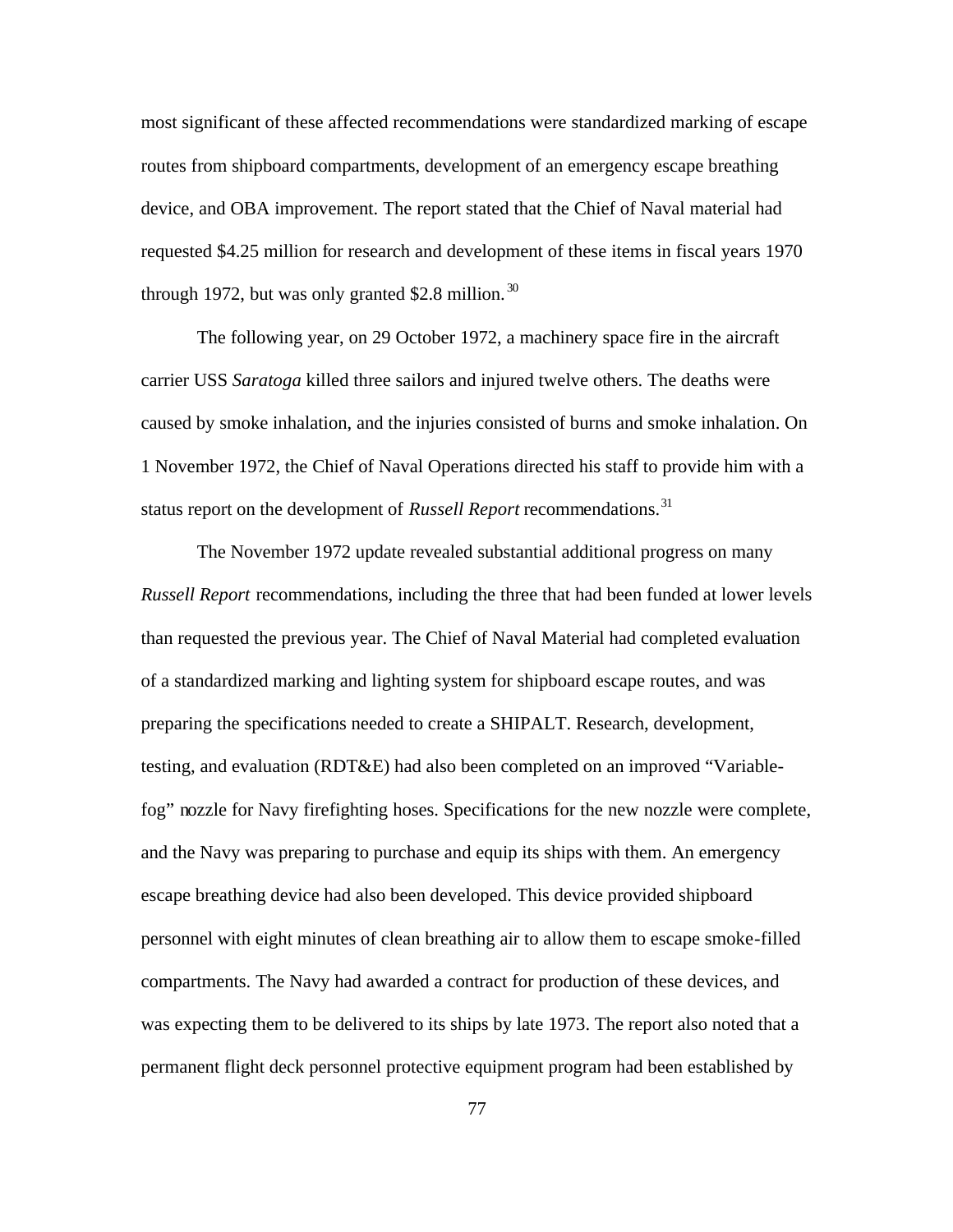most significant of these affected recommendations were standardized marking of escape routes from shipboard compartments, development of an emergency escape breathing device, and OBA improvement. The report stated that the Chief of Naval material had requested \$4.25 million for research and development of these items in fiscal years 1970 through 1972, but was only granted \$2.8 million. $^{30}$ 

The following year, on 29 October 1972, a machinery space fire in the aircraft carrier USS *Saratoga* killed three sailors and injured twelve others. The deaths were caused by smoke inhalation, and the injuries consisted of burns and smoke inhalation. On 1 November 1972, the Chief of Naval Operations directed his staff to provide him with a status report on the development of *Russell Report* recommendations.<sup>31</sup>

The November 1972 update revealed substantial additional progress on many *Russell Report* recommendations, including the three that had been funded at lower levels than requested the previous year. The Chief of Naval Material had completed evaluation of a standardized marking and lighting system for shipboard escape routes, and was preparing the specifications needed to create a SHIPALT. Research, development, testing, and evaluation (RDT&E) had also been completed on an improved "Variablefog" nozzle for Navy firefighting hoses. Specifications for the new nozzle were complete, and the Navy was preparing to purchase and equip its ships with them. An emergency escape breathing device had also been developed. This device provided shipboard personnel with eight minutes of clean breathing air to allow them to escape smoke-filled compartments. The Navy had awarded a contract for production of these devices, and was expecting them to be delivered to its ships by late 1973. The report also noted that a permanent flight deck personnel protective equipment program had been established by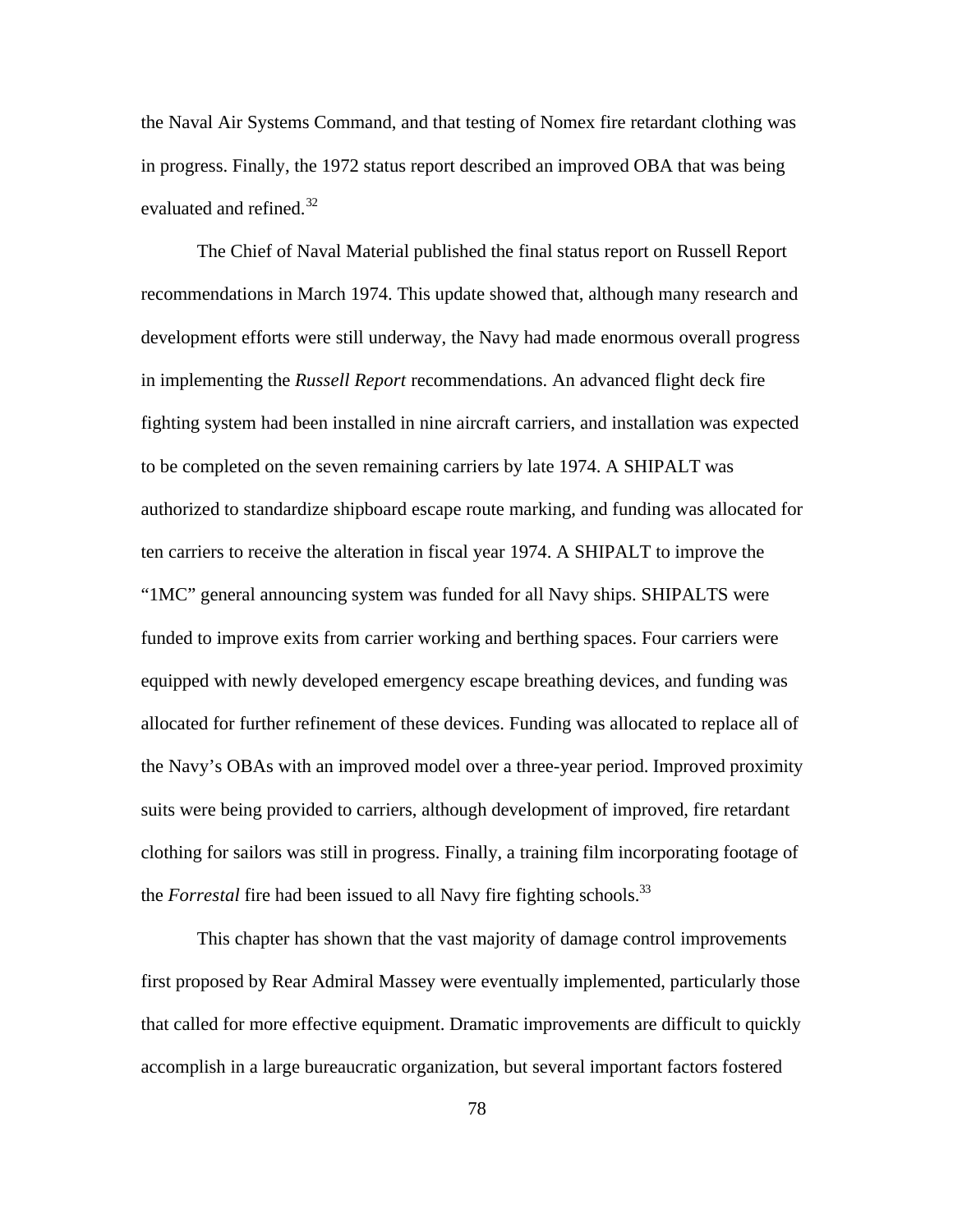the Naval Air Systems Command, and that testing of Nomex fire retardant clothing was in progress. Finally, the 1972 status report described an improved OBA that was being evaluated and refined. $32$ 

The Chief of Naval Material published the final status report on Russell Report recommendations in March 1974. This update showed that, although many research and development efforts were still underway, the Navy had made enormous overall progress in implementing the *Russell Report* recommendations. An advanced flight deck fire fighting system had been installed in nine aircraft carriers, and installation was expected to be completed on the seven remaining carriers by late 1974. A SHIPALT was authorized to standardize shipboard escape route marking, and funding was allocated for ten carriers to receive the alteration in fiscal year 1974. A SHIPALT to improve the "1MC" general announcing system was funded for all Navy ships. SHIPALTS were funded to improve exits from carrier working and berthing spaces. Four carriers were equipped with newly developed emergency escape breathing devices, and funding was allocated for further refinement of these devices. Funding was allocated to replace all of the Navy's OBAs with an improved model over a three-year period. Improved proximity suits were being provided to carriers, although development of improved, fire retardant clothing for sailors was still in progress. Finally, a training film incorporating footage of the *Forrestal* fire had been issued to all Navy fire fighting schools.<sup>33</sup>

This chapter has shown that the vast majority of damage control improvements first proposed by Rear Admiral Massey were eventually implemented, particularly those that called for more effective equipment. Dramatic improvements are difficult to quickly accomplish in a large bureaucratic organization, but several important factors fostered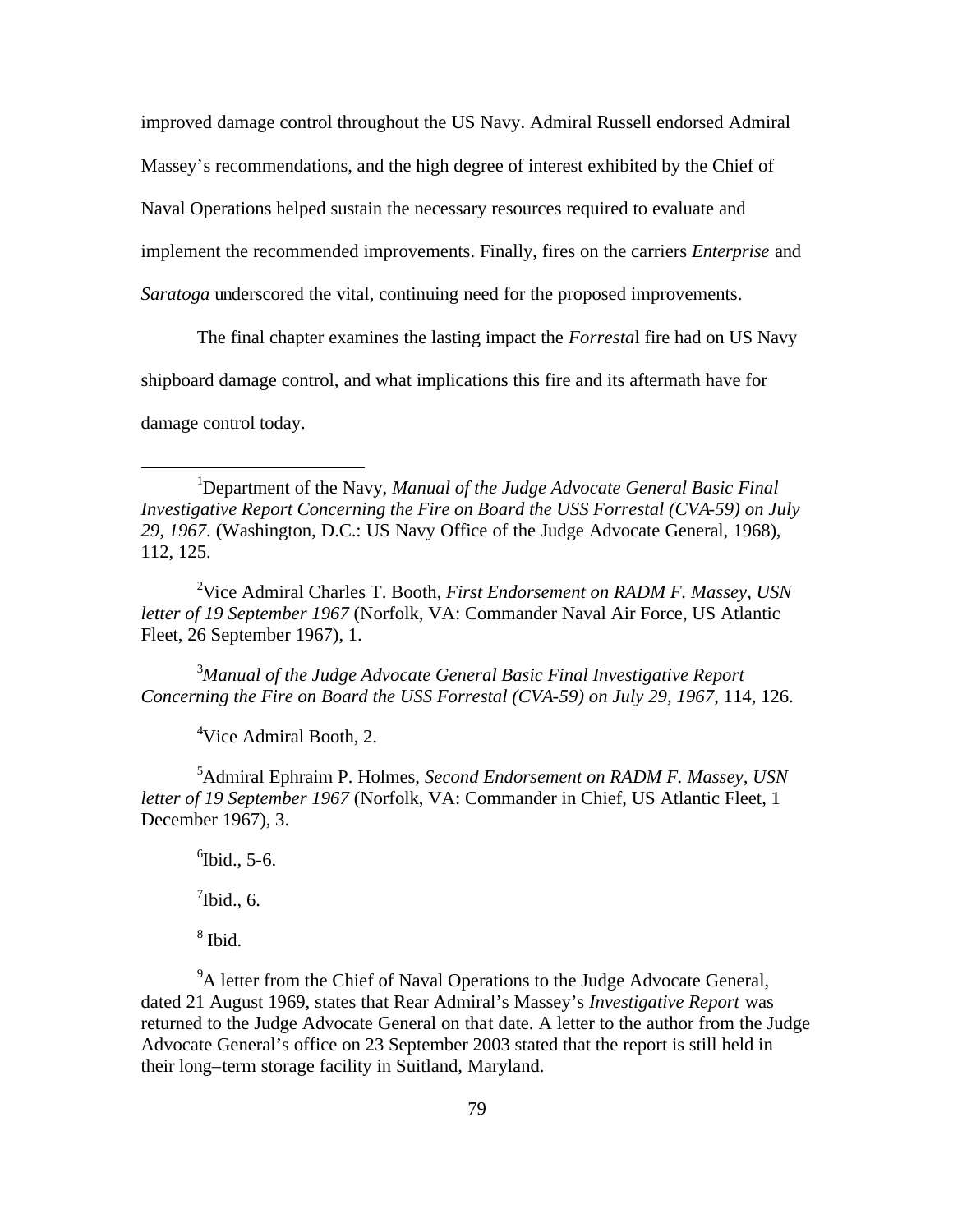improved damage control throughout the US Navy. Admiral Russell endorsed Admiral Massey's recommendations, and the high degree of interest exhibited by the Chief of Naval Operations helped sustain the necessary resources required to evaluate and implement the recommended improvements. Finally, fires on the carriers *Enterprise* and *Saratoga* underscored the vital, continuing need for the proposed improvements.

The final chapter examines the lasting impact the *Forresta*l fire had on US Navy shipboard damage control, and what implications this fire and its aftermath have for damage control today.

<sup>2</sup>Vice Admiral Charles T. Booth, *First Endorsement on RADM F. Massey, USN letter of 19 September 1967* (Norfolk, VA: Commander Naval Air Force, US Atlantic Fleet, 26 September 1967), 1.

<sup>3</sup>*Manual of the Judge Advocate General Basic Final Investigative Report Concerning the Fire on Board the USS Forrestal (CVA-59) on July 29, 1967*, 114, 126.

<sup>4</sup>Vice Admiral Booth, 2.

<sup>5</sup>Admiral Ephraim P. Holmes, *Second Endorsement on RADM F. Massey, USN letter of 19 September 1967* (Norfolk, VA: Commander in Chief, US Atlantic Fleet, 1 December 1967), 3.

 $<sup>6</sup>$ Ibid., 5-6.</sup>

 $7$ Ibid., 6.

8 Ibid.

 $\overline{a}$ 

<sup>9</sup>A letter from the Chief of Naval Operations to the Judge Advocate General, dated 21 August 1969, states that Rear Admiral's Massey's *Investigative Report* was returned to the Judge Advocate General on that date. A letter to the author from the Judge Advocate General's office on 23 September 2003 stated that the report is still held in their long–term storage facility in Suitland, Maryland.

<sup>&</sup>lt;sup>1</sup>Department of the Navy, *Manual of the Judge Advocate General Basic Final Investigative Report Concerning the Fire on Board the USS Forrestal (CVA-59) on July 29, 1967*. (Washington, D.C.: US Navy Office of the Judge Advocate General, 1968), 112, 125.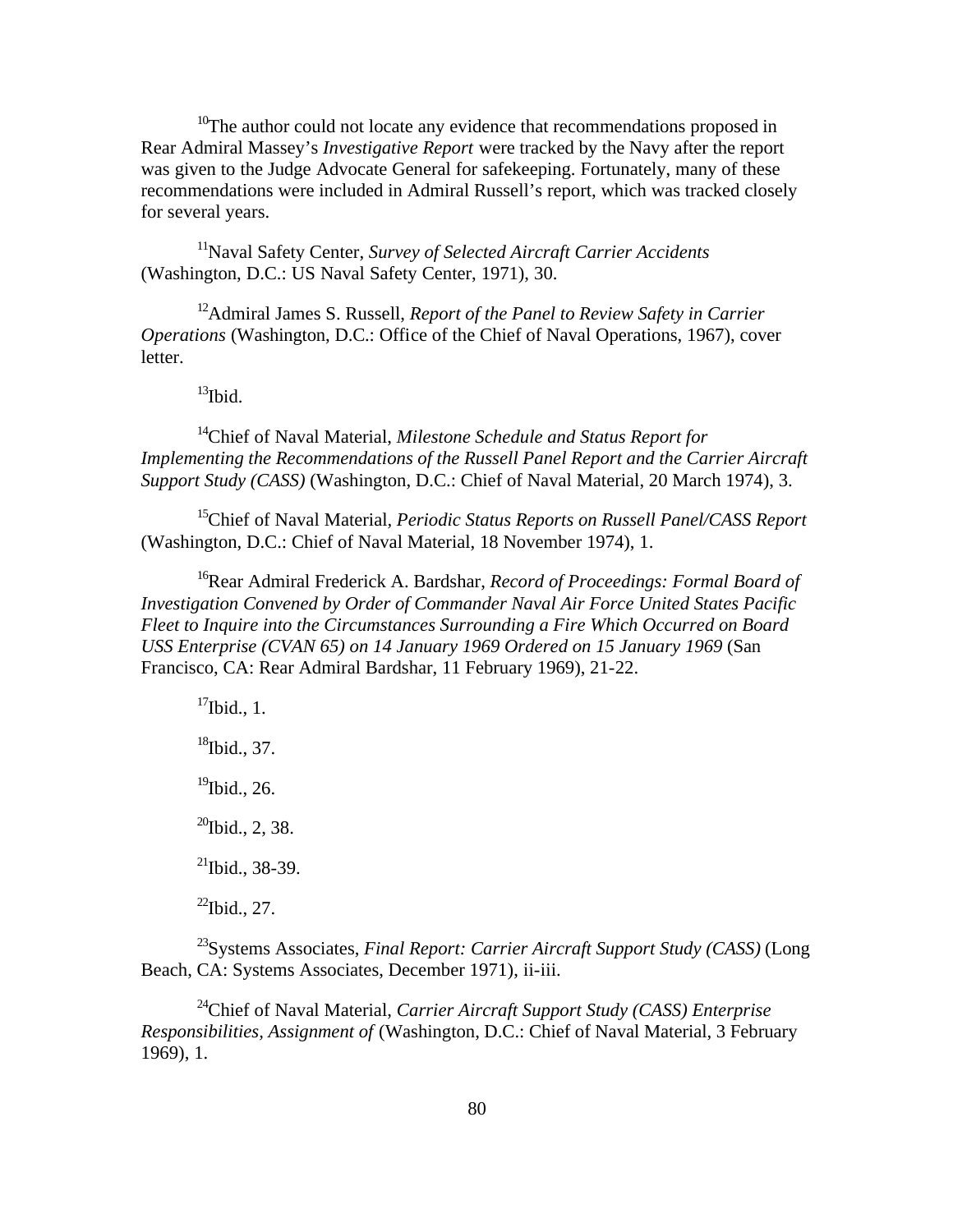$10$ <sup>10</sup>The author could not locate any evidence that recommendations proposed in Rear Admiral Massey's *Investigative Report* were tracked by the Navy after the report was given to the Judge Advocate General for safekeeping. Fortunately, many of these recommendations were included in Admiral Russell's report, which was tracked closely for several years.

<sup>11</sup>Naval Safety Center, *Survey of Selected Aircraft Carrier Accidents* (Washington, D.C.: US Naval Safety Center, 1971), 30.

<sup>12</sup>Admiral James S. Russell, *Report of the Panel to Review Safety in Carrier Operations* (Washington, D.C.: Office of the Chief of Naval Operations, 1967), cover letter.

 $13$ Ibid.

<sup>14</sup>Chief of Naval Material, *Milestone Schedule and Status Report for Implementing the Recommendations of the Russell Panel Report and the Carrier Aircraft Support Study (CASS)* (Washington, D.C.: Chief of Naval Material, 20 March 1974), 3.

<sup>15</sup>Chief of Naval Material*, Periodic Status Reports on Russell Panel/CASS Report*  (Washington, D.C.: Chief of Naval Material, 18 November 1974), 1.

<sup>16</sup>Rear Admiral Frederick A. Bardshar, *Record of Proceedings: Formal Board of Investigation Convened by Order of Commander Naval Air Force United States Pacific Fleet to Inquire into the Circumstances Surrounding a Fire Which Occurred on Board USS Enterprise (CVAN 65) on 14 January 1969 Ordered on 15 January 1969* (San Francisco, CA: Rear Admiral Bardshar, 11 February 1969), 21-22.

 $17$ Ibid., 1.  $18$ Ibid., 37.  $^{19}$ Ibid., 26.  $^{20}$ Ibid., 2, 38.  $^{21}$ Ibid., 38-39.  $^{22}$ Ibid., 27.

<sup>23</sup>Systems Associates, *Final Report: Carrier Aircraft Support Study (CASS)* (Long Beach, CA: Systems Associates, December 1971), ii-iii.

<sup>24</sup>Chief of Naval Material, *Carrier Aircraft Support Study (CASS) Enterprise Responsibilities, Assignment of* (Washington, D.C.: Chief of Naval Material, 3 February 1969), 1.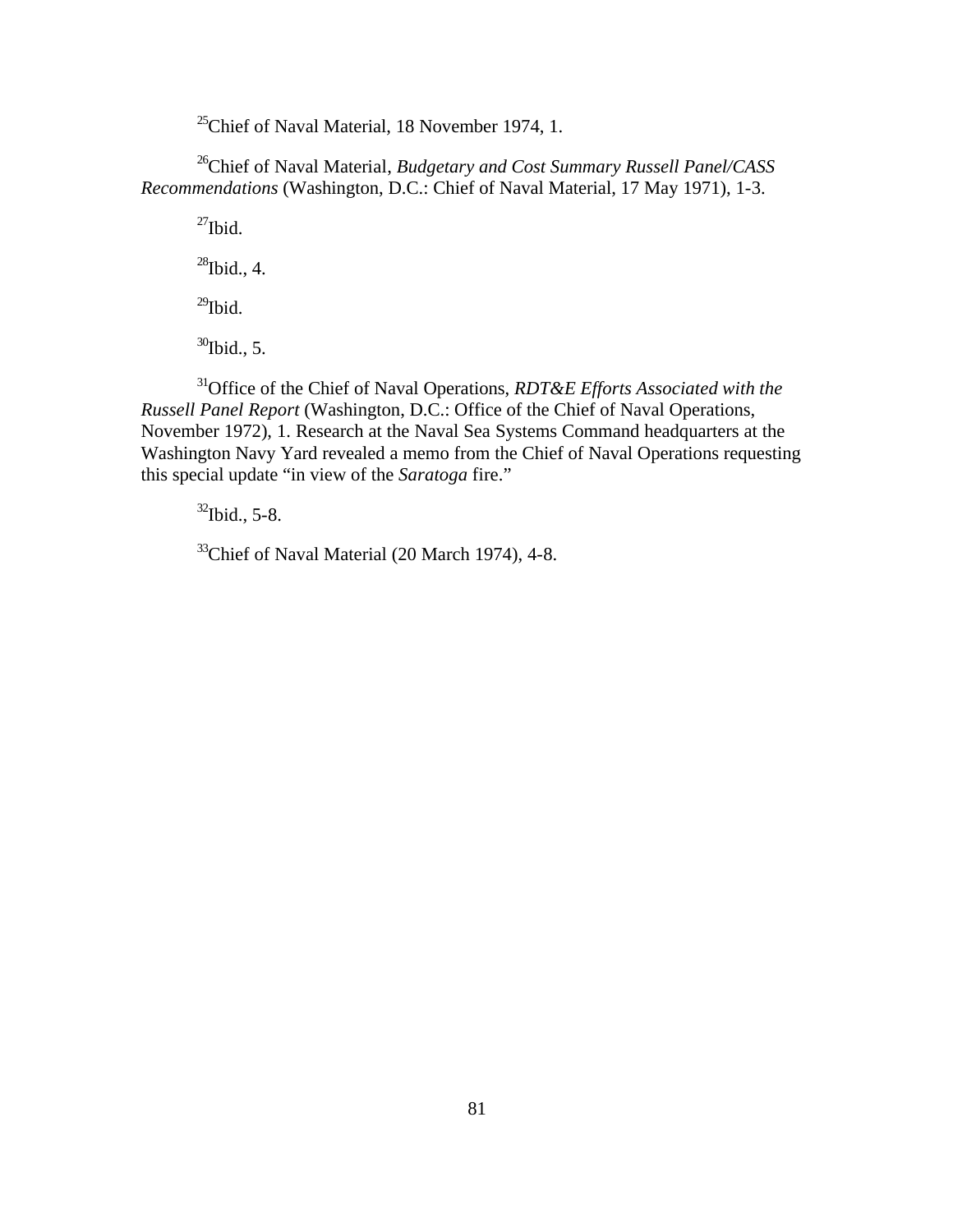<sup>25</sup>Chief of Naval Material, 18 November 1974, 1.

<sup>26</sup>Chief of Naval Material, *Budgetary and Cost Summary Russell Panel/CASS Recommendations* (Washington, D.C.: Chief of Naval Material, 17 May 1971), 1-3.

 $^{27}$ Ibid.

 $^{28}$ Ibid., 4.

 $29$ Ibid.

 $30$ Ibid., 5.

<sup>31</sup>Office of the Chief of Naval Operations, *RDT&E Efforts Associated with the Russell Panel Report* (Washington, D.C.: Office of the Chief of Naval Operations, November 1972), 1. Research at the Naval Sea Systems Command headquarters at the Washington Navy Yard revealed a memo from the Chief of Naval Operations requesting this special update "in view of the *Saratoga* fire."

 $32$ Ibid., 5-8.

<sup>33</sup>Chief of Naval Material (20 March 1974), 4-8.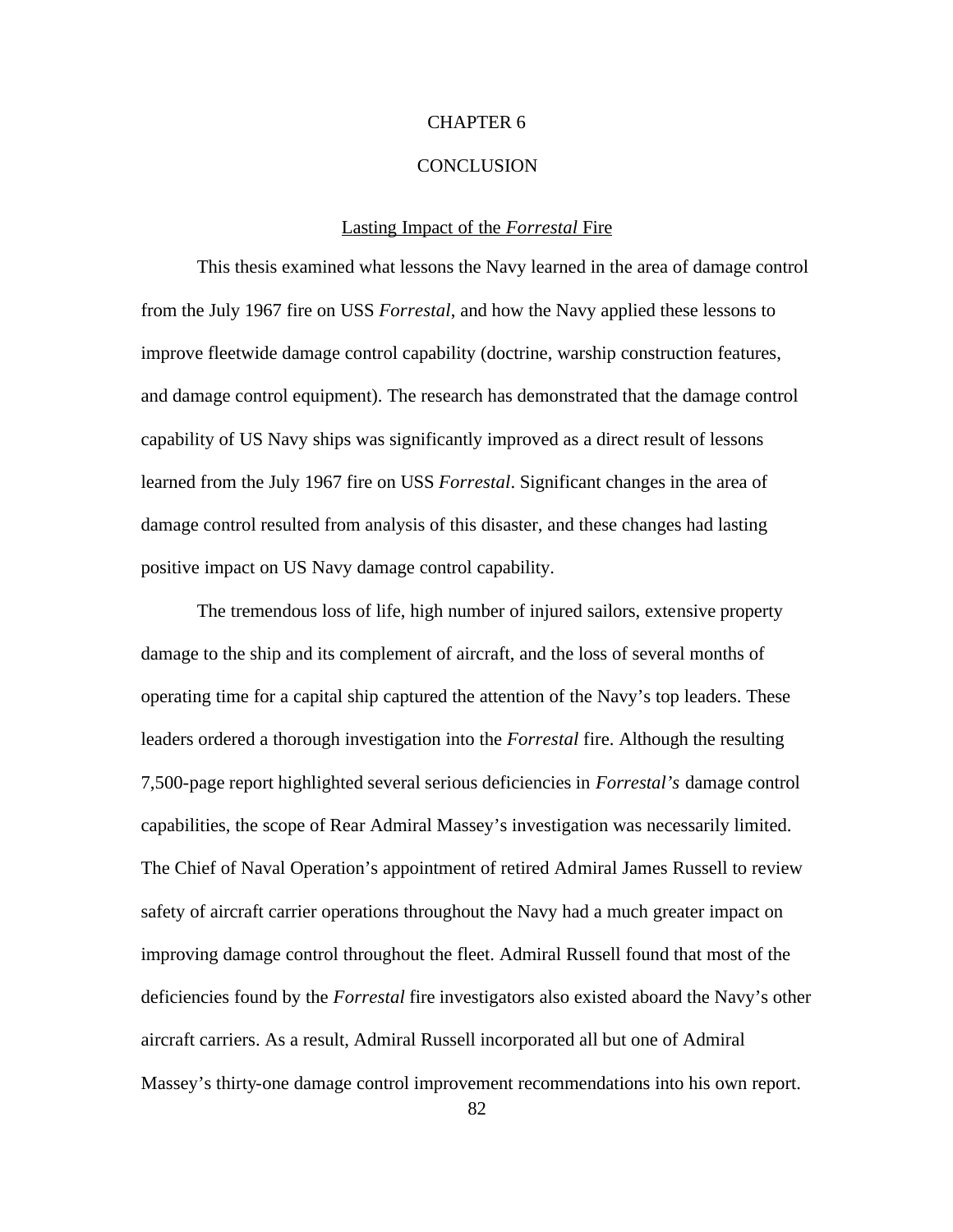# CHAPTER 6

## CONCLUSION

### Lasting Impact of the *Forrestal* Fire

This thesis examined what lessons the Navy learned in the area of damage control from the July 1967 fire on USS *Forrestal*, and how the Navy applied these lessons to improve fleetwide damage control capability (doctrine, warship construction features, and damage control equipment). The research has demonstrated that the damage control capability of US Navy ships was significantly improved as a direct result of lessons learned from the July 1967 fire on USS *Forrestal*. Significant changes in the area of damage control resulted from analysis of this disaster, and these changes had lasting positive impact on US Navy damage control capability.

The tremendous loss of life, high number of injured sailors, extensive property damage to the ship and its complement of aircraft, and the loss of several months of operating time for a capital ship captured the attention of the Navy's top leaders. These leaders ordered a thorough investigation into the *Forrestal* fire. Although the resulting 7,500-page report highlighted several serious deficiencies in *Forrestal's* damage control capabilities, the scope of Rear Admiral Massey's investigation was necessarily limited. The Chief of Naval Operation's appointment of retired Admiral James Russell to review safety of aircraft carrier operations throughout the Navy had a much greater impact on improving damage control throughout the fleet. Admiral Russell found that most of the deficiencies found by the *Forrestal* fire investigators also existed aboard the Navy's other aircraft carriers. As a result, Admiral Russell incorporated all but one of Admiral Massey's thirty-one damage control improvement recommendations into his own report.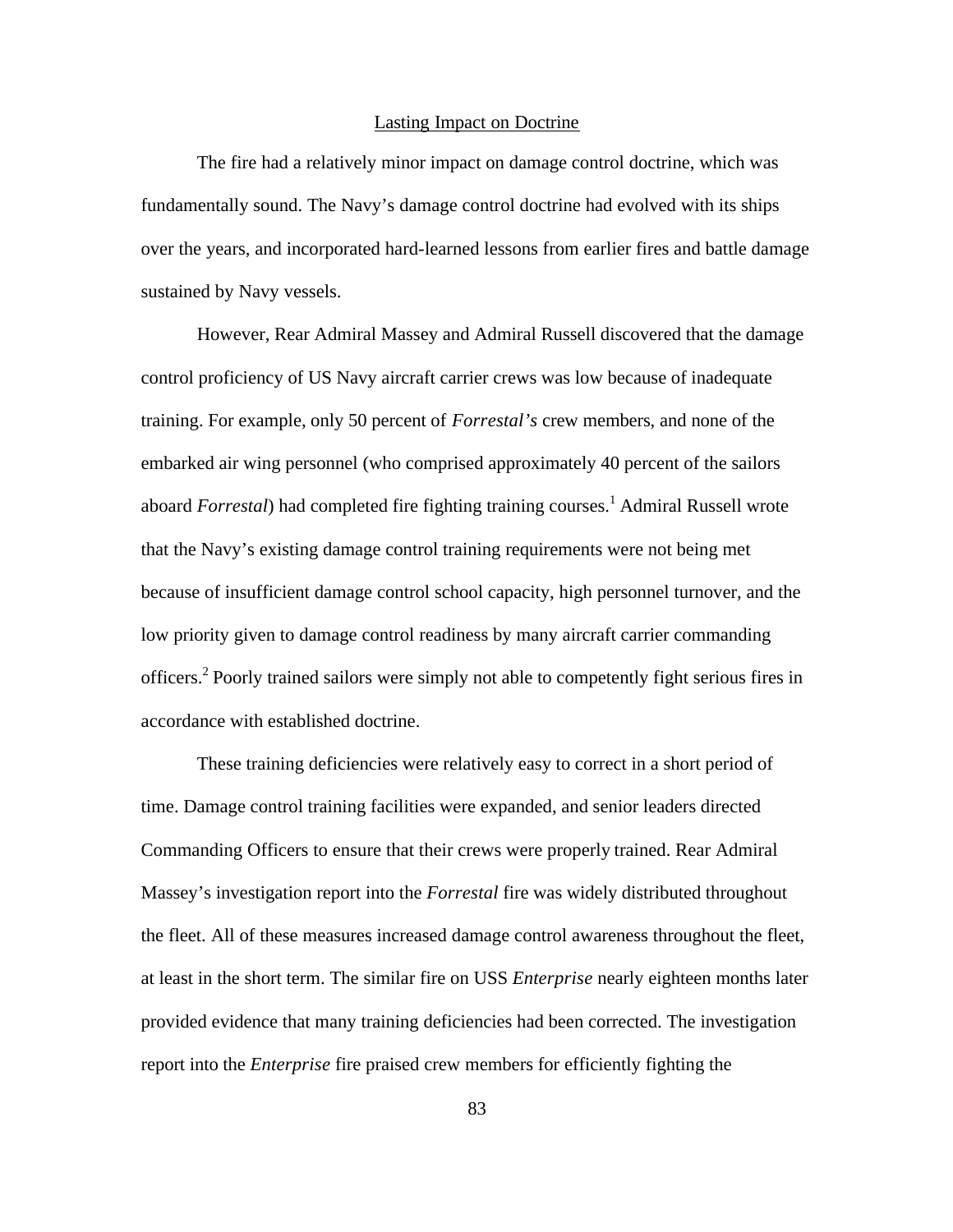### Lasting Impact on Doctrine

The fire had a relatively minor impact on damage control doctrine, which was fundamentally sound. The Navy's damage control doctrine had evolved with its ships over the years, and incorporated hard-learned lessons from earlier fires and battle damage sustained by Navy vessels.

However, Rear Admiral Massey and Admiral Russell discovered that the damage control proficiency of US Navy aircraft carrier crews was low because of inadequate training. For example, only 50 percent of *Forrestal's* crew members, and none of the embarked air wing personnel (who comprised approximately 40 percent of the sailors aboard *Forrestal*) had completed fire fighting training courses.<sup>1</sup> Admiral Russell wrote that the Navy's existing damage control training requirements were not being met because of insufficient damage control school capacity, high personnel turnover, and the low priority given to damage control readiness by many aircraft carrier commanding officers.<sup>2</sup> Poorly trained sailors were simply not able to competently fight serious fires in accordance with established doctrine.

These training deficiencies were relatively easy to correct in a short period of time. Damage control training facilities were expanded, and senior leaders directed Commanding Officers to ensure that their crews were properly trained. Rear Admiral Massey's investigation report into the *Forrestal* fire was widely distributed throughout the fleet. All of these measures increased damage control awareness throughout the fleet, at least in the short term. The similar fire on USS *Enterprise* nearly eighteen months later provided evidence that many training deficiencies had been corrected. The investigation report into the *Enterprise* fire praised crew members for efficiently fighting the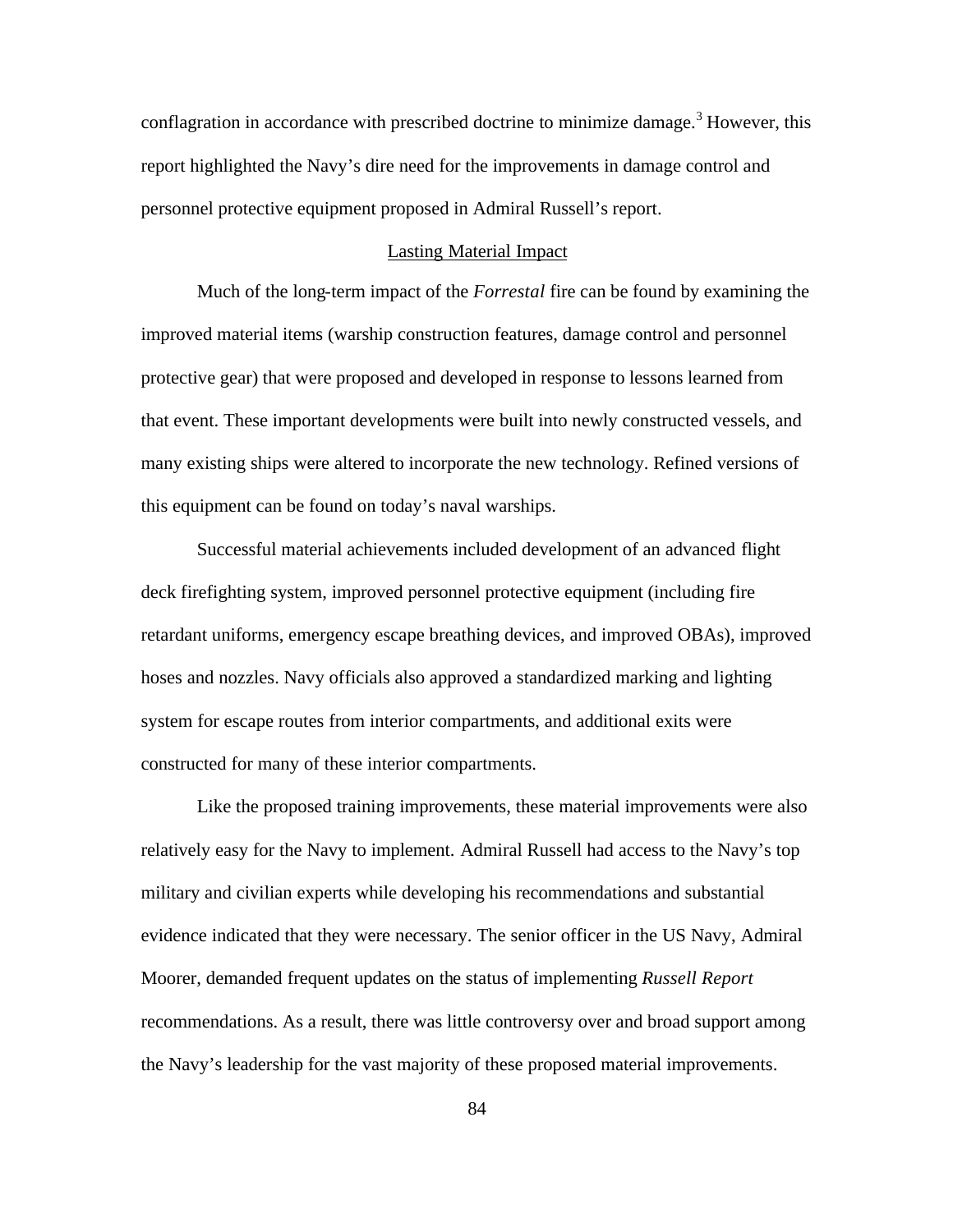conflagration in accordance with prescribed doctrine to minimize damage.<sup>3</sup> However, this report highlighted the Navy's dire need for the improvements in damage control and personnel protective equipment proposed in Admiral Russell's report.

# Lasting Material Impact

Much of the long-term impact of the *Forrestal* fire can be found by examining the improved material items (warship construction features, damage control and personnel protective gear) that were proposed and developed in response to lessons learned from that event. These important developments were built into newly constructed vessels, and many existing ships were altered to incorporate the new technology. Refined versions of this equipment can be found on today's naval warships.

Successful material achievements included development of an advanced flight deck firefighting system, improved personnel protective equipment (including fire retardant uniforms, emergency escape breathing devices, and improved OBAs), improved hoses and nozzles. Navy officials also approved a standardized marking and lighting system for escape routes from interior compartments, and additional exits were constructed for many of these interior compartments.

Like the proposed training improvements, these material improvements were also relatively easy for the Navy to implement. Admiral Russell had access to the Navy's top military and civilian experts while developing his recommendations and substantial evidence indicated that they were necessary. The senior officer in the US Navy, Admiral Moorer, demanded frequent updates on the status of implementing *Russell Report* recommendations. As a result, there was little controversy over and broad support among the Navy's leadership for the vast majority of these proposed material improvements.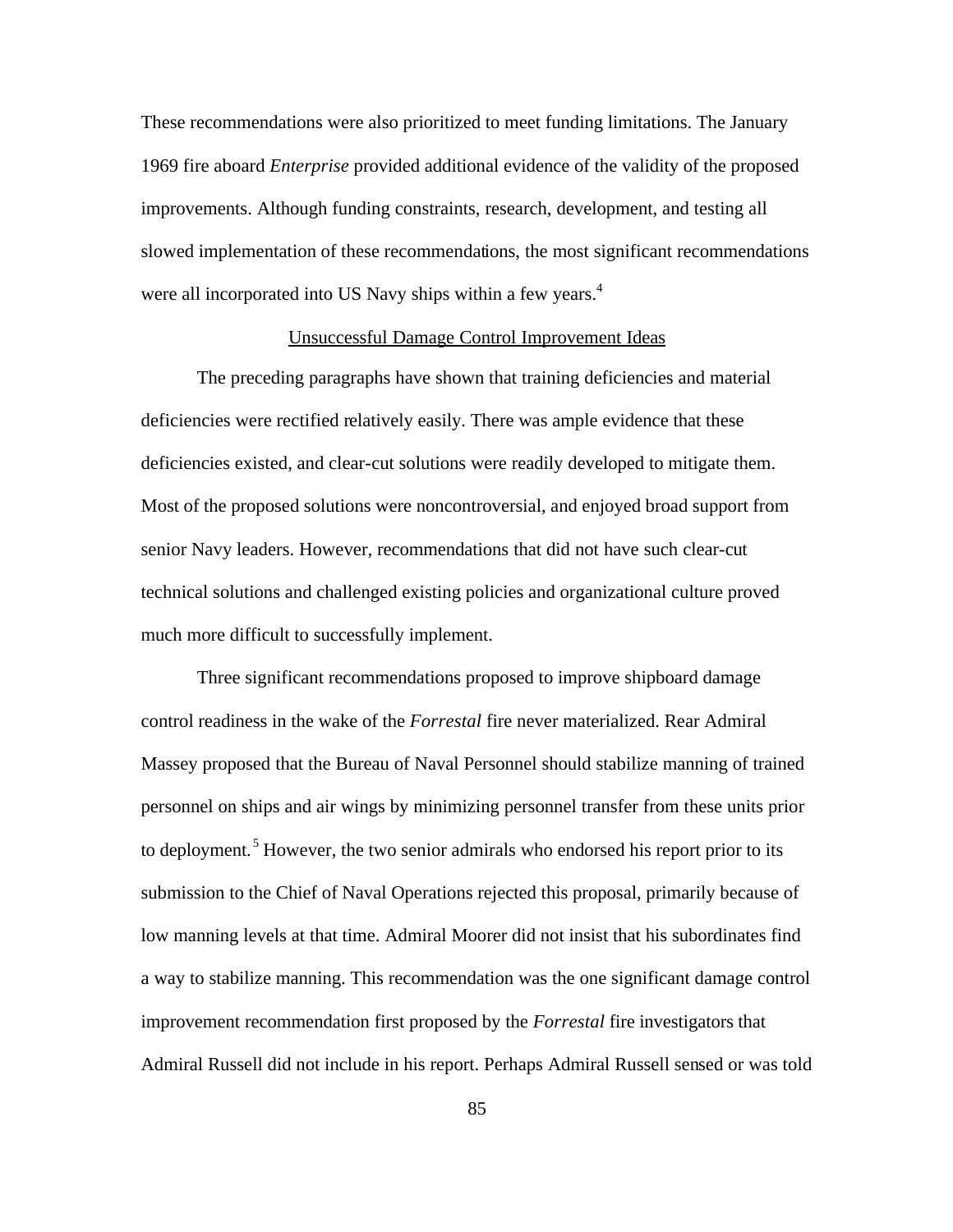These recommendations were also prioritized to meet funding limitations. The January 1969 fire aboard *Enterprise* provided additional evidence of the validity of the proposed improvements. Although funding constraints, research, development, and testing all slowed implementation of these recommendations, the most significant recommendations were all incorporated into US Navy ships within a few years.<sup>4</sup>

## Unsuccessful Damage Control Improvement Ideas

The preceding paragraphs have shown that training deficiencies and material deficiencies were rectified relatively easily. There was ample evidence that these deficiencies existed, and clear-cut solutions were readily developed to mitigate them. Most of the proposed solutions were noncontroversial, and enjoyed broad support from senior Navy leaders. However, recommendations that did not have such clear-cut technical solutions and challenged existing policies and organizational culture proved much more difficult to successfully implement.

Three significant recommendations proposed to improve shipboard damage control readiness in the wake of the *Forrestal* fire never materialized. Rear Admiral Massey proposed that the Bureau of Naval Personnel should stabilize manning of trained personnel on ships and air wings by minimizing personnel transfer from these units prior to deployment.<sup>5</sup> However, the two senior admirals who endorsed his report prior to its submission to the Chief of Naval Operations rejected this proposal, primarily because of low manning levels at that time. Admiral Moorer did not insist that his subordinates find a way to stabilize manning. This recommendation was the one significant damage control improvement recommendation first proposed by the *Forrestal* fire investigators that Admiral Russell did not include in his report. Perhaps Admiral Russell sensed or was told

85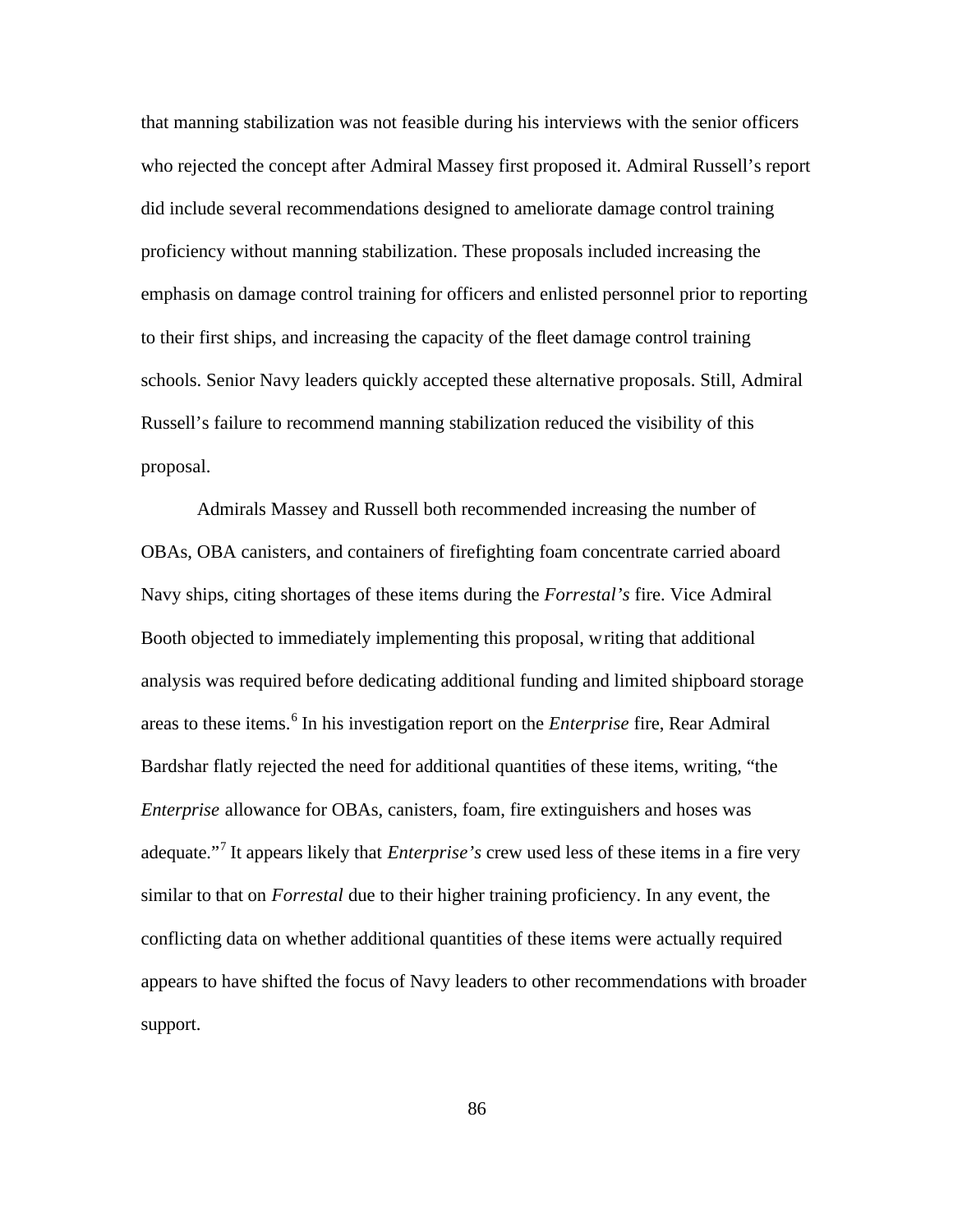that manning stabilization was not feasible during his interviews with the senior officers who rejected the concept after Admiral Massey first proposed it. Admiral Russell's report did include several recommendations designed to ameliorate damage control training proficiency without manning stabilization. These proposals included increasing the emphasis on damage control training for officers and enlisted personnel prior to reporting to their first ships, and increasing the capacity of the fleet damage control training schools. Senior Navy leaders quickly accepted these alternative proposals. Still, Admiral Russell's failure to recommend manning stabilization reduced the visibility of this proposal.

Admirals Massey and Russell both recommended increasing the number of OBAs, OBA canisters, and containers of firefighting foam concentrate carried aboard Navy ships, citing shortages of these items during the *Forrestal's* fire. Vice Admiral Booth objected to immediately implementing this proposal, writing that additional analysis was required before dedicating additional funding and limited shipboard storage areas to these items.<sup>6</sup> In his investigation report on the *Enterprise* fire, Rear Admiral Bardshar flatly rejected the need for additional quantities of these items, writing, "the *Enterprise* allowance for OBAs, canisters, foam, fire extinguishers and hoses was adequate."<sup>7</sup> It appears likely that *Enterprise's* crew used less of these items in a fire very similar to that on *Forrestal* due to their higher training proficiency. In any event, the conflicting data on whether additional quantities of these items were actually required appears to have shifted the focus of Navy leaders to other recommendations with broader support.

86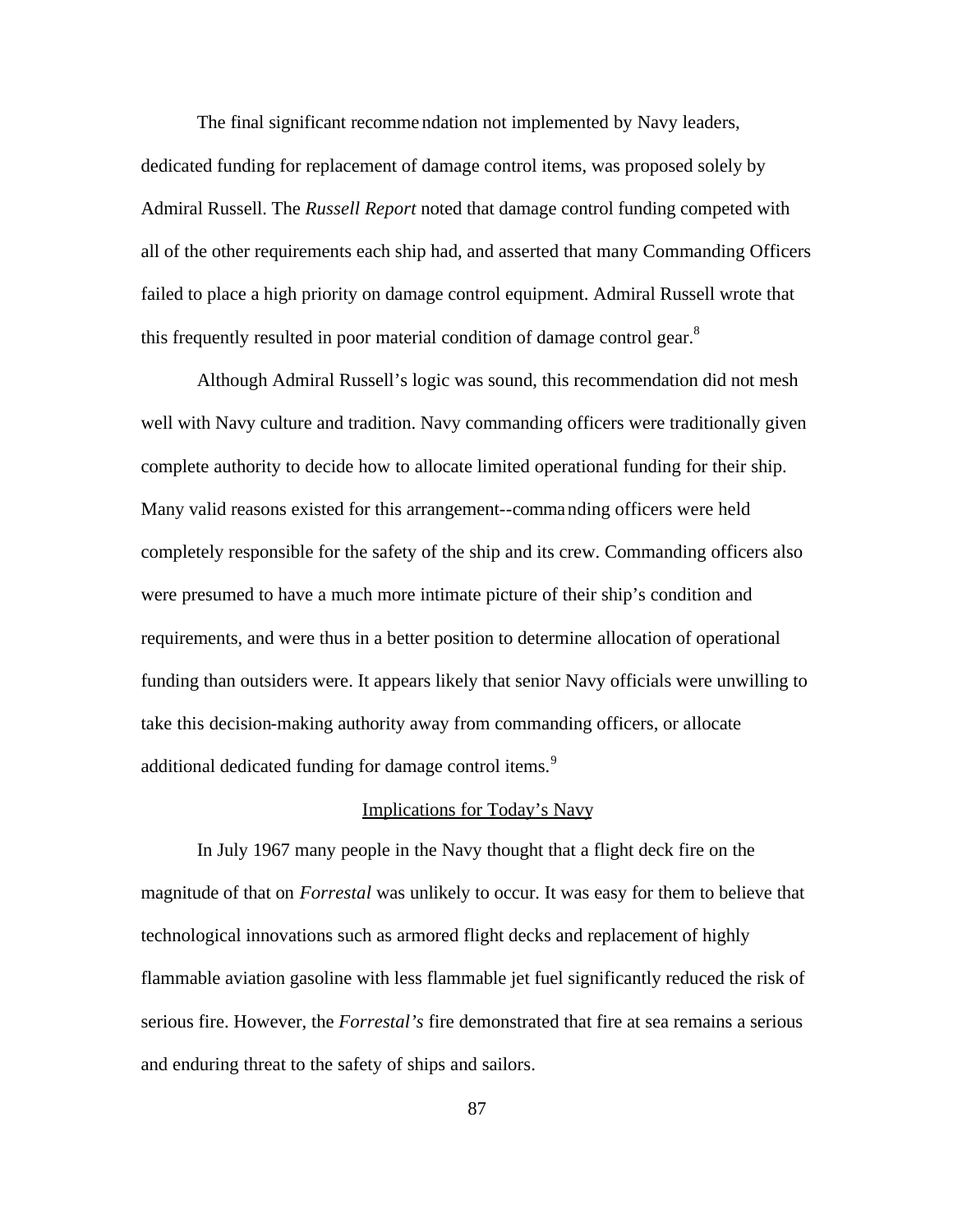The final significant recomme ndation not implemented by Navy leaders, dedicated funding for replacement of damage control items, was proposed solely by Admiral Russell. The *Russell Report* noted that damage control funding competed with all of the other requirements each ship had, and asserted that many Commanding Officers failed to place a high priority on damage control equipment. Admiral Russell wrote that this frequently resulted in poor material condition of damage control gear.<sup>8</sup>

Although Admiral Russell's logic was sound, this recommendation did not mesh well with Navy culture and tradition. Navy commanding officers were traditionally given complete authority to decide how to allocate limited operational funding for their ship. Many valid reasons existed for this arrangement--commanding officers were held completely responsible for the safety of the ship and its crew. Commanding officers also were presumed to have a much more intimate picture of their ship's condition and requirements, and were thus in a better position to determine allocation of operational funding than outsiders were. It appears likely that senior Navy officials were unwilling to take this decision-making authority away from commanding officers, or allocate additional dedicated funding for damage control items.<sup>9</sup>

#### Implications for Today's Navy

In July 1967 many people in the Navy thought that a flight deck fire on the magnitude of that on *Forrestal* was unlikely to occur. It was easy for them to believe that technological innovations such as armored flight decks and replacement of highly flammable aviation gasoline with less flammable jet fuel significantly reduced the risk of serious fire. However, the *Forrestal's* fire demonstrated that fire at sea remains a serious and enduring threat to the safety of ships and sailors.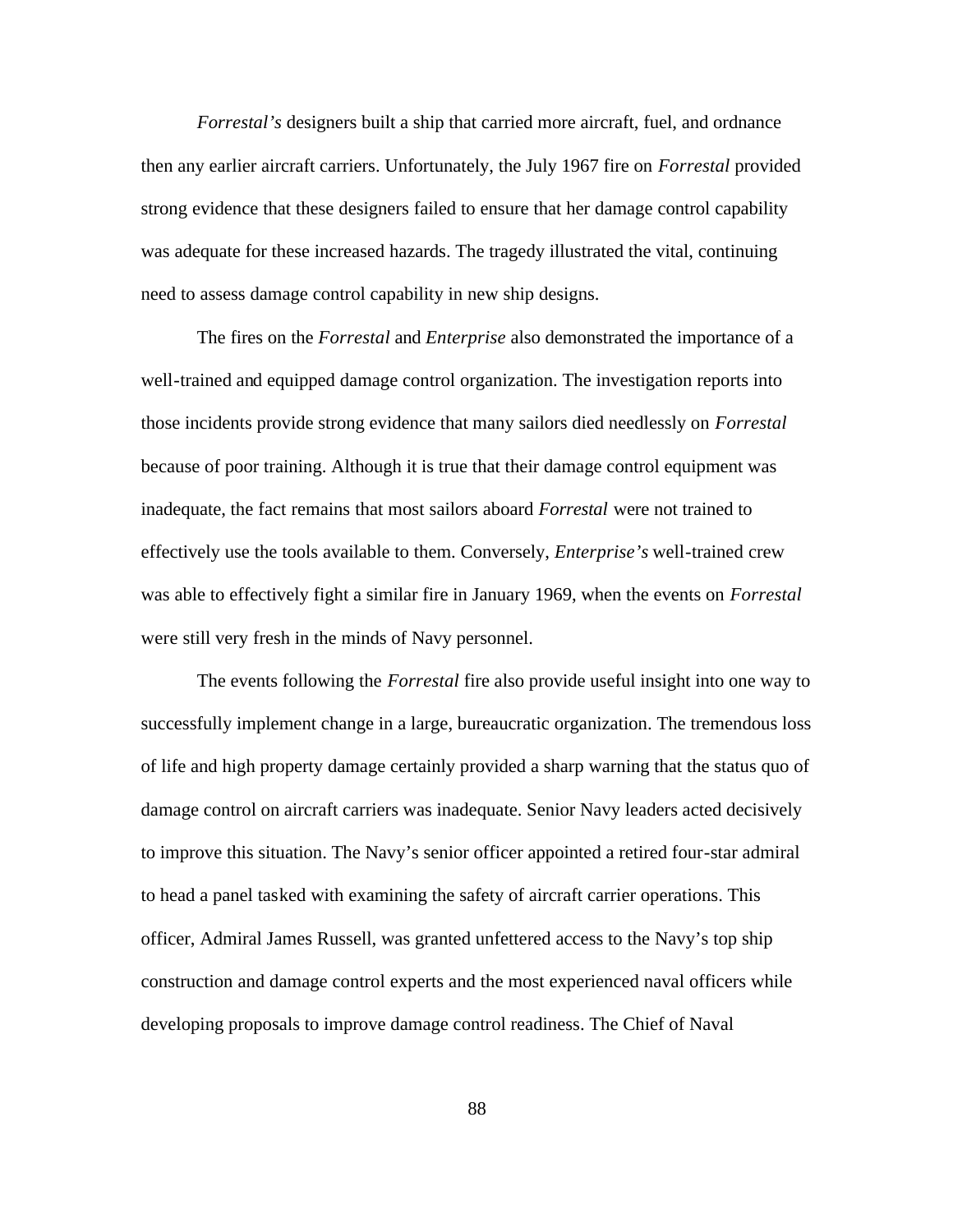*Forrestal's* designers built a ship that carried more aircraft, fuel, and ordnance then any earlier aircraft carriers. Unfortunately, the July 1967 fire on *Forrestal* provided strong evidence that these designers failed to ensure that her damage control capability was adequate for these increased hazards. The tragedy illustrated the vital, continuing need to assess damage control capability in new ship designs.

The fires on the *Forrestal* and *Enterprise* also demonstrated the importance of a well-trained and equipped damage control organization. The investigation reports into those incidents provide strong evidence that many sailors died needlessly on *Forrestal* because of poor training. Although it is true that their damage control equipment was inadequate, the fact remains that most sailors aboard *Forrestal* were not trained to effectively use the tools available to them. Conversely, *Enterprise's* well-trained crew was able to effectively fight a similar fire in January 1969, when the events on *Forrestal* were still very fresh in the minds of Navy personnel.

The events following the *Forrestal* fire also provide useful insight into one way to successfully implement change in a large, bureaucratic organization. The tremendous loss of life and high property damage certainly provided a sharp warning that the status quo of damage control on aircraft carriers was inadequate. Senior Navy leaders acted decisively to improve this situation. The Navy's senior officer appointed a retired four-star admiral to head a panel tasked with examining the safety of aircraft carrier operations. This officer, Admiral James Russell, was granted unfettered access to the Navy's top ship construction and damage control experts and the most experienced naval officers while developing proposals to improve damage control readiness. The Chief of Naval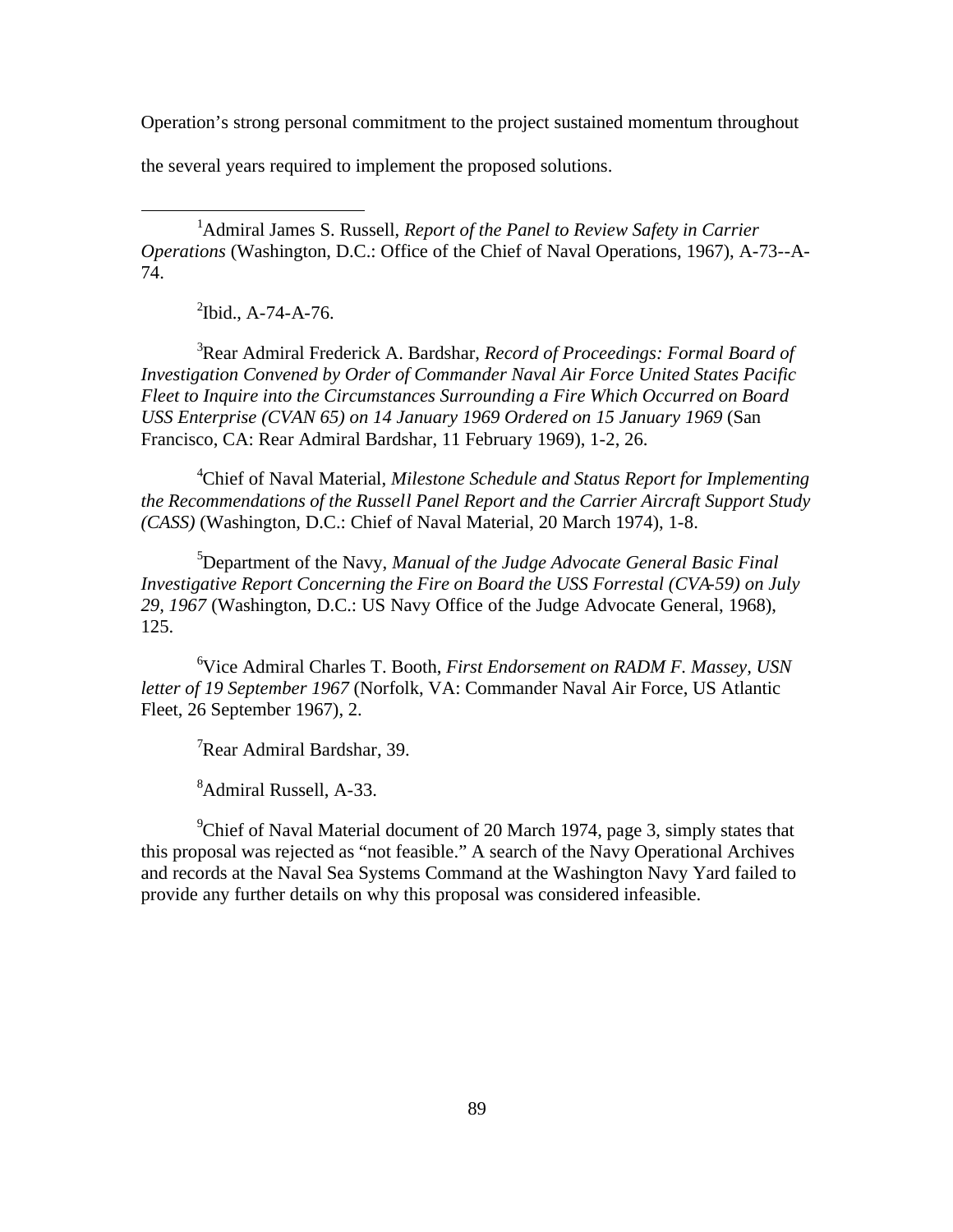Operation's strong personal commitment to the project sustained momentum throughout

the several years required to implement the proposed solutions.

<sup>1</sup>Admiral James S. Russell, *Report of the Panel to Review Safety in Carrier Operations* (Washington, D.C.: Office of the Chief of Naval Operations, 1967), A-73--A-74.

 $2$ Ibid., A-74-A-76.

 $\overline{a}$ 

<sup>3</sup>Rear Admiral Frederick A. Bardshar, *Record of Proceedings: Formal Board of Investigation Convened by Order of Commander Naval Air Force United States Pacific Fleet to Inquire into the Circumstances Surrounding a Fire Which Occurred on Board USS Enterprise (CVAN 65) on 14 January 1969 Ordered on 15 January 1969* (San Francisco, CA: Rear Admiral Bardshar, 11 February 1969), 1-2, 26.

<sup>4</sup>Chief of Naval Material, *Milestone Schedule and Status Report for Implementing the Recommendations of the Russell Panel Report and the Carrier Aircraft Support Study (CASS)* (Washington, D.C.: Chief of Naval Material, 20 March 1974), 1-8.

<sup>5</sup>Department of the Navy, *Manual of the Judge Advocate General Basic Final Investigative Report Concerning the Fire on Board the USS Forrestal (CVA-59) on July 29, 1967* (Washington, D.C.: US Navy Office of the Judge Advocate General, 1968), 125.

<sup>6</sup>Vice Admiral Charles T. Booth, *First Endorsement on RADM F. Massey, USN letter of 19 September 1967* (Norfolk, VA: Commander Naval Air Force, US Atlantic Fleet, 26 September 1967), 2.

<sup>7</sup>Rear Admiral Bardshar, 39.

<sup>8</sup>Admiral Russell, A-33.

<sup>9</sup>Chief of Naval Material document of 20 March 1974, page 3, simply states that this proposal was rejected as "not feasible." A search of the Navy Operational Archives and records at the Naval Sea Systems Command at the Washington Navy Yard failed to provide any further details on why this proposal was considered infeasible.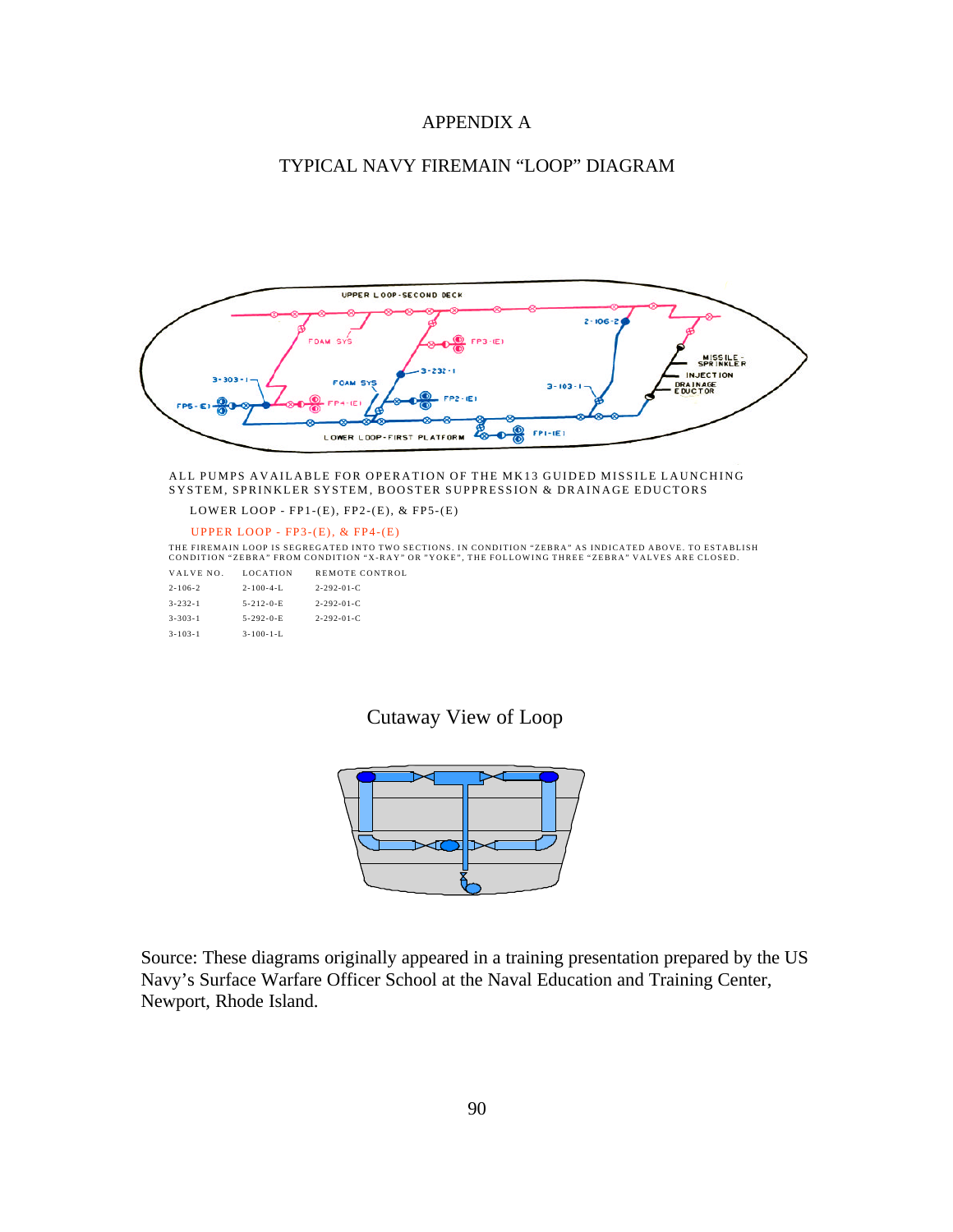# APPENDIX A

# TYPICAL NAVY FIREMAIN "LOOP" DIAGRAM



ALL PUMPS AVAILABLE FOR OPERATION OF THE MK13 GUIDED MISSILE LAUNCHING SYSTEM, SPRINKLER SYSTEM, BOOSTER SUPPRESSION & DRAINAGE EDUCTORS

LOWER LOOP - FP1-(E), FP2-(E), & FP5-(E)

#### UPPER LOOP - FP3-(E), & FP4-(E)

|               |                     | THE FIREMAIN LOOP IS SEGREGATED INTO TWO SECTIONS. IN CONDITION "ZEBRA" AS INDICATED ABOVE. TO ESTABLISH |
|---------------|---------------------|----------------------------------------------------------------------------------------------------------|
|               |                     | CONDITION "ZEBRA" FROM CONDITION "X-RAY" OR "YOKE". THE FOLLOWING THREE "ZEBRA" VALVES ARE CLOSED.       |
| VALVE NO.     | <b>LOCATION</b>     | REMOTE CONTROL                                                                                           |
| $2 - 106 - 2$ | $2 - 100 - 4 - I$ . | $2 - 292 - 01 - C$                                                                                       |
| $3 - 232 - 1$ | $5 - 212 - 0 - E$   | $2 - 292 - 01 - C$                                                                                       |
| $3 - 303 - 1$ | $5 - 292 - 0 - E$   | $2 - 292 - 01 - C$                                                                                       |
| $3 - 103 - 1$ | $3 - 100 - 1 - L$   |                                                                                                          |

# Cutaway View of Loop



Source: These diagrams originally appeared in a training presentation prepared by the US Navy's Surface Warfare Officer School at the Naval Education and Training Center, Newport, Rhode Island.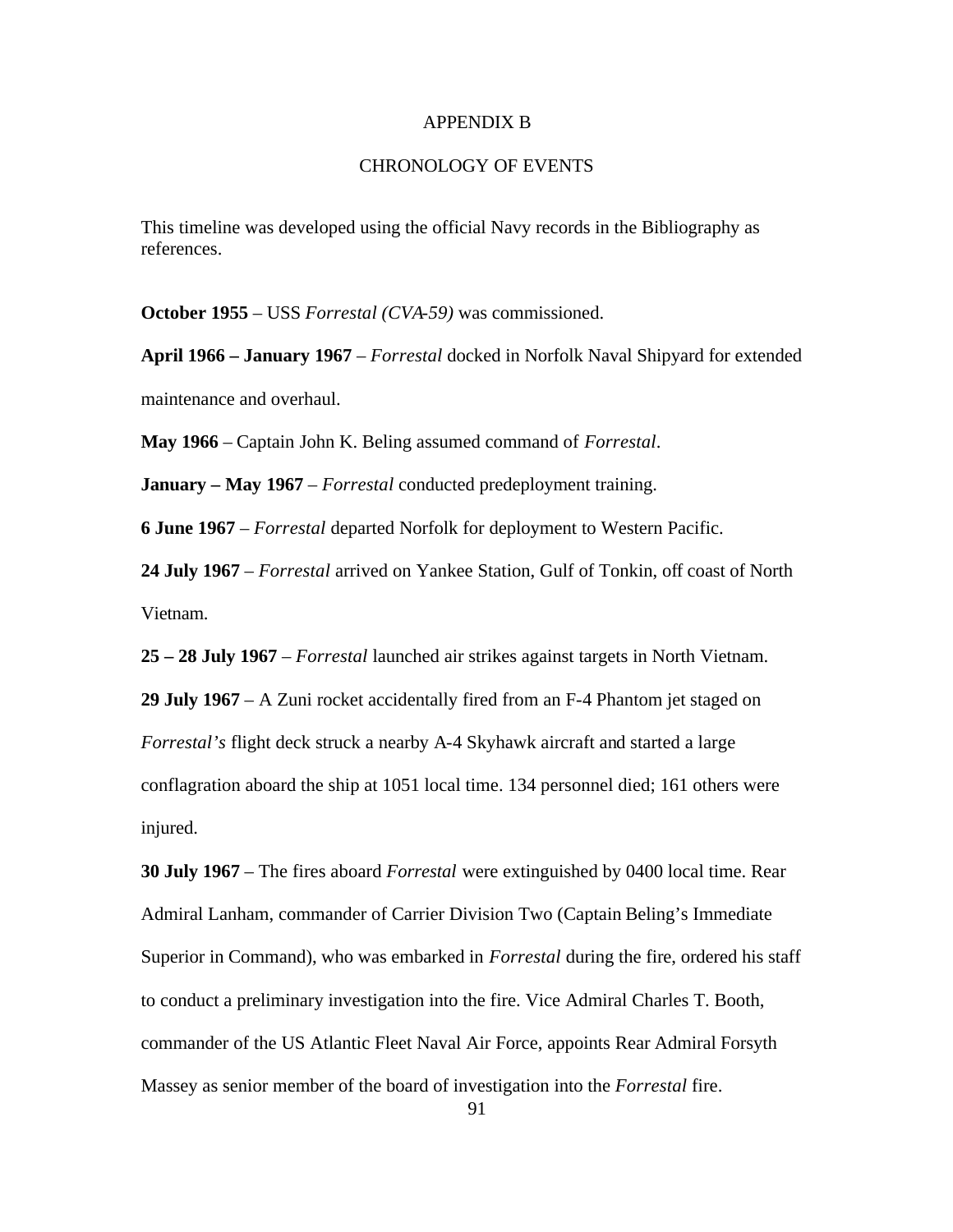#### APPENDIX B

# CHRONOLOGY OF EVENTS

This timeline was developed using the official Navy records in the Bibliography as references.

**October 1955** – USS *Forrestal (CVA-59)* was commissioned.

**April 1966 – January 1967** – *Forrestal* docked in Norfolk Naval Shipyard for extended maintenance and overhaul.

**May 1966** – Captain John K. Beling assumed command of *Forrestal*.

**January – May 1967** – *Forrestal* conducted predeployment training.

**6 June 1967** – *Forrestal* departed Norfolk for deployment to Western Pacific.

**24 July 1967** – *Forrestal* arrived on Yankee Station, Gulf of Tonkin, off coast of North Vietnam.

**25 – 28 July 1967** – *Forrestal* launched air strikes against targets in North Vietnam.

**29 July 1967** – A Zuni rocket accidentally fired from an F-4 Phantom jet staged on *Forrestal's* flight deck struck a nearby A-4 Skyhawk aircraft and started a large conflagration aboard the ship at 1051 local time. 134 personnel died; 161 others were injured.

**30 July 1967** – The fires aboard *Forrestal* were extinguished by 0400 local time. Rear Admiral Lanham, commander of Carrier Division Two (Captain Beling's Immediate Superior in Command), who was embarked in *Forrestal* during the fire, ordered his staff to conduct a preliminary investigation into the fire. Vice Admiral Charles T. Booth, commander of the US Atlantic Fleet Naval Air Force, appoints Rear Admiral Forsyth Massey as senior member of the board of investigation into the *Forrestal* fire.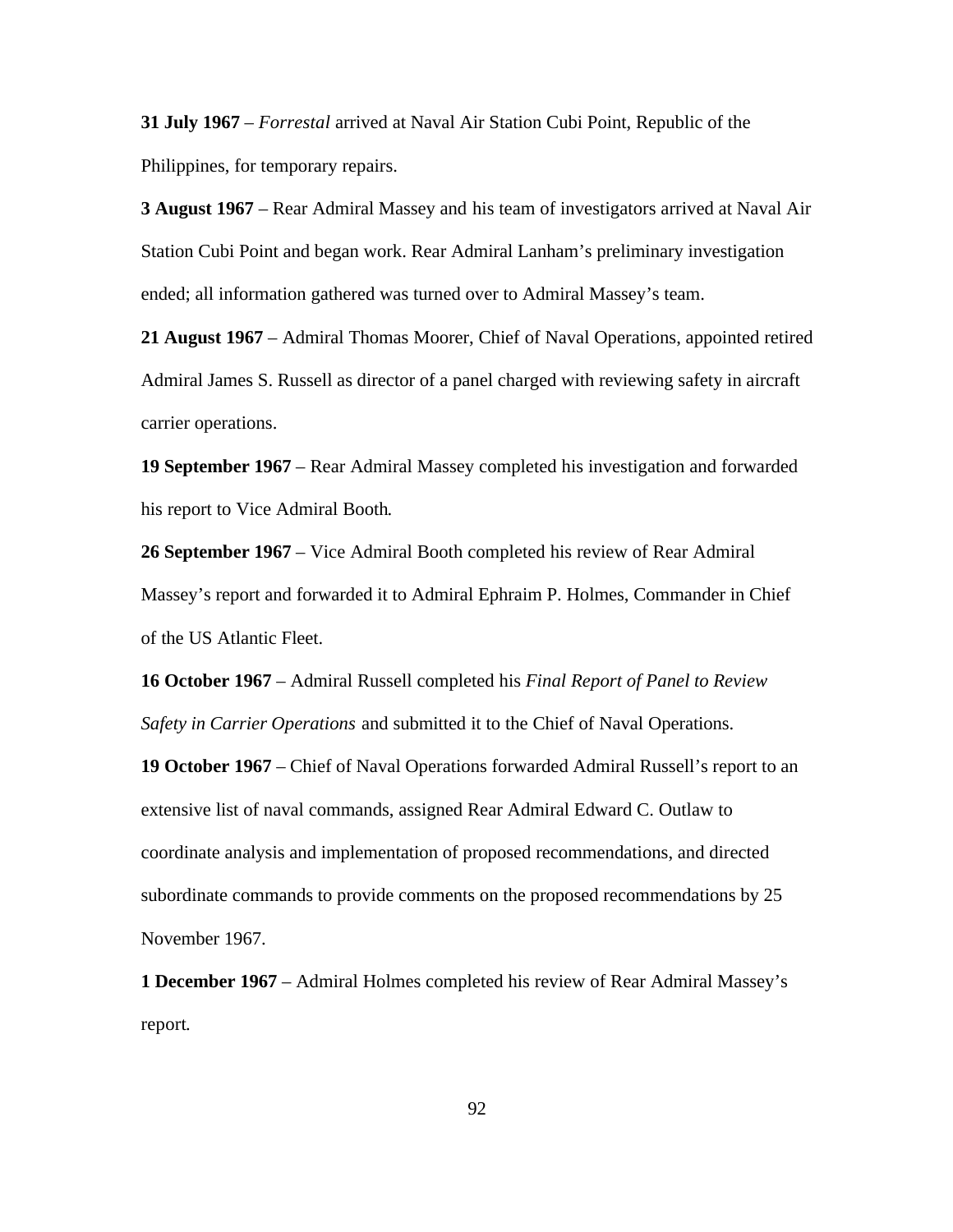**31 July 1967** – *Forrestal* arrived at Naval Air Station Cubi Point, Republic of the Philippines, for temporary repairs.

**3 August 1967** – Rear Admiral Massey and his team of investigators arrived at Naval Air Station Cubi Point and began work. Rear Admiral Lanham's preliminary investigation ended; all information gathered was turned over to Admiral Massey's team.

**21 August 1967** – Admiral Thomas Moorer, Chief of Naval Operations, appointed retired Admiral James S. Russell as director of a panel charged with reviewing safety in aircraft carrier operations.

**19 September 1967** – Rear Admiral Massey completed his investigation and forwarded his report to Vice Admiral Booth.

**26 September 1967** – Vice Admiral Booth completed his review of Rear Admiral Massey's report and forwarded it to Admiral Ephraim P. Holmes, Commander in Chief of the US Atlantic Fleet.

**16 October 1967** – Admiral Russell completed his *Final Report of Panel to Review Safety in Carrier Operations* and submitted it to the Chief of Naval Operations.

**19 October 1967** – Chief of Naval Operations forwarded Admiral Russell's report to an extensive list of naval commands, assigned Rear Admiral Edward C. Outlaw to coordinate analysis and implementation of proposed recommendations, and directed subordinate commands to provide comments on the proposed recommendations by 25 November 1967.

**1 December 1967** – Admiral Holmes completed his review of Rear Admiral Massey's report.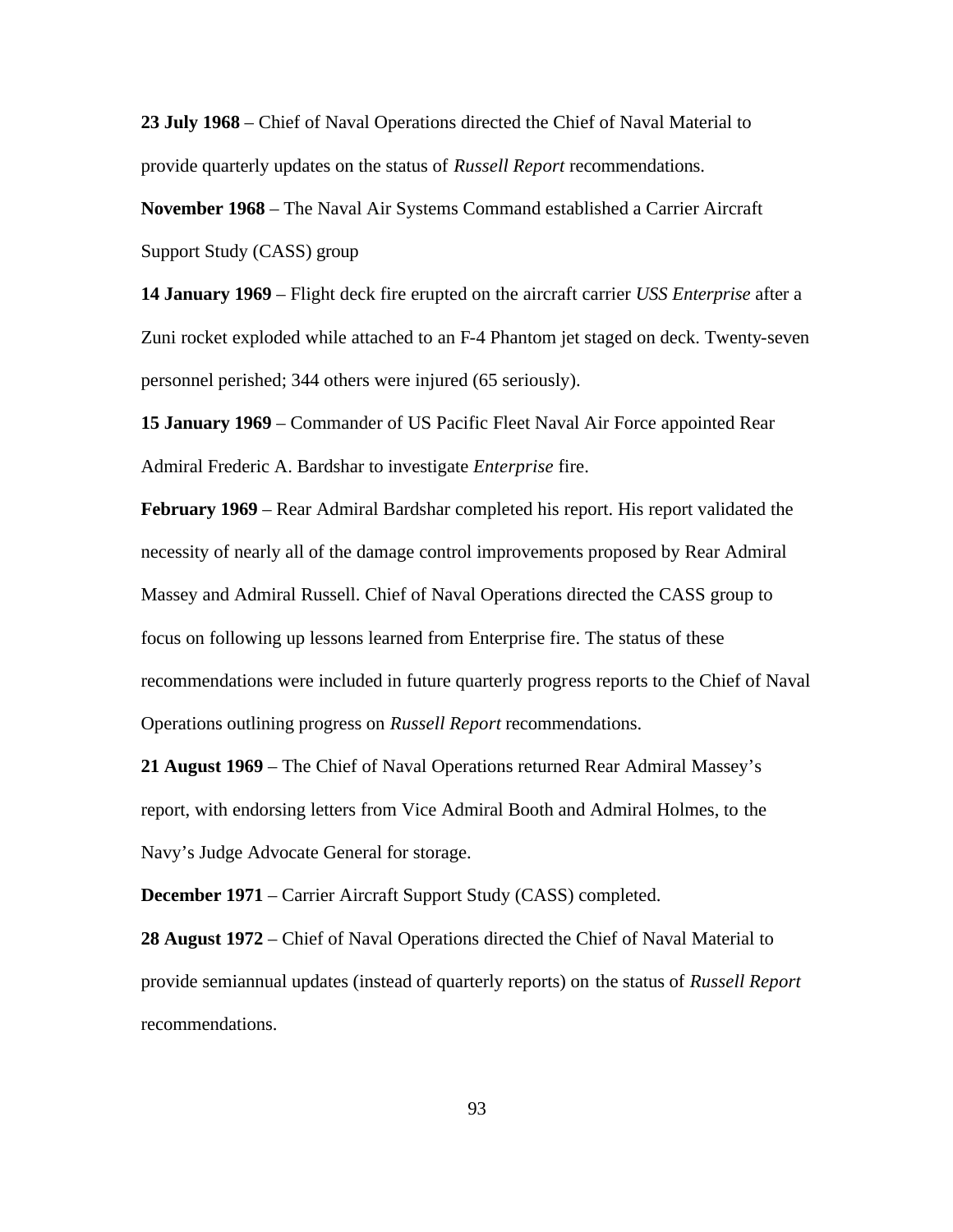**23 July 1968** – Chief of Naval Operations directed the Chief of Naval Material to provide quarterly updates on the status of *Russell Report* recommendations.

**November 1968** – The Naval Air Systems Command established a Carrier Aircraft Support Study (CASS) group

**14 January 1969** – Flight deck fire erupted on the aircraft carrier *USS Enterprise* after a Zuni rocket exploded while attached to an F-4 Phantom jet staged on deck. Twenty-seven personnel perished; 344 others were injured (65 seriously).

**15 January 1969** – Commander of US Pacific Fleet Naval Air Force appointed Rear Admiral Frederic A. Bardshar to investigate *Enterprise* fire.

**February 1969** – Rear Admiral Bardshar completed his report. His report validated the necessity of nearly all of the damage control improvements proposed by Rear Admiral Massey and Admiral Russell. Chief of Naval Operations directed the CASS group to focus on following up lessons learned from Enterprise fire. The status of these recommendations were included in future quarterly progress reports to the Chief of Naval Operations outlining progress on *Russell Report* recommendations.

**21 August 1969** – The Chief of Naval Operations returned Rear Admiral Massey's report, with endorsing letters from Vice Admiral Booth and Admiral Holmes, to the Navy's Judge Advocate General for storage.

**December 1971** – Carrier Aircraft Support Study (CASS) completed.

**28 August 1972** – Chief of Naval Operations directed the Chief of Naval Material to provide semiannual updates (instead of quarterly reports) on the status of *Russell Report* recommendations.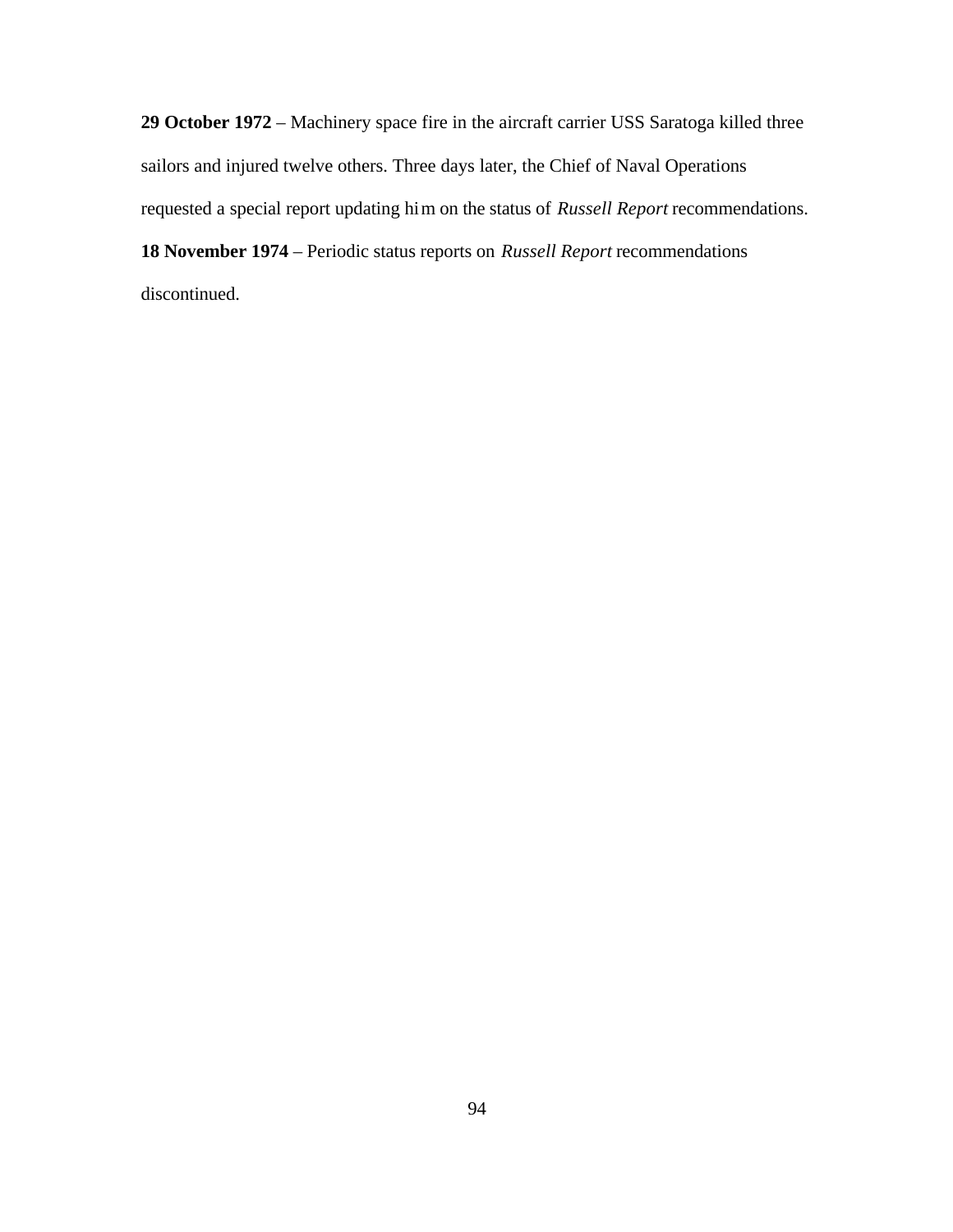**29 October 1972** – Machinery space fire in the aircraft carrier USS Saratoga killed three sailors and injured twelve others. Three days later, the Chief of Naval Operations requested a special report updating him on the status of *Russell Report* recommendations.

**18 November 1974** – Periodic status reports on *Russell Report* recommendations

discontinued.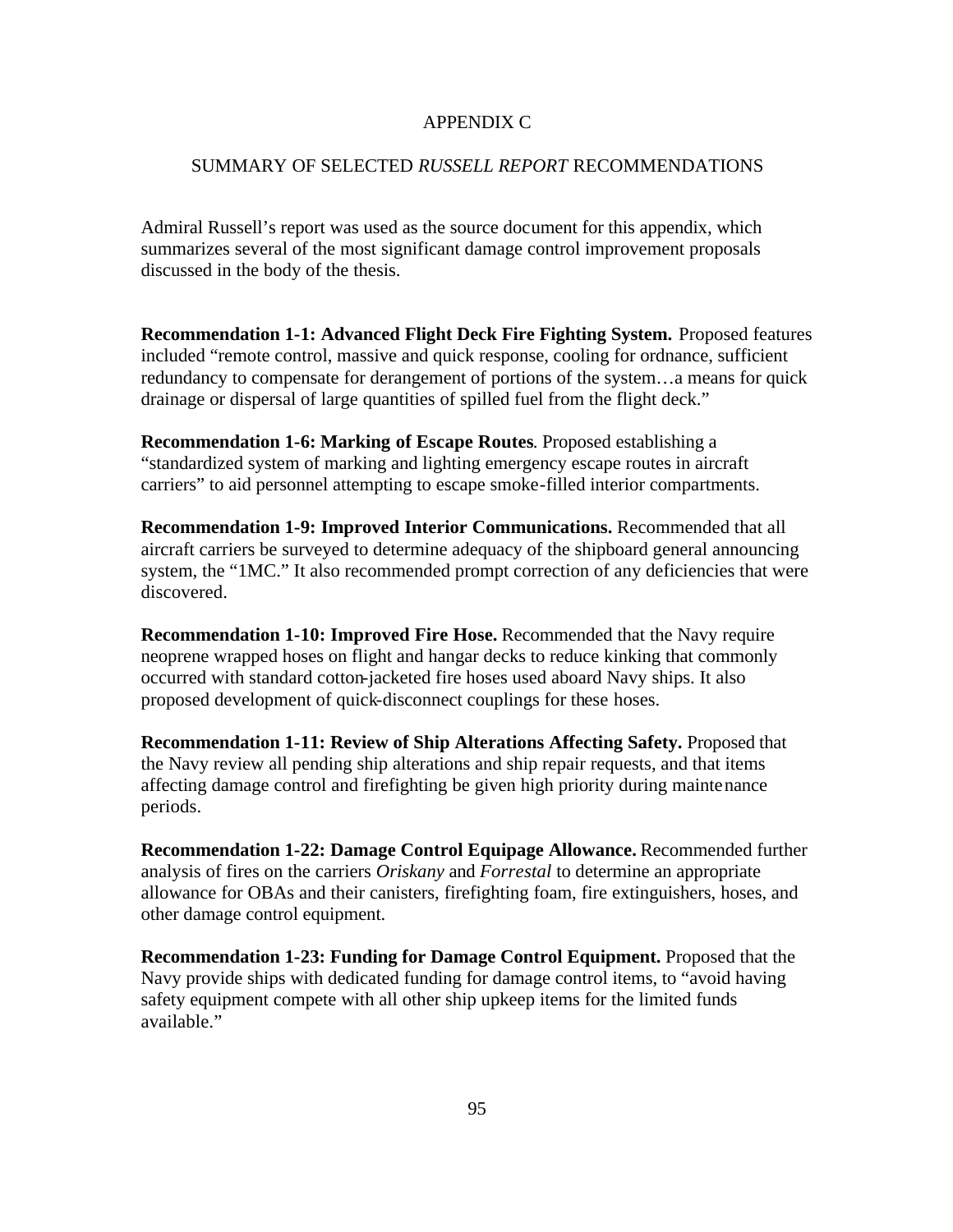# APPENDIX C

# SUMMARY OF SELECTED *RUSSELL REPORT* RECOMMENDATIONS

Admiral Russell's report was used as the source document for this appendix, which summarizes several of the most significant damage control improvement proposals discussed in the body of the thesis.

**Recommendation 1-1: Advanced Flight Deck Fire Fighting System.** Proposed features included "remote control, massive and quick response, cooling for ordnance, sufficient redundancy to compensate for derangement of portions of the system…a means for quick drainage or dispersal of large quantities of spilled fuel from the flight deck."

**Recommendation 1-6: Marking of Escape Routes**. Proposed establishing a "standardized system of marking and lighting emergency escape routes in aircraft carriers" to aid personnel attempting to escape smoke-filled interior compartments.

**Recommendation 1-9: Improved Interior Communications.** Recommended that all aircraft carriers be surveyed to determine adequacy of the shipboard general announcing system, the "1MC." It also recommended prompt correction of any deficiencies that were discovered.

**Recommendation 1-10: Improved Fire Hose.** Recommended that the Navy require neoprene wrapped hoses on flight and hangar decks to reduce kinking that commonly occurred with standard cotton-jacketed fire hoses used aboard Navy ships. It also proposed development of quick-disconnect couplings for these hoses.

**Recommendation 1-11: Review of Ship Alterations Affecting Safety.** Proposed that the Navy review all pending ship alterations and ship repair requests, and that items affecting damage control and firefighting be given high priority during maintenance periods.

**Recommendation 1-22: Damage Control Equipage Allowance.** Recommended further analysis of fires on the carriers *Oriskany* and *Forrestal* to determine an appropriate allowance for OBAs and their canisters, firefighting foam, fire extinguishers, hoses, and other damage control equipment.

**Recommendation 1-23: Funding for Damage Control Equipment.** Proposed that the Navy provide ships with dedicated funding for damage control items, to "avoid having safety equipment compete with all other ship upkeep items for the limited funds available."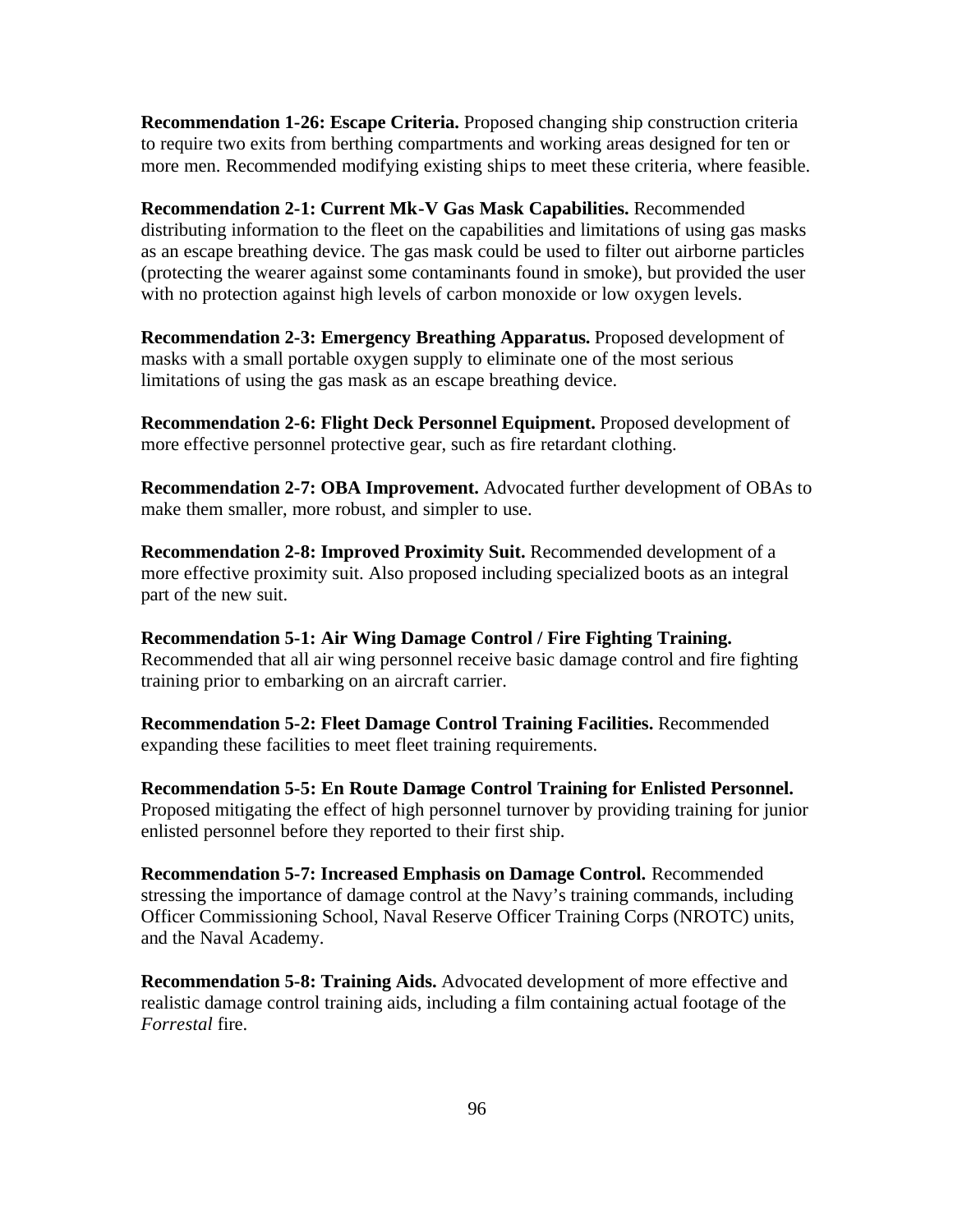**Recommendation 1-26: Escape Criteria.** Proposed changing ship construction criteria to require two exits from berthing compartments and working areas designed for ten or more men. Recommended modifying existing ships to meet these criteria, where feasible.

**Recommendation 2-1: Current Mk-V Gas Mask Capabilities.** Recommended distributing information to the fleet on the capabilities and limitations of using gas masks as an escape breathing device. The gas mask could be used to filter out airborne particles (protecting the wearer against some contaminants found in smoke), but provided the user with no protection against high levels of carbon monoxide or low oxygen levels.

**Recommendation 2-3: Emergency Breathing Apparatus.** Proposed development of masks with a small portable oxygen supply to eliminate one of the most serious limitations of using the gas mask as an escape breathing device.

**Recommendation 2-6: Flight Deck Personnel Equipment.** Proposed development of more effective personnel protective gear, such as fire retardant clothing.

**Recommendation 2-7: OBA Improvement.** Advocated further development of OBAs to make them smaller, more robust, and simpler to use.

**Recommendation 2-8: Improved Proximity Suit.** Recommended development of a more effective proximity suit. Also proposed including specialized boots as an integral part of the new suit.

**Recommendation 5-1: Air Wing Damage Control / Fire Fighting Training.** Recommended that all air wing personnel receive basic damage control and fire fighting training prior to embarking on an aircraft carrier.

**Recommendation 5-2: Fleet Damage Control Training Facilities.** Recommended expanding these facilities to meet fleet training requirements.

**Recommendation 5-5: En Route Damage Control Training for Enlisted Personnel.** Proposed mitigating the effect of high personnel turnover by providing training for junior enlisted personnel before they reported to their first ship.

**Recommendation 5-7: Increased Emphasis on Damage Control.** Recommended stressing the importance of damage control at the Navy's training commands, including Officer Commissioning School, Naval Reserve Officer Training Corps (NROTC) units, and the Naval Academy.

**Recommendation 5-8: Training Aids.** Advocated development of more effective and realistic damage control training aids, including a film containing actual footage of the *Forrestal* fire.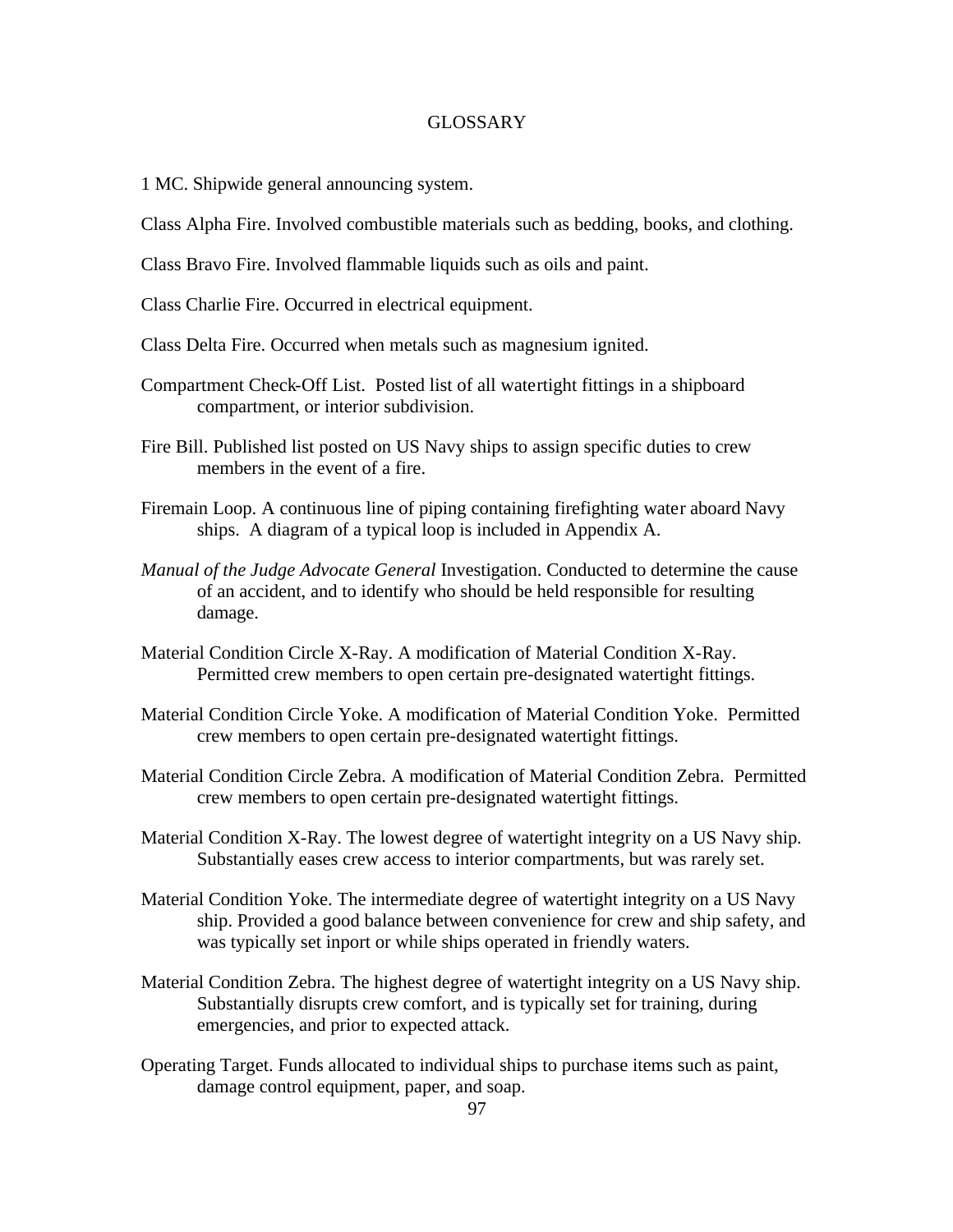# GLOSSARY

- 1 MC. Shipwide general announcing system.
- Class Alpha Fire. Involved combustible materials such as bedding, books, and clothing.
- Class Bravo Fire. Involved flammable liquids such as oils and paint.
- Class Charlie Fire. Occurred in electrical equipment.
- Class Delta Fire. Occurred when metals such as magnesium ignited.
- Compartment Check-Off List. Posted list of all watertight fittings in a shipboard compartment, or interior subdivision.
- Fire Bill. Published list posted on US Navy ships to assign specific duties to crew members in the event of a fire.
- Firemain Loop. A continuous line of piping containing firefighting water aboard Navy ships. A diagram of a typical loop is included in Appendix A.
- *Manual of the Judge Advocate General* Investigation. Conducted to determine the cause of an accident, and to identify who should be held responsible for resulting damage.
- Material Condition Circle X-Ray. A modification of Material Condition X-Ray. Permitted crew members to open certain pre-designated watertight fittings.
- Material Condition Circle Yoke. A modification of Material Condition Yoke. Permitted crew members to open certain pre-designated watertight fittings.
- Material Condition Circle Zebra. A modification of Material Condition Zebra. Permitted crew members to open certain pre-designated watertight fittings.
- Material Condition X-Ray. The lowest degree of watertight integrity on a US Navy ship. Substantially eases crew access to interior compartments, but was rarely set.
- Material Condition Yoke. The intermediate degree of watertight integrity on a US Navy ship. Provided a good balance between convenience for crew and ship safety, and was typically set inport or while ships operated in friendly waters.
- Material Condition Zebra. The highest degree of watertight integrity on a US Navy ship. Substantially disrupts crew comfort, and is typically set for training, during emergencies, and prior to expected attack.
- Operating Target. Funds allocated to individual ships to purchase items such as paint, damage control equipment, paper, and soap.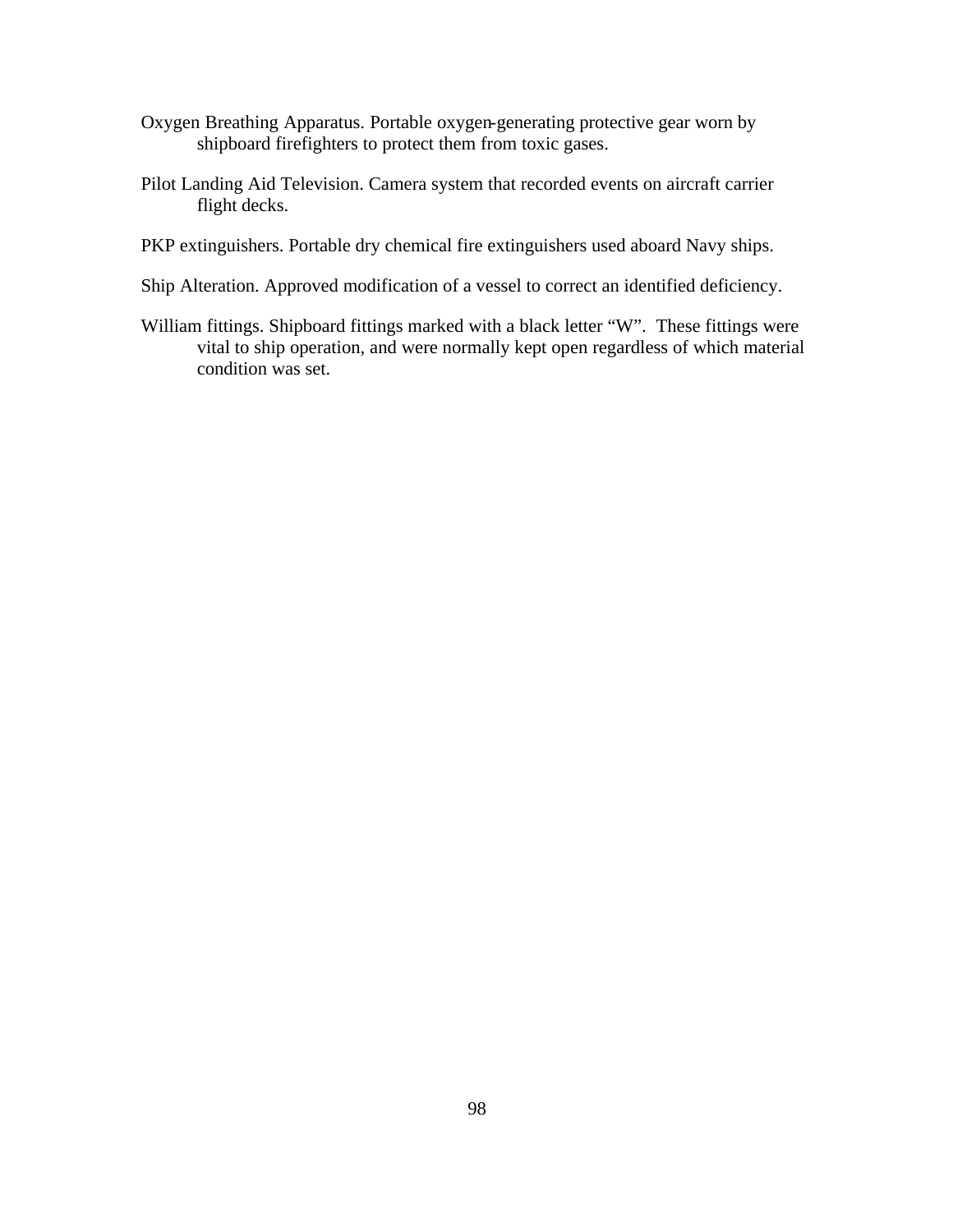- Oxygen Breathing Apparatus. Portable oxygen-generating protective gear worn by shipboard firefighters to protect them from toxic gases.
- Pilot Landing Aid Television. Camera system that recorded events on aircraft carrier flight decks.
- PKP extinguishers. Portable dry chemical fire extinguishers used aboard Navy ships.
- Ship Alteration. Approved modification of a vessel to correct an identified deficiency.
- William fittings. Shipboard fittings marked with a black letter "W". These fittings were vital to ship operation, and were normally kept open regardless of which material condition was set.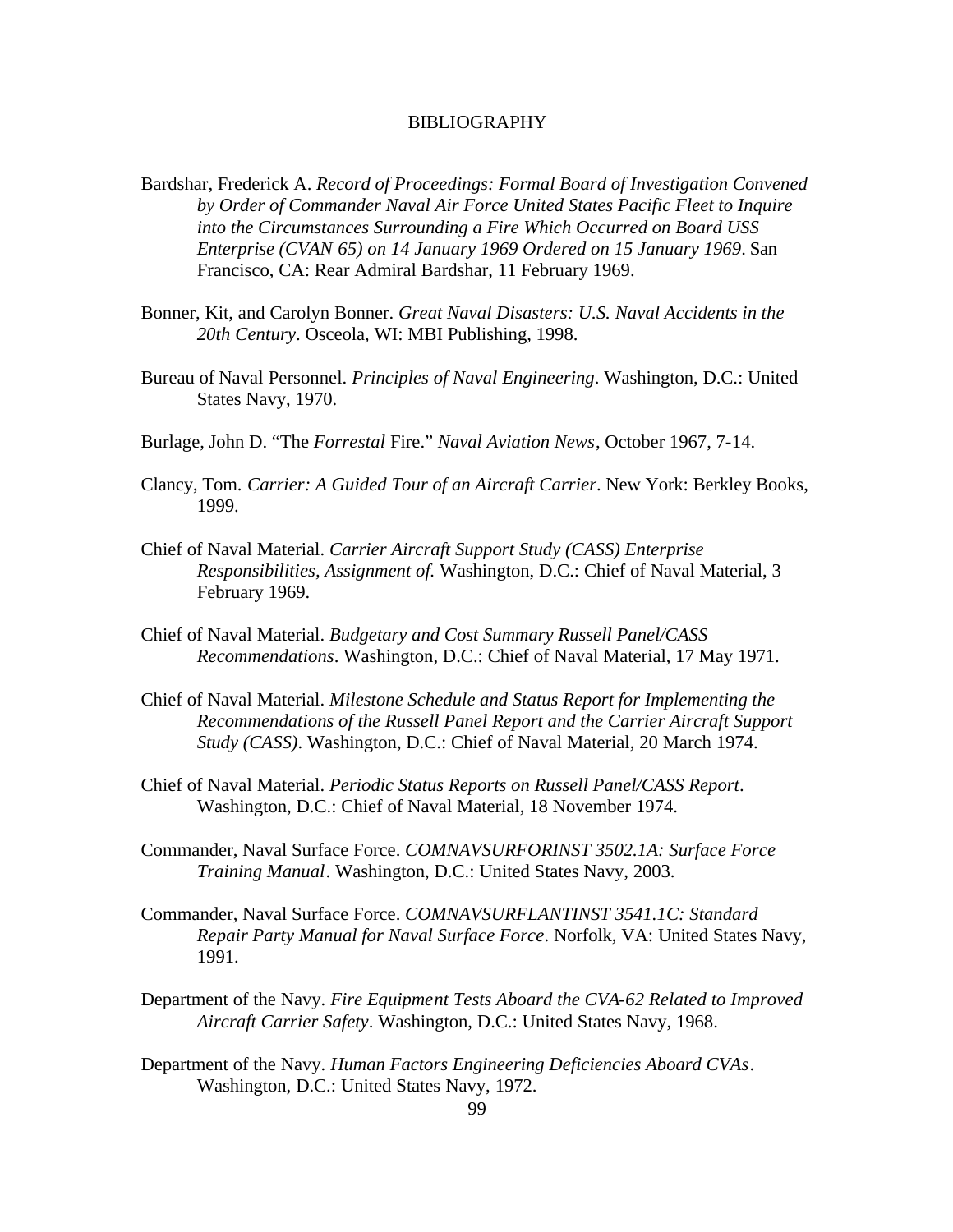#### BIBLIOGRAPHY

- Bardshar, Frederick A. *Record of Proceedings: Formal Board of Investigation Convened by Order of Commander Naval Air Force United States Pacific Fleet to Inquire into the Circumstances Surrounding a Fire Which Occurred on Board USS Enterprise (CVAN 65) on 14 January 1969 Ordered on 15 January 1969*. San Francisco, CA: Rear Admiral Bardshar, 11 February 1969.
- Bonner, Kit, and Carolyn Bonner. *Great Naval Disasters: U.S. Naval Accidents in the 20th Century*. Osceola, WI: MBI Publishing, 1998.
- Bureau of Naval Personnel. *Principles of Naval Engineering*. Washington, D.C.: United States Navy, 1970.
- Burlage, John D. "The *Forrestal* Fire." *Naval Aviation News*, October 1967, 7-14.
- Clancy, Tom. *Carrier: A Guided Tour of an Aircraft Carrier*. New York: Berkley Books, 1999.
- Chief of Naval Material. *Carrier Aircraft Support Study (CASS) Enterprise Responsibilities, Assignment of.* Washington, D.C.: Chief of Naval Material, 3 February 1969.
- Chief of Naval Material. *Budgetary and Cost Summary Russell Panel/CASS Recommendations*. Washington, D.C.: Chief of Naval Material, 17 May 1971.
- Chief of Naval Material. *Milestone Schedule and Status Report for Implementing the Recommendations of the Russell Panel Report and the Carrier Aircraft Support Study (CASS)*. Washington, D.C.: Chief of Naval Material, 20 March 1974.
- Chief of Naval Material. *Periodic Status Reports on Russell Panel/CASS Report*. Washington, D.C.: Chief of Naval Material, 18 November 1974.
- Commander, Naval Surface Force. *COMNAVSURFORINST 3502.1A: Surface Force Training Manual*. Washington, D.C.: United States Navy, 2003.
- Commander, Naval Surface Force. *COMNAVSURFLANTINST 3541.1C: Standard Repair Party Manual for Naval Surface Force*. Norfolk, VA: United States Navy, 1991.
- Department of the Navy. *Fire Equipment Tests Aboard the CVA-62 Related to Improved Aircraft Carrier Safety*. Washington, D.C.: United States Navy, 1968.
- Department of the Navy. *Human Factors Engineering Deficiencies Aboard CVAs*. Washington, D.C.: United States Navy, 1972.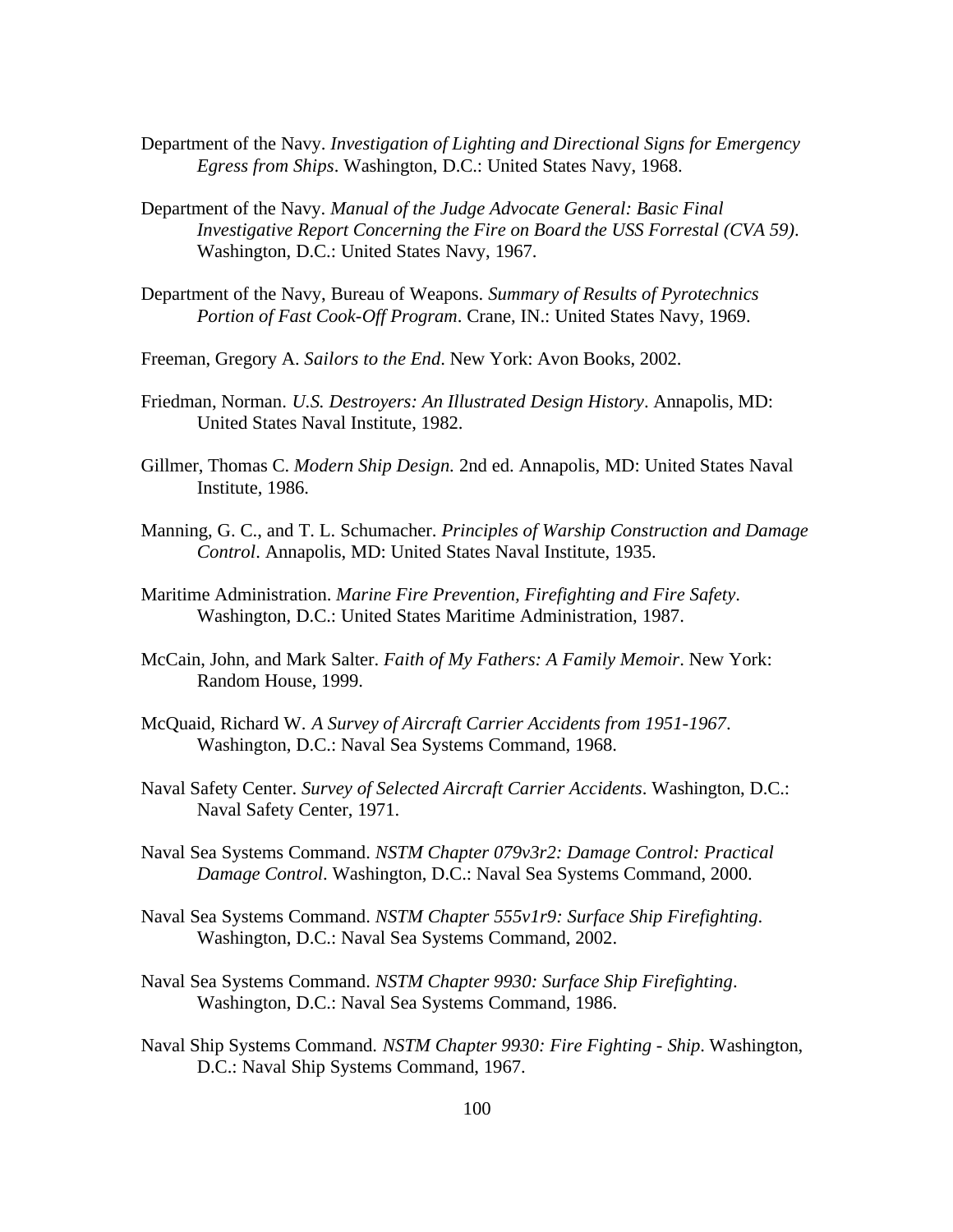- Department of the Navy. *Investigation of Lighting and Directional Signs for Emergency Egress from Ships*. Washington, D.C.: United States Navy, 1968.
- Department of the Navy. *Manual of the Judge Advocate General: Basic Final Investigative Report Concerning the Fire on Board the USS Forrestal (CVA 59)*. Washington, D.C.: United States Navy, 1967.
- Department of the Navy, Bureau of Weapons. *Summary of Results of Pyrotechnics Portion of Fast Cook-Off Program*. Crane, IN.: United States Navy, 1969.
- Freeman, Gregory A. *Sailors to the End*. New York: Avon Books, 2002.
- Friedman, Norman. *U.S. Destroyers: An Illustrated Design History*. Annapolis, MD: United States Naval Institute, 1982.
- Gillmer, Thomas C. *Modern Ship Design.* 2nd ed. Annapolis, MD: United States Naval Institute, 1986.
- Manning, G. C., and T. L. Schumacher. *Principles of Warship Construction and Damage Control*. Annapolis, MD: United States Naval Institute, 1935.
- Maritime Administration. *Marine Fire Prevention, Firefighting and Fire Safety*. Washington, D.C.: United States Maritime Administration, 1987.
- McCain, John, and Mark Salter. *Faith of My Fathers: A Family Memoir*. New York: Random House, 1999.
- McQuaid, Richard W. *A Survey of Aircraft Carrier Accidents from 1951-1967*. Washington, D.C.: Naval Sea Systems Command, 1968.
- Naval Safety Center. *Survey of Selected Aircraft Carrier Accidents*. Washington, D.C.: Naval Safety Center, 1971.
- Naval Sea Systems Command. *NSTM Chapter 079v3r2: Damage Control: Practical Damage Control*. Washington, D.C.: Naval Sea Systems Command, 2000.
- Naval Sea Systems Command. *NSTM Chapter 555v1r9: Surface Ship Firefighting*. Washington, D.C.: Naval Sea Systems Command, 2002.
- Naval Sea Systems Command. *NSTM Chapter 9930: Surface Ship Firefighting*. Washington, D.C.: Naval Sea Systems Command, 1986.
- Naval Ship Systems Command. *NSTM Chapter 9930: Fire Fighting Ship*. Washington, D.C.: Naval Ship Systems Command, 1967.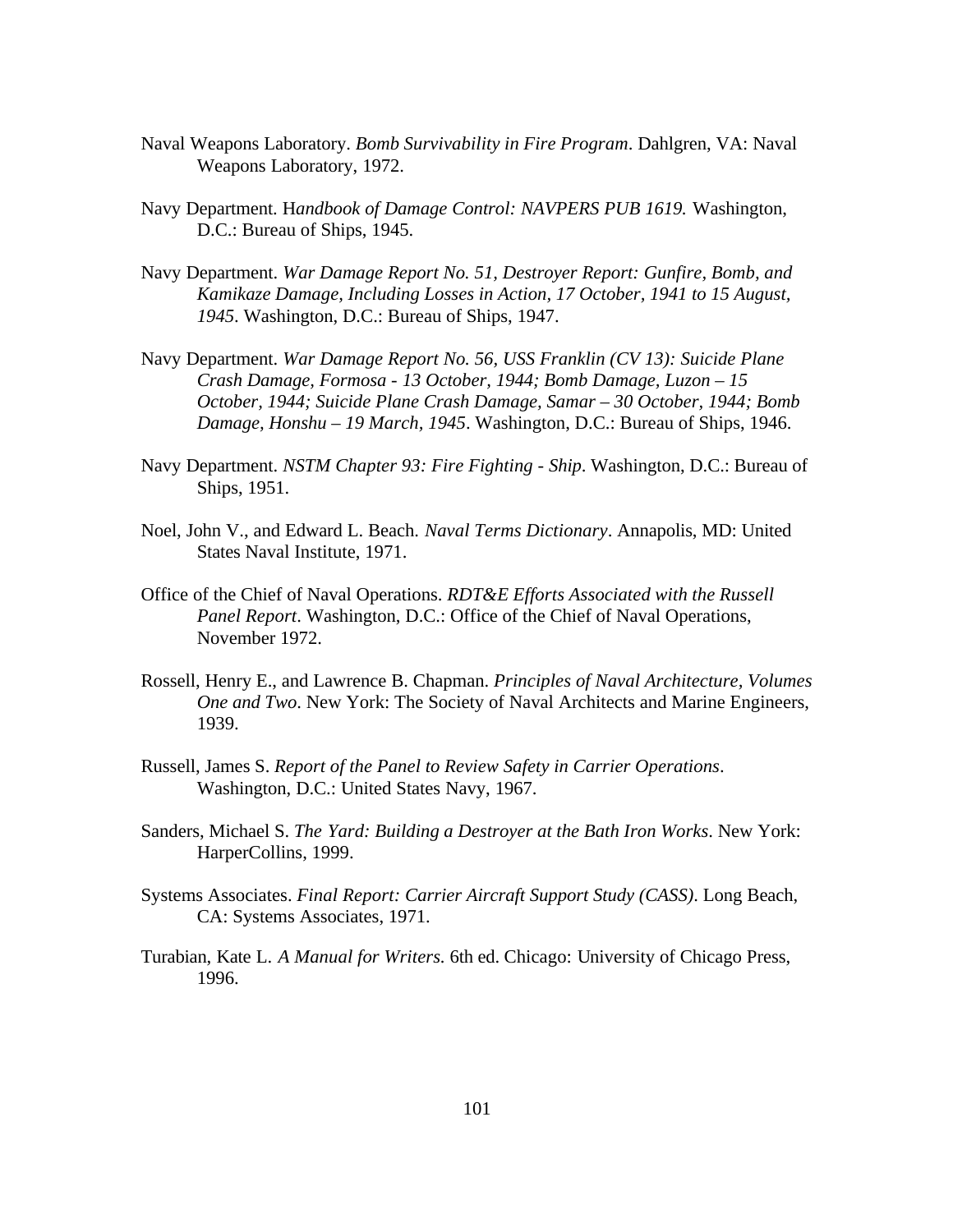- Naval Weapons Laboratory. *Bomb Survivability in Fire Program*. Dahlgren, VA: Naval Weapons Laboratory, 1972.
- Navy Department. H*andbook of Damage Control: NAVPERS PUB 1619.* Washington, D.C.: Bureau of Ships, 1945.
- Navy Department. *War Damage Report No. 51, Destroyer Report: Gunfire, Bomb, and Kamikaze Damage, Including Losses in Action, 17 October, 1941 to 15 August, 1945*. Washington, D.C.: Bureau of Ships, 1947.
- Navy Department. *War Damage Report No. 56, USS Franklin (CV 13): Suicide Plane Crash Damage, Formosa - 13 October, 1944; Bomb Damage, Luzon – 15 October, 1944; Suicide Plane Crash Damage, Samar – 30 October, 1944; Bomb Damage, Honshu – 19 March, 1945*. Washington, D.C.: Bureau of Ships, 1946.
- Navy Department. *NSTM Chapter 93: Fire Fighting Ship*. Washington, D.C.: Bureau of Ships, 1951.
- Noel, John V., and Edward L. Beach. *Naval Terms Dictionary*. Annapolis, MD: United States Naval Institute, 1971.
- Office of the Chief of Naval Operations. *RDT&E Efforts Associated with the Russell Panel Report*. Washington, D.C.: Office of the Chief of Naval Operations, November 1972.
- Rossell, Henry E., and Lawrence B. Chapman. *Principles of Naval Architecture, Volumes One and Two*. New York: The Society of Naval Architects and Marine Engineers, 1939.
- Russell, James S. *Report of the Panel to Review Safety in Carrier Operations*. Washington, D.C.: United States Navy, 1967.
- Sanders, Michael S. *The Yard: Building a Destroyer at the Bath Iron Works*. New York: HarperCollins, 1999.
- Systems Associates. *Final Report: Carrier Aircraft Support Study (CASS)*. Long Beach, CA: Systems Associates, 1971.
- Turabian, Kate L. *A Manual for Writers.* 6th ed. Chicago: University of Chicago Press, 1996.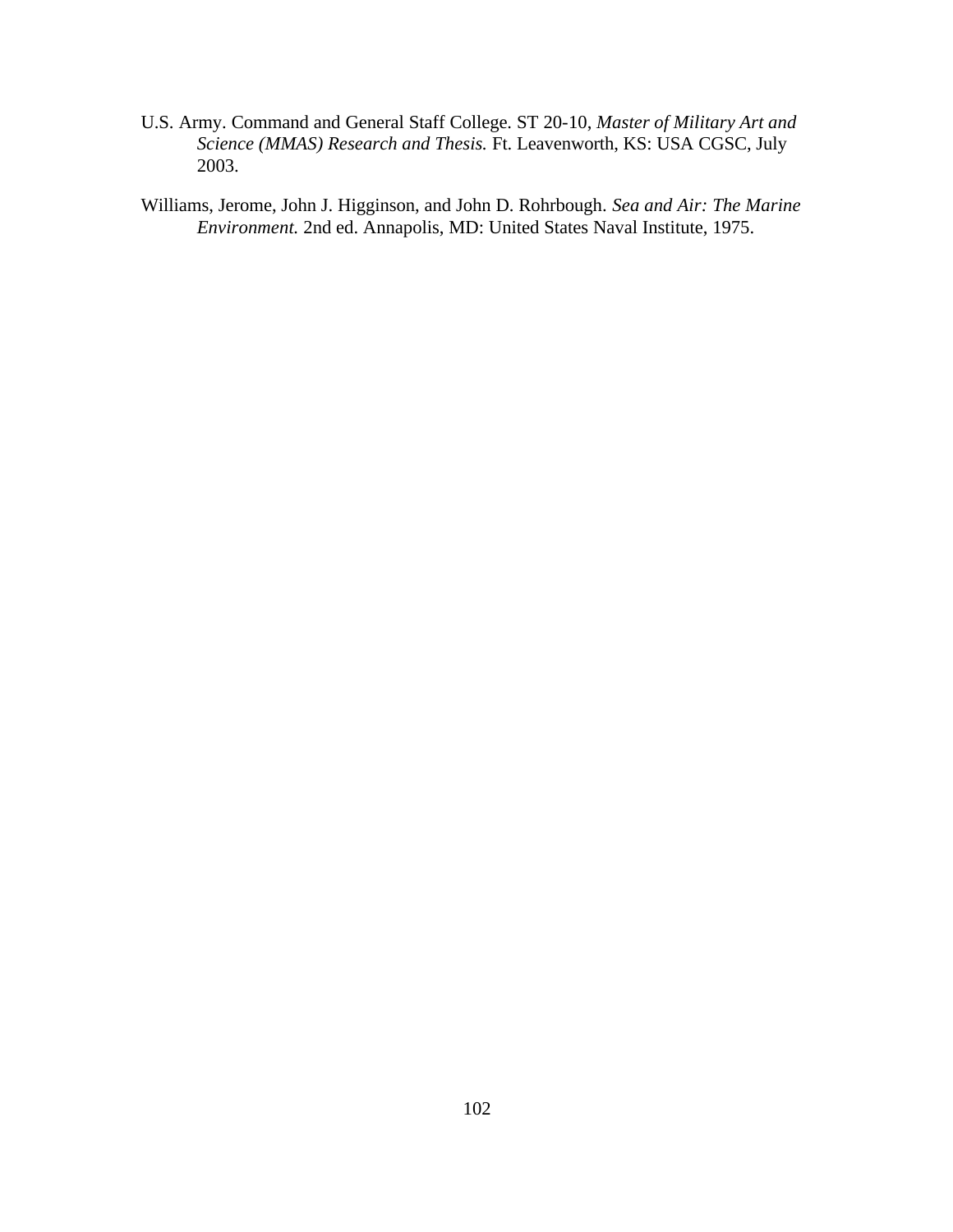- U.S. Army. Command and General Staff College. ST 20-10, *Master of Military Art and Science (MMAS) Research and Thesis.* Ft. Leavenworth, KS: USA CGSC, July 2003.
- Williams, Jerome, John J. Higginson, and John D. Rohrbough. *Sea and Air: The Marine Environment.* 2nd ed. Annapolis, MD: United States Naval Institute, 1975.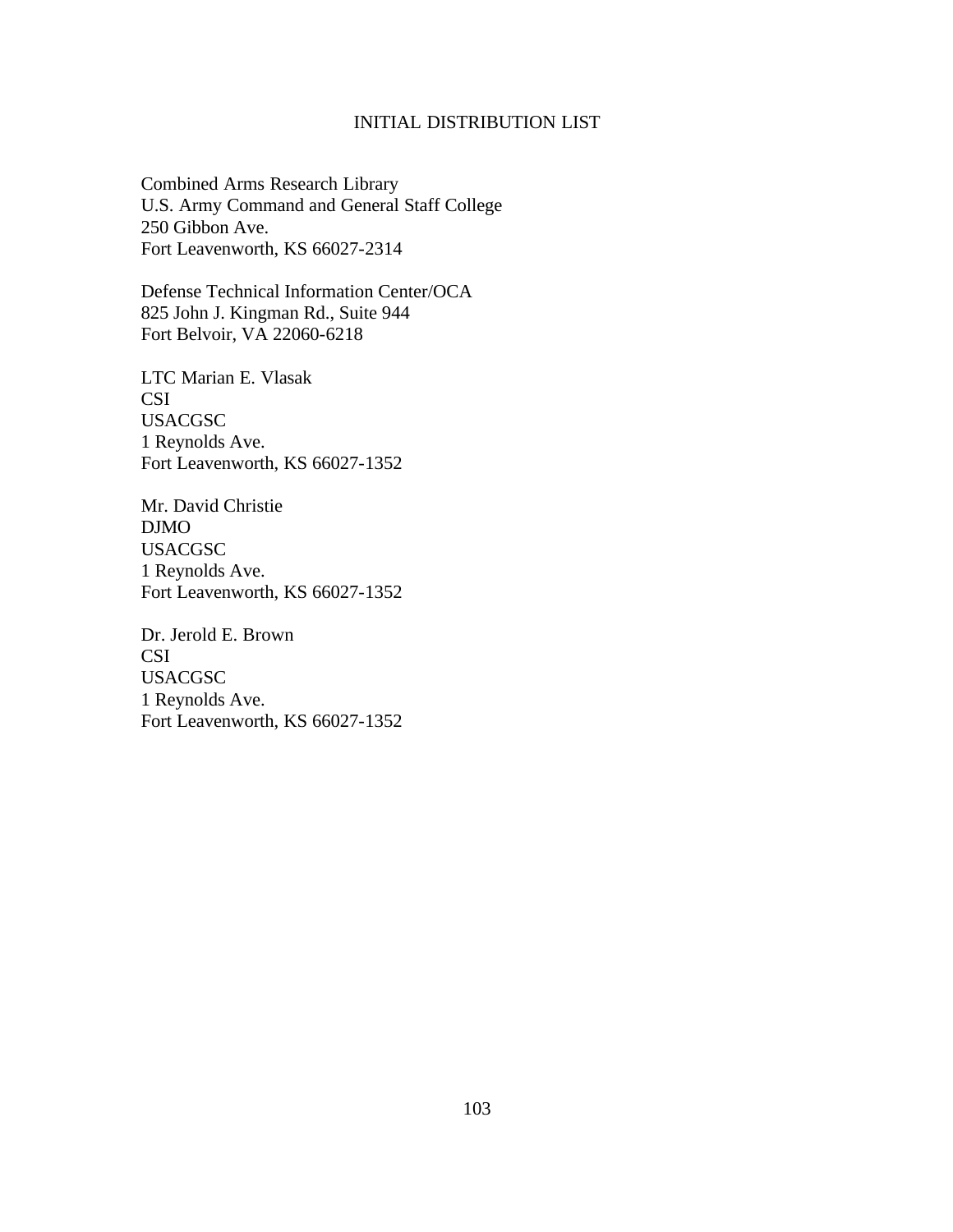## INITIAL DISTRIBUTION LIST

Combined Arms Research Library U.S. Army Command and General Staff College 250 Gibbon Ave. Fort Leavenworth, KS 66027-2314

Defense Technical Information Center/OCA 825 John J. Kingman Rd., Suite 944 Fort Belvoir, VA 22060-6218

LTC Marian E. Vlasak CSI USACGSC 1 Reynolds Ave. Fort Leavenworth, KS 66027-1352

Mr. David Christie DJMO USACGSC 1 Reynolds Ave. Fort Leavenworth, KS 66027-1352

Dr. Jerold E. Brown CSI USACGSC 1 Reynolds Ave. Fort Leavenworth, KS 66027-1352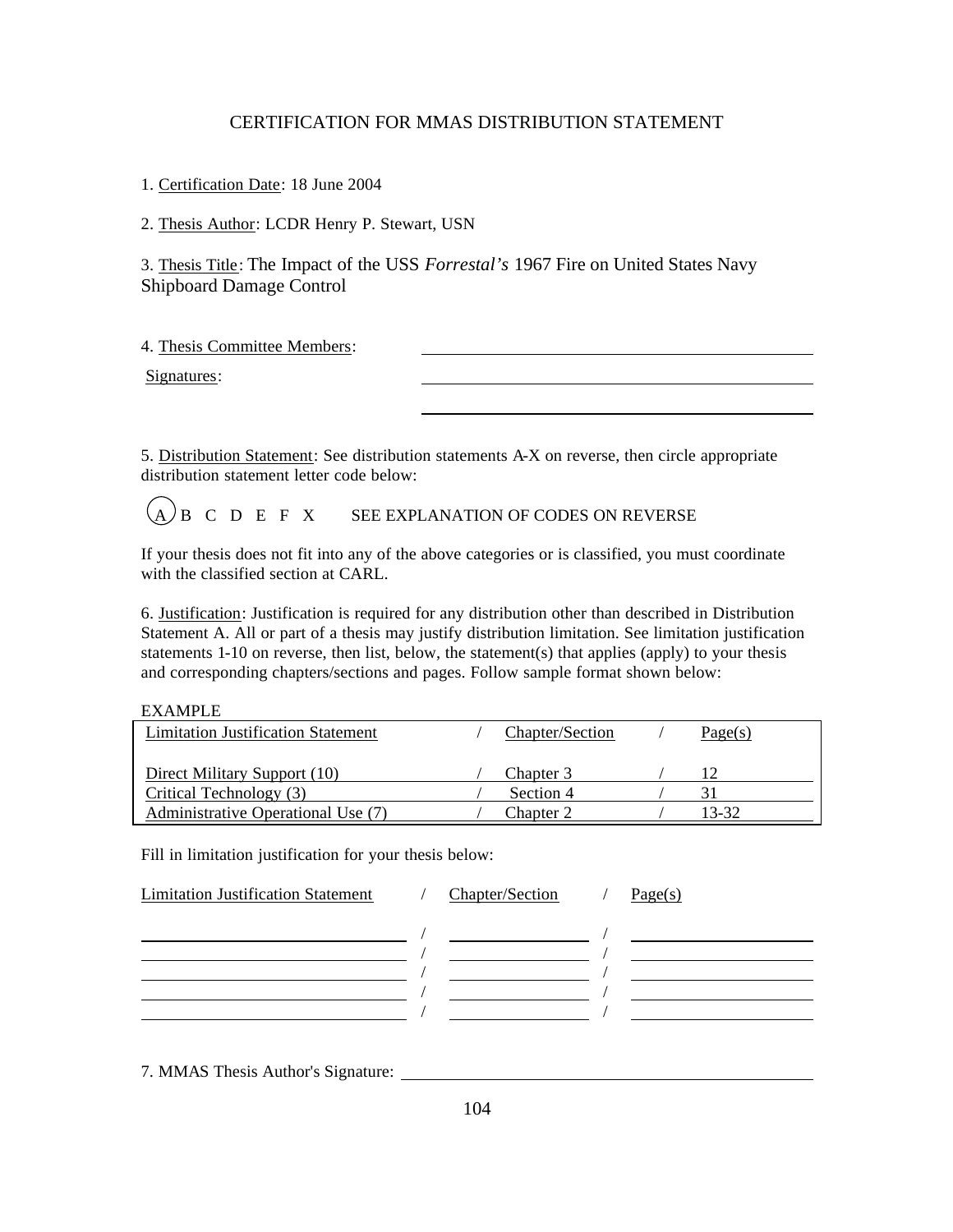## CERTIFICATION FOR MMAS DISTRIBUTION STATEMENT

1. Certification Date: 18 June 2004

2. Thesis Author: LCDR Henry P. Stewart, USN

3. Thesis Title: The Impact of the USS *Forrestal's* 1967 Fire on United States Navy Shipboard Damage Control

4. Thesis Committee Members:

Signatures:

5. Distribution Statement: See distribution statements A-X on reverse, then circle appropriate distribution statement letter code below:

 $(A)$  B C D E F X SEE EXPLANATION OF CODES ON REVERSE

If your thesis does not fit into any of the above categories or is classified, you must coordinate with the classified section at CARL.

6. Justification: Justification is required for any distribution other than described in Distribution Statement A. All or part of a thesis may justify distribution limitation. See limitation justification statements 1-10 on reverse, then list, below, the statement(s) that applies (apply) to your thesis and corresponding chapters/sections and pages. Follow sample format shown below:

## EXAMPLE

| <b>Limitation Justification Statement</b> | Chapter/Section | Page(s) |
|-------------------------------------------|-----------------|---------|
| Direct Military Support (10)              | Chapter 3       |         |
| Critical Technology (3)                   | Section 4       |         |
| Administrative Operational Use (7)        | Chapter 2       | 13-32   |

Fill in limitation justification for your thesis below:

| <b>Limitation Justification Statement</b> | Chapter/Section | Page(s) |
|-------------------------------------------|-----------------|---------|
|                                           |                 |         |
|                                           |                 |         |
|                                           |                 |         |
|                                           |                 |         |
|                                           |                 |         |
|                                           |                 |         |

7. MMAS Thesis Author's Signature: